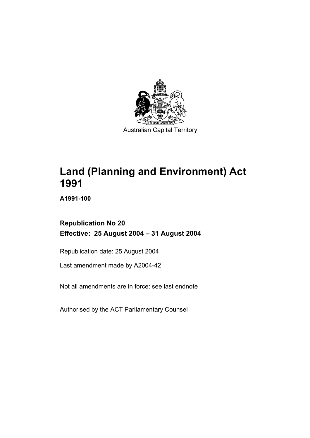

**Land (Planning and Environment) Act 1991** 

**A1991-100** 

# **Republication No 20 Effective: 25 August 2004 – 31 August 2004**

Republication date: 25 August 2004

Last amendment made by A2004-42

Not all amendments are in force: see last endnote

Authorised by the ACT Parliamentary Counsel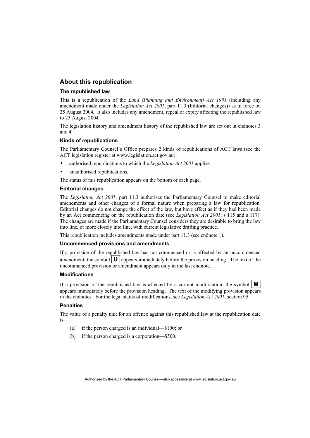#### **About this republication**

#### **The republished law**

This is a republication of the *Land (Planning and Environment) Act 1991* (including any amendment made under the *Legislation Act 2001*, part 11.3 (Editorial changes)) as in force on 25 August 2004*.* It also includes any amendment, repeal or expiry affecting the republished law to 25 August 2004.

The legislation history and amendment history of the republished law are set out in endnotes 3 and 4.

#### **Kinds of republications**

The Parliamentary Counsel's Office prepares 2 kinds of republications of ACT laws (see the ACT legislation register at www.legislation.act.gov.au):

- authorised republications to which the *Legislation Act 2001* applies
- unauthorised republications.

The status of this republication appears on the bottom of each page.

#### **Editorial changes**

The *Legislation Act 2001*, part 11.3 authorises the Parliamentary Counsel to make editorial amendments and other changes of a formal nature when preparing a law for republication. Editorial changes do not change the effect of the law, but have effect as if they had been made by an Act commencing on the republication date (see *Legislation Act 2001*, s 115 and s 117). The changes are made if the Parliamentary Counsel considers they are desirable to bring the law into line, or more closely into line, with current legislative drafting practice.

This republication includes amendments made under part 11.3 (see endnote 1).

#### **Uncommenced provisions and amendments**

If a provision of the republished law has not commenced or is affected by an uncommenced amendment, the symbol  $\mathbf{U}$  appears immediately before the provision heading. The text of the uncommenced provision or amendment appears only in the last endnote.

#### **Modifications**

If a provision of the republished law is affected by a current modification, the symbol  $\mathbf{M}$ appears immediately before the provision heading. The text of the modifying provision appears in the endnotes. For the legal status of modifications, see *Legislation Act 2001*, section 95.

#### **Penalties**

The value of a penalty unit for an offence against this republished law at the republication date is—

- (a) if the person charged is an individual—\$100; or
- (b) if the person charged is a corporation—\$500.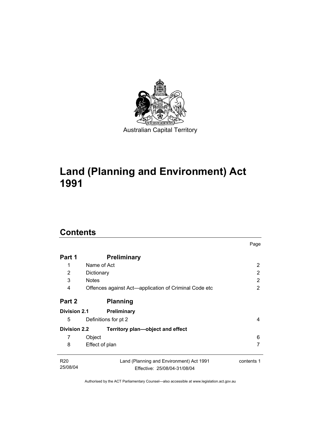

# **Land (Planning and Environment) Act 1991**

# **Contents**

| Part 1                      | <b>Preliminary</b>                                                       |            |
|-----------------------------|--------------------------------------------------------------------------|------------|
| 1                           | Name of Act                                                              | 2          |
| 2                           | Dictionary                                                               | 2          |
| 3                           | <b>Notes</b>                                                             | 2          |
| 4                           | Offences against Act—application of Criminal Code etc                    | 2          |
| Part 2                      | <b>Planning</b>                                                          |            |
| <b>Division 2.1</b>         | Preliminary                                                              |            |
| 5                           | Definitions for pt 2                                                     | 4          |
| <b>Division 2.2</b>         | Territory plan—object and effect                                         |            |
| 7                           | Object                                                                   | 6          |
| 8                           | Effect of plan                                                           | 7          |
| R <sub>20</sub><br>25/08/04 | Land (Planning and Environment) Act 1991<br>Effective: 25/08/04-31/08/04 | contents 1 |

Page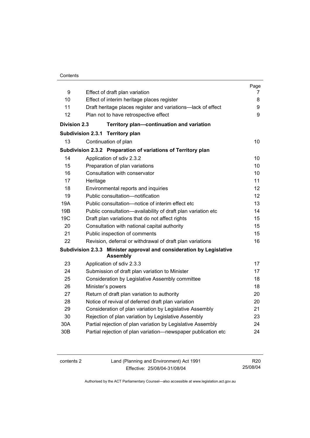#### **Contents**

| 9                   |                                                                                                       | Page   |  |
|---------------------|-------------------------------------------------------------------------------------------------------|--------|--|
| 10                  | Effect of draft plan variation                                                                        | 7<br>8 |  |
| 11                  | Effect of interim heritage places register                                                            |        |  |
| 12                  | Draft heritage places register and variations-lack of effect<br>Plan not to have retrospective effect |        |  |
|                     |                                                                                                       | 9      |  |
| <b>Division 2.3</b> | Territory plan-continuation and variation                                                             |        |  |
|                     | <b>Subdivision 2.3.1</b><br><b>Territory plan</b>                                                     |        |  |
| 13                  | Continuation of plan                                                                                  | 10     |  |
|                     | Subdivision 2.3.2 Preparation of variations of Territory plan                                         |        |  |
| 14                  | Application of sdiv 2.3.2                                                                             | 10     |  |
| 15                  | Preparation of plan variations                                                                        |        |  |
| 16                  | Consultation with conservator                                                                         | 10     |  |
| 17                  | Heritage                                                                                              | 11     |  |
| 18                  | Environmental reports and inquiries                                                                   | 12     |  |
| 19                  | Public consultation-notification                                                                      | 12     |  |
| 19A                 | Public consultation-notice of interim effect etc                                                      | 13     |  |
| 19B                 | Public consultation-availability of draft plan variation etc                                          | 14     |  |
| 19C                 | Draft plan variations that do not affect rights                                                       |        |  |
| 20                  | Consultation with national capital authority                                                          | 15     |  |
| 21                  | Public inspection of comments                                                                         | 15     |  |
| 22                  | Revision, deferral or withdrawal of draft plan variations                                             | 16     |  |
|                     | Subdivision 2.3.3 Minister approval and consideration by Legislative<br><b>Assembly</b>               |        |  |
| 23                  | Application of sdiv 2.3.3                                                                             | 17     |  |
| 24                  | Submission of draft plan variation to Minister                                                        | 17     |  |
| 25                  | Consideration by Legislative Assembly committee                                                       | 18     |  |
| 26                  | Minister's powers                                                                                     | 18     |  |
| 27                  | Return of draft plan variation to authority                                                           | 20     |  |
| 28                  | Notice of revival of deferred draft plan variation                                                    | 20     |  |
| 29                  | Consideration of plan variation by Legislative Assembly                                               | 21     |  |
| 30                  | Rejection of plan variation by Legislative Assembly                                                   | 23     |  |
| 30A                 | Partial rejection of plan variation by Legislative Assembly                                           | 24     |  |
| 30 <sub>B</sub>     | Partial rejection of plan variation-newspaper publication etc                                         | 24     |  |

| contents 2 | Land (Planning and Environment) Act 1991 | R <sub>20</sub> |
|------------|------------------------------------------|-----------------|
|            | Effective: 25/08/04-31/08/04             | 25/08/04        |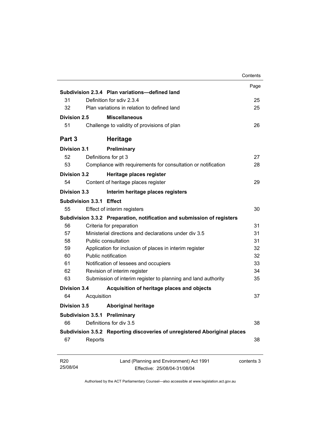|                             |                          |                                                                           | Contents   |
|-----------------------------|--------------------------|---------------------------------------------------------------------------|------------|
|                             |                          |                                                                           | Page       |
|                             |                          | Subdivision 2.3.4 Plan variations-defined land                            |            |
| 31                          |                          | Definition for sdiv 2.3.4                                                 | 25         |
| 32                          |                          | Plan variations in relation to defined land                               | 25         |
| Division 2.5                |                          | <b>Miscellaneous</b>                                                      |            |
| 51                          |                          | Challenge to validity of provisions of plan                               | 26         |
| Part 3                      |                          | <b>Heritage</b>                                                           |            |
| <b>Division 3.1</b>         |                          | Preliminary                                                               |            |
| 52                          |                          | Definitions for pt 3                                                      | 27         |
| 53                          |                          | Compliance with requirements for consultation or notification             | 28         |
| <b>Division 3.2</b>         |                          | Heritage places register                                                  |            |
| 54                          |                          | Content of heritage places register                                       | 29         |
| <b>Division 3.3</b>         |                          | Interim heritage places registers                                         |            |
|                             | Subdivision 3.3.1 Effect |                                                                           |            |
| 55                          |                          | Effect of interim registers                                               | 30         |
|                             |                          | Subdivision 3.3.2 Preparation, notification and submission of registers   |            |
| 56                          |                          | Criteria for preparation                                                  | 31         |
| 57                          |                          | Ministerial directions and declarations under div 3.5                     | 31         |
| 58                          |                          | Public consultation                                                       | 31         |
| 59                          |                          | Application for inclusion of places in interim register                   | 32         |
| 60                          |                          | Public notification                                                       | 32         |
| 61                          |                          | Notification of lessees and occupiers                                     | 33         |
| 62                          |                          | Revision of interim register                                              | 34         |
| 63                          |                          | Submission of interim register to planning and land authority             | 35         |
| <b>Division 3.4</b>         |                          | Acquisition of heritage places and objects                                |            |
| 64                          | Acquisition              |                                                                           | 37         |
| <b>Division 3.5</b>         |                          | <b>Aboriginal heritage</b>                                                |            |
|                             |                          | <b>Subdivision 3.5.1 Preliminary</b>                                      |            |
| 66                          |                          | Definitions for div 3.5                                                   | 38         |
|                             |                          | Subdivision 3.5.2 Reporting discoveries of unregistered Aboriginal places |            |
| 67                          | Reports                  |                                                                           | 38         |
| R <sub>20</sub><br>25/08/04 |                          | Land (Planning and Environment) Act 1991<br>Effective: 25/08/04-31/08/04  | contents 3 |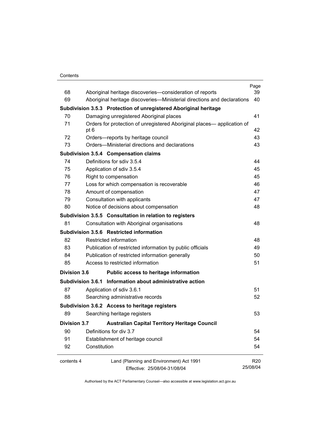#### **Contents**

|                     |                                                                                 | Page            |
|---------------------|---------------------------------------------------------------------------------|-----------------|
| 68<br>69            | Aboriginal heritage discoveries-consideration of reports                        | 39<br>40        |
|                     | Aboriginal heritage discoveries—Ministerial directions and declarations         |                 |
|                     | Subdivision 3.5.3 Protection of unregistered Aboriginal heritage                |                 |
| 70                  | Damaging unregistered Aboriginal places                                         | 41              |
| 71                  | Orders for protection of unregistered Aboriginal places— application of<br>pt 6 | 42              |
| 72                  | Orders-reports by heritage council                                              | 43              |
| 73                  | Orders—Ministerial directions and declarations                                  | 43              |
|                     | <b>Subdivision 3.5.4 Compensation claims</b>                                    |                 |
| 74                  | Definitions for sdiv 3.5.4                                                      | 44              |
| 75                  | Application of sdiv 3.5.4                                                       | 45              |
| 76                  | Right to compensation                                                           | 45              |
| 77                  | Loss for which compensation is recoverable                                      | 46              |
| 78                  | Amount of compensation                                                          | 47              |
| 79                  | Consultation with applicants                                                    | 47              |
| 80                  | Notice of decisions about compensation                                          | 48              |
|                     | Subdivision 3.5.5 Consultation in relation to registers                         |                 |
| 81                  | Consultation with Aboriginal organisations                                      | 48              |
|                     | Subdivision 3.5.6 Restricted information                                        |                 |
| 82                  | Restricted information                                                          | 48              |
| 83                  | Publication of restricted information by public officials                       | 49              |
| 84                  | Publication of restricted information generally                                 | 50              |
| 85                  | Access to restricted information                                                | 51              |
| <b>Division 3.6</b> | Public access to heritage information                                           |                 |
|                     | Subdivision 3.6.1 Information about administrative action                       |                 |
| 87                  | Application of sdiv 3.6.1                                                       | 51              |
| 88                  | Searching administrative records                                                | 52              |
|                     | Subdivision 3.6.2 Access to heritage registers                                  |                 |
| 89                  | Searching heritage registers                                                    | 53              |
| <b>Division 3.7</b> | <b>Australian Capital Territory Heritage Council</b>                            |                 |
| 90                  | Definitions for div 3.7                                                         | 54              |
| 91                  | Establishment of heritage council                                               | 54              |
| 92                  | Constitution                                                                    | 54              |
| contents 4          | Land (Planning and Environment) Act 1991                                        | R <sub>20</sub> |
|                     | Effective: 25/08/04-31/08/04                                                    | 25/08/04        |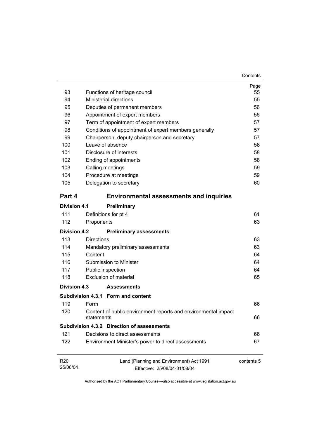| 93                          | Functions of heritage council                     |                                                                          | Page<br>55 |
|-----------------------------|---------------------------------------------------|--------------------------------------------------------------------------|------------|
| 94                          | <b>Ministerial directions</b>                     |                                                                          | 55         |
| 95                          | Deputies of permanent members                     |                                                                          | 56         |
| 96                          | Appointment of expert members                     |                                                                          | 56         |
| 97                          |                                                   | Term of appointment of expert members                                    | 57         |
| 98                          |                                                   | Conditions of appointment of expert members generally                    | 57         |
| 99                          |                                                   | Chairperson, deputy chairperson and secretary                            | 57         |
| 100                         | Leave of absence                                  |                                                                          | 58         |
| 101                         | Disclosure of interests                           |                                                                          | 58         |
| 102                         | Ending of appointments                            |                                                                          | 58         |
| 103                         | Calling meetings                                  |                                                                          | 59         |
| 104                         | Procedure at meetings                             |                                                                          | 59         |
| 105                         | Delegation to secretary                           |                                                                          | 60         |
| Part 4                      |                                                   | <b>Environmental assessments and inquiries</b>                           |            |
| Division 4.1                | Preliminary                                       |                                                                          |            |
| 111                         | Definitions for pt 4                              |                                                                          | 61         |
| 112                         | Proponents                                        |                                                                          | 63         |
|                             |                                                   |                                                                          |            |
| <b>Division 4.2</b>         |                                                   | <b>Preliminary assessments</b>                                           |            |
| 113                         | <b>Directions</b>                                 |                                                                          | 63         |
| 114                         | Mandatory preliminary assessments                 |                                                                          | 63         |
| 115                         | Content                                           |                                                                          | 64         |
| 116                         | Submission to Minister                            |                                                                          | 64         |
| 117                         | Public inspection                                 |                                                                          | 64         |
| 118                         | Exclusion of material                             |                                                                          | 65         |
| Division 4.3                | <b>Assessments</b>                                |                                                                          |            |
|                             | Subdivision 4.3.1 Form and content                |                                                                          |            |
| 119                         | Form                                              |                                                                          | 66         |
| 120                         | statements                                        | Content of public environment reports and environmental impact           | 66         |
|                             | <b>Subdivision 4.3.2 Direction of assessments</b> |                                                                          |            |
| 121                         | Decisions to direct assessments                   |                                                                          | 66         |
| 122                         |                                                   | Environment Minister's power to direct assessments                       | 67         |
| R <sub>20</sub><br>25/08/04 |                                                   | Land (Planning and Environment) Act 1991<br>Effective: 25/08/04-31/08/04 | contents 5 |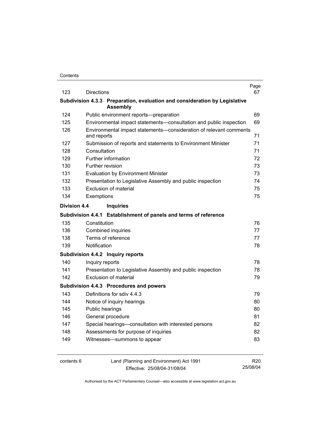| 123                 | <b>Directions</b> |                                                                                               | Page<br>67 |
|---------------------|-------------------|-----------------------------------------------------------------------------------------------|------------|
|                     |                   | Subdivision 4.3.3 Preparation, evaluation and consideration by Legislative<br><b>Assembly</b> |            |
| 124                 |                   | Public environment reports--preparation                                                       | 69         |
| 125                 |                   | Environmental impact statements-consultation and public inspection                            | 69         |
| 126                 | and reports       | Environmental impact statements-consideration of relevant comments                            | 71         |
| 127                 |                   | Submission of reports and statements to Environment Minister                                  | 71         |
| 128                 | Consultation      |                                                                                               | 71         |
| 129                 |                   | Further information                                                                           | 72         |
| 130                 |                   | Further revision                                                                              | 73         |
| 131                 |                   | <b>Evaluation by Environment Minister</b>                                                     | 73         |
| 132                 |                   | Presentation to Legislative Assembly and public inspection                                    | 74         |
| 133                 |                   | Exclusion of material                                                                         | 75         |
| 134                 | Exemptions        |                                                                                               | 75         |
| <b>Division 4.4</b> |                   | <b>Inquiries</b>                                                                              |            |
|                     |                   | Subdivision 4.4.1 Establishment of panels and terms of reference                              |            |
| 135                 | Constitution      |                                                                                               | 76         |
| 136                 |                   | <b>Combined inquiries</b>                                                                     | 77         |
| 138                 |                   | Terms of reference                                                                            | 77         |
| 139                 | Notification      |                                                                                               | 78         |
|                     |                   | Subdivision 4.4.2 Inquiry reports                                                             |            |
| 140                 | Inquiry reports   |                                                                                               | 78         |
| 141                 |                   | Presentation to Legislative Assembly and public inspection                                    | 78         |
| 142                 |                   | <b>Exclusion of material</b>                                                                  | 79         |
|                     |                   | Subdivision 4.4.3 Procedures and powers                                                       |            |
| 143                 |                   | Definitions for sdiv 4.4.3                                                                    | 79         |
| 144                 |                   | Notice of inquiry hearings                                                                    | 80         |
| 145                 |                   | Public hearings                                                                               | 80         |
| 146                 |                   | General procedure                                                                             | 81         |
| 147                 |                   | Special hearings-consultation with interested persons                                         | 82         |
| 148                 |                   | Assessments for purpose of inquiries                                                          | 82         |
| 149                 |                   | Witnesses-summons to appear                                                                   | 83         |
|                     |                   |                                                                                               |            |
|                     |                   |                                                                                               |            |

contents 6 Land (Planning and Environment) Act 1991 Effective: 25/08/04-31/08/04

R20 25/08/04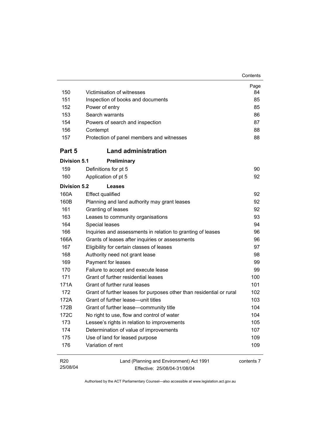| 150                 | Victimisation of witnesses                                           | Page<br>84 |
|---------------------|----------------------------------------------------------------------|------------|
| 151                 | Inspection of books and documents                                    | 85         |
| 152                 | Power of entry                                                       | 85         |
| 153                 | Search warrants                                                      | 86         |
| 154                 | Powers of search and inspection                                      | 87         |
| 156                 | Contempt                                                             | 88         |
| 157                 | Protection of panel members and witnesses                            | 88         |
| Part 5              | <b>Land administration</b>                                           |            |
| <b>Division 5.1</b> | Preliminary                                                          |            |
| 159                 | Definitions for pt 5                                                 | 90         |
| 160                 | Application of pt 5                                                  | 92         |
| <b>Division 5.2</b> | Leases                                                               |            |
| 160A                | <b>Effect qualified</b>                                              | 92         |
| 160B                | Planning and land authority may grant leases                         | 92         |
| 161                 | Granting of leases                                                   | 92         |
| 163                 | Leases to community organisations                                    | 93         |
| 164                 | Special leases                                                       | 94         |
| 166                 | Inquiries and assessments in relation to granting of leases          | 96         |
| 166A                | Grants of leases after inquiries or assessments                      | 96         |
| 167                 | Eligibility for certain classes of leases                            | 97         |
| 168                 | Authority need not grant lease                                       | 98         |
| 169                 | Payment for leases                                                   | 99         |
| 170                 | Failure to accept and execute lease                                  | 99         |
| 171                 | Grant of further residential leases                                  | 100        |
| 171A                | Grant of further rural leases                                        | 101        |
| 172                 | Grant of further leases for purposes other than residential or rural | 102        |
| 172A                | Grant of further lease—unit titles                                   | 103        |
| 172B                | Grant of further lease-community title                               | 104        |
| 172C                | No right to use, flow and control of water                           | 104        |
| 173                 | Lessee's rights in relation to improvements                          | 105        |
| 174                 | Determination of value of improvements                               | 107        |
| 175                 | Use of land for leased purpose                                       | 109        |
| 176                 | Variation of rent                                                    | 109        |

**Contents** 

| R20      | Land (Planning and Environment) Act 1991 | contents 7 |
|----------|------------------------------------------|------------|
| 25/08/04 | Effective: 25/08/04-31/08/04             |            |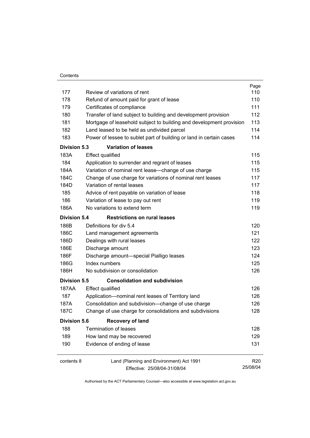| Contents |
|----------|
|          |

|                     |                                                                     | Page            |
|---------------------|---------------------------------------------------------------------|-----------------|
| 177                 | Review of variations of rent                                        | 110             |
| 178                 | Refund of amount paid for grant of lease                            | 110             |
| 179                 | Certificates of compliance                                          | 111             |
| 180                 | Transfer of land subject to building and development provision      | 112             |
| 181                 | Mortgage of leasehold subject to building and development provision | 113             |
| 182                 | Land leased to be held as undivided parcel                          | 114             |
| 183                 | Power of lessee to sublet part of building or land in certain cases | 114             |
| <b>Division 5.3</b> | <b>Variation of leases</b>                                          |                 |
| 183A                | <b>Effect qualified</b>                                             | 115             |
| 184                 | Application to surrender and regrant of leases                      | 115             |
| 184A                | Variation of nominal rent lease-change of use charge                | 115             |
| 184C                | Change of use charge for variations of nominal rent leases          | 117             |
| 184D                | Variation of rental leases                                          | 117             |
| 185                 | Advice of rent payable on variation of lease                        | 118             |
| 186                 | Variation of lease to pay out rent                                  | 119             |
| 186A                | No variations to extend term                                        | 119             |
| <b>Division 5.4</b> | <b>Restrictions on rural leases</b>                                 |                 |
| 186B                | Definitions for div 5.4                                             | 120             |
| 186C                | Land management agreements                                          | 121             |
| 186D                | Dealings with rural leases                                          | 122             |
| 186E                | Discharge amount                                                    | 123             |
| 186F                | Discharge amount-special Pialligo leases                            | 124             |
| 186G                | Index numbers                                                       | 125             |
| 186H                | No subdivision or consolidation                                     | 126             |
| Division 5.5        | <b>Consolidation and subdivision</b>                                |                 |
| 187AA               | <b>Effect qualified</b>                                             | 126             |
| 187                 | Application-nominal rent leases of Territory land                   | 126             |
| 187A                | Consolidation and subdivision--change of use charge                 | 126             |
| 187C                | Change of use charge for consolidations and subdivisions            | 128             |
| <b>Division 5.6</b> | <b>Recovery of land</b>                                             |                 |
| 188                 | <b>Termination of leases</b>                                        | 128             |
| 189                 | How land may be recovered                                           | 129             |
| 190                 | Evidence of ending of lease                                         | 131             |
| contents 8          | Land (Planning and Environment) Act 1991                            | R <sub>20</sub> |
|                     | Effective: 25/08/04-31/08/04                                        | 25/08/04        |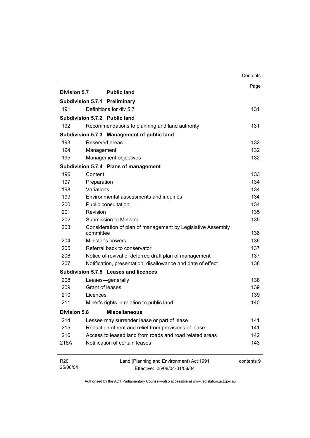|                        |                                                         |                                                                          | Contents   |
|------------------------|---------------------------------------------------------|--------------------------------------------------------------------------|------------|
|                        |                                                         |                                                                          | Page       |
| <b>Division 5.7</b>    | <b>Public land</b>                                      |                                                                          |            |
|                        | <b>Subdivision 5.7.1 Preliminary</b>                    |                                                                          |            |
| 191                    | Definitions for div 5.7                                 |                                                                          | 131        |
|                        | Subdivision 5.7.2 Public land                           |                                                                          |            |
| 192                    | Recommendations to planning and land authority          |                                                                          | 131        |
|                        | Subdivision 5.7.3 Management of public land             |                                                                          |            |
| 193                    | Reserved areas                                          |                                                                          | 132        |
| 194                    | Management                                              |                                                                          | 132        |
| 195                    | Management objectives                                   |                                                                          | 132        |
|                        | Subdivision 5.7.4 Plans of management                   |                                                                          |            |
| 196                    | Content                                                 |                                                                          | 133        |
| 197                    | Preparation                                             |                                                                          | 134        |
| 198                    | Variations                                              |                                                                          | 134        |
| 199                    | Environmental assessments and inquiries                 |                                                                          | 134        |
| 200                    | <b>Public consultation</b>                              |                                                                          | 134        |
| 201                    | Revision                                                |                                                                          | 135        |
| 202                    | Submission to Minister                                  |                                                                          | 135        |
| 203                    | committee                                               | Consideration of plan of management by Legislative Assembly              | 136        |
| 204                    | Minister's powers                                       |                                                                          | 136        |
| 205                    | Referral back to conservator                            |                                                                          | 137        |
| 206                    | Notice of revival of deferred draft plan of management  |                                                                          | 137        |
| 207                    |                                                         | Notification, presentation, disallowance and date of effect              | 138        |
|                        | Subdivision 5.7.5 Leases and licences                   |                                                                          |            |
| 208                    | Leases-generally                                        |                                                                          | 138        |
| 209                    | Grant of leases                                         |                                                                          | 139        |
| 210                    | Licences                                                |                                                                          | 139        |
| 211                    | Miner's rights in relation to public land               |                                                                          | 140        |
| <b>Division 5.8</b>    | <b>Miscellaneous</b>                                    |                                                                          |            |
| 214                    | Lessee may surrender lease or part of lease             |                                                                          | 141        |
| 215                    | Reduction of rent and relief from provisions of lease   |                                                                          | 141        |
| 216                    | Access to leased land from roads and road related areas |                                                                          | 142        |
| 216A                   | Notification of certain leases                          |                                                                          | 143        |
| <b>R20</b><br>25/08/04 |                                                         | Land (Planning and Environment) Act 1991<br>Effective: 25/08/04-31/08/04 | contents 9 |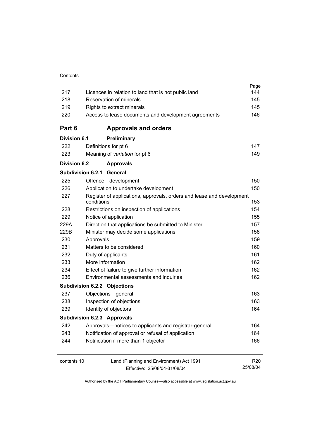|                     |                                                                                     | Page<br>144     |  |
|---------------------|-------------------------------------------------------------------------------------|-----------------|--|
|                     | 217<br>Licences in relation to land that is not public land                         |                 |  |
|                     | Reservation of minerals<br>218                                                      |                 |  |
| 219                 | Rights to extract minerals                                                          | 145             |  |
| 220                 | Access to lease documents and development agreements                                | 146             |  |
| Part 6              | <b>Approvals and orders</b>                                                         |                 |  |
| <b>Division 6.1</b> | Preliminary                                                                         |                 |  |
| 222                 | Definitions for pt 6                                                                | 147             |  |
| 223                 | Meaning of variation for pt 6                                                       | 149             |  |
| <b>Division 6.2</b> | <b>Approvals</b>                                                                    |                 |  |
|                     | Subdivision 6.2.1<br>General                                                        |                 |  |
| 225                 | Offence-development                                                                 | 150             |  |
| 226                 | Application to undertake development                                                | 150             |  |
| 227                 | Register of applications, approvals, orders and lease and development<br>conditions | 153             |  |
| 228                 | Restrictions on inspection of applications                                          | 154             |  |
| 229                 | Notice of application                                                               | 155             |  |
| 229A                | Direction that applications be submitted to Minister                                | 157             |  |
| 229B                | Minister may decide some applications                                               | 158             |  |
| 230                 | Approvals                                                                           | 159             |  |
| 231                 | Matters to be considered                                                            | 160             |  |
| 232                 | Duty of applicants                                                                  | 161             |  |
| 233                 | More information                                                                    | 162             |  |
| 234                 | Effect of failure to give further information                                       | 162             |  |
| 236                 | Environmental assessments and inquiries                                             | 162             |  |
|                     | <b>Subdivision 6.2.2 Objections</b>                                                 |                 |  |
| 237                 | Objections-general                                                                  | 163             |  |
| 238                 | Inspection of objections                                                            | 163             |  |
| 239                 | Identity of objectors                                                               | 164             |  |
|                     | <b>Subdivision 6.2.3 Approvals</b>                                                  |                 |  |
| 242                 | Approvals-notices to applicants and registrar-general                               | 164             |  |
| 243                 | Notification of approval or refusal of application                                  | 164             |  |
| 244                 | Notification if more than 1 objector                                                | 166             |  |
| contents 10         | Land (Planning and Environment) Act 1991                                            | R <sub>20</sub> |  |
|                     | Effective: 25/08/04-31/08/04                                                        | 25/08/04        |  |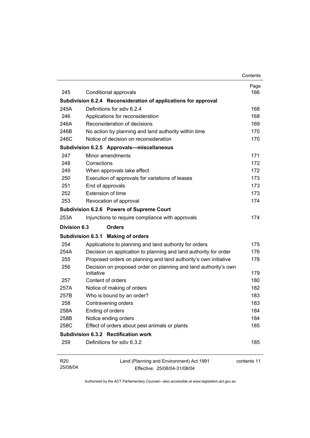|                             |                                                                               | Contents    |
|-----------------------------|-------------------------------------------------------------------------------|-------------|
|                             |                                                                               | Page        |
| 245                         | Conditional approvals                                                         | 166         |
|                             | Subdivision 6.2.4 Reconsideration of applications for approval                |             |
| 245A                        | Definitions for sdiv 6.2.4                                                    | 168         |
| 246                         | Applications for reconsideration                                              | 168         |
| 246A                        | Reconsideration of decisions                                                  | 169         |
| 246B                        | No action by planning and land authority within time                          | 170         |
| 246C                        | Notice of decision on reconsideration                                         | 170         |
|                             | Subdivision 6.2.5 Approvals-miscellaneous                                     |             |
| 247                         | Minor amendments                                                              | 171         |
| 248                         | Corrections                                                                   | 172         |
| 249                         | When approvals take effect                                                    | 172         |
| 250                         | Execution of approvals for variations of leases                               | 173         |
| 251                         | End of approvals                                                              | 173         |
| 252                         | Extension of time                                                             | 173         |
| 253                         | Revocation of approval                                                        | 174         |
|                             | Subdivision 6.2.6 Powers of Supreme Court                                     |             |
| 253A                        | Injunctions to require compliance with approvals                              | 174         |
| Division 6.3                | <b>Orders</b>                                                                 |             |
|                             | Subdivision 6.3.1 Making of orders                                            |             |
| 254                         | Applications to planning and land authority for orders                        | 175         |
| 254A                        | Decision on application to planning and land authority for order              | 176         |
| 255                         | Proposed orders on planning and land authority's own initiative               | 178         |
| 256                         | Decision on proposed order on planning and land authority's own<br>initiative | 179         |
| 257                         | Content of orders                                                             | 180         |
| 257A                        | Notice of making of orders                                                    | 182         |
| 257B                        | Who is bound by an order?                                                     | 183         |
| 258                         | Contravening orders                                                           | 183         |
| 258A                        | Ending of orders                                                              | 184         |
| 258B                        | Notice ending orders                                                          | 184         |
| 258C                        | Effect of orders about pest animals or plants                                 | 185         |
|                             | Subdivision 6.3.2 Rectification work                                          |             |
| 259                         | Definitions for sdiv 6.3.2                                                    | 185         |
| R <sub>20</sub><br>25/08/04 | Land (Planning and Environment) Act 1991<br>Effective: 25/08/04-31/08/04      | contents 11 |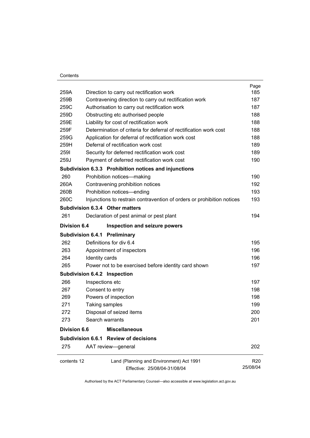#### **Contents**

| 259A                | Direction to carry out rectification work                              | Page<br>185     |
|---------------------|------------------------------------------------------------------------|-----------------|
| 259B                | Contravening direction to carry out rectification work                 | 187             |
| 259C                | Authorisation to carry out rectification work                          |                 |
| 259D                | Obstructing etc authorised people                                      |                 |
| 259E                | Liability for cost of rectification work                               | 188             |
| 259F                | Determination of criteria for deferral of rectification work cost      | 188             |
| 259G                | Application for deferral of rectification work cost                    | 188             |
| 259H                | Deferral of rectification work cost                                    | 189             |
| 2591                | Security for deferred rectification work cost                          | 189             |
| 259J                | Payment of deferred rectification work cost                            | 190             |
|                     | Subdivision 6.3.3 Prohibition notices and injunctions                  |                 |
| 260                 | Prohibition notices-making                                             | 190             |
| 260A                | Contravening prohibition notices                                       | 192             |
| 260B                | Prohibition notices-ending                                             | 193             |
| 260C                | Injunctions to restrain contravention of orders or prohibition notices | 193             |
|                     | Subdivision 6.3.4 Other matters                                        |                 |
| 261                 | Declaration of pest animal or pest plant                               | 194             |
| <b>Division 6.4</b> | Inspection and seizure powers                                          |                 |
|                     | <b>Subdivision 6.4.1 Preliminary</b>                                   |                 |
| 262                 | Definitions for div 6.4                                                | 195             |
| 263                 | Appointment of inspectors                                              | 196             |
| 264                 | Identity cards                                                         | 196             |
| 265                 | Power not to be exercised before identity card shown                   | 197             |
|                     | Subdivision 6.4.2 Inspection                                           |                 |
| 266                 | Inspections etc                                                        | 197             |
| 267                 | Consent to entry                                                       | 198             |
| 269                 | Powers of inspection                                                   | 198             |
| 271                 | Taking samples                                                         | 199             |
| 272                 | Disposal of seized items                                               | 200             |
| 273                 | Search warrants                                                        | 201             |
| <b>Division 6.6</b> | <b>Miscellaneous</b>                                                   |                 |
|                     | Subdivision 6.6.1 Review of decisions                                  |                 |
| 275                 | AAT review-general                                                     | 202             |
| contents 12         | Land (Planning and Environment) Act 1991                               | R <sub>20</sub> |
|                     | Effective: 25/08/04-31/08/04                                           | 25/08/04        |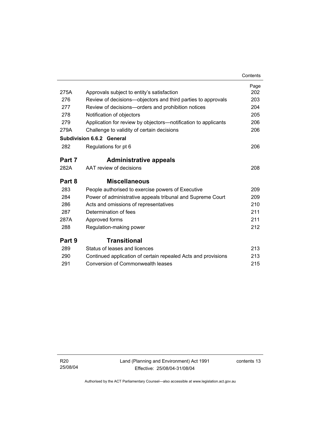|        |                                                                | Contents |
|--------|----------------------------------------------------------------|----------|
|        |                                                                | Page     |
| 275A   | Approvals subject to entity's satisfaction                     | 202      |
| 276    | Review of decisions-objectors and third parties to approvals   | 203      |
| 277    | Review of decisions-orders and prohibition notices             | 204      |
| 278    | Notification of objectors                                      | 205      |
| 279    | Application for review by objectors—notification to applicants | 206      |
| 279A   | Challenge to validity of certain decisions                     | 206      |
|        | <b>Subdivision 6.6.2 General</b>                               |          |
| 282    | Regulations for pt 6                                           | 206      |
| Part 7 | <b>Administrative appeals</b>                                  |          |
| 282A   | AAT review of decisions                                        | 208      |
| Part 8 | <b>Miscellaneous</b>                                           |          |
| 283    | People authorised to exercise powers of Executive              | 209      |
| 284    | Power of administrative appeals tribunal and Supreme Court     | 209      |
| 286    | Acts and omissions of representatives                          | 210      |
| 287    | Determination of fees                                          | 211      |
| 287A   | Approved forms                                                 | 211      |
| 288    | Regulation-making power                                        | 212      |
| Part 9 | Transitional                                                   |          |
| 289    | Status of leases and licences                                  | 213      |
| 290    | Continued application of certain repealed Acts and provisions  | 213      |
| 291    | <b>Conversion of Commonwealth leases</b>                       | 215      |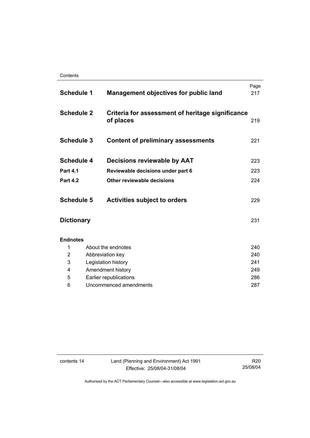| <b>Schedule 1</b> |                        | <b>Management objectives for public land</b>                  | Page<br>217 |
|-------------------|------------------------|---------------------------------------------------------------|-------------|
| <b>Schedule 2</b> |                        | Criteria for assessment of heritage significance<br>of places | 219         |
| <b>Schedule 3</b> |                        | <b>Content of preliminary assessments</b>                     | 221         |
| <b>Schedule 4</b> |                        | Decisions reviewable by AAT                                   | 223         |
| <b>Part 4.1</b>   |                        | Reviewable decisions under part 6                             | 223         |
| <b>Part 4.2</b>   |                        | Other reviewable decisions                                    | 224         |
| <b>Schedule 5</b> |                        | <b>Activities subject to orders</b>                           | 229         |
| <b>Dictionary</b> |                        |                                                               | 231         |
| <b>Endnotes</b>   |                        |                                                               |             |
| 1                 |                        | About the endnotes                                            | 240         |
| 2                 |                        | Abbreviation key                                              | 240         |
| 3                 |                        | Legislation history                                           | 241         |
| 4                 |                        | Amendment history                                             | 249         |
| 5                 |                        | Earlier republications                                        | 286         |
| 6                 | Uncommenced amendments |                                                               | 287         |

contents 14 Land (Planning and Environment) Act 1991 Effective: 25/08/04-31/08/04

R20 25/08/04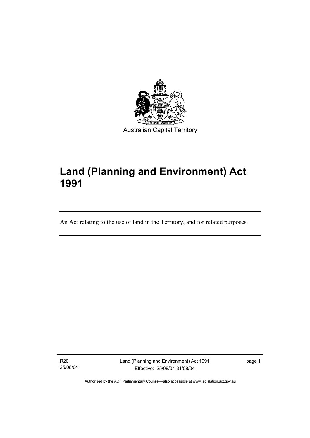

# **Land (Planning and Environment) Act 1991**

An Act relating to the use of land in the Territory, and for related purposes

R20 25/08/04

I

Land (Planning and Environment) Act 1991 Effective: 25/08/04-31/08/04

page 1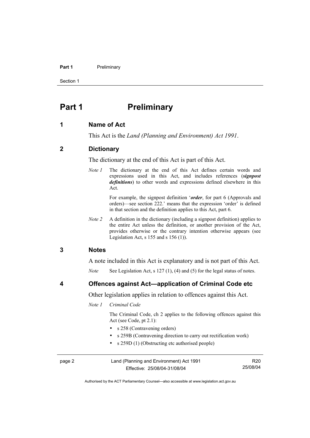#### **Part 1** Preliminary

Section 1

## **Part 1** Preliminary

#### **1 Name of Act**

This Act is the *Land (Planning and Environment) Act 1991*.

#### **2 Dictionary**

The dictionary at the end of this Act is part of this Act.

*Note 1* The dictionary at the end of this Act defines certain words and expressions used in this Act, and includes references (*signpost definitions*) to other words and expressions defined elsewhere in this Act.

> For example, the signpost definition '*order*, for part 6 (Approvals and orders)—see section 222.' means that the expression 'order' is defined in that section and the definition applies to this Act, part 6.

*Note 2* A definition in the dictionary (including a signpost definition) applies to the entire Act unless the definition, or another provision of the Act, provides otherwise or the contrary intention otherwise appears (see Legislation Act, s  $155$  and s  $156$  (1)).

#### **3 Notes**

A note included in this Act is explanatory and is not part of this Act.

*Note* See Legislation Act, s 127 (1), (4) and (5) for the legal status of notes.

**4 Offences against Act—application of Criminal Code etc** 

Other legislation applies in relation to offences against this Act.

*Note 1 Criminal Code* 

 The Criminal Code, ch 2 applies to the following offences against this Act (see Code, pt 2.1):

- s 258 (Contravening orders)
- s 259B (Contravening direction to carry out rectification work)
- s 259D (1) (Obstructing etc authorised people)

| page 2 | Land (Planning and Environment) Act 1991 | R20      |
|--------|------------------------------------------|----------|
|        | Effective: 25/08/04-31/08/04             | 25/08/04 |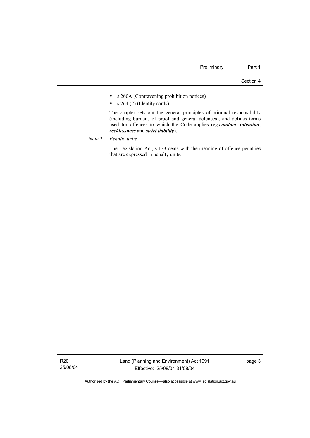- s 260A (Contravening prohibition notices)
- $s$  264 (2) (Identity cards).

 The chapter sets out the general principles of criminal responsibility (including burdens of proof and general defences), and defines terms used for offences to which the Code applies (eg *conduct*, *intention*, *recklessness* and *strict liability*).

*Note 2 Penalty units*

 The Legislation Act, s 133 deals with the meaning of offence penalties that are expressed in penalty units.

R20 25/08/04 page 3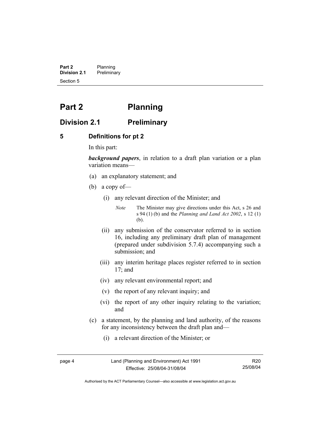**Part 2** Planning<br>**Division 2.1** Prelimina **Division 2.1** Preliminary Section 5

# **Part 2 Planning**

### **Division 2.1 Preliminary**

#### **5 Definitions for pt 2**

In this part:

*background papers*, in relation to a draft plan variation or a plan variation means—

- (a) an explanatory statement; and
- (b) a copy of—
	- (i) any relevant direction of the Minister; and

*Note* The Minister may give directions under this Act, s 26 and s 94 (1) (b) and the *Planning and Land Act 2002*, s 12 (1) (b).

- (ii) any submission of the conservator referred to in section 16, including any preliminary draft plan of management (prepared under subdivision 5.7.4) accompanying such a submission; and
- (iii) any interim heritage places register referred to in section 17; and
- (iv) any relevant environmental report; and
- (v) the report of any relevant inquiry; and
- (vi) the report of any other inquiry relating to the variation; and
- (c) a statement, by the planning and land authority, of the reasons for any inconsistency between the draft plan and—
	- (i) a relevant direction of the Minister; or

page 4 Land (Planning and Environment) Act 1991 Effective: 25/08/04-31/08/04

R20 25/08/04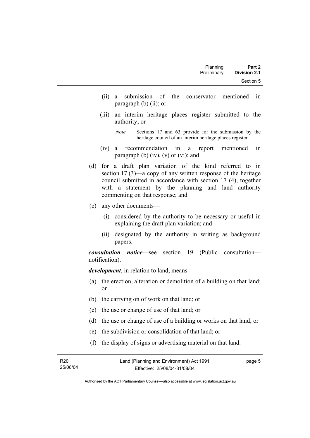- (ii) a submission of the conservator mentioned in paragraph (b) (ii); or
- (iii) an interim heritage places register submitted to the authority; or

*Note* Sections 17 and 63 provide for the submission by the heritage council of an interim heritage places register.

- (iv) a recommendation in a report mentioned in paragraph (b)  $(iv)$ ,  $(v)$  or  $(vi)$ ; and
- (d) for a draft plan variation of the kind referred to in section 17 (3)—a copy of any written response of the heritage council submitted in accordance with section 17 (4), together with a statement by the planning and land authority commenting on that response; and
- (e) any other documents—
	- (i) considered by the authority to be necessary or useful in explaining the draft plan variation; and
	- (ii) designated by the authority in writing as background papers.

*consultation notice*—see section 19 (Public consultation notification).

*development*, in relation to land, means—

- (a) the erection, alteration or demolition of a building on that land; or
- (b) the carrying on of work on that land; or
- (c) the use or change of use of that land; or
- (d) the use or change of use of a building or works on that land; or
- (e) the subdivision or consolidation of that land; or
- (f) the display of signs or advertising material on that land.

R20 25/08/04 Land (Planning and Environment) Act 1991 Effective: 25/08/04-31/08/04 page 5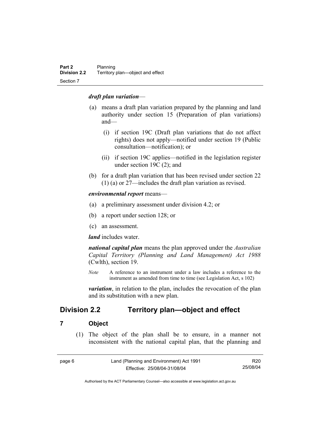#### *draft plan variation*—

- (a) means a draft plan variation prepared by the planning and land authority under section 15 (Preparation of plan variations) and—
	- (i) if section 19C (Draft plan variations that do not affect rights) does not apply—notified under section 19 (Public consultation—notification); or
	- (ii) if section 19C applies—notified in the legislation register under section 19C (2); and
- (b) for a draft plan variation that has been revised under section 22 (1) (a) or 27—includes the draft plan variation as revised.

*environmental report* means—

- (a) a preliminary assessment under division 4.2; or
- (b) a report under section 128; or
- (c) an assessment.

*land* includes water.

*national capital plan* means the plan approved under the *Australian Capital Territory (Planning and Land Management) Act 1988* (Cwlth), section 19.

*Note* A reference to an instrument under a law includes a reference to the instrument as amended from time to time (see Legislation Act, s 102)

*variation*, in relation to the plan, includes the revocation of the plan and its substitution with a new plan.

## **Division 2.2 Territory plan—object and effect**

#### **7 Object**

 (1) The object of the plan shall be to ensure, in a manner not inconsistent with the national capital plan, that the planning and

| page 6 | Land (Planning and Environment) Act 1991 |          |
|--------|------------------------------------------|----------|
|        | Effective: 25/08/04-31/08/04             | 25/08/04 |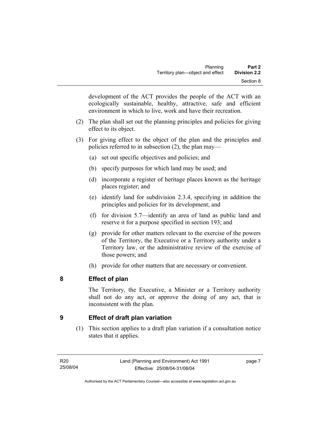development of the ACT provides the people of the ACT with an ecologically sustainable, healthy, attractive, safe and efficient environment in which to live, work and have their recreation.

- (2) The plan shall set out the planning principles and policies for giving effect to its object.
- (3) For giving effect to the object of the plan and the principles and policies referred to in subsection (2), the plan may—
	- (a) set out specific objectives and policies; and
	- (b) specify purposes for which land may be used; and
	- (d) incorporate a register of heritage places known as the heritage places register; and
	- (e) identify land for subdivision 2.3.4, specifying in addition the principles and policies for its development; and
	- (f) for division 5.7—identify an area of land as public land and reserve it for a purpose specified in section 193; and
	- (g) provide for other matters relevant to the exercise of the powers of the Territory, the Executive or a Territory authority under a Territory law, or the administrative review of the exercise of those powers; and
	- (h) provide for other matters that are necessary or convenient.

## **8 Effect of plan**

The Territory, the Executive, a Minister or a Territory authority shall not do any act, or approve the doing of any act, that is inconsistent with the plan.

## **9 Effect of draft plan variation**

 (1) This section applies to a draft plan variation if a consultation notice states that it applies.

page 7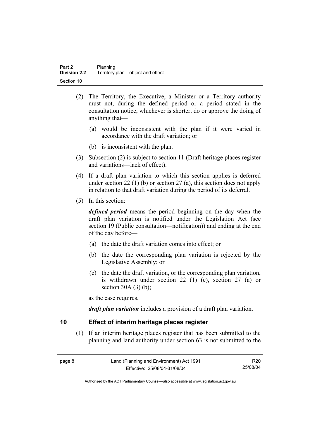- (2) The Territory, the Executive, a Minister or a Territory authority must not, during the defined period or a period stated in the consultation notice, whichever is shorter, do or approve the doing of anything that—
	- (a) would be inconsistent with the plan if it were varied in accordance with the draft variation; or
	- (b) is inconsistent with the plan.
- (3) Subsection (2) is subject to section 11 (Draft heritage places register and variations—lack of effect).
- (4) If a draft plan variation to which this section applies is deferred under section 22 (1) (b) or section 27 (a), this section does not apply in relation to that draft variation during the period of its deferral.
- (5) In this section:

*defined period* means the period beginning on the day when the draft plan variation is notified under the Legislation Act (see section 19 (Public consultation—notification)) and ending at the end of the day before—

- (a) the date the draft variation comes into effect; or
- (b) the date the corresponding plan variation is rejected by the Legislative Assembly; or
- (c) the date the draft variation, or the corresponding plan variation, is withdrawn under section 22 (1) (c), section 27 (a) or section  $30A(3)(b)$ ;

as the case requires.

*draft plan variation* includes a provision of a draft plan variation.

#### **10 Effect of interim heritage places register**

 (1) If an interim heritage places register that has been submitted to the planning and land authority under section 63 is not submitted to the

| page 8 | Land (Planning and Environment) Act 1991 | R20      |
|--------|------------------------------------------|----------|
|        | Effective: 25/08/04-31/08/04             | 25/08/04 |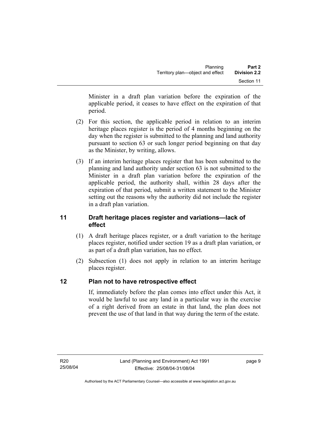Minister in a draft plan variation before the expiration of the applicable period, it ceases to have effect on the expiration of that period.

- (2) For this section, the applicable period in relation to an interim heritage places register is the period of 4 months beginning on the day when the register is submitted to the planning and land authority pursuant to section 63 or such longer period beginning on that day as the Minister, by writing, allows.
- (3) If an interim heritage places register that has been submitted to the planning and land authority under section 63 is not submitted to the Minister in a draft plan variation before the expiration of the applicable period, the authority shall, within 28 days after the expiration of that period, submit a written statement to the Minister setting out the reasons why the authority did not include the register in a draft plan variation.

### **11 Draft heritage places register and variations—lack of effect**

- (1) A draft heritage places register, or a draft variation to the heritage places register, notified under section 19 as a draft plan variation, or as part of a draft plan variation, has no effect.
- (2) Subsection (1) does not apply in relation to an interim heritage places register.

## **12 Plan not to have retrospective effect**

If, immediately before the plan comes into effect under this Act, it would be lawful to use any land in a particular way in the exercise of a right derived from an estate in that land, the plan does not prevent the use of that land in that way during the term of the estate.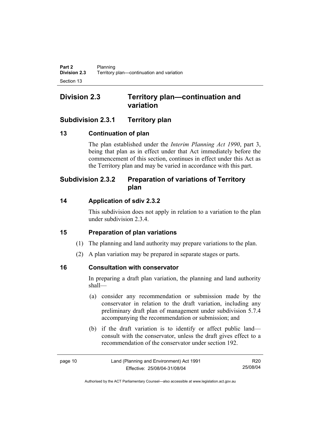## **Division 2.3 Territory plan—continuation and variation**

## **Subdivision 2.3.1 Territory plan**

## **13 Continuation of plan**

The plan established under the *Interim Planning Act 1990*, part 3, being that plan as in effect under that Act immediately before the commencement of this section, continues in effect under this Act as the Territory plan and may be varied in accordance with this part.

## **Subdivision 2.3.2 Preparation of variations of Territory plan**

## **14 Application of sdiv 2.3.2**

This subdivision does not apply in relation to a variation to the plan under subdivision 2.3.4.

## **15 Preparation of plan variations**

- (1) The planning and land authority may prepare variations to the plan.
- (2) A plan variation may be prepared in separate stages or parts.

## **16 Consultation with conservator**

In preparing a draft plan variation, the planning and land authority shall—

- (a) consider any recommendation or submission made by the conservator in relation to the draft variation, including any preliminary draft plan of management under subdivision 5.7.4 accompanying the recommendation or submission; and
- (b) if the draft variation is to identify or affect public land consult with the conservator, unless the draft gives effect to a recommendation of the conservator under section 192.

| page 10 | Land (Planning and Environment) Act 1991 | R <sub>20</sub> |
|---------|------------------------------------------|-----------------|
|         | Effective: 25/08/04-31/08/04             | 25/08/04        |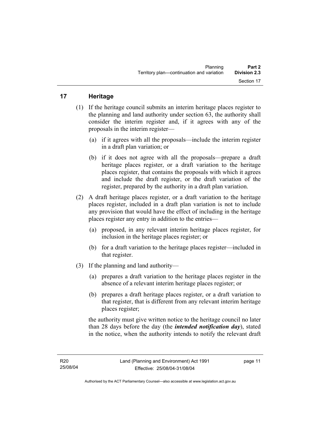## **17 Heritage**

- (1) If the heritage council submits an interim heritage places register to the planning and land authority under section 63, the authority shall consider the interim register and, if it agrees with any of the proposals in the interim register—
	- (a) if it agrees with all the proposals—include the interim register in a draft plan variation; or
	- (b) if it does not agree with all the proposals—prepare a draft heritage places register, or a draft variation to the heritage places register, that contains the proposals with which it agrees and include the draft register, or the draft variation of the register, prepared by the authority in a draft plan variation.
- (2) A draft heritage places register, or a draft variation to the heritage places register, included in a draft plan variation is not to include any provision that would have the effect of including in the heritage places register any entry in addition to the entries—
	- (a) proposed, in any relevant interim heritage places register, for inclusion in the heritage places register; or
	- (b) for a draft variation to the heritage places register—included in that register.
- (3) If the planning and land authority—
	- (a) prepares a draft variation to the heritage places register in the absence of a relevant interim heritage places register; or
	- (b) prepares a draft heritage places register, or a draft variation to that register, that is different from any relevant interim heritage places register;

the authority must give written notice to the heritage council no later than 28 days before the day (the *intended notification day*), stated in the notice, when the authority intends to notify the relevant draft

page 11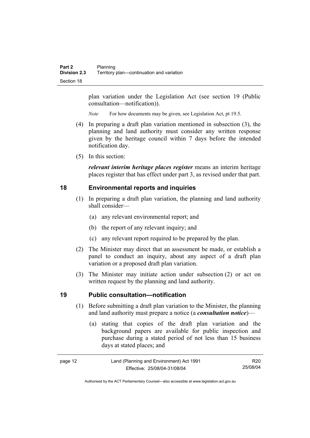plan variation under the Legislation Act (see section 19 (Public consultation—notification)).

*Note* For how documents may be given, see Legislation Act, pt 19.5.

- (4) In preparing a draft plan variation mentioned in subsection (3), the planning and land authority must consider any written response given by the heritage council within 7 days before the intended notification day.
- (5) In this section:

*relevant interim heritage places register* means an interim heritage places register that has effect under part 3, as revised under that part.

#### **18 Environmental reports and inquiries**

- (1) In preparing a draft plan variation, the planning and land authority shall consider—
	- (a) any relevant environmental report; and
	- (b) the report of any relevant inquiry; and
	- (c) any relevant report required to be prepared by the plan.
- (2) The Minister may direct that an assessment be made, or establish a panel to conduct an inquiry, about any aspect of a draft plan variation or a proposed draft plan variation.
- (3) The Minister may initiate action under subsection (2) or act on written request by the planning and land authority.

#### **19 Public consultation—notification**

- (1) Before submitting a draft plan variation to the Minister, the planning and land authority must prepare a notice (a *consultation notice*)—
	- (a) stating that copies of the draft plan variation and the background papers are available for public inspection and purchase during a stated period of not less than 15 business days at stated places; and

| page 12 | Land (Planning and Environment) Act 1991 | R <sub>20</sub> |
|---------|------------------------------------------|-----------------|
|         | Effective: 25/08/04-31/08/04             | 25/08/04        |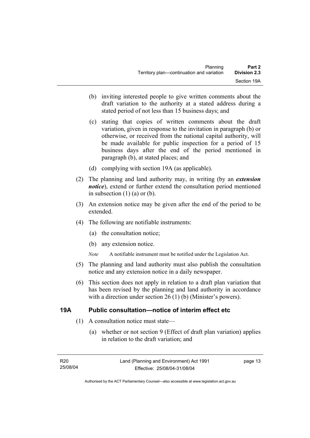- (b) inviting interested people to give written comments about the draft variation to the authority at a stated address during a stated period of not less than 15 business days; and
- (c) stating that copies of written comments about the draft variation, given in response to the invitation in paragraph (b) or otherwise, or received from the national capital authority, will be made available for public inspection for a period of 15 business days after the end of the period mentioned in paragraph (b), at stated places; and
- (d) complying with section 19A (as applicable).
- (2) The planning and land authority may, in writing (by an *extension notice*), extend or further extend the consultation period mentioned in subsection  $(1)$   $(a)$  or  $(b)$ .
- (3) An extension notice may be given after the end of the period to be extended.
- (4) The following are notifiable instruments:
	- (a) the consultation notice;
	- (b) any extension notice.
	- *Note* A notifiable instrument must be notified under the Legislation Act.
- (5) The planning and land authority must also publish the consultation notice and any extension notice in a daily newspaper.
- (6) This section does not apply in relation to a draft plan variation that has been revised by the planning and land authority in accordance with a direction under section 26 (1) (b) (Minister's powers).

#### **19A Public consultation—notice of interim effect etc**

- (1) A consultation notice must state—
	- (a) whether or not section 9 (Effect of draft plan variation) applies in relation to the draft variation; and

page 13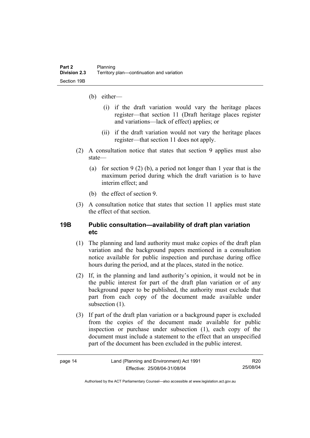- (b) either—
	- (i) if the draft variation would vary the heritage places register—that section 11 (Draft heritage places register and variations—lack of effect) applies; or
	- (ii) if the draft variation would not vary the heritage places register—that section 11 does not apply.
- (2) A consultation notice that states that section 9 applies must also state—
	- (a) for section 9 (2) (b), a period not longer than 1 year that is the maximum period during which the draft variation is to have interim effect; and
	- (b) the effect of section 9.
- (3) A consultation notice that states that section 11 applies must state the effect of that section.

#### **19B Public consultation—availability of draft plan variation etc**

- (1) The planning and land authority must make copies of the draft plan variation and the background papers mentioned in a consultation notice available for public inspection and purchase during office hours during the period, and at the places, stated in the notice.
- (2) If, in the planning and land authority's opinion, it would not be in the public interest for part of the draft plan variation or of any background paper to be published, the authority must exclude that part from each copy of the document made available under subsection  $(1)$ .
- (3) If part of the draft plan variation or a background paper is excluded from the copies of the document made available for public inspection or purchase under subsection (1), each copy of the document must include a statement to the effect that an unspecified part of the document has been excluded in the public interest.

| c |  |
|---|--|
|---|--|

R20 25/08/04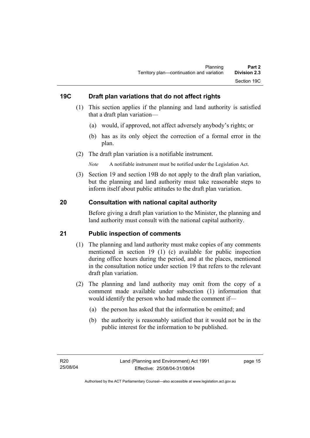### **19C Draft plan variations that do not affect rights**

- (1) This section applies if the planning and land authority is satisfied that a draft plan variation—
	- (a) would, if approved, not affect adversely anybody's rights; or
	- (b) has as its only object the correction of a formal error in the plan.
- (2) The draft plan variation is a notifiable instrument.

*Note* A notifiable instrument must be notified under the Legislation Act.

 (3) Section 19 and section 19B do not apply to the draft plan variation, but the planning and land authority must take reasonable steps to inform itself about public attitudes to the draft plan variation.

#### **20 Consultation with national capital authority**

Before giving a draft plan variation to the Minister, the planning and land authority must consult with the national capital authority.

#### **21 Public inspection of comments**

- (1) The planning and land authority must make copies of any comments mentioned in section 19 (1) (c) available for public inspection during office hours during the period, and at the places, mentioned in the consultation notice under section 19 that refers to the relevant draft plan variation.
- (2) The planning and land authority may omit from the copy of a comment made available under subsection (1) information that would identify the person who had made the comment if—
	- (a) the person has asked that the information be omitted; and
	- (b) the authority is reasonably satisfied that it would not be in the public interest for the information to be published.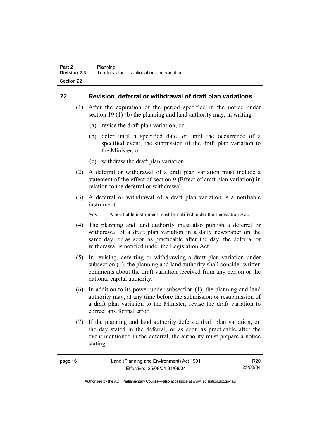#### **22 Revision, deferral or withdrawal of draft plan variations**

- (1) After the expiration of the period specified in the notice under section 19 (1) (b) the planning and land authority may, in writing—
	- (a) revise the draft plan variation; or
	- (b) defer until a specified date, or until the occurrence of a specified event, the submission of the draft plan variation to the Minister; or
	- (c) withdraw the draft plan variation.
- (2) A deferral or withdrawal of a draft plan variation must include a statement of the effect of section 9 (Effect of draft plan variation) in relation to the deferral or withdrawal.
- (3) A deferral or withdrawal of a draft plan variation is a notifiable instrument.

*Note* A notifiable instrument must be notified under the Legislation Act.

- (4) The planning and land authority must also publish a deferral or withdrawal of a draft plan variation in a daily newspaper on the same day, or as soon as practicable after the day, the deferral or withdrawal is notified under the Legislation Act.
- (5) In revising, deferring or withdrawing a draft plan variation under subsection (1), the planning and land authority shall consider written comments about the draft variation received from any person or the national capital authority.
- (6) In addition to its power under subsection (1), the planning and land authority may, at any time before the submission or resubmission of a draft plan variation to the Minister, revise the draft variation to correct any formal error.
- (7) If the planning and land authority defers a draft plan variation, on the day stated in the deferral, or as soon as practicable after the event mentioned in the deferral, the authority must prepare a notice stating—

| page | 16 |
|------|----|
|------|----|

R20 25/08/04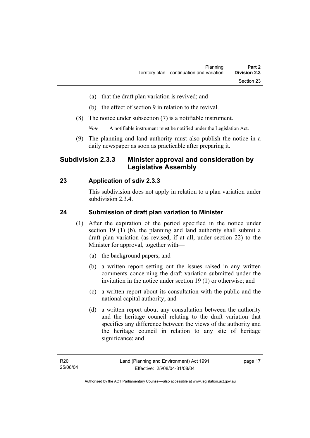- (a) that the draft plan variation is revived; and
- (b) the effect of section 9 in relation to the revival.
- (8) The notice under subsection (7) is a notifiable instrument.

*Note* A notifiable instrument must be notified under the Legislation Act.

(9) The planning and land authority must also publish the notice in a daily newspaper as soon as practicable after preparing it.

## **Subdivision 2.3.3 Minister approval and consideration by Legislative Assembly**

### **23 Application of sdiv 2.3.3**

This subdivision does not apply in relation to a plan variation under subdivision 2.3.4.

#### **24 Submission of draft plan variation to Minister**

- (1) After the expiration of the period specified in the notice under section 19 (1) (b), the planning and land authority shall submit a draft plan variation (as revised, if at all, under section 22) to the Minister for approval, together with—
	- (a) the background papers; and
	- (b) a written report setting out the issues raised in any written comments concerning the draft variation submitted under the invitation in the notice under section 19 (1) or otherwise; and
	- (c) a written report about its consultation with the public and the national capital authority; and
	- (d) a written report about any consultation between the authority and the heritage council relating to the draft variation that specifies any difference between the views of the authority and the heritage council in relation to any site of heritage significance; and

page 17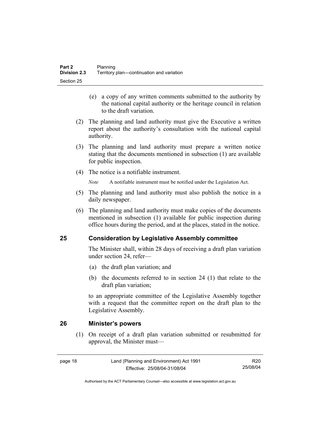- (e) a copy of any written comments submitted to the authority by the national capital authority or the heritage council in relation to the draft variation.
- (2) The planning and land authority must give the Executive a written report about the authority's consultation with the national capital authority.
- (3) The planning and land authority must prepare a written notice stating that the documents mentioned in subsection (1) are available for public inspection.
- (4) The notice is a notifiable instrument.

*Note* A notifiable instrument must be notified under the Legislation Act.

- (5) The planning and land authority must also publish the notice in a daily newspaper.
- (6) The planning and land authority must make copies of the documents mentioned in subsection (1) available for public inspection during office hours during the period, and at the places, stated in the notice.

### **25 Consideration by Legislative Assembly committee**

The Minister shall, within 28 days of receiving a draft plan variation under section 24, refer—

- (a) the draft plan variation; and
- (b) the documents referred to in section 24 (1) that relate to the draft plan variation;

to an appropriate committee of the Legislative Assembly together with a request that the committee report on the draft plan to the Legislative Assembly.

#### **26 Minister's powers**

 (1) On receipt of a draft plan variation submitted or resubmitted for approval, the Minister must—

R20 25/08/04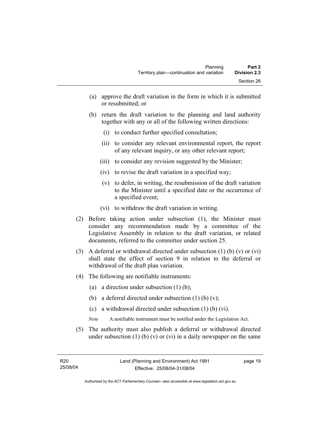- (a) approve the draft variation in the form in which it is submitted or resubmitted; or
- (b) return the draft variation to the planning and land authority together with any or all of the following written directions:
	- (i) to conduct further specified consultation;
	- (ii) to consider any relevant environmental report, the report of any relevant inquiry, or any other relevant report;
	- (iii) to consider any revision suggested by the Minister;
	- (iv) to revise the draft variation in a specified way;
	- (v) to defer, in writing, the resubmission of the draft variation to the Minister until a specified date or the occurrence of a specified event;
	- (vi) to withdraw the draft variation in writing.
- (2) Before taking action under subsection (1), the Minister must consider any recommendation made by a committee of the Legislative Assembly in relation to the draft variation, or related documents, referred to the committee under section 25.
- (3) A deferral or withdrawal directed under subsection (1) (b) (v) or (vi) shall state the effect of section 9 in relation to the deferral or withdrawal of the draft plan variation.
- (4) The following are notifiable instruments:
	- (a) a direction under subsection (1) (b);
	- (b) a deferral directed under subsection  $(1)$  (b)  $(v)$ ;
	- (c) a withdrawal directed under subsection (1) (b) (vi).
	- *Note* A notifiable instrument must be notified under the Legislation Act.
- (5) The authority must also publish a deferral or withdrawal directed under subsection  $(1)$  (b)  $(v)$  or  $(vi)$  in a daily newspaper on the same

page 19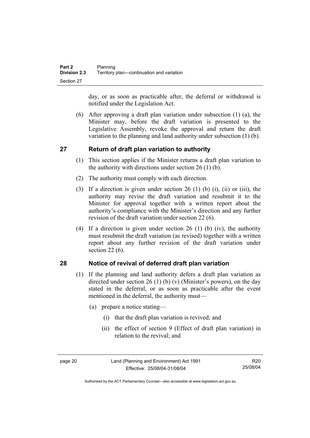day, or as soon as practicable after, the deferral or withdrawal is notified under the Legislation Act.

 (6) After approving a draft plan variation under subsection (1) (a), the Minister may, before the draft variation is presented to the Legislative Assembly, revoke the approval and return the draft variation to the planning and land authority under subsection (1) (b).

## **27 Return of draft plan variation to authority**

- (1) This section applies if the Minister returns a draft plan variation to the authority with directions under section 26 (1) (b).
- (2) The authority must comply with each direction.
- (3) If a direction is given under section 26 (1) (b) (i), (ii) or (iii), the authority may revise the draft variation and resubmit it to the Minister for approval together with a written report about the authority's compliance with the Minister's direction and any further revision of the draft variation under section 22 (6).
- (4) If a direction is given under section 26 (1) (b) (iv), the authority must resubmit the draft variation (as revised) together with a written report about any further revision of the draft variation under section 22 (6).

### **28 Notice of revival of deferred draft plan variation**

- (1) If the planning and land authority defers a draft plan variation as directed under section 26 (1) (b) (v) (Minister's powers), on the day stated in the deferral, or as soon as practicable after the event mentioned in the deferral, the authority must—
	- (a) prepare a notice stating—
		- (i) that the draft plan variation is revived; and
		- (ii) the effect of section 9 (Effect of draft plan variation) in relation to the revival; and

page 20 Land (Planning and Environment) Act 1991 Effective: 25/08/04-31/08/04

R20 25/08/04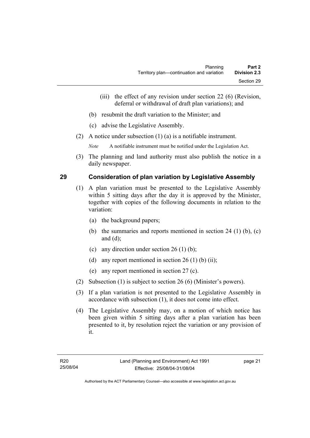- (iii) the effect of any revision under section 22 (6) (Revision, deferral or withdrawal of draft plan variations); and
- (b) resubmit the draft variation to the Minister; and
- (c) advise the Legislative Assembly.
- (2) A notice under subsection (1) (a) is a notifiable instrument.

*Note* A notifiable instrument must be notified under the Legislation Act.

(3) The planning and land authority must also publish the notice in a daily newspaper.

#### **29 Consideration of plan variation by Legislative Assembly**

- (1) A plan variation must be presented to the Legislative Assembly within 5 sitting days after the day it is approved by the Minister, together with copies of the following documents in relation to the variation:
	- (a) the background papers;
	- (b) the summaries and reports mentioned in section 24 (1) (b), (c) and (d);
	- (c) any direction under section  $26 (1) (b)$ ;
	- (d) any report mentioned in section  $26(1)$  (b) (ii);
	- (e) any report mentioned in section 27 (c).
- (2) Subsection (1) is subject to section 26 (6) (Minister's powers).
- (3) If a plan variation is not presented to the Legislative Assembly in accordance with subsection (1), it does not come into effect.
- (4) The Legislative Assembly may, on a motion of which notice has been given within 5 sitting days after a plan variation has been presented to it, by resolution reject the variation or any provision of it.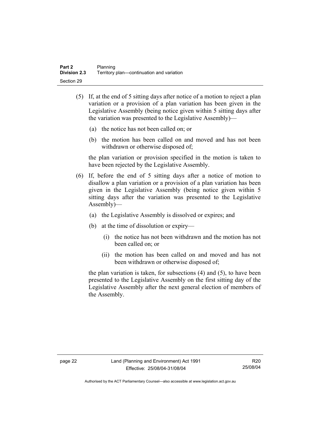- (5) If, at the end of 5 sitting days after notice of a motion to reject a plan variation or a provision of a plan variation has been given in the Legislative Assembly (being notice given within 5 sitting days after the variation was presented to the Legislative Assembly)—
	- (a) the notice has not been called on; or
	- (b) the motion has been called on and moved and has not been withdrawn or otherwise disposed of;

the plan variation or provision specified in the motion is taken to have been rejected by the Legislative Assembly.

- (6) If, before the end of 5 sitting days after a notice of motion to disallow a plan variation or a provision of a plan variation has been given in the Legislative Assembly (being notice given within 5 sitting days after the variation was presented to the Legislative Assembly)—
	- (a) the Legislative Assembly is dissolved or expires; and
	- (b) at the time of dissolution or expiry—
		- (i) the notice has not been withdrawn and the motion has not been called on; or
		- (ii) the motion has been called on and moved and has not been withdrawn or otherwise disposed of;

the plan variation is taken, for subsections (4) and (5), to have been presented to the Legislative Assembly on the first sitting day of the Legislative Assembly after the next general election of members of the Assembly.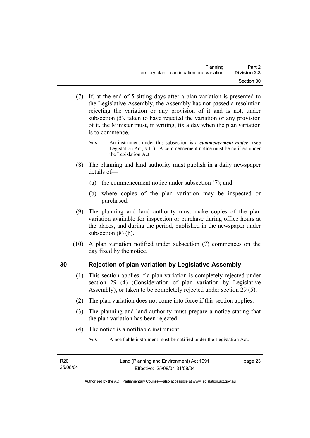- (7) If, at the end of 5 sitting days after a plan variation is presented to the Legislative Assembly, the Assembly has not passed a resolution rejecting the variation or any provision of it and is not, under subsection (5), taken to have rejected the variation or any provision of it, the Minister must, in writing, fix a day when the plan variation is to commence.
	- *Note* An instrument under this subsection is a *commencement notice* (see Legislation Act, s 11). A commencement notice must be notified under the Legislation Act.
- (8) The planning and land authority must publish in a daily newspaper details of—
	- (a) the commencement notice under subsection (7); and
	- (b) where copies of the plan variation may be inspected or purchased.
- (9) The planning and land authority must make copies of the plan variation available for inspection or purchase during office hours at the places, and during the period, published in the newspaper under subsection (8) (b).
- (10) A plan variation notified under subsection (7) commences on the day fixed by the notice.

# **30 Rejection of plan variation by Legislative Assembly**

- (1) This section applies if a plan variation is completely rejected under section 29 (4) (Consideration of plan variation by Legislative Assembly), or taken to be completely rejected under section 29 (5).
- (2) The plan variation does not come into force if this section applies.
- (3) The planning and land authority must prepare a notice stating that the plan variation has been rejected.
- (4) The notice is a notifiable instrument.

*Note* A notifiable instrument must be notified under the Legislation Act.

page 23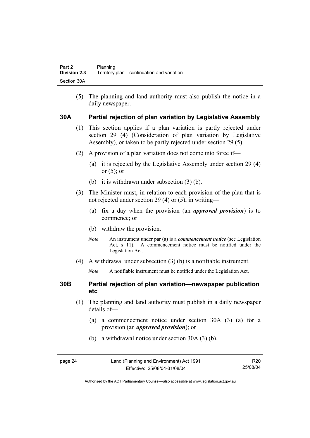(5) The planning and land authority must also publish the notice in a daily newspaper.

#### **30A Partial rejection of plan variation by Legislative Assembly**

- (1) This section applies if a plan variation is partly rejected under section 29 (4) (Consideration of plan variation by Legislative Assembly), or taken to be partly rejected under section 29 (5).
- (2) A provision of a plan variation does not come into force if—
	- (a) it is rejected by the Legislative Assembly under section 29 (4) or  $(5)$ ; or
	- (b) it is withdrawn under subsection (3) (b).
- (3) The Minister must, in relation to each provision of the plan that is not rejected under section 29 (4) or (5), in writing—
	- (a) fix a day when the provision (an *approved provision*) is to commence; or
	- (b) withdraw the provision.
	- *Note* An instrument under par (a) is a *commencement notice* (see Legislation Act, s 11). A commencement notice must be notified under the Legislation Act.
- (4) A withdrawal under subsection (3) (b) is a notifiable instrument.
	- *Note* A notifiable instrument must be notified under the Legislation Act.

#### **30B Partial rejection of plan variation—newspaper publication etc**

- (1) The planning and land authority must publish in a daily newspaper details of—
	- (a) a commencement notice under section 30A (3) (a) for a provision (an *approved provision*); or
	- (b) a withdrawal notice under section 30A (3) (b).

| page 24 | Land (Planning and Environment) Act 1991 | R20      |
|---------|------------------------------------------|----------|
|         | Effective: 25/08/04-31/08/04             | 25/08/04 |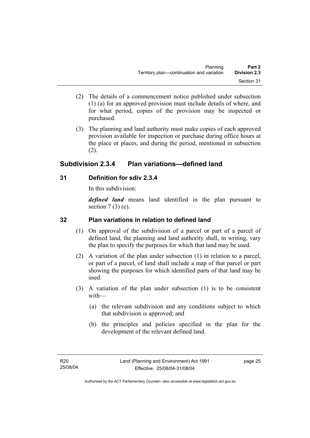- (2) The details of a commencement notice published under subsection (1) (a) for an approved provision must include details of where, and for what period, copies of the provision may be inspected or purchased.
- (3) The planning and land authority must make copies of each approved provision available for inspection or purchase during office hours at the place or places, and during the period, mentioned in subsection (2).

# **Subdivision 2.3.4 Plan variations—defined land**

### **31 Definition for sdiv 2.3.4**

In this subdivision:

*defined land* means land identified in the plan pursuant to section  $7(3)$  (e).

## **32 Plan variations in relation to defined land**

- (1) On approval of the subdivision of a parcel or part of a parcel of defined land, the planning and land authority shall, in writing, vary the plan to specify the purposes for which that land may be used.
- (2) A variation of the plan under subsection (1) in relation to a parcel, or part of a parcel, of land shall include a map of that parcel or part showing the purposes for which identified parts of that land may be used.
- (3) A variation of the plan under subsection (1) is to be consistent with—
	- (a) the relevant subdivision and any conditions subject to which that subdivision is approved; and
	- (b) the principles and policies specified in the plan for the development of the relevant defined land.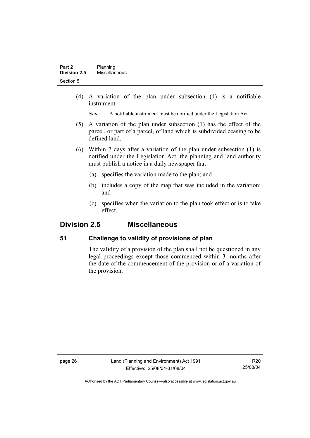(4) A variation of the plan under subsection (1) is a notifiable instrument.

*Note* A notifiable instrument must be notified under the Legislation Act.

- (5) A variation of the plan under subsection (1) has the effect of the parcel, or part of a parcel, of land which is subdivided ceasing to be defined land.
- (6) Within 7 days after a variation of the plan under subsection (1) is notified under the Legislation Act, the planning and land authority must publish a notice in a daily newspaper that—
	- (a) specifies the variation made to the plan; and
	- (b) includes a copy of the map that was included in the variation; and
	- (c) specifies when the variation to the plan took effect or is to take effect.

# **Division 2.5 Miscellaneous**

#### **51 Challenge to validity of provisions of plan**

The validity of a provision of the plan shall not be questioned in any legal proceedings except those commenced within 3 months after the date of the commencement of the provision or of a variation of the provision.

page 26 Land (Planning and Environment) Act 1991 Effective: 25/08/04-31/08/04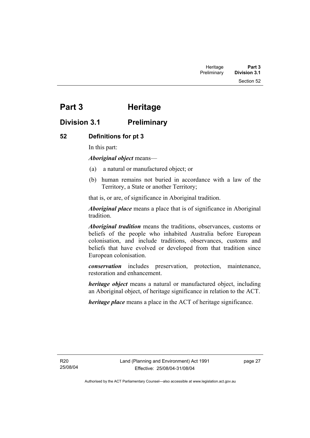Section 52

# **Part 3 Heritage**

# **Division 3.1 Preliminary**

### **52 Definitions for pt 3**

In this part:

*Aboriginal object* means—

- (a) a natural or manufactured object; or
- (b) human remains not buried in accordance with a law of the Territory, a State or another Territory;

that is, or are, of significance in Aboriginal tradition.

*Aboriginal place* means a place that is of significance in Aboriginal tradition.

*Aboriginal tradition* means the traditions, observances, customs or beliefs of the people who inhabited Australia before European colonisation, and include traditions, observances, customs and beliefs that have evolved or developed from that tradition since European colonisation.

*conservation* includes preservation, protection, maintenance, restoration and enhancement.

*heritage object* means a natural or manufactured object, including an Aboriginal object, of heritage significance in relation to the ACT.

*heritage place* means a place in the ACT of heritage significance.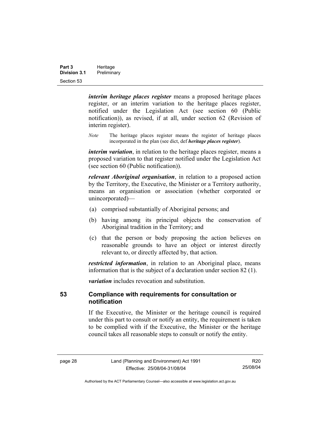| Part 3              | Heritage    |  |
|---------------------|-------------|--|
| <b>Division 3.1</b> | Preliminary |  |
| Section 53          |             |  |

*interim heritage places register* means a proposed heritage places register, or an interim variation to the heritage places register, notified under the Legislation Act (see section 60 (Public notification)), as revised, if at all, under section 62 (Revision of interim register).

*Note* The heritage places register means the register of heritage places incorporated in the plan (see dict, def *heritage places register*).

*interim variation*, in relation to the heritage places register, means a proposed variation to that register notified under the Legislation Act (see section 60 (Public notification)).

*relevant Aboriginal organisation*, in relation to a proposed action by the Territory, the Executive, the Minister or a Territory authority, means an organisation or association (whether corporated or unincorporated)—

- (a) comprised substantially of Aboriginal persons; and
- (b) having among its principal objects the conservation of Aboriginal tradition in the Territory; and
- (c) that the person or body proposing the action believes on reasonable grounds to have an object or interest directly relevant to, or directly affected by, that action.

*restricted information*, in relation to an Aboriginal place, means information that is the subject of a declaration under section 82 (1).

*variation* includes revocation and substitution.

#### **53 Compliance with requirements for consultation or notification**

If the Executive, the Minister or the heritage council is required under this part to consult or notify an entity, the requirement is taken to be complied with if the Executive, the Minister or the heritage council takes all reasonable steps to consult or notify the entity.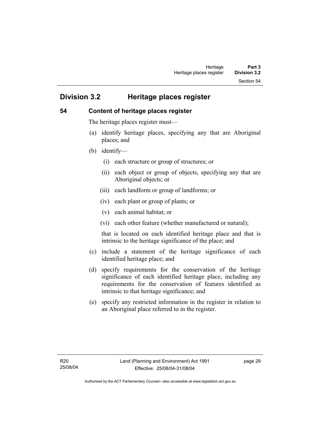Section 54

# **Division 3.2 Heritage places register**

#### **54 Content of heritage places register**

The heritage places register must—

- (a) identify heritage places, specifying any that are Aboriginal places; and
- (b) identify—
	- (i) each structure or group of structures; or
	- (ii) each object or group of objects, specifying any that are Aboriginal objects; or
	- (iii) each landform or group of landforms; or
	- (iv) each plant or group of plants; or
	- (v) each animal habitat; or
	- (vi) each other feature (whether manufactured or natural);

that is located on each identified heritage place and that is intrinsic to the heritage significance of the place; and

- (c) include a statement of the heritage significance of each identified heritage place; and
- (d) specify requirements for the conservation of the heritage significance of each identified heritage place, including any requirements for the conservation of features identified as intrinsic to that heritage significance; and
- (e) specify any restricted information in the register in relation to an Aboriginal place referred to in the register.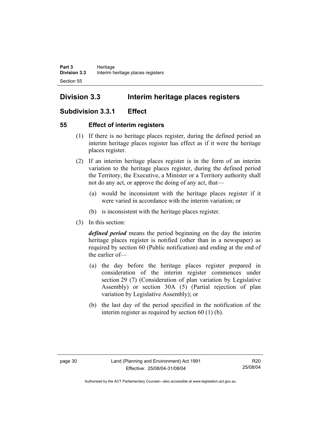# **Division 3.3 Interim heritage places registers**

# **Subdivision 3.3.1 Effect**

#### **55 Effect of interim registers**

- (1) If there is no heritage places register, during the defined period an interim heritage places register has effect as if it were the heritage places register.
- (2) If an interim heritage places register is in the form of an interim variation to the heritage places register, during the defined period the Territory, the Executive, a Minister or a Territory authority shall not do any act, or approve the doing of any act, that—
	- (a) would be inconsistent with the heritage places register if it were varied in accordance with the interim variation; or
	- (b) is inconsistent with the heritage places register.
- (3) In this section:

*defined period* means the period beginning on the day the interim heritage places register is notified (other than in a newspaper) as required by section 60 (Public notification) and ending at the end of the earlier of—

- (a) the day before the heritage places register prepared in consideration of the interim register commences under section 29 (7) (Consideration of plan variation by Legislative Assembly) or section 30A (5) (Partial rejection of plan variation by Legislative Assembly); or
- (b) the last day of the period specified in the notification of the interim register as required by section 60 (1) (b).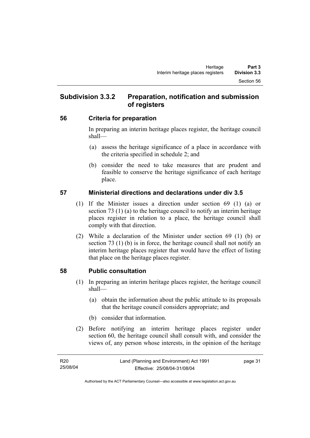# **Subdivision 3.3.2 Preparation, notification and submission of registers**

#### **56 Criteria for preparation**

In preparing an interim heritage places register, the heritage council shall—

- (a) assess the heritage significance of a place in accordance with the criteria specified in schedule 2; and
- (b) consider the need to take measures that are prudent and feasible to conserve the heritage significance of each heritage place.

### **57 Ministerial directions and declarations under div 3.5**

- (1) If the Minister issues a direction under section 69 (1) (a) or section 73 (1) (a) to the heritage council to notify an interim heritage places register in relation to a place, the heritage council shall comply with that direction.
- (2) While a declaration of the Minister under section 69 (1) (b) or section 73 (1) (b) is in force, the heritage council shall not notify an interim heritage places register that would have the effect of listing that place on the heritage places register.

# **58 Public consultation**

- (1) In preparing an interim heritage places register, the heritage council shall—
	- (a) obtain the information about the public attitude to its proposals that the heritage council considers appropriate; and
	- (b) consider that information.
- (2) Before notifying an interim heritage places register under section 60, the heritage council shall consult with, and consider the views of, any person whose interests, in the opinion of the heritage

page 31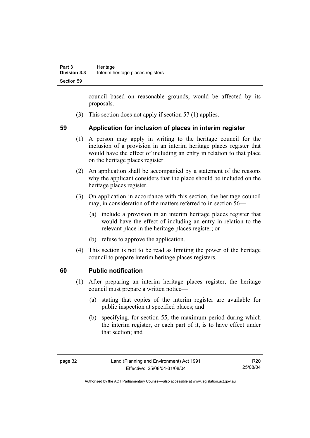council based on reasonable grounds, would be affected by its proposals.

(3) This section does not apply if section 57 (1) applies.

### **59 Application for inclusion of places in interim register**

- (1) A person may apply in writing to the heritage council for the inclusion of a provision in an interim heritage places register that would have the effect of including an entry in relation to that place on the heritage places register.
- (2) An application shall be accompanied by a statement of the reasons why the applicant considers that the place should be included on the heritage places register.
- (3) On application in accordance with this section, the heritage council may, in consideration of the matters referred to in section 56—
	- (a) include a provision in an interim heritage places register that would have the effect of including an entry in relation to the relevant place in the heritage places register; or
	- (b) refuse to approve the application.
- (4) This section is not to be read as limiting the power of the heritage council to prepare interim heritage places registers.

#### **60 Public notification**

- (1) After preparing an interim heritage places register, the heritage council must prepare a written notice—
	- (a) stating that copies of the interim register are available for public inspection at specified places; and
	- (b) specifying, for section 55, the maximum period during which the interim register, or each part of it, is to have effect under that section; and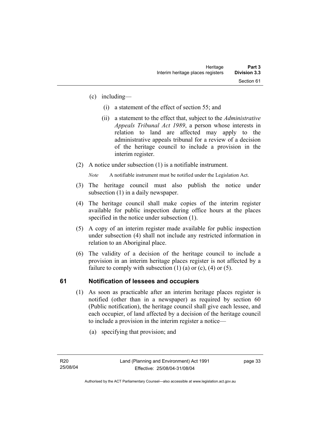- (c) including—
	- (i) a statement of the effect of section 55; and
	- (ii) a statement to the effect that, subject to the *Administrative Appeals Tribunal Act 1989*, a person whose interests in relation to land are affected may apply to the administrative appeals tribunal for a review of a decision of the heritage council to include a provision in the interim register.
- (2) A notice under subsection (1) is a notifiable instrument.

*Note* A notifiable instrument must be notified under the Legislation Act.

- (3) The heritage council must also publish the notice under subsection (1) in a daily newspaper.
- (4) The heritage council shall make copies of the interim register available for public inspection during office hours at the places specified in the notice under subsection (1).
- (5) A copy of an interim register made available for public inspection under subsection (4) shall not include any restricted information in relation to an Aboriginal place.
- (6) The validity of a decision of the heritage council to include a provision in an interim heritage places register is not affected by a failure to comply with subsection  $(1)$   $(a)$  or  $(c)$ ,  $(4)$  or  $(5)$ .

# **61 Notification of lessees and occupiers**

- (1) As soon as practicable after an interim heritage places register is notified (other than in a newspaper) as required by section 60 (Public notification), the heritage council shall give each lessee, and each occupier, of land affected by a decision of the heritage council to include a provision in the interim register a notice—
	- (a) specifying that provision; and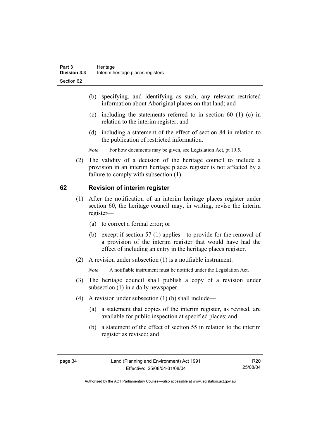- (b) specifying, and identifying as such, any relevant restricted information about Aboriginal places on that land; and
- (c) including the statements referred to in section 60 (1) (c) in relation to the interim register; and
- (d) including a statement of the effect of section 84 in relation to the publication of restricted information.
- *Note* For how documents may be given, see Legislation Act, pt 19.5.
- (2) The validity of a decision of the heritage council to include a provision in an interim heritage places register is not affected by a failure to comply with subsection (1).

#### **62 Revision of interim register**

- (1) After the notification of an interim heritage places register under section 60, the heritage council may, in writing, revise the interim register—
	- (a) to correct a formal error; or
	- (b) except if section 57 (1) applies—to provide for the removal of a provision of the interim register that would have had the effect of including an entry in the heritage places register.
- (2) A revision under subsection (1) is a notifiable instrument.

*Note* A notifiable instrument must be notified under the Legislation Act.

- (3) The heritage council shall publish a copy of a revision under subsection (1) in a daily newspaper.
- (4) A revision under subsection (1) (b) shall include—
	- (a) a statement that copies of the interim register, as revised, are available for public inspection at specified places; and
	- (b) a statement of the effect of section 55 in relation to the interim register as revised; and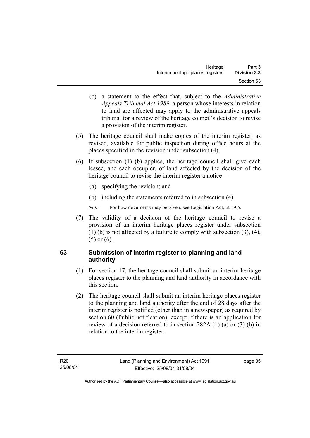- (c) a statement to the effect that, subject to the *Administrative Appeals Tribunal Act 1989*, a person whose interests in relation to land are affected may apply to the administrative appeals tribunal for a review of the heritage council's decision to revise a provision of the interim register.
- (5) The heritage council shall make copies of the interim register, as revised, available for public inspection during office hours at the places specified in the revision under subsection (4).
- (6) If subsection (1) (b) applies, the heritage council shall give each lessee, and each occupier, of land affected by the decision of the heritage council to revise the interim register a notice—
	- (a) specifying the revision; and
	- (b) including the statements referred to in subsection (4).
	- *Note* For how documents may be given, see Legislation Act, pt 19.5.
- (7) The validity of a decision of the heritage council to revise a provision of an interim heritage places register under subsection (1) (b) is not affected by a failure to comply with subsection (3), (4), (5) or (6).

### **63 Submission of interim register to planning and land authority**

- (1) For section 17, the heritage council shall submit an interim heritage places register to the planning and land authority in accordance with this section.
- (2) The heritage council shall submit an interim heritage places register to the planning and land authority after the end of 28 days after the interim register is notified (other than in a newspaper) as required by section 60 (Public notification), except if there is an application for review of a decision referred to in section 282A (1) (a) or (3) (b) in relation to the interim register.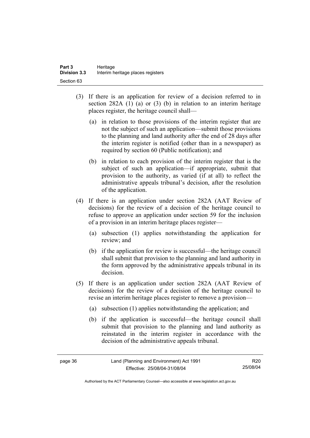- (3) If there is an application for review of a decision referred to in section 282A (1) (a) or (3) (b) in relation to an interim heritage places register, the heritage council shall—
	- (a) in relation to those provisions of the interim register that are not the subject of such an application—submit those provisions to the planning and land authority after the end of 28 days after the interim register is notified (other than in a newspaper) as required by section 60 (Public notification); and
	- (b) in relation to each provision of the interim register that is the subject of such an application—if appropriate, submit that provision to the authority, as varied (if at all) to reflect the administrative appeals tribunal's decision, after the resolution of the application.
- (4) If there is an application under section 282A (AAT Review of decisions) for the review of a decision of the heritage council to refuse to approve an application under section 59 for the inclusion of a provision in an interim heritage places register—
	- (a) subsection (1) applies notwithstanding the application for review; and
	- (b) if the application for review is successful—the heritage council shall submit that provision to the planning and land authority in the form approved by the administrative appeals tribunal in its decision.
- (5) If there is an application under section 282A (AAT Review of decisions) for the review of a decision of the heritage council to revise an interim heritage places register to remove a provision—
	- (a) subsection (1) applies notwithstanding the application; and
	- (b) if the application is successful—the heritage council shall submit that provision to the planning and land authority as reinstated in the interim register in accordance with the decision of the administrative appeals tribunal.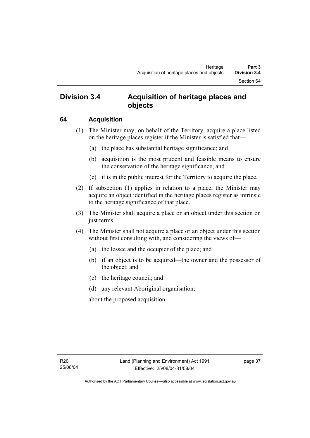# **Division 3.4 Acquisition of heritage places and objects**

#### **64 Acquisition**

- (1) The Minister may, on behalf of the Territory, acquire a place listed on the heritage places register if the Minister is satisfied that—
	- (a) the place has substantial heritage significance; and
	- (b) acquisition is the most prudent and feasible means to ensure the conservation of the heritage significance; and
	- (c) it is in the public interest for the Territory to acquire the place.
- (2) If subsection (1) applies in relation to a place, the Minister may acquire an object identified in the heritage places register as intrinsic to the heritage significance of that place.
- (3) The Minister shall acquire a place or an object under this section on just terms.
- (4) The Minister shall not acquire a place or an object under this section without first consulting with, and considering the views of—
	- (a) the lessee and the occupier of the place; and
	- (b) if an object is to be acquired—the owner and the possessor of the object; and
	- (c) the heritage council; and
	- (d) any relevant Aboriginal organisation;

about the proposed acquisition.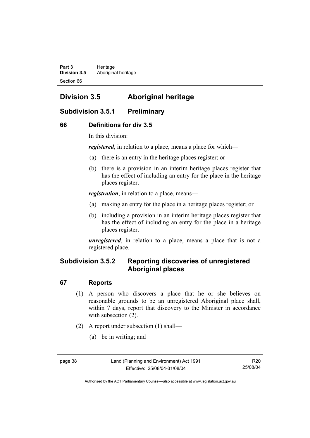Part 3 **Heritage Division 3.5** Aboriginal heritage Section 66

# **Division 3.5 Aboriginal heritage**

# **Subdivision 3.5.1 Preliminary**

#### **66 Definitions for div 3.5**

In this division:

*registered*, in relation to a place, means a place for which—

- (a) there is an entry in the heritage places register; or
- (b) there is a provision in an interim heritage places register that has the effect of including an entry for the place in the heritage places register.

*registration*, in relation to a place, means—

- (a) making an entry for the place in a heritage places register; or
- (b) including a provision in an interim heritage places register that has the effect of including an entry for the place in a heritage places register.

*unregistered*, in relation to a place, means a place that is not a registered place.

# **Subdivision 3.5.2 Reporting discoveries of unregistered Aboriginal places**

#### **67 Reports**

- (1) A person who discovers a place that he or she believes on reasonable grounds to be an unregistered Aboriginal place shall, within 7 days, report that discovery to the Minister in accordance with subsection  $(2)$ .
- (2) A report under subsection (1) shall—
	- (a) be in writing; and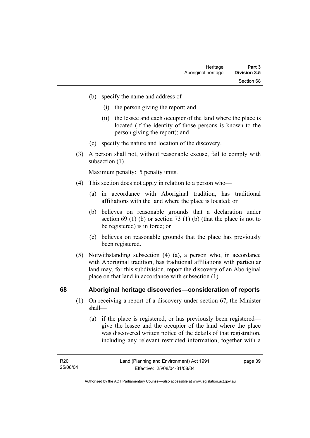- (b) specify the name and address of—
	- (i) the person giving the report; and
	- (ii) the lessee and each occupier of the land where the place is located (if the identity of those persons is known to the person giving the report); and
- (c) specify the nature and location of the discovery.
- (3) A person shall not, without reasonable excuse, fail to comply with subsection  $(1)$ .

Maximum penalty: 5 penalty units.

- (4) This section does not apply in relation to a person who—
	- (a) in accordance with Aboriginal tradition, has traditional affiliations with the land where the place is located; or
	- (b) believes on reasonable grounds that a declaration under section 69 (1) (b) or section 73 (1) (b) (that the place is not to be registered) is in force; or
	- (c) believes on reasonable grounds that the place has previously been registered.
- (5) Notwithstanding subsection (4) (a), a person who, in accordance with Aboriginal tradition, has traditional affiliations with particular land may, for this subdivision, report the discovery of an Aboriginal place on that land in accordance with subsection (1).

#### **68 Aboriginal heritage discoveries—consideration of reports**

- (1) On receiving a report of a discovery under section 67, the Minister shall—
	- (a) if the place is registered, or has previously been registered give the lessee and the occupier of the land where the place was discovered written notice of the details of that registration, including any relevant restricted information, together with a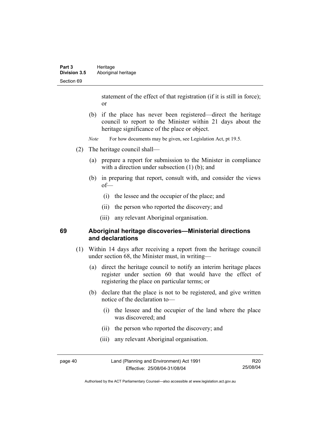statement of the effect of that registration (if it is still in force); or

- (b) if the place has never been registered—direct the heritage council to report to the Minister within 21 days about the heritage significance of the place or object.
- *Note* For how documents may be given, see Legislation Act, pt 19.5.
- (2) The heritage council shall—
	- (a) prepare a report for submission to the Minister in compliance with a direction under subsection (1) (b); and
	- (b) in preparing that report, consult with, and consider the views of—
		- (i) the lessee and the occupier of the place; and
		- (ii) the person who reported the discovery; and
		- (iii) any relevant Aboriginal organisation.

#### **69 Aboriginal heritage discoveries—Ministerial directions and declarations**

- (1) Within 14 days after receiving a report from the heritage council under section 68, the Minister must, in writing—
	- (a) direct the heritage council to notify an interim heritage places register under section 60 that would have the effect of registering the place on particular terms; or
	- (b) declare that the place is not to be registered, and give written notice of the declaration to—
		- (i) the lessee and the occupier of the land where the place was discovered; and
		- (ii) the person who reported the discovery; and
		- (iii) any relevant Aboriginal organisation.

page 40 Land (Planning and Environment) Act 1991 Effective: 25/08/04-31/08/04

R20 25/08/04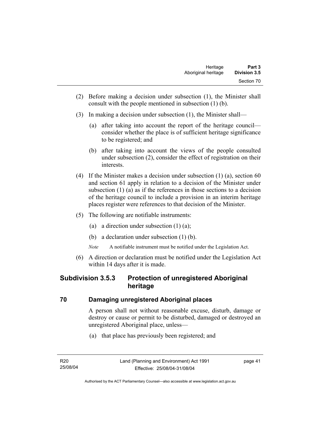- (2) Before making a decision under subsection (1), the Minister shall consult with the people mentioned in subsection (1) (b).
- (3) In making a decision under subsection (1), the Minister shall—
	- (a) after taking into account the report of the heritage council consider whether the place is of sufficient heritage significance to be registered; and
	- (b) after taking into account the views of the people consulted under subsection (2), consider the effect of registration on their interests.
- (4) If the Minister makes a decision under subsection (1) (a), section 60 and section 61 apply in relation to a decision of the Minister under subsection (1) (a) as if the references in those sections to a decision of the heritage council to include a provision in an interim heritage places register were references to that decision of the Minister.
- (5) The following are notifiable instruments:
	- (a) a direction under subsection (1) (a);
	- (b) a declaration under subsection (1) (b).
	- *Note* A notifiable instrument must be notified under the Legislation Act.
- (6) A direction or declaration must be notified under the Legislation Act within 14 days after it is made.

# **Subdivision 3.5.3 Protection of unregistered Aboriginal heritage**

#### **70 Damaging unregistered Aboriginal places**

A person shall not without reasonable excuse, disturb, damage or destroy or cause or permit to be disturbed, damaged or destroyed an unregistered Aboriginal place, unless—

(a) that place has previously been registered; and

page 41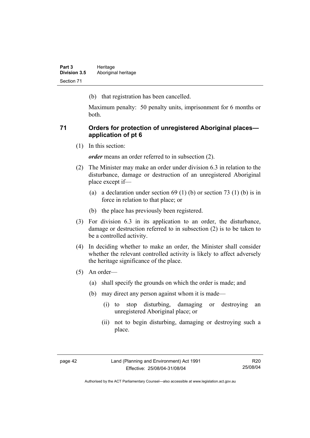(b) that registration has been cancelled.

Maximum penalty: 50 penalty units, imprisonment for 6 months or both.

#### **71 Orders for protection of unregistered Aboriginal places application of pt 6**

(1) In this section:

*order* means an order referred to in subsection (2).

- (2) The Minister may make an order under division 6.3 in relation to the disturbance, damage or destruction of an unregistered Aboriginal place except if—
	- (a) a declaration under section  $69 (1) (b)$  or section  $73 (1) (b)$  is in force in relation to that place; or
	- (b) the place has previously been registered.
- (3) For division 6.3 in its application to an order, the disturbance, damage or destruction referred to in subsection (2) is to be taken to be a controlled activity.
- (4) In deciding whether to make an order, the Minister shall consider whether the relevant controlled activity is likely to affect adversely the heritage significance of the place.
- (5) An order—
	- (a) shall specify the grounds on which the order is made; and
	- (b) may direct any person against whom it is made—
		- (i) to stop disturbing, damaging or destroying an unregistered Aboriginal place; or
		- (ii) not to begin disturbing, damaging or destroying such a place.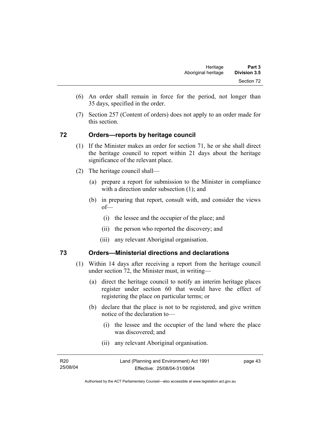- (6) An order shall remain in force for the period, not longer than 35 days, specified in the order.
- (7) Section 257 (Content of orders) does not apply to an order made for this section.

#### **72 Orders—reports by heritage council**

- (1) If the Minister makes an order for section 71, he or she shall direct the heritage council to report within 21 days about the heritage significance of the relevant place.
- (2) The heritage council shall—
	- (a) prepare a report for submission to the Minister in compliance with a direction under subsection (1); and
	- (b) in preparing that report, consult with, and consider the views of—
		- (i) the lessee and the occupier of the place; and
		- (ii) the person who reported the discovery; and
		- (iii) any relevant Aboriginal organisation.

#### **73 Orders—Ministerial directions and declarations**

- (1) Within 14 days after receiving a report from the heritage council under section 72, the Minister must, in writing—
	- (a) direct the heritage council to notify an interim heritage places register under section 60 that would have the effect of registering the place on particular terms; or
	- (b) declare that the place is not to be registered, and give written notice of the declaration to—
		- (i) the lessee and the occupier of the land where the place was discovered; and
		- (ii) any relevant Aboriginal organisation.

| R <sub>20</sub> | Land (Planning and Environment) Act 1991 | page 43 |
|-----------------|------------------------------------------|---------|
| 25/08/04        | Effective: 25/08/04-31/08/04             |         |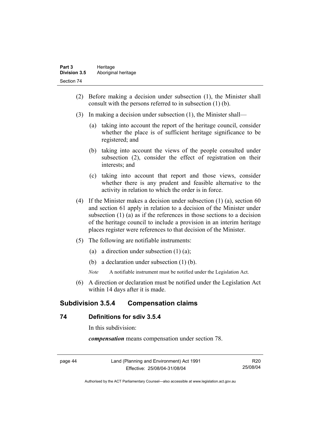- (2) Before making a decision under subsection (1), the Minister shall consult with the persons referred to in subsection (1) (b).
- (3) In making a decision under subsection (1), the Minister shall—
	- (a) taking into account the report of the heritage council, consider whether the place is of sufficient heritage significance to be registered; and
	- (b) taking into account the views of the people consulted under subsection (2), consider the effect of registration on their interests; and
	- (c) taking into account that report and those views, consider whether there is any prudent and feasible alternative to the activity in relation to which the order is in force.
- (4) If the Minister makes a decision under subsection (1) (a), section 60 and section 61 apply in relation to a decision of the Minister under subsection (1) (a) as if the references in those sections to a decision of the heritage council to include a provision in an interim heritage places register were references to that decision of the Minister.
- (5) The following are notifiable instruments:
	- (a) a direction under subsection  $(1)$   $(a)$ ;
	- (b) a declaration under subsection (1) (b).
	- *Note* A notifiable instrument must be notified under the Legislation Act.
- (6) A direction or declaration must be notified under the Legislation Act within 14 days after it is made.

# **Subdivision 3.5.4 Compensation claims**

#### **74 Definitions for sdiv 3.5.4**

In this subdivision:

*compensation* means compensation under section 78.

| IC.<br>15.1 |  |
|-------------|--|
|-------------|--|

Land (Planning and Environment) Act 1991 Effective: 25/08/04-31/08/04

R20 25/08/04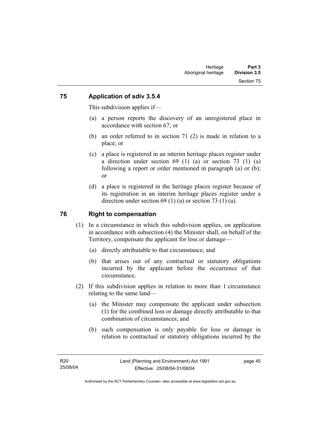#### **75 Application of sdiv 3.5.4**

This subdivision applies if—

- (a) a person reports the discovery of an unregistered place in accordance with section 67; or
- (b) an order referred to in section 71 (2) is made in relation to a place; or
- (c) a place is registered in an interim heritage places register under a direction under section 69 (1) (a) or section 73 (1) (a) following a report or order mentioned in paragraph (a) or (b); or
- (d) a place is registered in the heritage places register because of its registration in an interim heritage places register under a direction under section 69 (1) (a) or section 73 (1) (a).

### **76 Right to compensation**

- (1) In a circumstance in which this subdivision applies, on application in accordance with subsection (4) the Minister shall, on behalf of the Territory, compensate the applicant for loss or damage—
	- (a) directly attributable to that circumstance; and
	- (b) that arises out of any contractual or statutory obligations incurred by the applicant before the occurrence of that circumstance.
- (2) If this subdivision applies in relation to more than 1 circumstance relating to the same land—
	- (a) the Minister may compensate the applicant under subsection (1) for the combined loss or damage directly attributable to that combination of circumstances; and
	- (b) such compensation is only payable for loss or damage in relation to contractual or statutory obligations incurred by the

page 45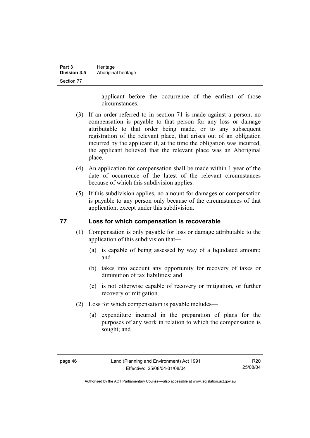| Part 3              | Heritage            |
|---------------------|---------------------|
| <b>Division 3.5</b> | Aboriginal heritage |
| Section 77          |                     |

applicant before the occurrence of the earliest of those circumstances.

- (3) If an order referred to in section 71 is made against a person, no compensation is payable to that person for any loss or damage attributable to that order being made, or to any subsequent registration of the relevant place, that arises out of an obligation incurred by the applicant if, at the time the obligation was incurred, the applicant believed that the relevant place was an Aboriginal place.
- (4) An application for compensation shall be made within 1 year of the date of occurrence of the latest of the relevant circumstances because of which this subdivision applies.
- (5) If this subdivision applies, no amount for damages or compensation is payable to any person only because of the circumstances of that application, except under this subdivision.

#### **77 Loss for which compensation is recoverable**

- (1) Compensation is only payable for loss or damage attributable to the application of this subdivision that—
	- (a) is capable of being assessed by way of a liquidated amount; and
	- (b) takes into account any opportunity for recovery of taxes or diminution of tax liabilities; and
	- (c) is not otherwise capable of recovery or mitigation, or further recovery or mitigation.
- (2) Loss for which compensation is payable includes—
	- (a) expenditure incurred in the preparation of plans for the purposes of any work in relation to which the compensation is sought; and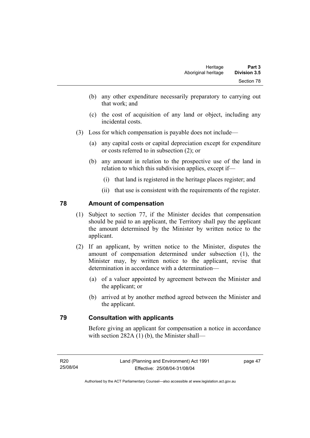- (b) any other expenditure necessarily preparatory to carrying out that work; and
- (c) the cost of acquisition of any land or object, including any incidental costs.
- (3) Loss for which compensation is payable does not include—
	- (a) any capital costs or capital depreciation except for expenditure or costs referred to in subsection (2); or
	- (b) any amount in relation to the prospective use of the land in relation to which this subdivision applies, except if—
		- (i) that land is registered in the heritage places register; and
		- (ii) that use is consistent with the requirements of the register.

#### **78 Amount of compensation**

- (1) Subject to section 77, if the Minister decides that compensation should be paid to an applicant, the Territory shall pay the applicant the amount determined by the Minister by written notice to the applicant.
- (2) If an applicant, by written notice to the Minister, disputes the amount of compensation determined under subsection (1), the Minister may, by written notice to the applicant, revise that determination in accordance with a determination—
	- (a) of a valuer appointed by agreement between the Minister and the applicant; or
	- (b) arrived at by another method agreed between the Minister and the applicant.

#### **79 Consultation with applicants**

Before giving an applicant for compensation a notice in accordance with section 282A (1) (b), the Minister shall—

page 47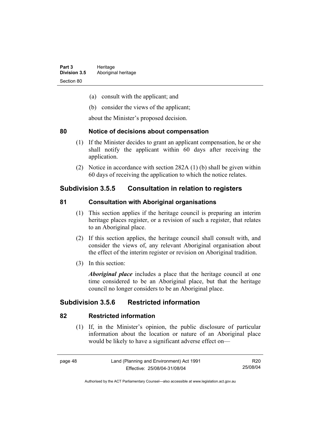- (a) consult with the applicant; and
- (b) consider the views of the applicant;

about the Minister's proposed decision.

#### **80 Notice of decisions about compensation**

- (1) If the Minister decides to grant an applicant compensation, he or she shall notify the applicant within 60 days after receiving the application.
- (2) Notice in accordance with section 282A (1) (b) shall be given within 60 days of receiving the application to which the notice relates.

# **Subdivision 3.5.5 Consultation in relation to registers**

#### **81 Consultation with Aboriginal organisations**

- (1) This section applies if the heritage council is preparing an interim heritage places register, or a revision of such a register, that relates to an Aboriginal place.
- (2) If this section applies, the heritage council shall consult with, and consider the views of, any relevant Aboriginal organisation about the effect of the interim register or revision on Aboriginal tradition.
- (3) In this section:

*Aboriginal place* includes a place that the heritage council at one time considered to be an Aboriginal place, but that the heritage council no longer considers to be an Aboriginal place.

# **Subdivision 3.5.6 Restricted information**

#### **82 Restricted information**

 (1) If, in the Minister's opinion, the public disclosure of particular information about the location or nature of an Aboriginal place would be likely to have a significant adverse effect on—

R20 25/08/04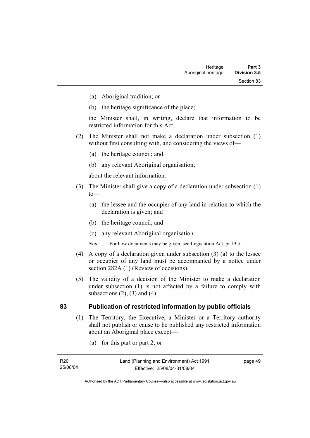- (a) Aboriginal tradition; or
- (b) the heritage significance of the place;

the Minister shall, in writing, declare that information to be restricted information for this Act.

- (2) The Minister shall not make a declaration under subsection (1) without first consulting with, and considering the views of—
	- (a) the heritage council; and
	- (b) any relevant Aboriginal organisation;

about the relevant information.

- (3) The Minister shall give a copy of a declaration under subsection (1)  $to$ —
	- (a) the lessee and the occupier of any land in relation to which the declaration is given; and
	- (b) the heritage council; and
	- (c) any relevant Aboriginal organisation.
	- *Note* For how documents may be given, see Legislation Act, pt 19.5.
- (4) A copy of a declaration given under subsection (3) (a) to the lessee or occupier of any land must be accompanied by a notice under section 282A (1) (Review of decisions).
- (5) The validity of a decision of the Minister to make a declaration under subsection (1) is not affected by a failure to comply with subsections  $(2)$ ,  $(3)$  and  $(4)$ .

#### **83 Publication of restricted information by public officials**

- (1) The Territory, the Executive, a Minister or a Territory authority shall not publish or cause to be published any restricted information about an Aboriginal place except—
	- (a) for this part or part 2; or

page 49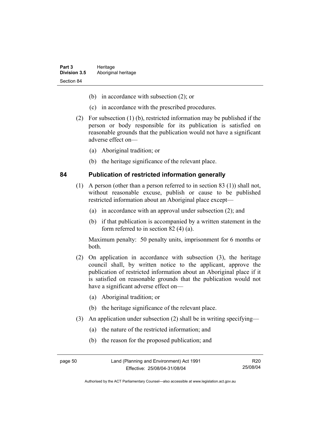- (b) in accordance with subsection (2); or
- (c) in accordance with the prescribed procedures.
- (2) For subsection (1) (b), restricted information may be published if the person or body responsible for its publication is satisfied on reasonable grounds that the publication would not have a significant adverse effect on—
	- (a) Aboriginal tradition; or
	- (b) the heritage significance of the relevant place.

#### **84 Publication of restricted information generally**

- (1) A person (other than a person referred to in section 83 (1)) shall not, without reasonable excuse, publish or cause to be published restricted information about an Aboriginal place except—
	- (a) in accordance with an approval under subsection (2); and
	- (b) if that publication is accompanied by a written statement in the form referred to in section 82 (4) (a).

Maximum penalty: 50 penalty units, imprisonment for 6 months or both.

- (2) On application in accordance with subsection (3), the heritage council shall, by written notice to the applicant, approve the publication of restricted information about an Aboriginal place if it is satisfied on reasonable grounds that the publication would not have a significant adverse effect on—
	- (a) Aboriginal tradition; or
	- (b) the heritage significance of the relevant place.
- (3) An application under subsection (2) shall be in writing specifying—
	- (a) the nature of the restricted information; and
	- (b) the reason for the proposed publication; and

R20 25/08/04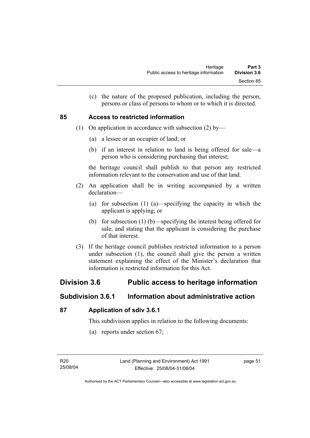(c) the nature of the proposed publication, including the person, persons or class of persons to whom or to which it is directed.

#### **85 Access to restricted information**

- (1) On application in accordance with subsection (2) by—
	- (a) a lessee or an occupier of land; or
	- (b) if an interest in relation to land is being offered for sale—a person who is considering purchasing that interest;

the heritage council shall publish to that person any restricted information relevant to the conservation and use of that land.

- (2) An application shall be in writing accompanied by a written declaration—
	- (a) for subsection (1) (a)—specifying the capacity in which the applicant is applying; or
	- (b) for subsection (1) (b)—specifying the interest being offered for sale, and stating that the applicant is considering the purchase of that interest.
- (3) If the heritage council publishes restricted information to a person under subsection (1), the council shall give the person a written statement explaining the effect of the Minister's declaration that information is restricted information for this Act.

# **Division 3.6 Public access to heritage information**

# **Subdivision 3.6.1 Information about administrative action**

#### **87 Application of sdiv 3.6.1**

This subdivision applies in relation to the following documents:

(a) reports under section 67;

page 51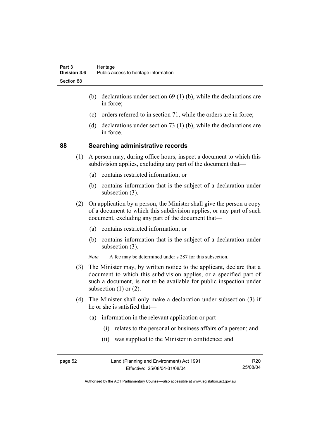- (b) declarations under section 69 (1) (b), while the declarations are in force;
- (c) orders referred to in section 71, while the orders are in force;
- (d) declarations under section 73 (1) (b), while the declarations are in force.

#### **88 Searching administrative records**

- (1) A person may, during office hours, inspect a document to which this subdivision applies, excluding any part of the document that—
	- (a) contains restricted information; or
	- (b) contains information that is the subject of a declaration under subsection (3).
- (2) On application by a person, the Minister shall give the person a copy of a document to which this subdivision applies, or any part of such document, excluding any part of the document that—
	- (a) contains restricted information; or
	- (b) contains information that is the subject of a declaration under subsection (3).
	- *Note* A fee may be determined under s 287 for this subsection.
- (3) The Minister may, by written notice to the applicant, declare that a document to which this subdivision applies, or a specified part of such a document, is not to be available for public inspection under subsection  $(1)$  or  $(2)$ .
- (4) The Minister shall only make a declaration under subsection (3) if he or she is satisfied that—
	- (a) information in the relevant application or part—
		- (i) relates to the personal or business affairs of a person; and
		- (ii) was supplied to the Minister in confidence; and

| page 52 | Land (Planning and Environment) Act 1991 | R20      |
|---------|------------------------------------------|----------|
|         | Effective: 25/08/04-31/08/04             | 25/08/04 |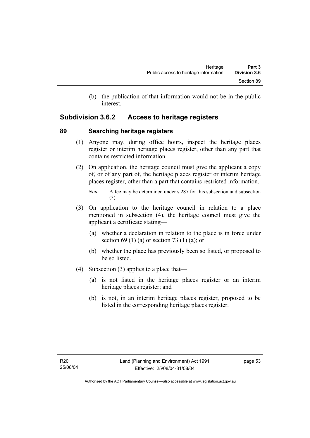(b) the publication of that information would not be in the public interest.

# **Subdivision 3.6.2 Access to heritage registers**

#### **89 Searching heritage registers**

- (1) Anyone may, during office hours, inspect the heritage places register or interim heritage places register, other than any part that contains restricted information.
- (2) On application, the heritage council must give the applicant a copy of, or of any part of, the heritage places register or interim heritage places register, other than a part that contains restricted information.

- (3) On application to the heritage council in relation to a place mentioned in subsection (4), the heritage council must give the applicant a certificate stating—
	- (a) whether a declaration in relation to the place is in force under section 69 (1) (a) or section 73 (1) (a); or
	- (b) whether the place has previously been so listed, or proposed to be so listed.
- (4) Subsection (3) applies to a place that—
	- (a) is not listed in the heritage places register or an interim heritage places register; and
	- (b) is not, in an interim heritage places register, proposed to be listed in the corresponding heritage places register.

*Note* A fee may be determined under s 287 for this subsection and subsection (3).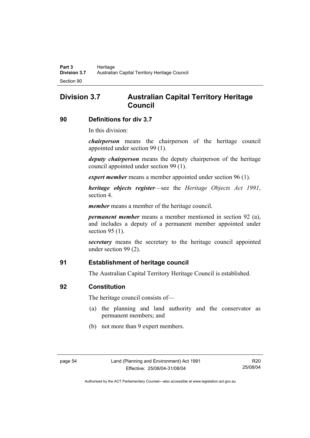# **Division 3.7 Australian Capital Territory Heritage Council**

#### **90 Definitions for div 3.7**

In this division:

*chairperson* means the chairperson of the heritage council appointed under section 99 (1).

*deputy chairperson* means the deputy chairperson of the heritage council appointed under section 99 (1).

*expert member* means a member appointed under section 96 (1).

*heritage objects register*—see the *Heritage Objects Act 1991*, section 4.

*member* means a member of the heritage council.

*permanent member* means a member mentioned in section 92 (a), and includes a deputy of a permanent member appointed under section 95 (1).

*secretary* means the secretary to the heritage council appointed under section 99 (2).

#### **91 Establishment of heritage council**

The Australian Capital Territory Heritage Council is established.

#### **92 Constitution**

The heritage council consists of—

- (a) the planning and land authority and the conservator as permanent members; and
- (b) not more than 9 expert members.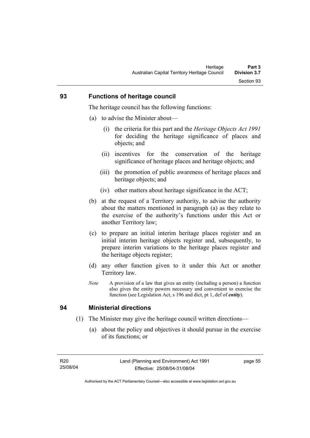#### **93 Functions of heritage council**

The heritage council has the following functions:

- (a) to advise the Minister about—
	- (i) the criteria for this part and the *Heritage Objects Act 1991* for deciding the heritage significance of places and objects; and
	- (ii) incentives for the conservation of the heritage significance of heritage places and heritage objects; and
	- (iii) the promotion of public awareness of heritage places and heritage objects; and
	- (iv) other matters about heritage significance in the ACT;
- (b) at the request of a Territory authority, to advise the authority about the matters mentioned in paragraph (a) as they relate to the exercise of the authority's functions under this Act or another Territory law;
- (c) to prepare an initial interim heritage places register and an initial interim heritage objects register and, subsequently, to prepare interim variations to the heritage places register and the heritage objects register;
- (d) any other function given to it under this Act or another Territory law.
- *Note* A provision of a law that gives an entity (including a person) a function also gives the entity powers necessary and convenient to exercise the function (see Legislation Act, s 196 and dict, pt 1, def of *entity*).

#### **94 Ministerial directions**

- (1) The Minister may give the heritage council written directions—
	- (a) about the policy and objectives it should pursue in the exercise of its functions; or

page 55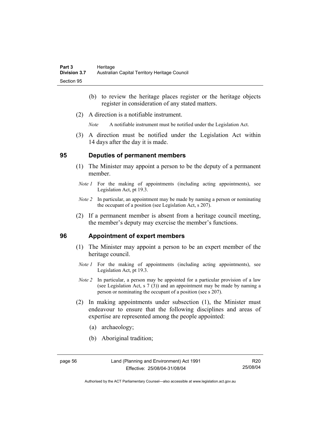- (b) to review the heritage places register or the heritage objects register in consideration of any stated matters.
- (2) A direction is a notifiable instrument.

*Note* A notifiable instrument must be notified under the Legislation Act.

 (3) A direction must be notified under the Legislation Act within 14 days after the day it is made.

#### **95 Deputies of permanent members**

- (1) The Minister may appoint a person to be the deputy of a permanent member.
- *Note 1* For the making of appointments (including acting appointments), see Legislation Act, pt 19.3.
- *Note 2* In particular, an appointment may be made by naming a person or nominating the occupant of a position (see Legislation Act, s 207).
- (2) If a permanent member is absent from a heritage council meeting, the member's deputy may exercise the member's functions.

#### **96 Appointment of expert members**

- (1) The Minister may appoint a person to be an expert member of the heritage council.
	- *Note 1* For the making of appointments (including acting appointments), see Legislation Act, pt 19.3.
	- *Note 2* In particular, a person may be appointed for a particular provision of a law (see Legislation Act, s 7 (3)) and an appointment may be made by naming a person or nominating the occupant of a position (see s 207).
- (2) In making appointments under subsection (1), the Minister must endeavour to ensure that the following disciplines and areas of expertise are represented among the people appointed:
	- (a) archaeology;
	- (b) Aboriginal tradition;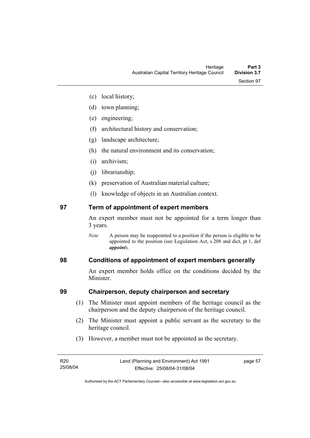- (c) local history;
- (d) town planning;
- (e) engineering;
- (f) architectural history and conservation;
- (g) landscape architecture;
- (h) the natural environment and its conservation;
- (i) archivism;
- (j) librarianship;
- (k) preservation of Australian material culture;
- (l) knowledge of objects in an Australian context.

## **97 Term of appointment of expert members**

An expert member must not be appointed for a term longer than 3 years.

*Note* A person may be reappointed to a position if the person is eligible to be appointed to the position (see Legislation Act, s 208 and dict, pt 1, def *appoint*).

## **98 Conditions of appointment of expert members generally**

An expert member holds office on the conditions decided by the **Minister** 

## **99 Chairperson, deputy chairperson and secretary**

- (1) The Minister must appoint members of the heritage council as the chairperson and the deputy chairperson of the heritage council.
- (2) The Minister must appoint a public servant as the secretary to the heritage council.
- (3) However, a member must not be appointed as the secretary.

page 57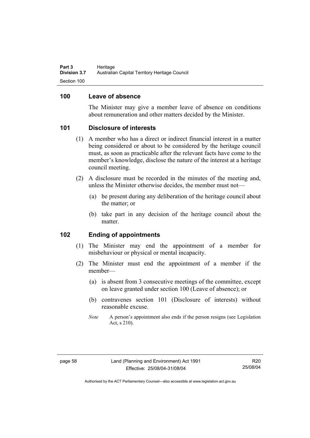### **100 Leave of absence**

The Minister may give a member leave of absence on conditions about remuneration and other matters decided by the Minister.

### **101 Disclosure of interests**

- (1) A member who has a direct or indirect financial interest in a matter being considered or about to be considered by the heritage council must, as soon as practicable after the relevant facts have come to the member's knowledge, disclose the nature of the interest at a heritage council meeting.
- (2) A disclosure must be recorded in the minutes of the meeting and, unless the Minister otherwise decides, the member must not—
	- (a) be present during any deliberation of the heritage council about the matter; or
	- (b) take part in any decision of the heritage council about the matter.

### **102 Ending of appointments**

- (1) The Minister may end the appointment of a member for misbehaviour or physical or mental incapacity.
- (2) The Minister must end the appointment of a member if the member—
	- (a) is absent from 3 consecutive meetings of the committee, except on leave granted under section 100 (Leave of absence); or
	- (b) contravenes section 101 (Disclosure of interests) without reasonable excuse.
	- *Note* A person's appointment also ends if the person resigns (see Legislation Act, s 210).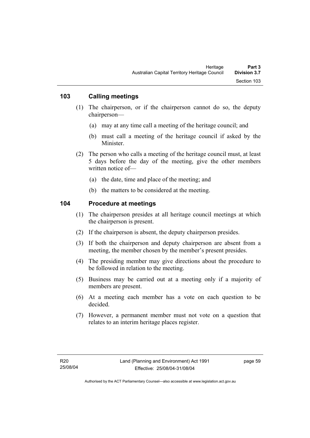### **103 Calling meetings**

- (1) The chairperson, or if the chairperson cannot do so, the deputy chairperson—
	- (a) may at any time call a meeting of the heritage council; and
	- (b) must call a meeting of the heritage council if asked by the **Minister**
- (2) The person who calls a meeting of the heritage council must, at least 5 days before the day of the meeting, give the other members written notice of—
	- (a) the date, time and place of the meeting; and
	- (b) the matters to be considered at the meeting.

### **104 Procedure at meetings**

- (1) The chairperson presides at all heritage council meetings at which the chairperson is present.
- (2) If the chairperson is absent, the deputy chairperson presides.
- (3) If both the chairperson and deputy chairperson are absent from a meeting, the member chosen by the member's present presides.
- (4) The presiding member may give directions about the procedure to be followed in relation to the meeting.
- (5) Business may be carried out at a meeting only if a majority of members are present.
- (6) At a meeting each member has a vote on each question to be decided.
- (7) However, a permanent member must not vote on a question that relates to an interim heritage places register.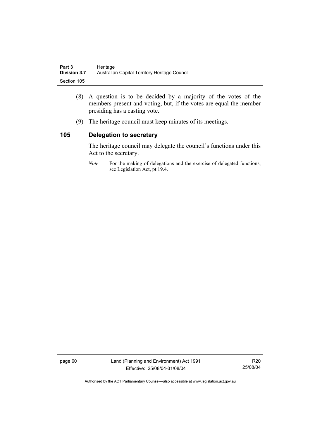| Part 3              | Heritage                                      |
|---------------------|-----------------------------------------------|
| <b>Division 3.7</b> | Australian Capital Territory Heritage Council |
| Section 105         |                                               |

- (8) A question is to be decided by a majority of the votes of the members present and voting, but, if the votes are equal the member presiding has a casting vote.
- (9) The heritage council must keep minutes of its meetings.

### **105 Delegation to secretary**

The heritage council may delegate the council's functions under this Act to the secretary.

*Note* For the making of delegations and the exercise of delegated functions, see Legislation Act, pt 19.4.

page 60 Land (Planning and Environment) Act 1991 Effective: 25/08/04-31/08/04

R20 25/08/04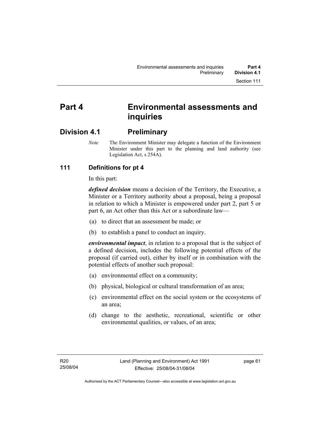# **Part 4 Environmental assessments and inquiries**

## **Division 4.1 Preliminary**

*Note* The Environment Minister may delegate a function of the Environment Minister under this part to the planning and land authority (see Legislation Act, s 254A).

## **111 Definitions for pt 4**

In this part:

*defined decision* means a decision of the Territory, the Executive, a Minister or a Territory authority about a proposal, being a proposal in relation to which a Minister is empowered under part 2, part 5 or part 6, an Act other than this Act or a subordinate law—

- (a) to direct that an assessment be made; or
- (b) to establish a panel to conduct an inquiry.

*environmental impact*, in relation to a proposal that is the subject of a defined decision, includes the following potential effects of the proposal (if carried out), either by itself or in combination with the potential effects of another such proposal:

- (a) environmental effect on a community;
- (b) physical, biological or cultural transformation of an area;
- (c) environmental effect on the social system or the ecosystems of an area;
- (d) change to the aesthetic, recreational, scientific or other environmental qualities, or values, of an area;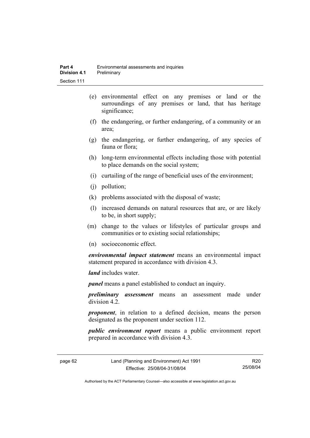- (e) environmental effect on any premises or land or the surroundings of any premises or land, that has heritage significance;
- (f) the endangering, or further endangering, of a community or an area;
- (g) the endangering, or further endangering, of any species of fauna or flora;
- (h) long-term environmental effects including those with potential to place demands on the social system;
- (i) curtailing of the range of beneficial uses of the environment;
- (j) pollution;
- (k) problems associated with the disposal of waste;
- (l) increased demands on natural resources that are, or are likely to be, in short supply;
- (m) change to the values or lifestyles of particular groups and communities or to existing social relationships;
- (n) socioeconomic effect.

*environmental impact statement* means an environmental impact statement prepared in accordance with division 4.3.

*land* includes water.

*panel* means a panel established to conduct an inquiry.

*preliminary assessment* means an assessment made under division 4.2.

*proponent*, in relation to a defined decision, means the person designated as the proponent under section 112.

*public environment report* means a public environment report prepared in accordance with division 4.3.

R20 25/08/04

Authorised by the ACT Parliamentary Counsel—also accessible at www.legislation.act.gov.au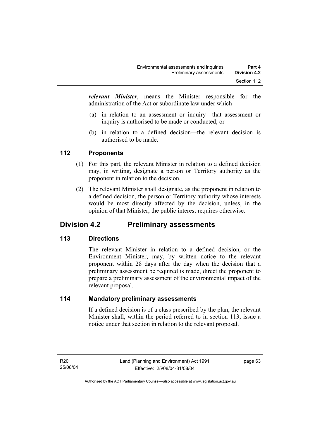*relevant Minister*, means the Minister responsible for the administration of the Act or subordinate law under which—

- (a) in relation to an assessment or inquiry—that assessment or inquiry is authorised to be made or conducted; or
- (b) in relation to a defined decision—the relevant decision is authorised to be made.

## **112 Proponents**

- (1) For this part, the relevant Minister in relation to a defined decision may, in writing, designate a person or Territory authority as the proponent in relation to the decision.
- (2) The relevant Minister shall designate, as the proponent in relation to a defined decision, the person or Territory authority whose interests would be most directly affected by the decision, unless, in the opinion of that Minister, the public interest requires otherwise.

## **Division 4.2 Preliminary assessments**

## **113 Directions**

The relevant Minister in relation to a defined decision, or the Environment Minister, may, by written notice to the relevant proponent within 28 days after the day when the decision that a preliminary assessment be required is made, direct the proponent to prepare a preliminary assessment of the environmental impact of the relevant proposal.

## **114 Mandatory preliminary assessments**

If a defined decision is of a class prescribed by the plan, the relevant Minister shall, within the period referred to in section 113, issue a notice under that section in relation to the relevant proposal.

page 63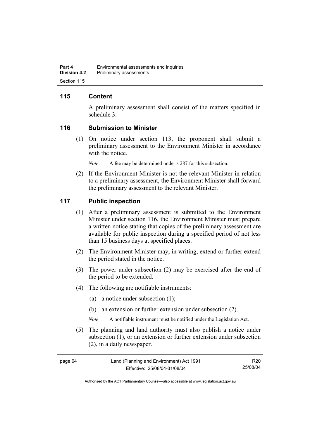## **115 Content**

A preliminary assessment shall consist of the matters specified in schedule 3.

### **116 Submission to Minister**

 (1) On notice under section 113, the proponent shall submit a preliminary assessment to the Environment Minister in accordance with the notice.

*Note* A fee may be determined under s 287 for this subsection.

 (2) If the Environment Minister is not the relevant Minister in relation to a preliminary assessment, the Environment Minister shall forward the preliminary assessment to the relevant Minister.

## **117 Public inspection**

- (1) After a preliminary assessment is submitted to the Environment Minister under section 116, the Environment Minister must prepare a written notice stating that copies of the preliminary assessment are available for public inspection during a specified period of not less than 15 business days at specified places.
- (2) The Environment Minister may, in writing, extend or further extend the period stated in the notice.
- (3) The power under subsection (2) may be exercised after the end of the period to be extended.
- (4) The following are notifiable instruments:
	- (a) a notice under subsection (1);
	- (b) an extension or further extension under subsection (2).
	- *Note* A notifiable instrument must be notified under the Legislation Act.
- (5) The planning and land authority must also publish a notice under subsection (1), or an extension or further extension under subsection (2), in a daily newspaper.

R20 25/08/04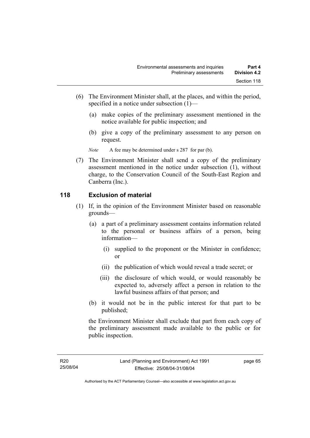- (6) The Environment Minister shall, at the places, and within the period, specified in a notice under subsection (1)—
	- (a) make copies of the preliminary assessment mentioned in the notice available for public inspection; and
	- (b) give a copy of the preliminary assessment to any person on request.

*Note* A fee may be determined under s 287 for par (b).

 (7) The Environment Minister shall send a copy of the preliminary assessment mentioned in the notice under subsection (1), without charge, to the Conservation Council of the South-East Region and Canberra (Inc.).

## **118 Exclusion of material**

- (1) If, in the opinion of the Environment Minister based on reasonable grounds—
	- (a) a part of a preliminary assessment contains information related to the personal or business affairs of a person, being information—
		- (i) supplied to the proponent or the Minister in confidence; or
		- (ii) the publication of which would reveal a trade secret; or
		- (iii) the disclosure of which would, or would reasonably be expected to, adversely affect a person in relation to the lawful business affairs of that person; and
	- (b) it would not be in the public interest for that part to be published;

the Environment Minister shall exclude that part from each copy of the preliminary assessment made available to the public or for public inspection.

page 65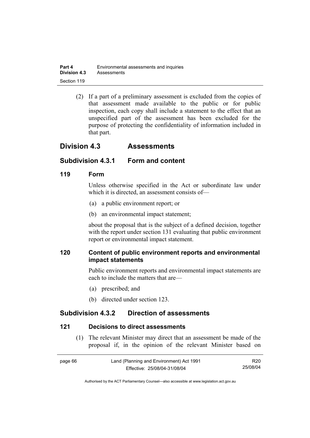| Part 4              | Environmental assessments and inquiries |
|---------------------|-----------------------------------------|
| <b>Division 4.3</b> | Assessments                             |
| Section 119         |                                         |

 (2) If a part of a preliminary assessment is excluded from the copies of that assessment made available to the public or for public inspection, each copy shall include a statement to the effect that an unspecified part of the assessment has been excluded for the purpose of protecting the confidentiality of information included in that part.

## **Division 4.3 Assessments**

### **Subdivision 4.3.1 Form and content**

### **119 Form**

Unless otherwise specified in the Act or subordinate law under which it is directed, an assessment consists of—

- (a) a public environment report; or
- (b) an environmental impact statement;

about the proposal that is the subject of a defined decision, together with the report under section 131 evaluating that public environment report or environmental impact statement.

## **120 Content of public environment reports and environmental impact statements**

Public environment reports and environmental impact statements are each to include the matters that are—

- (a) prescribed; and
- (b) directed under section 123.

## **Subdivision 4.3.2 Direction of assessments**

#### **121 Decisions to direct assessments**

 (1) The relevant Minister may direct that an assessment be made of the proposal if, in the opinion of the relevant Minister based on

| page 66 | Land (Planning and Environment) Act 1991 | R20      |
|---------|------------------------------------------|----------|
|         | Effective: 25/08/04-31/08/04             | 25/08/04 |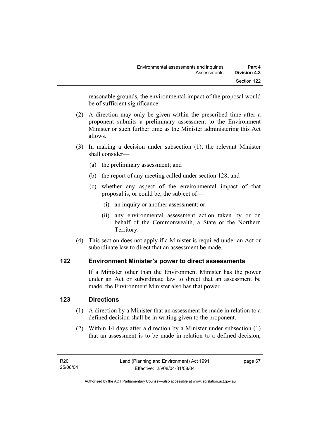reasonable grounds, the environmental impact of the proposal would be of sufficient significance.

- (2) A direction may only be given within the prescribed time after a proponent submits a preliminary assessment to the Environment Minister or such further time as the Minister administering this Act allows.
- (3) In making a decision under subsection (1), the relevant Minister shall consider—
	- (a) the preliminary assessment; and
	- (b) the report of any meeting called under section 128; and
	- (c) whether any aspect of the environmental impact of that proposal is, or could be, the subject of—
		- (i) an inquiry or another assessment; or
		- (ii) any environmental assessment action taken by or on behalf of the Commonwealth, a State or the Northern Territory.
- (4) This section does not apply if a Minister is required under an Act or subordinate law to direct that an assessment be made.

## **122 Environment Minister's power to direct assessments**

If a Minister other than the Environment Minister has the power under an Act or subordinate law to direct that an assessment be made, the Environment Minister also has that power.

## **123 Directions**

- (1) A direction by a Minister that an assessment be made in relation to a defined decision shall be in writing given to the proponent.
- (2) Within 14 days after a direction by a Minister under subsection (1) that an assessment is to be made in relation to a defined decision,

page 67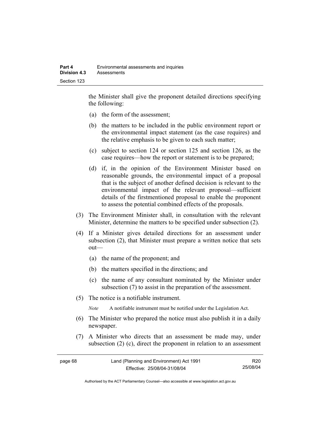the Minister shall give the proponent detailed directions specifying the following:

- (a) the form of the assessment;
- (b) the matters to be included in the public environment report or the environmental impact statement (as the case requires) and the relative emphasis to be given to each such matter;
- (c) subject to section 124 or section 125 and section 126, as the case requires—how the report or statement is to be prepared;
- (d) if, in the opinion of the Environment Minister based on reasonable grounds, the environmental impact of a proposal that is the subject of another defined decision is relevant to the environmental impact of the relevant proposal—sufficient details of the firstmentioned proposal to enable the proponent to assess the potential combined effects of the proposals.
- (3) The Environment Minister shall, in consultation with the relevant Minister, determine the matters to be specified under subsection (2).
- (4) If a Minister gives detailed directions for an assessment under subsection (2), that Minister must prepare a written notice that sets out—
	- (a) the name of the proponent; and
	- (b) the matters specified in the directions; and
	- (c) the name of any consultant nominated by the Minister under subsection (7) to assist in the preparation of the assessment.
- (5) The notice is a notifiable instrument.

*Note* A notifiable instrument must be notified under the Legislation Act.

- (6) The Minister who prepared the notice must also publish it in a daily newspaper.
- (7) A Minister who directs that an assessment be made may, under subsection (2) (c), direct the proponent in relation to an assessment

| page 68 | Land (Planning and Environment) Act 1991 | R20      |
|---------|------------------------------------------|----------|
|         | Effective: 25/08/04-31/08/04             | 25/08/04 |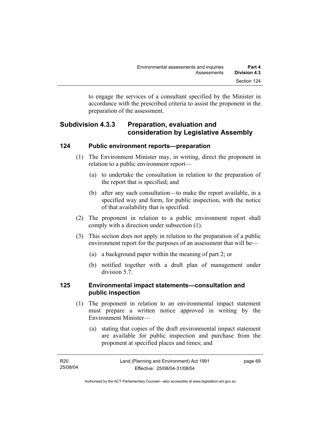to engage the services of a consultant specified by the Minister in accordance with the prescribed criteria to assist the proponent in the preparation of the assessment.

## **Subdivision 4.3.3 Preparation, evaluation and consideration by Legislative Assembly**

### **124 Public environment reports—preparation**

- (1) The Environment Minister may, in writing, direct the proponent in relation to a public environment report—
	- (a) to undertake the consultation in relation to the preparation of the report that is specified; and
	- (b) after any such consultation—to make the report available, in a specified way and form, for public inspection, with the notice of that availability that is specified.
- (2) The proponent in relation to a public environment report shall comply with a direction under subsection (1).
- (3) This section does not apply in relation to the preparation of a public environment report for the purposes of an assessment that will be—
	- (a) a background paper within the meaning of part 2; or
	- (b) notified together with a draft plan of management under division 5.7.

## **125 Environmental impact statements—consultation and public inspection**

- (1) The proponent in relation to an environmental impact statement must prepare a written notice approved in writing by the Environment Minister—
	- (a) stating that copies of the draft environmental impact statement are available for public inspection and purchase from the proponent at specified places and times; and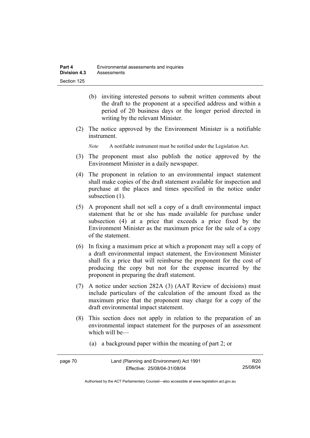- (b) inviting interested persons to submit written comments about the draft to the proponent at a specified address and within a period of 20 business days or the longer period directed in writing by the relevant Minister.
- (2) The notice approved by the Environment Minister is a notifiable instrument.

*Note* A notifiable instrument must be notified under the Legislation Act.

- (3) The proponent must also publish the notice approved by the Environment Minister in a daily newspaper.
- (4) The proponent in relation to an environmental impact statement shall make copies of the draft statement available for inspection and purchase at the places and times specified in the notice under subsection  $(1)$ .
- (5) A proponent shall not sell a copy of a draft environmental impact statement that he or she has made available for purchase under subsection (4) at a price that exceeds a price fixed by the Environment Minister as the maximum price for the sale of a copy of the statement.
- (6) In fixing a maximum price at which a proponent may sell a copy of a draft environmental impact statement, the Environment Minister shall fix a price that will reimburse the proponent for the cost of producing the copy but not for the expense incurred by the proponent in preparing the draft statement.
- (7) A notice under section 282A (3) (AAT Review of decisions) must include particulars of the calculation of the amount fixed as the maximum price that the proponent may charge for a copy of the draft environmental impact statement.
- (8) This section does not apply in relation to the preparation of an environmental impact statement for the purposes of an assessment which will be—
	- (a) a background paper within the meaning of part 2; or

| page 70 | Land (Planning and Environment) Act 1991 | R <sub>20</sub> |
|---------|------------------------------------------|-----------------|
|         | Effective: 25/08/04-31/08/04             | 25/08/04        |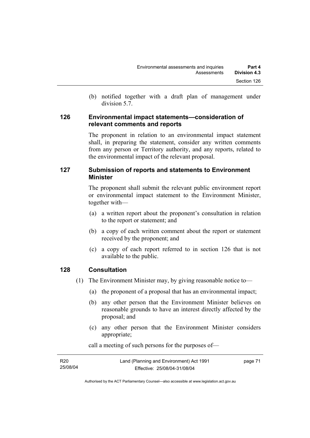(b) notified together with a draft plan of management under division 5.7.

### **126 Environmental impact statements—consideration of relevant comments and reports**

The proponent in relation to an environmental impact statement shall, in preparing the statement, consider any written comments from any person or Territory authority, and any reports, related to the environmental impact of the relevant proposal.

## **127 Submission of reports and statements to Environment Minister**

The proponent shall submit the relevant public environment report or environmental impact statement to the Environment Minister, together with—

- (a) a written report about the proponent's consultation in relation to the report or statement; and
- (b) a copy of each written comment about the report or statement received by the proponent; and
- (c) a copy of each report referred to in section 126 that is not available to the public.

## **128 Consultation**

- (1) The Environment Minister may, by giving reasonable notice to—
	- (a) the proponent of a proposal that has an environmental impact;
	- (b) any other person that the Environment Minister believes on reasonable grounds to have an interest directly affected by the proposal; and
	- (c) any other person that the Environment Minister considers appropriate;

| R20      | Land (Planning and Environment) Act 1991 | page 71 |
|----------|------------------------------------------|---------|
| 25/08/04 | Effective: 25/08/04-31/08/04             |         |

call a meeting of such persons for the purposes of—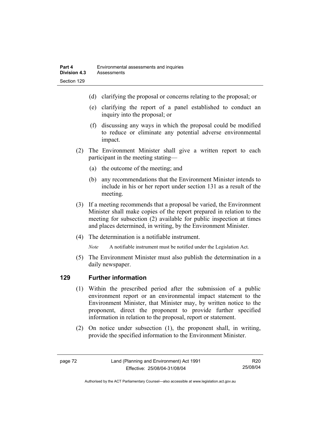- (d) clarifying the proposal or concerns relating to the proposal; or
- (e) clarifying the report of a panel established to conduct an inquiry into the proposal; or
- (f) discussing any ways in which the proposal could be modified to reduce or eliminate any potential adverse environmental impact.
- (2) The Environment Minister shall give a written report to each participant in the meeting stating—
	- (a) the outcome of the meeting; and
	- (b) any recommendations that the Environment Minister intends to include in his or her report under section 131 as a result of the meeting.
- (3) If a meeting recommends that a proposal be varied, the Environment Minister shall make copies of the report prepared in relation to the meeting for subsection (2) available for public inspection at times and places determined, in writing, by the Environment Minister.
- (4) The determination is a notifiable instrument.

*Note* A notifiable instrument must be notified under the Legislation Act.

(5) The Environment Minister must also publish the determination in a daily newspaper.

## **129 Further information**

- (1) Within the prescribed period after the submission of a public environment report or an environmental impact statement to the Environment Minister, that Minister may, by written notice to the proponent, direct the proponent to provide further specified information in relation to the proposal, report or statement.
- (2) On notice under subsection (1), the proponent shall, in writing, provide the specified information to the Environment Minister.

R20 25/08/04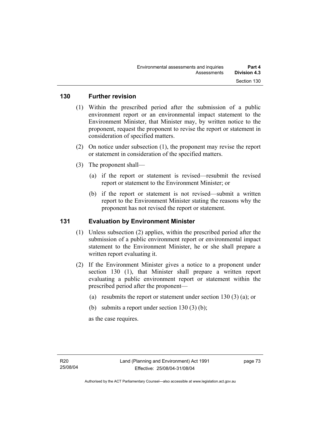### **130 Further revision**

- (1) Within the prescribed period after the submission of a public environment report or an environmental impact statement to the Environment Minister, that Minister may, by written notice to the proponent, request the proponent to revise the report or statement in consideration of specified matters.
- (2) On notice under subsection (1), the proponent may revise the report or statement in consideration of the specified matters.
- (3) The proponent shall—
	- (a) if the report or statement is revised—resubmit the revised report or statement to the Environment Minister; or
	- (b) if the report or statement is not revised—submit a written report to the Environment Minister stating the reasons why the proponent has not revised the report or statement.

### **131 Evaluation by Environment Minister**

- (1) Unless subsection (2) applies, within the prescribed period after the submission of a public environment report or environmental impact statement to the Environment Minister, he or she shall prepare a written report evaluating it.
- (2) If the Environment Minister gives a notice to a proponent under section 130 (1), that Minister shall prepare a written report evaluating a public environment report or statement within the prescribed period after the proponent—
	- (a) resubmits the report or statement under section 130 (3) (a); or
	- (b) submits a report under section  $130(3)$  (b);

as the case requires.

page 73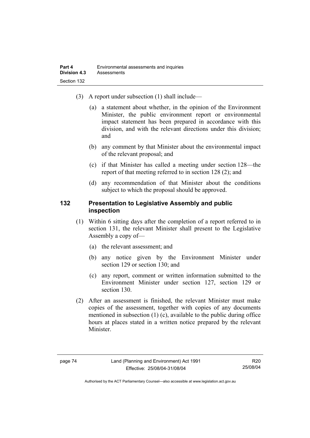- (3) A report under subsection (1) shall include—
	- (a) a statement about whether, in the opinion of the Environment Minister, the public environment report or environmental impact statement has been prepared in accordance with this division, and with the relevant directions under this division; and
	- (b) any comment by that Minister about the environmental impact of the relevant proposal; and
	- (c) if that Minister has called a meeting under section 128—the report of that meeting referred to in section 128 (2); and
	- (d) any recommendation of that Minister about the conditions subject to which the proposal should be approved.

### **132 Presentation to Legislative Assembly and public inspection**

- (1) Within 6 sitting days after the completion of a report referred to in section 131, the relevant Minister shall present to the Legislative Assembly a copy of—
	- (a) the relevant assessment; and
	- (b) any notice given by the Environment Minister under section 129 or section 130; and
	- (c) any report, comment or written information submitted to the Environment Minister under section 127, section 129 or section 130.
- (2) After an assessment is finished, the relevant Minister must make copies of the assessment, together with copies of any documents mentioned in subsection (1) (c), available to the public during office hours at places stated in a written notice prepared by the relevant Minister.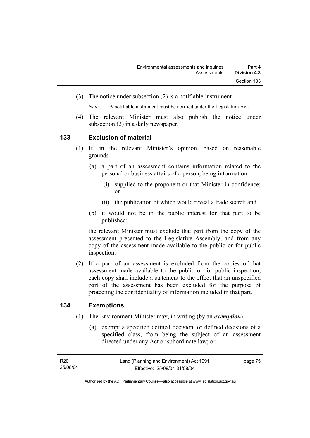(3) The notice under subsection (2) is a notifiable instrument.

*Note* A notifiable instrument must be notified under the Legislation Act.

(4) The relevant Minister must also publish the notice under subsection (2) in a daily newspaper.

### **133 Exclusion of material**

- (1) If, in the relevant Minister's opinion, based on reasonable grounds—
	- (a) a part of an assessment contains information related to the personal or business affairs of a person, being information—
		- (i) supplied to the proponent or that Minister in confidence; or
		- (ii) the publication of which would reveal a trade secret; and
	- (b) it would not be in the public interest for that part to be published;

the relevant Minister must exclude that part from the copy of the assessment presented to the Legislative Assembly, and from any copy of the assessment made available to the public or for public inspection.

 (2) If a part of an assessment is excluded from the copies of that assessment made available to the public or for public inspection, each copy shall include a statement to the effect that an unspecified part of the assessment has been excluded for the purpose of protecting the confidentiality of information included in that part.

## **134 Exemptions**

- (1) The Environment Minister may, in writing (by an *exemption*)—
	- (a) exempt a specified defined decision, or defined decisions of a specified class, from being the subject of an assessment directed under any Act or subordinate law; or

page 75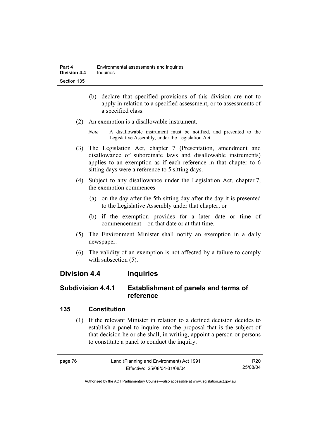- (b) declare that specified provisions of this division are not to apply in relation to a specified assessment, or to assessments of a specified class.
- (2) An exemption is a disallowable instrument.
	- *Note* A disallowable instrument must be notified, and presented to the Legislative Assembly, under the Legislation Act.
- (3) The Legislation Act, chapter 7 (Presentation, amendment and disallowance of subordinate laws and disallowable instruments) applies to an exemption as if each reference in that chapter to 6 sitting days were a reference to 5 sitting days.
- (4) Subject to any disallowance under the Legislation Act, chapter 7, the exemption commences—
	- (a) on the day after the 5th sitting day after the day it is presented to the Legislative Assembly under that chapter; or
	- (b) if the exemption provides for a later date or time of commencement—on that date or at that time.
- (5) The Environment Minister shall notify an exemption in a daily newspaper.
- (6) The validity of an exemption is not affected by a failure to comply with subsection  $(5)$ .

## **Division 4.4 Inquiries**

## **Subdivision 4.4.1 Establishment of panels and terms of reference**

## **135 Constitution**

 (1) If the relevant Minister in relation to a defined decision decides to establish a panel to inquire into the proposal that is the subject of that decision he or she shall, in writing, appoint a person or persons to constitute a panel to conduct the inquiry.

| page 76 | Land (Planning and Environment) Act 1991 | R20      |
|---------|------------------------------------------|----------|
|         | Effective: 25/08/04-31/08/04             | 25/08/04 |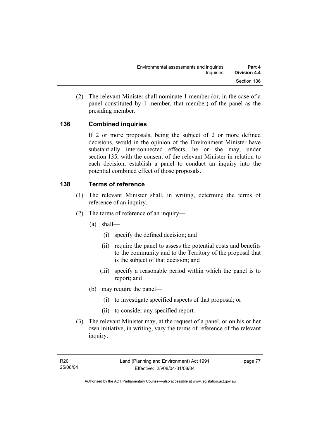(2) The relevant Minister shall nominate 1 member (or, in the case of a panel constituted by 1 member, that member) of the panel as the presiding member.

## **136 Combined inquiries**

If 2 or more proposals, being the subject of 2 or more defined decisions, would in the opinion of the Environment Minister have substantially interconnected effects, he or she may, under section 135, with the consent of the relevant Minister in relation to each decision, establish a panel to conduct an inquiry into the potential combined effect of those proposals.

## **138 Terms of reference**

- (1) The relevant Minister shall, in writing, determine the terms of reference of an inquiry.
- (2) The terms of reference of an inquiry—
	- (a) shall—
		- (i) specify the defined decision; and
		- (ii) require the panel to assess the potential costs and benefits to the community and to the Territory of the proposal that is the subject of that decision; and
		- (iii) specify a reasonable period within which the panel is to report; and
	- (b) may require the panel—
		- (i) to investigate specified aspects of that proposal; or
		- (ii) to consider any specified report.
- (3) The relevant Minister may, at the request of a panel, or on his or her own initiative, in writing, vary the terms of reference of the relevant inquiry.

page 77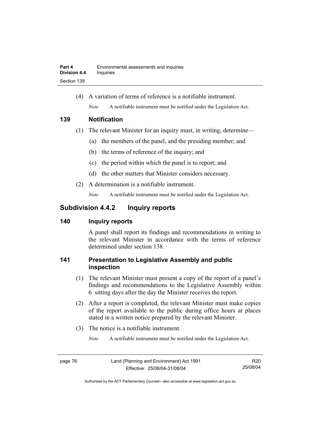(4) A variation of terms of reference is a notifiable instrument. *Note* A notifiable instrument must be notified under the Legislation Act.

### **139 Notification**

- (1) The relevant Minister for an inquiry must, in writing, determine—
	- (a) the members of the panel, and the presiding member; and
	- (b) the terms of reference of the inquiry; and
	- (c) the period within which the panel is to report; and
	- (d) the other matters that Minister considers necessary.
- (2) A determination is a notifiable instrument.

*Note* A notifiable instrument must be notified under the Legislation Act.

## **Subdivision 4.4.2 Inquiry reports**

## **140 Inquiry reports**

A panel shall report its findings and recommendations in writing to the relevant Minister in accordance with the terms of reference determined under section 138.

## **141 Presentation to Legislative Assembly and public inspection**

- (1) The relevant Minister must present a copy of the report of a panel's findings and recommendations to the Legislative Assembly within 6 sitting days after the day the Minister receives the report.
- (2) After a report is completed, the relevant Minister must make copies of the report available to the public during office hours at places stated in a written notice prepared by the relevant Minister.
- (3) The notice is a notifiable instrument.

*Note* A notifiable instrument must be notified under the Legislation Act.

R20 25/08/04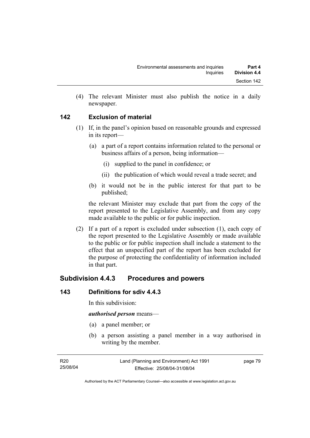(4) The relevant Minister must also publish the notice in a daily newspaper.

## **142 Exclusion of material**

- (1) If, in the panel's opinion based on reasonable grounds and expressed in its report—
	- (a) a part of a report contains information related to the personal or business affairs of a person, being information—
		- (i) supplied to the panel in confidence; or
		- (ii) the publication of which would reveal a trade secret; and
	- (b) it would not be in the public interest for that part to be published;

the relevant Minister may exclude that part from the copy of the report presented to the Legislative Assembly, and from any copy made available to the public or for public inspection.

 (2) If a part of a report is excluded under subsection (1), each copy of the report presented to the Legislative Assembly or made available to the public or for public inspection shall include a statement to the effect that an unspecified part of the report has been excluded for the purpose of protecting the confidentiality of information included in that part.

## **Subdivision 4.4.3 Procedures and powers**

### **143 Definitions for sdiv 4.4.3**

In this subdivision:

#### *authorised person* means—

- (a) a panel member; or
- (b) a person assisting a panel member in a way authorised in writing by the member.

page 79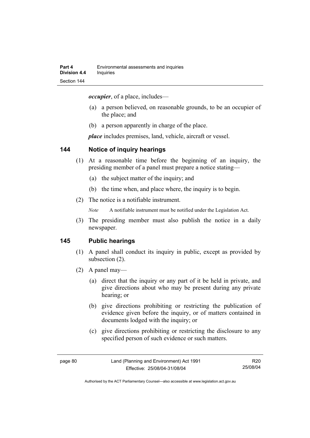*occupier*, of a place, includes—

- (a) a person believed, on reasonable grounds, to be an occupier of the place; and
- (b) a person apparently in charge of the place.

*place* includes premises, land, vehicle, aircraft or vessel.

### **144 Notice of inquiry hearings**

- (1) At a reasonable time before the beginning of an inquiry, the presiding member of a panel must prepare a notice stating—
	- (a) the subject matter of the inquiry; and
	- (b) the time when, and place where, the inquiry is to begin.
- (2) The notice is a notifiable instrument.

*Note* A notifiable instrument must be notified under the Legislation Act.

(3) The presiding member must also publish the notice in a daily newspaper.

### **145 Public hearings**

- (1) A panel shall conduct its inquiry in public, except as provided by subsection (2).
- (2) A panel may—
	- (a) direct that the inquiry or any part of it be held in private, and give directions about who may be present during any private hearing; or
	- (b) give directions prohibiting or restricting the publication of evidence given before the inquiry, or of matters contained in documents lodged with the inquiry; or
	- (c) give directions prohibiting or restricting the disclosure to any specified person of such evidence or such matters.

R20 25/08/04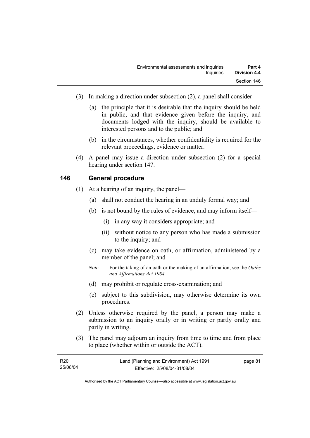- (3) In making a direction under subsection (2), a panel shall consider—
	- (a) the principle that it is desirable that the inquiry should be held in public, and that evidence given before the inquiry, and documents lodged with the inquiry, should be available to interested persons and to the public; and
	- (b) in the circumstances, whether confidentiality is required for the relevant proceedings, evidence or matter.
- (4) A panel may issue a direction under subsection (2) for a special hearing under section 147.

### **146 General procedure**

- (1) At a hearing of an inquiry, the panel—
	- (a) shall not conduct the hearing in an unduly formal way; and
	- (b) is not bound by the rules of evidence, and may inform itself—
		- (i) in any way it considers appropriate; and
		- (ii) without notice to any person who has made a submission to the inquiry; and
	- (c) may take evidence on oath, or affirmation, administered by a member of the panel; and
	- *Note* For the taking of an oath or the making of an affirmation, see the *Oaths and Affirmations Act 1984.*
	- (d) may prohibit or regulate cross-examination; and
	- (e) subject to this subdivision, may otherwise determine its own procedures.
- (2) Unless otherwise required by the panel, a person may make a submission to an inquiry orally or in writing or partly orally and partly in writing.
- (3) The panel may adjourn an inquiry from time to time and from place to place (whether within or outside the ACT).

| R <sub>20</sub> | Land (Planning and Environment) Act 1991 | page 81 |
|-----------------|------------------------------------------|---------|
| 25/08/04        | Effective: 25/08/04-31/08/04             |         |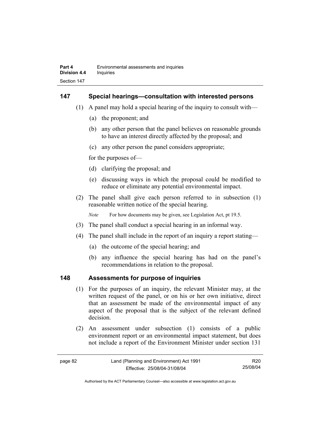### **147 Special hearings—consultation with interested persons**

- (1) A panel may hold a special hearing of the inquiry to consult with—
	- (a) the proponent; and
	- (b) any other person that the panel believes on reasonable grounds to have an interest directly affected by the proposal; and
	- (c) any other person the panel considers appropriate;

for the purposes of—

- (d) clarifying the proposal; and
- (e) discussing ways in which the proposal could be modified to reduce or eliminate any potential environmental impact.
- (2) The panel shall give each person referred to in subsection (1) reasonable written notice of the special hearing.

*Note* For how documents may be given, see Legislation Act, pt 19.5.

- (3) The panel shall conduct a special hearing in an informal way.
- (4) The panel shall include in the report of an inquiry a report stating—
	- (a) the outcome of the special hearing; and
	- (b) any influence the special hearing has had on the panel's recommendations in relation to the proposal.

### **148 Assessments for purpose of inquiries**

- (1) For the purposes of an inquiry, the relevant Minister may, at the written request of the panel, or on his or her own initiative, direct that an assessment be made of the environmental impact of any aspect of the proposal that is the subject of the relevant defined decision.
- (2) An assessment under subsection (1) consists of a public environment report or an environmental impact statement, but does not include a report of the Environment Minister under section 131

| page 82 | Land (Planning and Environment) Act 1991 | R20      |
|---------|------------------------------------------|----------|
|         | Effective: 25/08/04-31/08/04             | 25/08/04 |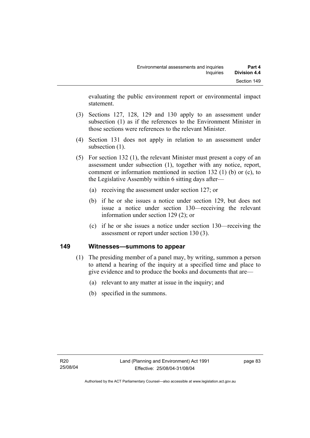evaluating the public environment report or environmental impact statement.

- (3) Sections 127, 128, 129 and 130 apply to an assessment under subsection (1) as if the references to the Environment Minister in those sections were references to the relevant Minister.
- (4) Section 131 does not apply in relation to an assessment under subsection  $(1)$ .
- (5) For section 132 (1), the relevant Minister must present a copy of an assessment under subsection (1), together with any notice, report, comment or information mentioned in section 132 (1) (b) or (c), to the Legislative Assembly within 6 sitting days after—
	- (a) receiving the assessment under section 127; or
	- (b) if he or she issues a notice under section 129, but does not issue a notice under section 130—receiving the relevant information under section 129 (2); or
	- (c) if he or she issues a notice under section 130—receiving the assessment or report under section 130 (3).

### **149 Witnesses—summons to appear**

- (1) The presiding member of a panel may, by writing, summon a person to attend a hearing of the inquiry at a specified time and place to give evidence and to produce the books and documents that are—
	- (a) relevant to any matter at issue in the inquiry; and
	- (b) specified in the summons.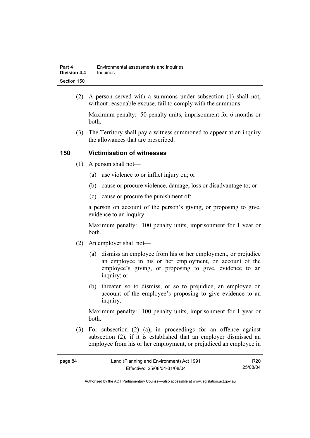| Part 4              | Environmental assessments and inquiries |
|---------------------|-----------------------------------------|
| <b>Division 4.4</b> | Inquiries                               |
| Section 150         |                                         |

 (2) A person served with a summons under subsection (1) shall not, without reasonable excuse, fail to comply with the summons.

Maximum penalty: 50 penalty units, imprisonment for 6 months or both.

 (3) The Territory shall pay a witness summoned to appear at an inquiry the allowances that are prescribed.

### **150 Victimisation of witnesses**

- (1) A person shall not—
	- (a) use violence to or inflict injury on; or
	- (b) cause or procure violence, damage, loss or disadvantage to; or
	- (c) cause or procure the punishment of;

a person on account of the person's giving, or proposing to give, evidence to an inquiry.

Maximum penalty: 100 penalty units, imprisonment for 1 year or both.

- (2) An employer shall not—
	- (a) dismiss an employee from his or her employment, or prejudice an employee in his or her employment, on account of the employee's giving, or proposing to give, evidence to an inquiry; or
	- (b) threaten so to dismiss, or so to prejudice, an employee on account of the employee's proposing to give evidence to an inquiry.

Maximum penalty: 100 penalty units, imprisonment for 1 year or both.

 (3) For subsection (2) (a), in proceedings for an offence against subsection (2), if it is established that an employer dismissed an employee from his or her employment, or prejudiced an employee in

R20 25/08/04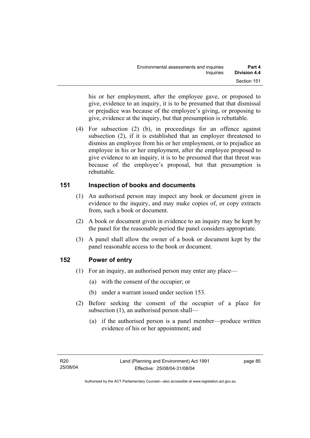his or her employment, after the employee gave, or proposed to give, evidence to an inquiry, it is to be presumed that that dismissal or prejudice was because of the employee's giving, or proposing to give, evidence at the inquiry, but that presumption is rebuttable.

 (4) For subsection (2) (b), in proceedings for an offence against subsection (2), if it is established that an employer threatened to dismiss an employee from his or her employment, or to prejudice an employee in his or her employment, after the employee proposed to give evidence to an inquiry, it is to be presumed that that threat was because of the employee's proposal, but that presumption is rebuttable.

## **151 Inspection of books and documents**

- (1) An authorised person may inspect any book or document given in evidence to the inquiry, and may make copies of, or copy extracts from, such a book or document.
- (2) A book or document given in evidence to an inquiry may be kept by the panel for the reasonable period the panel considers appropriate.
- (3) A panel shall allow the owner of a book or document kept by the panel reasonable access to the book or document.

## **152 Power of entry**

- (1) For an inquiry, an authorised person may enter any place—
	- (a) with the consent of the occupier; or
	- (b) under a warrant issued under section 153.
- (2) Before seeking the consent of the occupier of a place for subsection (1), an authorised person shall—
	- (a) if the authorised person is a panel member—produce written evidence of his or her appointment; and

page 85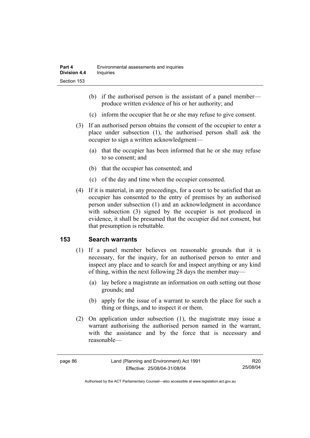- (b) if the authorised person is the assistant of a panel member produce written evidence of his or her authority; and
- (c) inform the occupier that he or she may refuse to give consent.
- (3) If an authorised person obtains the consent of the occupier to enter a place under subsection (1), the authorised person shall ask the occupier to sign a written acknowledgment—
	- (a) that the occupier has been informed that he or she may refuse to so consent; and
	- (b) that the occupier has consented; and
	- (c) of the day and time when the occupier consented.
- (4) If it is material, in any proceedings, for a court to be satisfied that an occupier has consented to the entry of premises by an authorised person under subsection (1) and an acknowledgment in accordance with subsection (3) signed by the occupier is not produced in evidence, it shall be presumed that the occupier did not consent, but that presumption is rebuttable.

## **153 Search warrants**

- (1) If a panel member believes on reasonable grounds that it is necessary, for the inquiry, for an authorised person to enter and inspect any place and to search for and inspect anything or any kind of thing, within the next following 28 days the member may—
	- (a) lay before a magistrate an information on oath setting out those grounds; and
	- (b) apply for the issue of a warrant to search the place for such a thing or things, and to inspect it or them.
- (2) On application under subsection (1), the magistrate may issue a warrant authorising the authorised person named in the warrant, with the assistance and by the force that is necessary and reasonable—

R20 25/08/04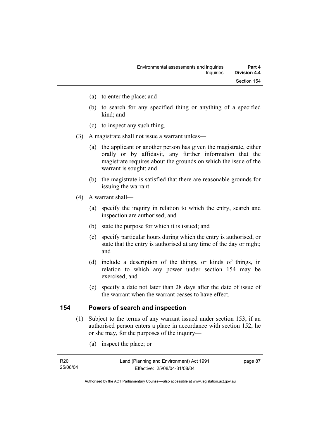- (a) to enter the place; and
- (b) to search for any specified thing or anything of a specified kind; and
- (c) to inspect any such thing.
- (3) A magistrate shall not issue a warrant unless—
	- (a) the applicant or another person has given the magistrate, either orally or by affidavit, any further information that the magistrate requires about the grounds on which the issue of the warrant is sought; and
	- (b) the magistrate is satisfied that there are reasonable grounds for issuing the warrant.
- (4) A warrant shall—
	- (a) specify the inquiry in relation to which the entry, search and inspection are authorised; and
	- (b) state the purpose for which it is issued; and
	- (c) specify particular hours during which the entry is authorised, or state that the entry is authorised at any time of the day or night; and
	- (d) include a description of the things, or kinds of things, in relation to which any power under section 154 may be exercised; and
	- (e) specify a date not later than 28 days after the date of issue of the warrant when the warrant ceases to have effect.

### **154 Powers of search and inspection**

- (1) Subject to the terms of any warrant issued under section 153, if an authorised person enters a place in accordance with section 152, he or she may, for the purposes of the inquiry—
	- (a) inspect the place; or

| R20      |  |
|----------|--|
| 25/08/04 |  |

page 87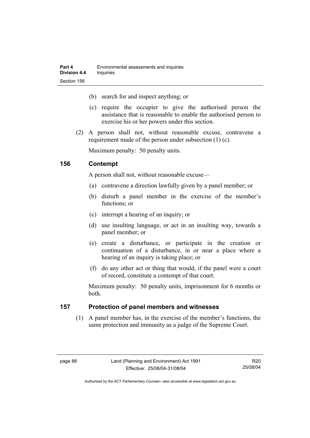- (b) search for and inspect anything; or
- (c) require the occupier to give the authorised person the assistance that is reasonable to enable the authorised person to exercise his or her powers under this section.
- (2) A person shall not, without reasonable excuse, contravene a requirement made of the person under subsection (1) (c).

Maximum penalty: 50 penalty units.

### **156 Contempt**

A person shall not, without reasonable excuse—

- (a) contravene a direction lawfully given by a panel member; or
- (b) disturb a panel member in the exercise of the member's functions; or
- (c) interrupt a hearing of an inquiry; or
- (d) use insulting language, or act in an insulting way, towards a panel member; or
- (e) create a disturbance, or participate in the creation or continuation of a disturbance, in or near a place where a hearing of an inquiry is taking place; or
- (f) do any other act or thing that would, if the panel were a court of record, constitute a contempt of that court.

Maximum penalty: 50 penalty units, imprisonment for 6 months or both.

### **157 Protection of panel members and witnesses**

 (1) A panel member has, in the exercise of the member's functions, the same protection and immunity as a judge of the Supreme Court.

R20 25/08/04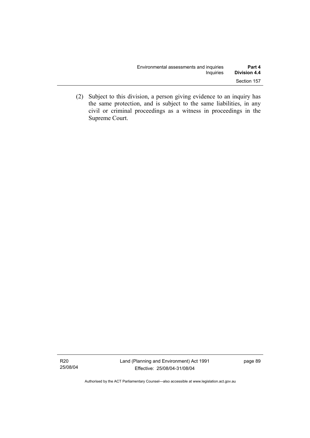| Environmental assessments and inquiries | Part 4              |
|-----------------------------------------|---------------------|
| Inquiries                               | <b>Division 4.4</b> |
|                                         | Section 157         |

 (2) Subject to this division, a person giving evidence to an inquiry has the same protection, and is subject to the same liabilities, in any civil or criminal proceedings as a witness in proceedings in the Supreme Court.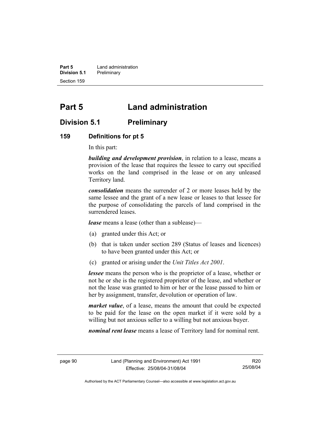**Part 5 Land administration Division 5.1** Preliminary Section 159

# **Part 5 Land administration**

## **Division 5.1 Preliminary**

#### **159 Definitions for pt 5**

In this part:

*building and development provision*, in relation to a lease, means a provision of the lease that requires the lessee to carry out specified works on the land comprised in the lease or on any unleased Territory land.

*consolidation* means the surrender of 2 or more leases held by the same lessee and the grant of a new lease or leases to that lessee for the purpose of consolidating the parcels of land comprised in the surrendered leases.

*lease* means a lease (other than a sublease)—

- (a) granted under this Act; or
- (b) that is taken under section 289 (Status of leases and licences) to have been granted under this Act; or
- (c) granted or arising under the *Unit Titles Act 2001*.

*lessee* means the person who is the proprietor of a lease, whether or not he or she is the registered proprietor of the lease, and whether or not the lease was granted to him or her or the lease passed to him or her by assignment, transfer, devolution or operation of law.

*market value*, of a lease, means the amount that could be expected to be paid for the lease on the open market if it were sold by a willing but not anxious seller to a willing but not anxious buyer.

*nominal rent lease* means a lease of Territory land for nominal rent.

R20 25/08/04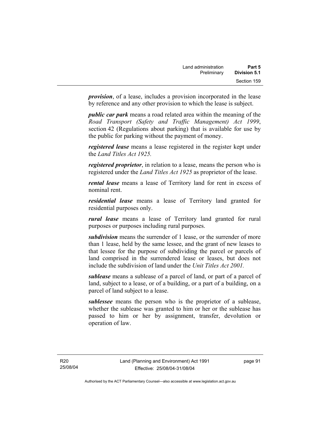*provision*, of a lease, includes a provision incorporated in the lease by reference and any other provision to which the lease is subject.

*public car park* means a road related area within the meaning of the *Road Transport (Safety and Traffic Management) Act 1999*, section 42 (Regulations about parking) that is available for use by the public for parking without the payment of money.

*registered lease* means a lease registered in the register kept under the *Land Titles Act 1925.*

*registered proprietor*, in relation to a lease, means the person who is registered under the *Land Titles Act 1925* as proprietor of the lease.

*rental lease* means a lease of Territory land for rent in excess of nominal rent.

*residential lease* means a lease of Territory land granted for residential purposes only.

*rural lease* means a lease of Territory land granted for rural purposes or purposes including rural purposes.

*subdivision* means the surrender of 1 lease, or the surrender of more than 1 lease, held by the same lessee, and the grant of new leases to that lessee for the purpose of subdividing the parcel or parcels of land comprised in the surrendered lease or leases, but does not include the subdivision of land under the *Unit Titles Act 2001.* 

*sublease* means a sublease of a parcel of land, or part of a parcel of land, subject to a lease, or of a building, or a part of a building, on a parcel of land subject to a lease.

*sublessee* means the person who is the proprietor of a sublease, whether the sublease was granted to him or her or the sublease has passed to him or her by assignment, transfer, devolution or operation of law.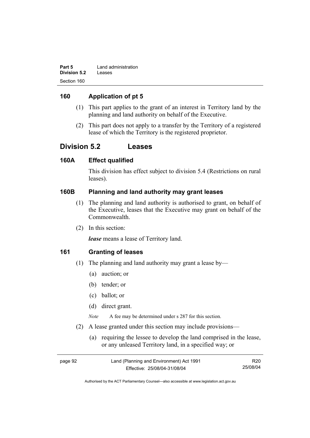| Part 5              | Land administration |
|---------------------|---------------------|
| <b>Division 5.2</b> | Leases              |
| Section 160         |                     |

## **160 Application of pt 5**

- (1) This part applies to the grant of an interest in Territory land by the planning and land authority on behalf of the Executive.
- (2) This part does not apply to a transfer by the Territory of a registered lease of which the Territory is the registered proprietor.

## **Division 5.2 Leases**

### **160A Effect qualified**

This division has effect subject to division 5.4 (Restrictions on rural leases).

## **160B Planning and land authority may grant leases**

- (1) The planning and land authority is authorised to grant, on behalf of the Executive, leases that the Executive may grant on behalf of the Commonwealth.
- (2) In this section:

*lease* means a lease of Territory land.

## **161 Granting of leases**

- (1) The planning and land authority may grant a lease by—
	- (a) auction; or
	- (b) tender; or
	- (c) ballot; or
	- (d) direct grant.

*Note* A fee may be determined under s 287 for this section.

- (2) A lease granted under this section may include provisions—
	- (a) requiring the lessee to develop the land comprised in the lease, or any unleased Territory land, in a specified way; or

| page 92 | Land (Planning and Environment) Act 1991 | R <sub>20</sub> |
|---------|------------------------------------------|-----------------|
|         | Effective: 25/08/04-31/08/04             | 25/08/04        |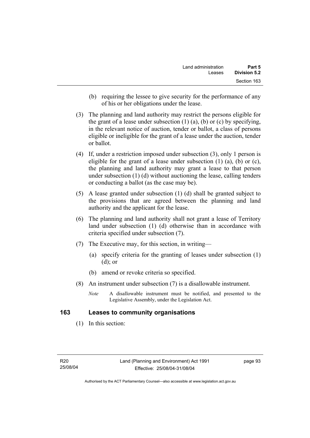- (b) requiring the lessee to give security for the performance of any of his or her obligations under the lease.
- (3) The planning and land authority may restrict the persons eligible for the grant of a lease under subsection  $(1)$   $(a)$ ,  $(b)$  or  $(c)$  by specifying, in the relevant notice of auction, tender or ballot, a class of persons eligible or ineligible for the grant of a lease under the auction, tender or ballot.
- (4) If, under a restriction imposed under subsection (3), only 1 person is eligible for the grant of a lease under subsection  $(1)$   $(a)$ ,  $(b)$  or  $(c)$ , the planning and land authority may grant a lease to that person under subsection (1) (d) without auctioning the lease, calling tenders or conducting a ballot (as the case may be).
- (5) A lease granted under subsection (1) (d) shall be granted subject to the provisions that are agreed between the planning and land authority and the applicant for the lease.
- (6) The planning and land authority shall not grant a lease of Territory land under subsection (1) (d) otherwise than in accordance with criteria specified under subsection (7).
- (7) The Executive may, for this section, in writing—
	- (a) specify criteria for the granting of leases under subsection (1) (d); or
	- (b) amend or revoke criteria so specified.
- (8) An instrument under subsection (7) is a disallowable instrument.
	- *Note* A disallowable instrument must be notified, and presented to the Legislative Assembly, under the Legislation Act.

### **163 Leases to community organisations**

(1) In this section: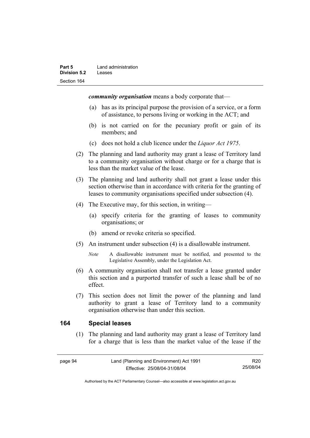*community organisation* means a body corporate that—

- (a) has as its principal purpose the provision of a service, or a form of assistance, to persons living or working in the ACT; and
- (b) is not carried on for the pecuniary profit or gain of its members; and
- (c) does not hold a club licence under the *Liquor Act 1975*.
- (2) The planning and land authority may grant a lease of Territory land to a community organisation without charge or for a charge that is less than the market value of the lease.
- (3) The planning and land authority shall not grant a lease under this section otherwise than in accordance with criteria for the granting of leases to community organisations specified under subsection (4).
- (4) The Executive may, for this section, in writing—
	- (a) specify criteria for the granting of leases to community organisations; or
	- (b) amend or revoke criteria so specified.
- (5) An instrument under subsection (4) is a disallowable instrument.
	- *Note* A disallowable instrument must be notified, and presented to the Legislative Assembly, under the Legislation Act.
- (6) A community organisation shall not transfer a lease granted under this section and a purported transfer of such a lease shall be of no effect.
- (7) This section does not limit the power of the planning and land authority to grant a lease of Territory land to a community organisation otherwise than under this section.

#### **164 Special leases**

 (1) The planning and land authority may grant a lease of Territory land for a charge that is less than the market value of the lease if the

Authorised by the ACT Parliamentary Counsel—also accessible at www.legislation.act.gov.au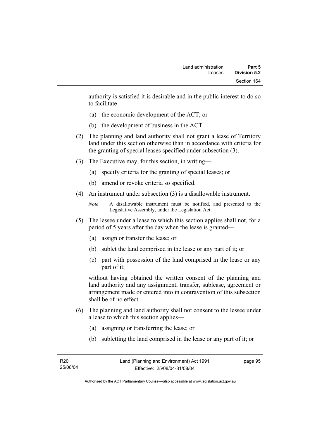authority is satisfied it is desirable and in the public interest to do so to facilitate—

- (a) the economic development of the ACT; or
- (b) the development of business in the ACT.
- (2) The planning and land authority shall not grant a lease of Territory land under this section otherwise than in accordance with criteria for the granting of special leases specified under subsection (3).
- (3) The Executive may, for this section, in writing—
	- (a) specify criteria for the granting of special leases; or
	- (b) amend or revoke criteria so specified.
- (4) An instrument under subsection (3) is a disallowable instrument.

```
Note A disallowable instrument must be notified, and presented to the 
Legislative Assembly, under the Legislation Act.
```
- (5) The lessee under a lease to which this section applies shall not, for a period of 5 years after the day when the lease is granted—
	- (a) assign or transfer the lease; or
	- (b) sublet the land comprised in the lease or any part of it; or
	- (c) part with possession of the land comprised in the lease or any part of it;

without having obtained the written consent of the planning and land authority and any assignment, transfer, sublease, agreement or arrangement made or entered into in contravention of this subsection shall be of no effect.

- (6) The planning and land authority shall not consent to the lessee under a lease to which this section applies—
	- (a) assigning or transferring the lease; or
	- (b) subletting the land comprised in the lease or any part of it; or

page 95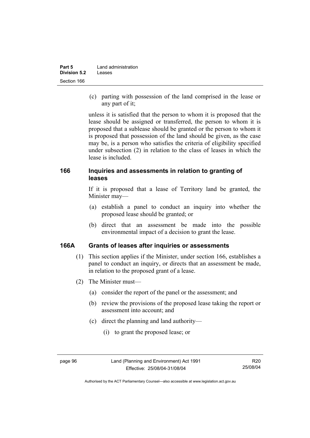| Part 5              | Land administration |  |
|---------------------|---------------------|--|
| <b>Division 5.2</b> | Leases              |  |
| Section 166         |                     |  |

 (c) parting with possession of the land comprised in the lease or any part of it;

unless it is satisfied that the person to whom it is proposed that the lease should be assigned or transferred, the person to whom it is proposed that a sublease should be granted or the person to whom it is proposed that possession of the land should be given, as the case may be, is a person who satisfies the criteria of eligibility specified under subsection (2) in relation to the class of leases in which the lease is included.

### **166 Inquiries and assessments in relation to granting of leases**

If it is proposed that a lease of Territory land be granted, the Minister may—

- (a) establish a panel to conduct an inquiry into whether the proposed lease should be granted; or
- (b) direct that an assessment be made into the possible environmental impact of a decision to grant the lease.

#### **166A Grants of leases after inquiries or assessments**

- (1) This section applies if the Minister, under section 166, establishes a panel to conduct an inquiry, or directs that an assessment be made, in relation to the proposed grant of a lease.
- (2) The Minister must—
	- (a) consider the report of the panel or the assessment; and
	- (b) review the provisions of the proposed lease taking the report or assessment into account; and
	- (c) direct the planning and land authority—
		- (i) to grant the proposed lease; or

Authorised by the ACT Parliamentary Counsel—also accessible at www.legislation.act.gov.au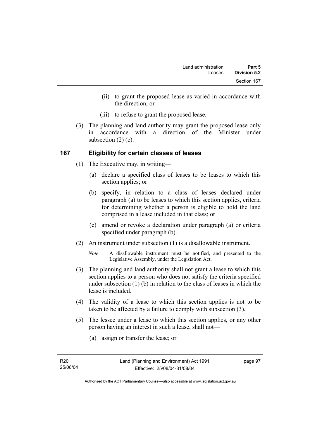- (ii) to grant the proposed lease as varied in accordance with the direction; or
- (iii) to refuse to grant the proposed lease.
- (3) The planning and land authority may grant the proposed lease only in accordance with a direction of the Minister under subsection (2) (c).

### **167 Eligibility for certain classes of leases**

- (1) The Executive may, in writing—
	- (a) declare a specified class of leases to be leases to which this section applies; or
	- (b) specify, in relation to a class of leases declared under paragraph (a) to be leases to which this section applies, criteria for determining whether a person is eligible to hold the land comprised in a lease included in that class; or
	- (c) amend or revoke a declaration under paragraph (a) or criteria specified under paragraph (b).
- (2) An instrument under subsection (1) is a disallowable instrument.
	- *Note* A disallowable instrument must be notified, and presented to the Legislative Assembly, under the Legislation Act.
- (3) The planning and land authority shall not grant a lease to which this section applies to a person who does not satisfy the criteria specified under subsection (1) (b) in relation to the class of leases in which the lease is included.
- (4) The validity of a lease to which this section applies is not to be taken to be affected by a failure to comply with subsection (3).
- (5) The lessee under a lease to which this section applies, or any other person having an interest in such a lease, shall not—
	- (a) assign or transfer the lease; or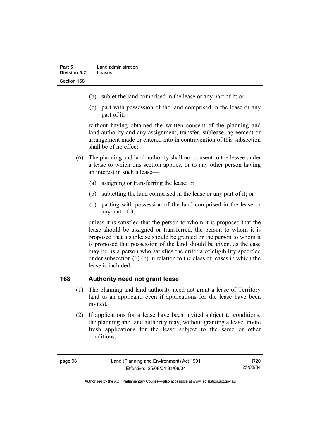- (b) sublet the land comprised in the lease or any part of it; or
- (c) part with possession of the land comprised in the lease or any part of it;

without having obtained the written consent of the planning and land authority and any assignment, transfer, sublease, agreement or arrangement made or entered into in contravention of this subsection shall be of no effect.

- (6) The planning and land authority shall not consent to the lessee under a lease to which this section applies, or to any other person having an interest in such a lease—
	- (a) assigning or transferring the lease; or
	- (b) subletting the land comprised in the lease or any part of it; or
	- (c) parting with possession of the land comprised in the lease or any part of it;

unless it is satisfied that the person to whom it is proposed that the lease should be assigned or transferred, the person to whom it is proposed that a sublease should be granted or the person to whom it is proposed that possession of the land should be given, as the case may be, is a person who satisfies the criteria of eligibility specified under subsection (1) (b) in relation to the class of leases in which the lease is included.

#### **168 Authority need not grant lease**

- (1) The planning and land authority need not grant a lease of Territory land to an applicant, even if applications for the lease have been invited.
- (2) If applications for a lease have been invited subject to conditions, the planning and land authority may, without granting a lease, invite fresh applications for the lease subject to the same or other conditions.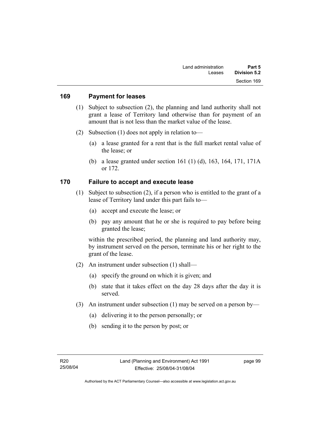#### **169 Payment for leases**

- (1) Subject to subsection (2), the planning and land authority shall not grant a lease of Territory land otherwise than for payment of an amount that is not less than the market value of the lease.
- (2) Subsection (1) does not apply in relation to—
	- (a) a lease granted for a rent that is the full market rental value of the lease; or
	- (b) a lease granted under section 161 (1) (d), 163, 164, 171, 171A or 172.

#### **170 Failure to accept and execute lease**

- (1) Subject to subsection (2), if a person who is entitled to the grant of a lease of Territory land under this part fails to—
	- (a) accept and execute the lease; or
	- (b) pay any amount that he or she is required to pay before being granted the lease;

within the prescribed period, the planning and land authority may, by instrument served on the person, terminate his or her right to the grant of the lease.

- (2) An instrument under subsection (1) shall—
	- (a) specify the ground on which it is given; and
	- (b) state that it takes effect on the day 28 days after the day it is served.
- (3) An instrument under subsection (1) may be served on a person by—
	- (a) delivering it to the person personally; or
	- (b) sending it to the person by post; or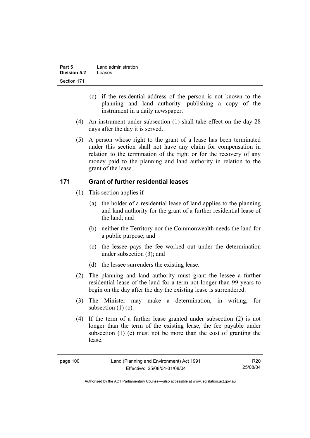| Part 5              | Land administration |
|---------------------|---------------------|
| <b>Division 5.2</b> | Leases              |
| Section 171         |                     |

- (c) if the residential address of the person is not known to the planning and land authority—publishing a copy of the instrument in a daily newspaper.
- (4) An instrument under subsection (1) shall take effect on the day 28 days after the day it is served.
- (5) A person whose right to the grant of a lease has been terminated under this section shall not have any claim for compensation in relation to the termination of the right or for the recovery of any money paid to the planning and land authority in relation to the grant of the lease.

### **171 Grant of further residential leases**

- (1) This section applies if—
	- (a) the holder of a residential lease of land applies to the planning and land authority for the grant of a further residential lease of the land; and
	- (b) neither the Territory nor the Commonwealth needs the land for a public purpose; and
	- (c) the lessee pays the fee worked out under the determination under subsection (3); and
	- (d) the lessee surrenders the existing lease.
- (2) The planning and land authority must grant the lessee a further residential lease of the land for a term not longer than 99 years to begin on the day after the day the existing lease is surrendered.
- (3) The Minister may make a determination, in writing, for subsection (1) (c).
- (4) If the term of a further lease granted under subsection (2) is not longer than the term of the existing lease, the fee payable under subsection (1) (c) must not be more than the cost of granting the lease.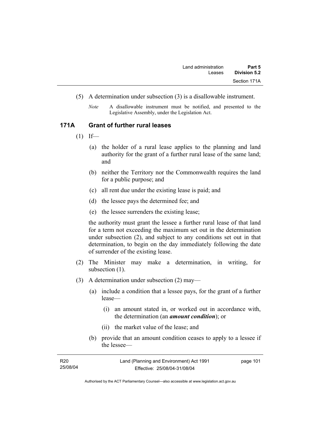- (5) A determination under subsection (3) is a disallowable instrument.
	- *Note* A disallowable instrument must be notified, and presented to the Legislative Assembly, under the Legislation Act.

#### **171A Grant of further rural leases**

- $(1)$  If—
	- (a) the holder of a rural lease applies to the planning and land authority for the grant of a further rural lease of the same land; and
	- (b) neither the Territory nor the Commonwealth requires the land for a public purpose; and
	- (c) all rent due under the existing lease is paid; and
	- (d) the lessee pays the determined fee; and
	- (e) the lessee surrenders the existing lease;

the authority must grant the lessee a further rural lease of that land for a term not exceeding the maximum set out in the determination under subsection (2), and subject to any conditions set out in that determination, to begin on the day immediately following the date of surrender of the existing lease.

- (2) The Minister may make a determination, in writing, for subsection  $(1)$ .
- (3) A determination under subsection (2) may—
	- (a) include a condition that a lessee pays, for the grant of a further lease—
		- (i) an amount stated in, or worked out in accordance with, the determination (an *amount condition*); or
		- (ii) the market value of the lease; and
	- (b) provide that an amount condition ceases to apply to a lessee if the lessee—

| R20      | Land (Planning and Environment) Act 1991 | page 101 |
|----------|------------------------------------------|----------|
| 25/08/04 | Effective: 25/08/04-31/08/04             |          |
|          |                                          |          |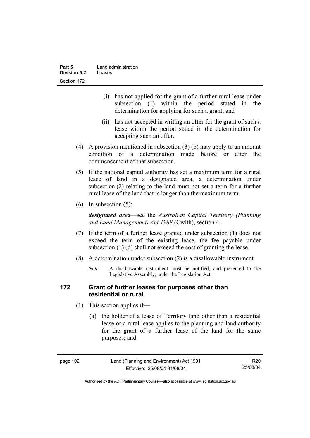| Part 5              | Land administration |  |
|---------------------|---------------------|--|
| <b>Division 5.2</b> | Leases              |  |
| Section 172         |                     |  |

- (i) has not applied for the grant of a further rural lease under subsection (1) within the period stated in the determination for applying for such a grant; and
- (ii) has not accepted in writing an offer for the grant of such a lease within the period stated in the determination for accepting such an offer.
- (4) A provision mentioned in subsection (3) (b) may apply to an amount condition of a determination made before or after the commencement of that subsection.
- (5) If the national capital authority has set a maximum term for a rural lease of land in a designated area, a determination under subsection (2) relating to the land must not set a term for a further rural lease of the land that is longer than the maximum term.
- (6) In subsection (5):

*designated area*—see the *Australian Capital Territory (Planning and Land Management) Act 1988* (Cwlth), section 4.

- (7) If the term of a further lease granted under subsection (1) does not exceed the term of the existing lease, the fee payable under subsection (1) (d) shall not exceed the cost of granting the lease.
- (8) A determination under subsection (2) is a disallowable instrument.
	- *Note* A disallowable instrument must be notified, and presented to the Legislative Assembly, under the Legislation Act.

### **172 Grant of further leases for purposes other than residential or rural**

- (1) This section applies if—
	- (a) the holder of a lease of Territory land other than a residential lease or a rural lease applies to the planning and land authority for the grant of a further lease of the land for the same purposes; and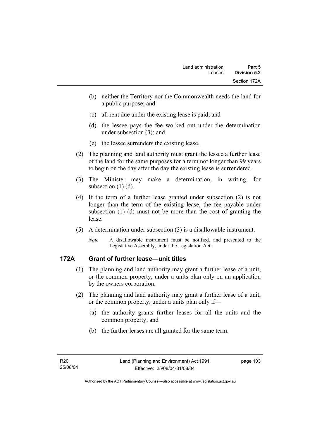- (b) neither the Territory nor the Commonwealth needs the land for a public purpose; and
- (c) all rent due under the existing lease is paid; and
- (d) the lessee pays the fee worked out under the determination under subsection (3); and
- (e) the lessee surrenders the existing lease.
- (2) The planning and land authority must grant the lessee a further lease of the land for the same purposes for a term not longer than 99 years to begin on the day after the day the existing lease is surrendered.
- (3) The Minister may make a determination, in writing, for subsection (1) (d).
- (4) If the term of a further lease granted under subsection (2) is not longer than the term of the existing lease, the fee payable under subsection (1) (d) must not be more than the cost of granting the lease.
- (5) A determination under subsection (3) is a disallowable instrument.
	- *Note* A disallowable instrument must be notified, and presented to the Legislative Assembly, under the Legislation Act.

### **172A Grant of further lease—unit titles**

- (1) The planning and land authority may grant a further lease of a unit, or the common property, under a units plan only on an application by the owners corporation.
- (2) The planning and land authority may grant a further lease of a unit, or the common property, under a units plan only if—
	- (a) the authority grants further leases for all the units and the common property; and
	- (b) the further leases are all granted for the same term.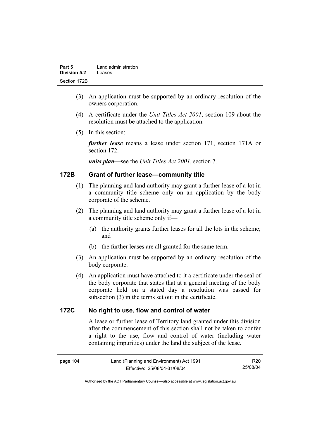| Part 5              | Land administration |  |
|---------------------|---------------------|--|
| <b>Division 5.2</b> | Leases              |  |
| Section 172B        |                     |  |

- (3) An application must be supported by an ordinary resolution of the owners corporation.
- (4) A certificate under the *Unit Titles Act 2001*, section 109 about the resolution must be attached to the application.
- (5) In this section:

*further lease* means a lease under section 171, section 171A or section 172.

*units plan*—see the *Unit Titles Act 2001*, section 7.

## **172B Grant of further lease—community title**

- (1) The planning and land authority may grant a further lease of a lot in a community title scheme only on an application by the body corporate of the scheme.
- (2) The planning and land authority may grant a further lease of a lot in a community title scheme only if—
	- (a) the authority grants further leases for all the lots in the scheme; and
	- (b) the further leases are all granted for the same term.
- (3) An application must be supported by an ordinary resolution of the body corporate.
- (4) An application must have attached to it a certificate under the seal of the body corporate that states that at a general meeting of the body corporate held on a stated day a resolution was passed for subsection (3) in the terms set out in the certificate.

#### **172C No right to use, flow and control of water**

A lease or further lease of Territory land granted under this division after the commencement of this section shall not be taken to confer a right to the use, flow and control of water (including water containing impurities) under the land the subject of the lease.

| page 104 |  |
|----------|--|
|----------|--|

R20 25/08/04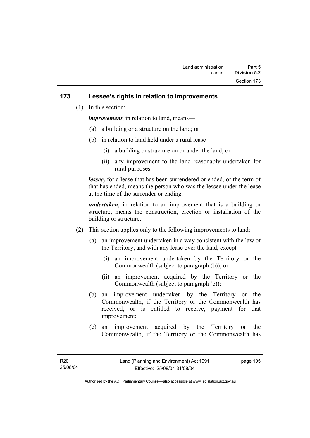### **173 Lessee's rights in relation to improvements**

(1) In this section:

*improvement*, in relation to land, means—

- (a) a building or a structure on the land; or
- (b) in relation to land held under a rural lease—
	- (i) a building or structure on or under the land; or
	- (ii) any improvement to the land reasonably undertaken for rural purposes.

*lessee,* for a lease that has been surrendered or ended, or the term of that has ended, means the person who was the lessee under the lease at the time of the surrender or ending.

*undertaken*, in relation to an improvement that is a building or structure, means the construction, erection or installation of the building or structure.

- (2) This section applies only to the following improvements to land:
	- (a) an improvement undertaken in a way consistent with the law of the Territory, and with any lease over the land, except—
		- (i) an improvement undertaken by the Territory or the Commonwealth (subject to paragraph (b)); or
		- (ii) an improvement acquired by the Territory or the Commonwealth (subject to paragraph (c));
	- (b) an improvement undertaken by the Territory or the Commonwealth, if the Territory or the Commonwealth has received, or is entitled to receive, payment for that improvement;
	- (c) an improvement acquired by the Territory or the Commonwealth, if the Territory or the Commonwealth has

page 105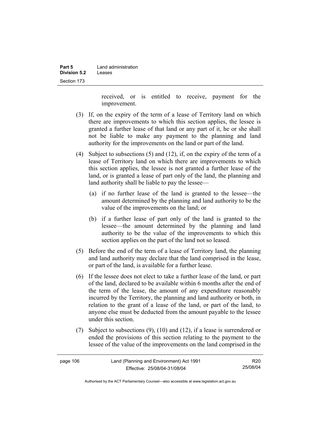| Part 5       | Land administration |  |
|--------------|---------------------|--|
| Division 5.2 | Leases              |  |
| Section 173  |                     |  |

received, or is entitled to receive, payment for the improvement.

- (3) If, on the expiry of the term of a lease of Territory land on which there are improvements to which this section applies, the lessee is granted a further lease of that land or any part of it, he or she shall not be liable to make any payment to the planning and land authority for the improvements on the land or part of the land.
- (4) Subject to subsections (5) and (12), if, on the expiry of the term of a lease of Territory land on which there are improvements to which this section applies, the lessee is not granted a further lease of the land, or is granted a lease of part only of the land, the planning and land authority shall be liable to pay the lessee—
	- (a) if no further lease of the land is granted to the lessee—the amount determined by the planning and land authority to be the value of the improvements on the land; or
	- (b) if a further lease of part only of the land is granted to the lessee—the amount determined by the planning and land authority to be the value of the improvements to which this section applies on the part of the land not so leased.
- (5) Before the end of the term of a lease of Territory land, the planning and land authority may declare that the land comprised in the lease, or part of the land, is available for a further lease.
- (6) If the lessee does not elect to take a further lease of the land, or part of the land, declared to be available within 6 months after the end of the term of the lease, the amount of any expenditure reasonably incurred by the Territory, the planning and land authority or both, in relation to the grant of a lease of the land, or part of the land, to anyone else must be deducted from the amount payable to the lessee under this section.
- (7) Subject to subsections (9), (10) and (12), if a lease is surrendered or ended the provisions of this section relating to the payment to the lessee of the value of the improvements on the land comprised in the

| page 106 | Land (Planning and Environment) Act 1991 | R20      |
|----------|------------------------------------------|----------|
|          | Effective: 25/08/04-31/08/04             | 25/08/04 |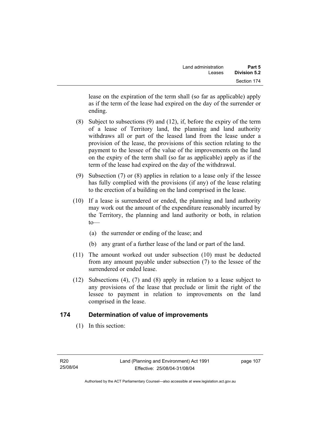lease on the expiration of the term shall (so far as applicable) apply as if the term of the lease had expired on the day of the surrender or ending.

- (8) Subject to subsections (9) and (12), if, before the expiry of the term of a lease of Territory land, the planning and land authority withdraws all or part of the leased land from the lease under a provision of the lease, the provisions of this section relating to the payment to the lessee of the value of the improvements on the land on the expiry of the term shall (so far as applicable) apply as if the term of the lease had expired on the day of the withdrawal.
- (9) Subsection (7) or (8) applies in relation to a lease only if the lessee has fully complied with the provisions (if any) of the lease relating to the erection of a building on the land comprised in the lease.
- (10) If a lease is surrendered or ended, the planning and land authority may work out the amount of the expenditure reasonably incurred by the Territory, the planning and land authority or both, in relation  $to$ —
	- (a) the surrender or ending of the lease; and
	- (b) any grant of a further lease of the land or part of the land.
- (11) The amount worked out under subsection (10) must be deducted from any amount payable under subsection (7) to the lessee of the surrendered or ended lease.
- (12) Subsections (4), (7) and (8) apply in relation to a lease subject to any provisions of the lease that preclude or limit the right of the lessee to payment in relation to improvements on the land comprised in the lease.

### **174 Determination of value of improvements**

(1) In this section: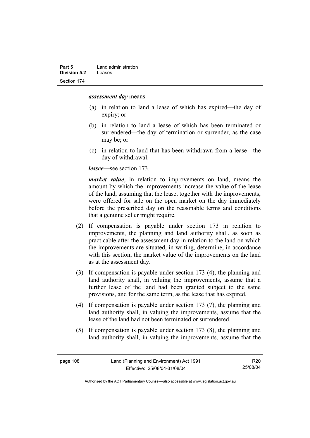#### *assessment day* means—

- (a) in relation to land a lease of which has expired—the day of expiry; or
- (b) in relation to land a lease of which has been terminated or surrendered—the day of termination or surrender, as the case may be; or
- (c) in relation to land that has been withdrawn from a lease—the day of withdrawal.

*lessee*—see section 173.

*market value*, in relation to improvements on land, means the amount by which the improvements increase the value of the lease of the land, assuming that the lease, together with the improvements, were offered for sale on the open market on the day immediately before the prescribed day on the reasonable terms and conditions that a genuine seller might require.

- (2) If compensation is payable under section 173 in relation to improvements, the planning and land authority shall, as soon as practicable after the assessment day in relation to the land on which the improvements are situated, in writing, determine, in accordance with this section, the market value of the improvements on the land as at the assessment day.
- (3) If compensation is payable under section 173 (4), the planning and land authority shall, in valuing the improvements, assume that a further lease of the land had been granted subject to the same provisions, and for the same term, as the lease that has expired.
- (4) If compensation is payable under section 173 (7), the planning and land authority shall, in valuing the improvements, assume that the lease of the land had not been terminated or surrendered.
- (5) If compensation is payable under section 173 (8), the planning and land authority shall, in valuing the improvements, assume that the

R20 25/08/04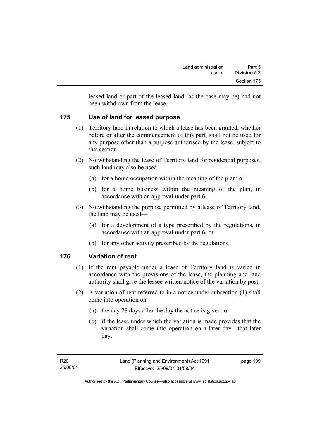leased land or part of the leased land (as the case may be) had not been withdrawn from the lease.

# **175 Use of land for leased purpose**

- (1) Territory land in relation to which a lease has been granted, whether before or after the commencement of this part, shall not be used for any purpose other than a purpose authorised by the lease, subject to this section.
- (2) Notwithstanding the lease of Territory land for residential purposes, such land may also be used—
	- (a) for a home occupation within the meaning of the plan; or
	- (b) for a home business within the meaning of the plan, in accordance with an approval under part 6.
- (3) Notwithstanding the purpose permitted by a lease of Territory land, the land may be used—
	- (a) for a development of a type prescribed by the regulations, in accordance with an approval under part 6; or
	- (b) for any other activity prescribed by the regulations.

### **176 Variation of rent**

- (1) If the rent payable under a lease of Territory land is varied in accordance with the provisions of the lease, the planning and land authority shall give the lessee written notice of the variation by post.
- (2) A variation of rent referred to in a notice under subsection (1) shall come into operation on—
	- (a) the day 28 days after the day the notice is given; or
	- (b) if the lease under which the variation is made provides that the variation shall come into operation on a later day—that later day.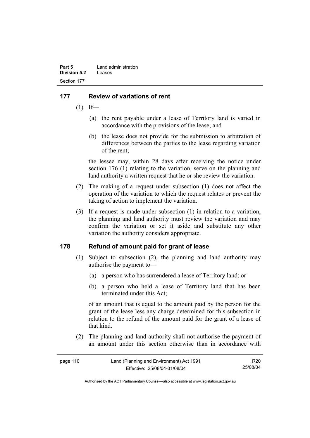# **177 Review of variations of rent**

- $(1)$  If—
	- (a) the rent payable under a lease of Territory land is varied in accordance with the provisions of the lease; and
	- (b) the lease does not provide for the submission to arbitration of differences between the parties to the lease regarding variation of the rent;

the lessee may, within 28 days after receiving the notice under section 176 (1) relating to the variation, serve on the planning and land authority a written request that he or she review the variation.

- (2) The making of a request under subsection (1) does not affect the operation of the variation to which the request relates or prevent the taking of action to implement the variation.
- (3) If a request is made under subsection (1) in relation to a variation, the planning and land authority must review the variation and may confirm the variation or set it aside and substitute any other variation the authority considers appropriate.

### **178 Refund of amount paid for grant of lease**

- (1) Subject to subsection (2), the planning and land authority may authorise the payment to—
	- (a) a person who has surrendered a lease of Territory land; or
	- (b) a person who held a lease of Territory land that has been terminated under this Act;

of an amount that is equal to the amount paid by the person for the grant of the lease less any charge determined for this subsection in relation to the refund of the amount paid for the grant of a lease of that kind.

 (2) The planning and land authority shall not authorise the payment of an amount under this section otherwise than in accordance with

| page 110 | Land (Planning and Environment) Act 1991 | R20      |
|----------|------------------------------------------|----------|
|          | Effective: 25/08/04-31/08/04             | 25/08/04 |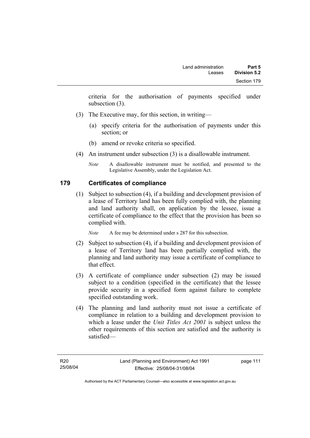criteria for the authorisation of payments specified under subsection (3).

- (3) The Executive may, for this section, in writing—
	- (a) specify criteria for the authorisation of payments under this section; or
	- (b) amend or revoke criteria so specified.
- (4) An instrument under subsection (3) is a disallowable instrument.
	- *Note* A disallowable instrument must be notified, and presented to the Legislative Assembly, under the Legislation Act.

# **179 Certificates of compliance**

 (1) Subject to subsection (4), if a building and development provision of a lease of Territory land has been fully complied with, the planning and land authority shall, on application by the lessee, issue a certificate of compliance to the effect that the provision has been so complied with.

*Note* A fee may be determined under s 287 for this subsection.

- (2) Subject to subsection (4), if a building and development provision of a lease of Territory land has been partially complied with, the planning and land authority may issue a certificate of compliance to that effect.
- (3) A certificate of compliance under subsection (2) may be issued subject to a condition (specified in the certificate) that the lessee provide security in a specified form against failure to complete specified outstanding work.
- (4) The planning and land authority must not issue a certificate of compliance in relation to a building and development provision to which a lease under the *Unit Titles Act 2001* is subject unless the other requirements of this section are satisfied and the authority is satisfied—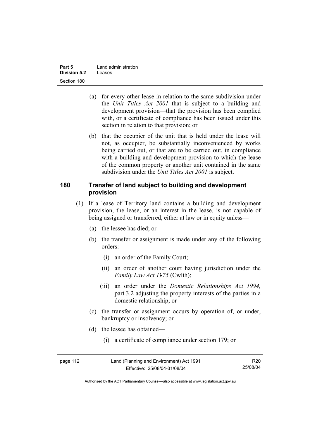| Part 5       | Land administration |  |
|--------------|---------------------|--|
| Division 5.2 | Leases              |  |
| Section 180  |                     |  |

- (a) for every other lease in relation to the same subdivision under the *Unit Titles Act 2001* that is subject to a building and development provision—that the provision has been complied with, or a certificate of compliance has been issued under this section in relation to that provision; or
- (b) that the occupier of the unit that is held under the lease will not, as occupier, be substantially inconvenienced by works being carried out, or that are to be carried out, in compliance with a building and development provision to which the lease of the common property or another unit contained in the same subdivision under the *Unit Titles Act 2001* is subject.

#### **180 Transfer of land subject to building and development provision**

- (1) If a lease of Territory land contains a building and development provision, the lease, or an interest in the lease, is not capable of being assigned or transferred, either at law or in equity unless—
	- (a) the lessee has died; or
	- (b) the transfer or assignment is made under any of the following orders:
		- (i) an order of the Family Court;
		- (ii) an order of another court having jurisdiction under the *Family Law Act 1975* (Cwlth);
		- (iii) an order under the *Domestic Relationships Act 1994,*  part 3.2 adjusting the property interests of the parties in a domestic relationship; or
	- (c) the transfer or assignment occurs by operation of, or under, bankruptcy or insolvency; or
	- (d) the lessee has obtained—
		- (i) a certificate of compliance under section 179; or

| page 112 | Land (Planning and Environment) Act 1991 | R <sub>20</sub> |
|----------|------------------------------------------|-----------------|
|          | Effective: 25/08/04-31/08/04             | 25/08/04        |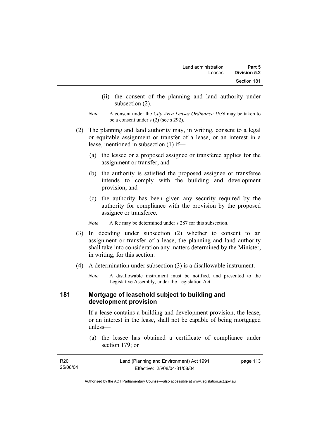- (ii) the consent of the planning and land authority under subsection (2).
- *Note* A consent under the *City Area Leases Ordinance 1936* may be taken to be a consent under s (2) (see s 292).
- (2) The planning and land authority may, in writing, consent to a legal or equitable assignment or transfer of a lease, or an interest in a lease, mentioned in subsection (1) if—
	- (a) the lessee or a proposed assignee or transferee applies for the assignment or transfer; and
	- (b) the authority is satisfied the proposed assignee or transferee intends to comply with the building and development provision; and
	- (c) the authority has been given any security required by the authority for compliance with the provision by the proposed assignee or transferee.

*Note* A fee may be determined under s 287 for this subsection.

- (3) In deciding under subsection (2) whether to consent to an assignment or transfer of a lease, the planning and land authority shall take into consideration any matters determined by the Minister, in writing, for this section.
- (4) A determination under subsection (3) is a disallowable instrument.
	- *Note* A disallowable instrument must be notified, and presented to the Legislative Assembly, under the Legislation Act.

### **181 Mortgage of leasehold subject to building and development provision**

If a lease contains a building and development provision, the lease, or an interest in the lease, shall not be capable of being mortgaged unless—

 (a) the lessee has obtained a certificate of compliance under section 179; or

| R20      | Land (Planning and Environment) Act 1991 | page 113 |
|----------|------------------------------------------|----------|
| 25/08/04 | Effective: 25/08/04-31/08/04             |          |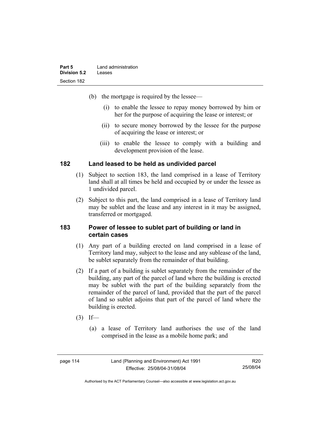| Part 5       | Land administration |
|--------------|---------------------|
| Division 5.2 | Leases              |
| Section 182  |                     |

- (b) the mortgage is required by the lessee—
	- (i) to enable the lessee to repay money borrowed by him or her for the purpose of acquiring the lease or interest; or
	- (ii) to secure money borrowed by the lessee for the purpose of acquiring the lease or interest; or
	- (iii) to enable the lessee to comply with a building and development provision of the lease.

#### **182 Land leased to be held as undivided parcel**

- (1) Subject to section 183, the land comprised in a lease of Territory land shall at all times be held and occupied by or under the lessee as 1 undivided parcel.
- (2) Subject to this part, the land comprised in a lease of Territory land may be sublet and the lease and any interest in it may be assigned, transferred or mortgaged.

#### **183 Power of lessee to sublet part of building or land in certain cases**

- (1) Any part of a building erected on land comprised in a lease of Territory land may, subject to the lease and any sublease of the land, be sublet separately from the remainder of that building.
- (2) If a part of a building is sublet separately from the remainder of the building, any part of the parcel of land where the building is erected may be sublet with the part of the building separately from the remainder of the parcel of land, provided that the part of the parcel of land so sublet adjoins that part of the parcel of land where the building is erected.
- $(3)$  If—
	- (a) a lease of Territory land authorises the use of the land comprised in the lease as a mobile home park; and

| page 114 | Land (Planning and Environment) Act 1991 | R <sub>20</sub> |
|----------|------------------------------------------|-----------------|
|          | Effective: 25/08/04-31/08/04             | 25/08/04        |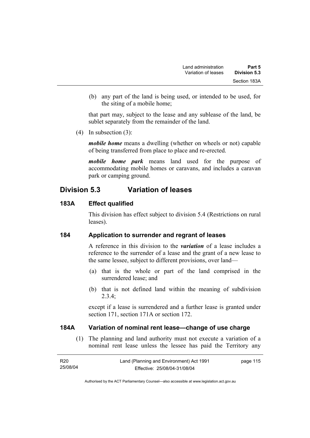(b) any part of the land is being used, or intended to be used, for the siting of a mobile home;

that part may, subject to the lease and any sublease of the land, be sublet separately from the remainder of the land.

(4) In subsection (3):

*mobile home* means a dwelling (whether on wheels or not) capable of being transferred from place to place and re-erected.

*mobile home park* means land used for the purpose of accommodating mobile homes or caravans, and includes a caravan park or camping ground.

# **Division 5.3 Variation of leases**

# **183A Effect qualified**

This division has effect subject to division 5.4 (Restrictions on rural leases).

### **184 Application to surrender and regrant of leases**

A reference in this division to the *variation* of a lease includes a reference to the surrender of a lease and the grant of a new lease to the same lessee, subject to different provisions, over land—

- (a) that is the whole or part of the land comprised in the surrendered lease; and
- (b) that is not defined land within the meaning of subdivision 2.3.4;

except if a lease is surrendered and a further lease is granted under section 171, section 171A or section 172.

### **184A Variation of nominal rent lease—change of use charge**

 (1) The planning and land authority must not execute a variation of a nominal rent lease unless the lessee has paid the Territory any

| R20      | Land (Planning and Environment) Act 1991 | page 115 |
|----------|------------------------------------------|----------|
| 25/08/04 | Effective: 25/08/04-31/08/04             |          |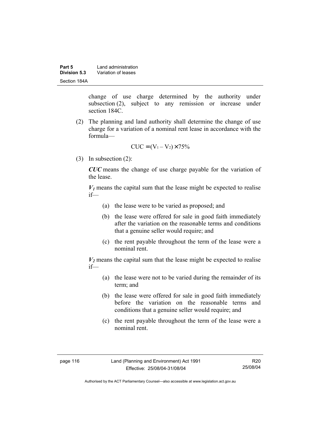| Part 5       | Land administration |  |
|--------------|---------------------|--|
| Division 5.3 | Variation of leases |  |
| Section 184A |                     |  |

change of use charge determined by the authority under subsection (2), subject to any remission or increase under section 184C.

 (2) The planning and land authority shall determine the change of use charge for a variation of a nominal rent lease in accordance with the formula—

$$
CUC = (V_1 - V_2) \times 75\%
$$

(3) In subsection (2):

*CUC* means the change of use charge payable for the variation of the lease.

 $V_1$  means the capital sum that the lease might be expected to realise if—

- (a) the lease were to be varied as proposed; and
- (b) the lease were offered for sale in good faith immediately after the variation on the reasonable terms and conditions that a genuine seller would require; and
- (c) the rent payable throughout the term of the lease were a nominal rent.

 $V_2$  means the capital sum that the lease might be expected to realise if—

- (a) the lease were not to be varied during the remainder of its term; and
- (b) the lease were offered for sale in good faith immediately before the variation on the reasonable terms and conditions that a genuine seller would require; and
- (c) the rent payable throughout the term of the lease were a nominal rent.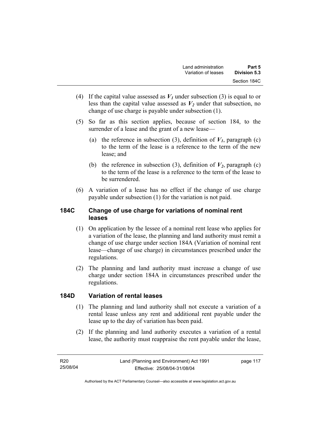- (4) If the capital value assessed as  $V_I$  under subsection (3) is equal to or less than the capital value assessed as  $V_2$  under that subsection, no change of use charge is payable under subsection (1).
- (5) So far as this section applies, because of section 184, to the surrender of a lease and the grant of a new lease—
	- (a) the reference in subsection (3), definition of  $V_I$ , paragraph (c) to the term of the lease is a reference to the term of the new lease; and
	- (b) the reference in subsection (3), definition of  $V_2$ , paragraph (c) to the term of the lease is a reference to the term of the lease to be surrendered.
- (6) A variation of a lease has no effect if the change of use charge payable under subsection (1) for the variation is not paid.

## **184C Change of use charge for variations of nominal rent leases**

- (1) On application by the lessee of a nominal rent lease who applies for a variation of the lease, the planning and land authority must remit a change of use charge under section 184A (Variation of nominal rent lease—change of use charge) in circumstances prescribed under the regulations.
- (2) The planning and land authority must increase a change of use charge under section 184A in circumstances prescribed under the regulations.

### **184D Variation of rental leases**

- (1) The planning and land authority shall not execute a variation of a rental lease unless any rent and additional rent payable under the lease up to the day of variation has been paid.
- (2) If the planning and land authority executes a variation of a rental lease, the authority must reappraise the rent payable under the lease,

page 117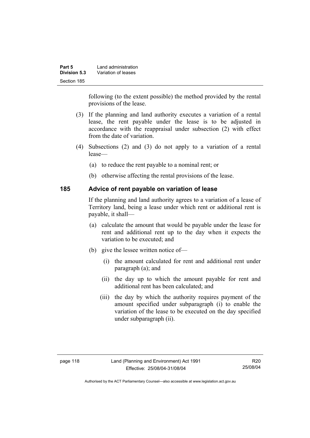| Part 5       | Land administration |
|--------------|---------------------|
| Division 5.3 | Variation of leases |
| Section 185  |                     |

following (to the extent possible) the method provided by the rental provisions of the lease.

- (3) If the planning and land authority executes a variation of a rental lease, the rent payable under the lease is to be adjusted in accordance with the reappraisal under subsection (2) with effect from the date of variation.
- (4) Subsections (2) and (3) do not apply to a variation of a rental lease—
	- (a) to reduce the rent payable to a nominal rent; or
	- (b) otherwise affecting the rental provisions of the lease.

#### **185 Advice of rent payable on variation of lease**

If the planning and land authority agrees to a variation of a lease of Territory land, being a lease under which rent or additional rent is payable, it shall—

- (a) calculate the amount that would be payable under the lease for rent and additional rent up to the day when it expects the variation to be executed; and
- (b) give the lessee written notice of—
	- (i) the amount calculated for rent and additional rent under paragraph (a); and
	- (ii) the day up to which the amount payable for rent and additional rent has been calculated; and
	- (iii) the day by which the authority requires payment of the amount specified under subparagraph (i) to enable the variation of the lease to be executed on the day specified under subparagraph (ii).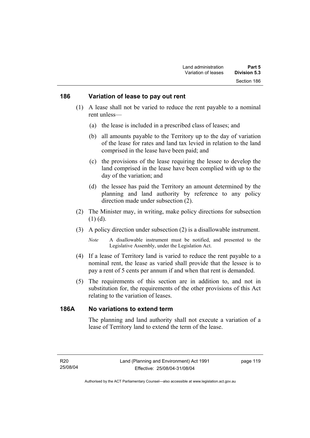#### **186 Variation of lease to pay out rent**

- (1) A lease shall not be varied to reduce the rent payable to a nominal rent unless—
	- (a) the lease is included in a prescribed class of leases; and
	- (b) all amounts payable to the Territory up to the day of variation of the lease for rates and land tax levied in relation to the land comprised in the lease have been paid; and
	- (c) the provisions of the lease requiring the lessee to develop the land comprised in the lease have been complied with up to the day of the variation; and
	- (d) the lessee has paid the Territory an amount determined by the planning and land authority by reference to any policy direction made under subsection (2).
- (2) The Minister may, in writing, make policy directions for subsection (1) (d).
- (3) A policy direction under subsection (2) is a disallowable instrument.

- (4) If a lease of Territory land is varied to reduce the rent payable to a nominal rent, the lease as varied shall provide that the lessee is to pay a rent of 5 cents per annum if and when that rent is demanded.
- (5) The requirements of this section are in addition to, and not in substitution for, the requirements of the other provisions of this Act relating to the variation of leases.

## **186A No variations to extend term**

The planning and land authority shall not execute a variation of a lease of Territory land to extend the term of the lease.

*Note* A disallowable instrument must be notified, and presented to the Legislative Assembly, under the Legislation Act.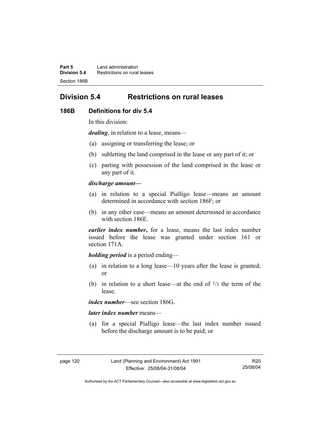**Part 5** Land administration **Division 5.4** Restrictions on rural leases Section 186B

# **Division 5.4 Restrictions on rural leases**

#### **186B Definitions for div 5.4**

In this division:

*dealing*, in relation to a lease, means—

- (a) assigning or transferring the lease; or
- (b) subletting the land comprised in the lease or any part of it; or
- (c) parting with possession of the land comprised in the lease or any part of it.

#### *discharge amount—*

- (a) in relation to a special Pialligo lease—means an amount determined in accordance with section 186F; or
- (b) in any other case—means an amount determined in accordance with section 186E.

*earlier index number***,** for a lease, means the last index number issued before the lease was granted under section 161 or section 171A.

#### *holding period* is a period ending—

- (a) in relation to a long lease—10 years after the lease is granted; or
- (b) in relation to a short lease—at the end of  $\frac{1}{3}$  the term of the lease.

*index number*—see section 186G.

#### *later index number* means—

 (a) for a special Pialligo lease—the last index number issued before the discharge amount is to be paid; or

Authorised by the ACT Parliamentary Counsel—also accessible at www.legislation.act.gov.au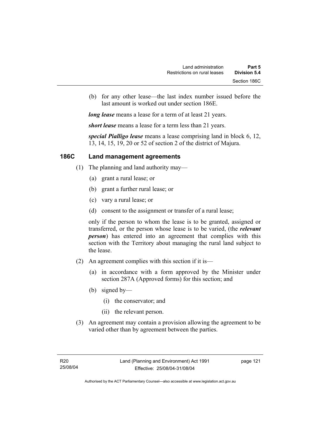(b) for any other lease—the last index number issued before the last amount is worked out under section 186E.

*long lease* means a lease for a term of at least 21 years.

*short lease* means a lease for a term less than 21 years.

*special Pialligo lease* means a lease comprising land in block 6, 12, 13, 14, 15, 19, 20 or 52 of section 2 of the district of Majura.

### **186C Land management agreements**

- (1) The planning and land authority may—
	- (a) grant a rural lease; or
	- (b) grant a further rural lease; or
	- (c) vary a rural lease; or
	- (d) consent to the assignment or transfer of a rural lease;

only if the person to whom the lease is to be granted, assigned or transferred, or the person whose lease is to be varied, (the *relevant person*) has entered into an agreement that complies with this section with the Territory about managing the rural land subject to the lease.

- (2) An agreement complies with this section if it is—
	- (a) in accordance with a form approved by the Minister under section 287A (Approved forms) for this section; and
	- (b) signed by—
		- (i) the conservator; and
		- (ii) the relevant person.
- (3) An agreement may contain a provision allowing the agreement to be varied other than by agreement between the parties.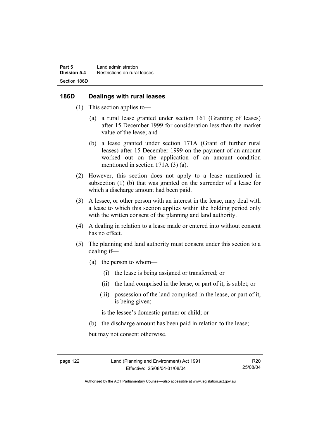### **186D Dealings with rural leases**

- (1) This section applies to—
	- (a) a rural lease granted under section 161 (Granting of leases) after 15 December 1999 for consideration less than the market value of the lease; and
	- (b) a lease granted under section 171A (Grant of further rural leases) after 15 December 1999 on the payment of an amount worked out on the application of an amount condition mentioned in section 171A (3) (a).
- (2) However, this section does not apply to a lease mentioned in subsection (1) (b) that was granted on the surrender of a lease for which a discharge amount had been paid.
- (3) A lessee, or other person with an interest in the lease, may deal with a lease to which this section applies within the holding period only with the written consent of the planning and land authority.
- (4) A dealing in relation to a lease made or entered into without consent has no effect.
- (5) The planning and land authority must consent under this section to a dealing if—
	- (a) the person to whom—
		- (i) the lease is being assigned or transferred; or
		- (ii) the land comprised in the lease, or part of it, is sublet; or
		- (iii) possession of the land comprised in the lease, or part of it, is being given;

is the lessee's domestic partner or child; or

(b) the discharge amount has been paid in relation to the lease;

but may not consent otherwise.

Authorised by the ACT Parliamentary Counsel—also accessible at www.legislation.act.gov.au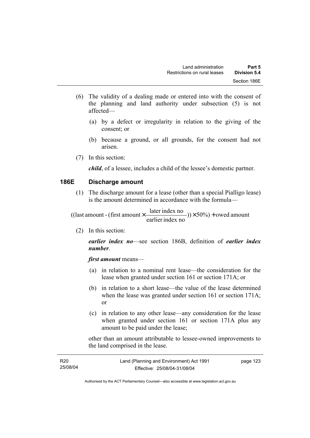- (6) The validity of a dealing made or entered into with the consent of the planning and land authority under subsection (5) is not affected—
	- (a) by a defect or irregularity in relation to the giving of the consent; or
	- (b) because a ground, or all grounds, for the consent had not arisen.
- (7) In this section:

*child*, of a lessee, includes a child of the lessee's domestic partner.

#### **186E Discharge amount**

 (1) The discharge amount for a lease (other than a special Pialligo lease) is the amount determined in accordance with the formula—

 $(y) \times 50\%$  + owed amount earlier index no ((last amount - (first amount  $\times \frac{\text{later index no}}{\text{inter index}}$ )) $\times$  50%) +

(2) In this section:

*earlier index no*—see section 186B, definition of *earlier index number*.

*first amount* means—

- (a) in relation to a nominal rent lease—the consideration for the lease when granted under section 161 or section 171A; or
- (b) in relation to a short lease—the value of the lease determined when the lease was granted under section 161 or section 171A; or
- (c) in relation to any other lease—any consideration for the lease when granted under section 161 or section 171A plus any amount to be paid under the lease;

other than an amount attributable to lessee-owned improvements to the land comprised in the lease.

| R <sub>20</sub> | Land (Planning and Environment) Act 1991 | page 123 |
|-----------------|------------------------------------------|----------|
| 25/08/04        | Effective: 25/08/04-31/08/04             |          |
|                 |                                          |          |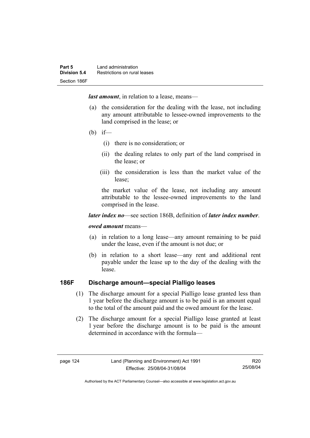*last amount*, in relation to a lease, means—

- (a) the consideration for the dealing with the lease, not including any amount attributable to lessee-owned improvements to the land comprised in the lease; or
- (b) if—
	- (i) there is no consideration; or
	- (ii) the dealing relates to only part of the land comprised in the lease; or
	- (iii) the consideration is less than the market value of the lease;

the market value of the lease, not including any amount attributable to the lessee-owned improvements to the land comprised in the lease.

#### *later index no*—see section 186B, definition of *later index number*.

#### *owed amount* means—

- (a) in relation to a long lease—any amount remaining to be paid under the lease, even if the amount is not due; or
- (b) in relation to a short lease—any rent and additional rent payable under the lease up to the day of the dealing with the lease.

# **186F Discharge amount—special Pialligo leases**

- (1) The discharge amount for a special Pialligo lease granted less than 1 year before the discharge amount is to be paid is an amount equal to the total of the amount paid and the owed amount for the lease.
- (2) The discharge amount for a special Pialligo lease granted at least 1 year before the discharge amount is to be paid is the amount determined in accordance with the formula—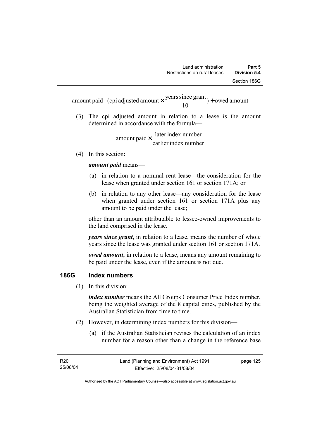$) +$  owed amount 10 amount paid - (cpi adjusted amount  $\times \frac{\text{years since grant}}{10}$ ) +

 (3) The cpi adjusted amount in relation to a lease is the amount determined in accordance with the formula—

> earlier index number amount paid  $\times \frac{\text{later index number}}{\text{lintermax}}$

(4) In this section:

*amount paid* means—

- (a) in relation to a nominal rent lease—the consideration for the lease when granted under section 161 or section 171A; or
- (b) in relation to any other lease—any consideration for the lease when granted under section 161 or section 171A plus any amount to be paid under the lease;

other than an amount attributable to lessee-owned improvements to the land comprised in the lease.

*years since grant*, in relation to a lease, means the number of whole years since the lease was granted under section 161 or section 171A.

*owed amount*, in relation to a lease, means any amount remaining to be paid under the lease, even if the amount is not due.

### **186G Index numbers**

(1) In this division:

*index number* means the All Groups Consumer Price Index number, being the weighted average of the 8 capital cities, published by the Australian Statistician from time to time.

- (2) However, in determining index numbers for this division—
	- (a) if the Australian Statistician revises the calculation of an index number for a reason other than a change in the reference base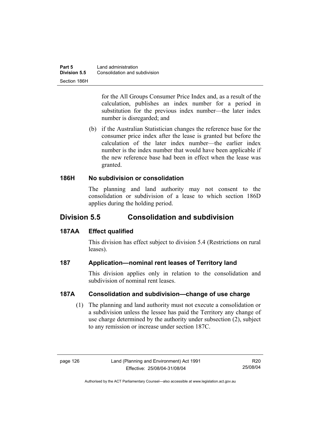for the All Groups Consumer Price Index and, as a result of the calculation, publishes an index number for a period in substitution for the previous index number—the later index number is disregarded; and

 (b) if the Australian Statistician changes the reference base for the consumer price index after the lease is granted but before the calculation of the later index number—the earlier index number is the index number that would have been applicable if the new reference base had been in effect when the lease was granted.

### **186H No subdivision or consolidation**

The planning and land authority may not consent to the consolidation or subdivision of a lease to which section 186D applies during the holding period.

# **Division 5.5 Consolidation and subdivision**

### **187AA Effect qualified**

This division has effect subject to division 5.4 (Restrictions on rural leases).

### **187 Application—nominal rent leases of Territory land**

This division applies only in relation to the consolidation and subdivision of nominal rent leases.

# **187A Consolidation and subdivision—change of use charge**

 (1) The planning and land authority must not execute a consolidation or a subdivision unless the lessee has paid the Territory any change of use charge determined by the authority under subsection (2), subject to any remission or increase under section 187C.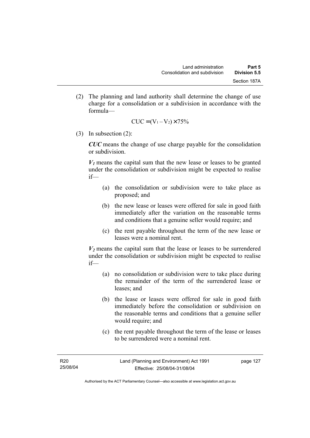(2) The planning and land authority shall determine the change of use charge for a consolidation or a subdivision in accordance with the formula—

$$
CUC = (V_1 - V_2) \times 75\%
$$

(3) In subsection (2):

*CUC* means the change of use charge payable for the consolidation or subdivision.

 $V_1$  means the capital sum that the new lease or leases to be granted under the consolidation or subdivision might be expected to realise if—

- (a) the consolidation or subdivision were to take place as proposed; and
- (b) the new lease or leases were offered for sale in good faith immediately after the variation on the reasonable terms and conditions that a genuine seller would require; and
- (c) the rent payable throughout the term of the new lease or leases were a nominal rent.

 $V_2$  means the capital sum that the lease or leases to be surrendered under the consolidation or subdivision might be expected to realise if—

- (a) no consolidation or subdivision were to take place during the remainder of the term of the surrendered lease or leases; and
- (b) the lease or leases were offered for sale in good faith immediately before the consolidation or subdivision on the reasonable terms and conditions that a genuine seller would require; and
- (c) the rent payable throughout the term of the lease or leases to be surrendered were a nominal rent.

Authorised by the ACT Parliamentary Counsel—also accessible at www.legislation.act.gov.au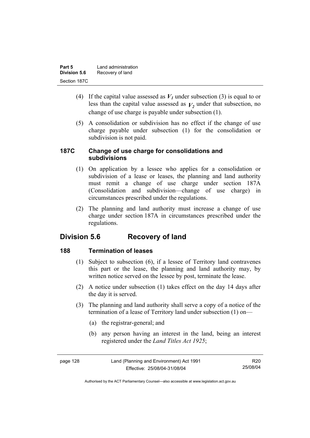| Part 5              | Land administration |
|---------------------|---------------------|
| <b>Division 5.6</b> | Recovery of land    |
| Section 187C        |                     |

- (4) If the capital value assessed as  $V_I$  under subsection (3) is equal to or less than the capital value assessed as  $V_2$  under that subsection, no change of use charge is payable under subsection (1).
- (5) A consolidation or subdivision has no effect if the change of use charge payable under subsection (1) for the consolidation or subdivision is not paid.

### **187C Change of use charge for consolidations and subdivisions**

- (1) On application by a lessee who applies for a consolidation or subdivision of a lease or leases, the planning and land authority must remit a change of use charge under section 187A (Consolidation and subdivision—change of use charge) in circumstances prescribed under the regulations.
- (2) The planning and land authority must increase a change of use charge under section 187A in circumstances prescribed under the regulations.

# **Division 5.6 Recovery of land**

# **188 Termination of leases**

- (1) Subject to subsection (6), if a lessee of Territory land contravenes this part or the lease, the planning and land authority may, by written notice served on the lessee by post, terminate the lease.
- (2) A notice under subsection (1) takes effect on the day 14 days after the day it is served.
- (3) The planning and land authority shall serve a copy of a notice of the termination of a lease of Territory land under subsection (1) on—
	- (a) the registrar-general; and
	- (b) any person having an interest in the land, being an interest registered under the *Land Titles Act 1925*;

| page 128 | Land (Planning and Environment) Act 1991 | R20      |
|----------|------------------------------------------|----------|
|          | Effective: 25/08/04-31/08/04             | 25/08/04 |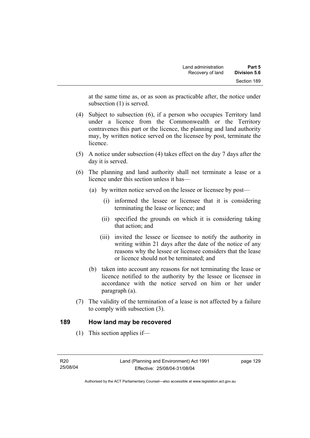at the same time as, or as soon as practicable after, the notice under subsection (1) is served.

- (4) Subject to subsection (6), if a person who occupies Territory land under a licence from the Commonwealth or the Territory contravenes this part or the licence, the planning and land authority may, by written notice served on the licensee by post, terminate the **licence**
- (5) A notice under subsection (4) takes effect on the day 7 days after the day it is served.
- (6) The planning and land authority shall not terminate a lease or a licence under this section unless it has—
	- (a) by written notice served on the lessee or licensee by post—
		- (i) informed the lessee or licensee that it is considering terminating the lease or licence; and
		- (ii) specified the grounds on which it is considering taking that action; and
		- (iii) invited the lessee or licensee to notify the authority in writing within 21 days after the date of the notice of any reasons why the lessee or licensee considers that the lease or licence should not be terminated; and
	- (b) taken into account any reasons for not terminating the lease or licence notified to the authority by the lessee or licensee in accordance with the notice served on him or her under paragraph (a).
- (7) The validity of the termination of a lease is not affected by a failure to comply with subsection (3).

### **189 How land may be recovered**

(1) This section applies if—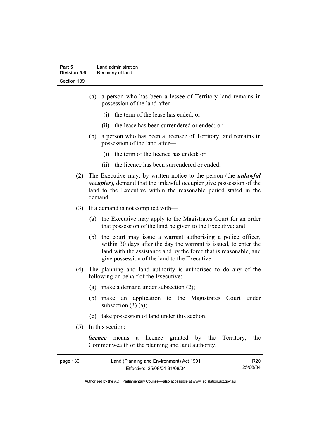- (a) a person who has been a lessee of Territory land remains in possession of the land after—
	- (i) the term of the lease has ended; or
	- (ii) the lease has been surrendered or ended; or
- (b) a person who has been a licensee of Territory land remains in possession of the land after—
	- (i) the term of the licence has ended; or
	- (ii) the licence has been surrendered or ended.
- (2) The Executive may, by written notice to the person (the *unlawful occupier*), demand that the unlawful occupier give possession of the land to the Executive within the reasonable period stated in the demand.
- (3) If a demand is not complied with—
	- (a) the Executive may apply to the Magistrates Court for an order that possession of the land be given to the Executive; and
	- (b) the court may issue a warrant authorising a police officer, within 30 days after the day the warrant is issued, to enter the land with the assistance and by the force that is reasonable, and give possession of the land to the Executive.
- (4) The planning and land authority is authorised to do any of the following on behalf of the Executive:
	- (a) make a demand under subsection (2);
	- (b) make an application to the Magistrates Court under subsection  $(3)$   $(a)$ ;
	- (c) take possession of land under this section.
- (5) In this section:

*licence* means a licence granted by the Territory, the Commonwealth or the planning and land authority.

| page 130 | Land (Planning and Environment) Act 1991 | R <sub>20</sub> |
|----------|------------------------------------------|-----------------|
|          | Effective: 25/08/04-31/08/04             | 25/08/04        |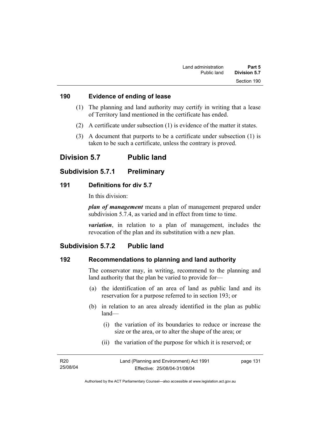### **190 Evidence of ending of lease**

- (1) The planning and land authority may certify in writing that a lease of Territory land mentioned in the certificate has ended.
- (2) A certificate under subsection (1) is evidence of the matter it states.
- (3) A document that purports to be a certificate under subsection (1) is taken to be such a certificate, unless the contrary is proved.

# **Division 5.7 Public land**

### **Subdivision 5.7.1 Preliminary**

### **191 Definitions for div 5.7**

In this division:

*plan of management* means a plan of management prepared under subdivision 5.7.4, as varied and in effect from time to time.

*variation*, in relation to a plan of management, includes the revocation of the plan and its substitution with a new plan.

# **Subdivision 5.7.2 Public land**

# **192 Recommendations to planning and land authority**

The conservator may, in writing, recommend to the planning and land authority that the plan be varied to provide for—

- (a) the identification of an area of land as public land and its reservation for a purpose referred to in section 193; or
- (b) in relation to an area already identified in the plan as public land—
	- (i) the variation of its boundaries to reduce or increase the size or the area, or to alter the shape of the area; or
	- (ii) the variation of the purpose for which it is reserved; or

| R <sub>20</sub> | Land (Planning and Environment) Act 1991 | page 131 |
|-----------------|------------------------------------------|----------|
| 25/08/04        | Effective: 25/08/04-31/08/04             |          |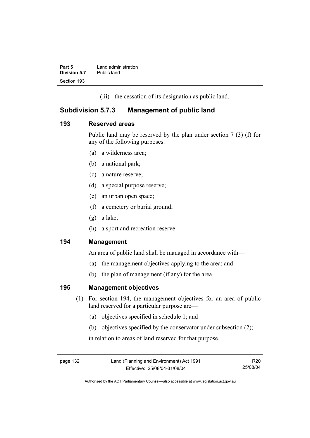| Part 5       | Land administration |
|--------------|---------------------|
| Division 5.7 | Public land         |
| Section 193  |                     |

(iii) the cessation of its designation as public land.

## **Subdivision 5.7.3 Management of public land**

### **193 Reserved areas**

Public land may be reserved by the plan under section 7 (3) (f) for any of the following purposes:

- (a) a wilderness area;
- (b) a national park;
- (c) a nature reserve;
- (d) a special purpose reserve;
- (e) an urban open space;
- (f) a cemetery or burial ground;
- (g) a lake;
- (h) a sport and recreation reserve.

### **194 Management**

An area of public land shall be managed in accordance with—

- (a) the management objectives applying to the area; and
- (b) the plan of management (if any) for the area.

### **195 Management objectives**

- (1) For section 194, the management objectives for an area of public land reserved for a particular purpose are—
	- (a) objectives specified in schedule 1; and
	- (b) objectives specified by the conservator under subsection (2);

in relation to areas of land reserved for that purpose.

page 132 Land (Planning and Environment) Act 1991 Effective: 25/08/04-31/08/04

R20 25/08/04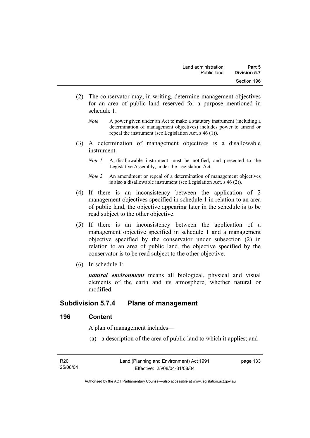- (2) The conservator may, in writing, determine management objectives for an area of public land reserved for a purpose mentioned in schedule 1.
	- *Note* A power given under an Act to make a statutory instrument (including a determination of management objectives) includes power to amend or repeal the instrument (see Legislation Act, s 46 (1)).
- (3) A determination of management objectives is a disallowable instrument.
	- *Note 1* A disallowable instrument must be notified, and presented to the Legislative Assembly, under the Legislation Act.
	- *Note 2* An amendment or repeal of a determination of management objectives is also a disallowable instrument (see Legislation Act, s 46 (2))*.*
- (4) If there is an inconsistency between the application of 2 management objectives specified in schedule 1 in relation to an area of public land, the objective appearing later in the schedule is to be read subject to the other objective.
- (5) If there is an inconsistency between the application of a management objective specified in schedule 1 and a management objective specified by the conservator under subsection (2) in relation to an area of public land, the objective specified by the conservator is to be read subject to the other objective.
- (6) In schedule 1:

*natural environment* means all biological, physical and visual elements of the earth and its atmosphere, whether natural or modified.

### **Subdivision 5.7.4 Plans of management**

### **196 Content**

A plan of management includes—

(a) a description of the area of public land to which it applies; and

| R20      |  |
|----------|--|
| 25/08/04 |  |

page 133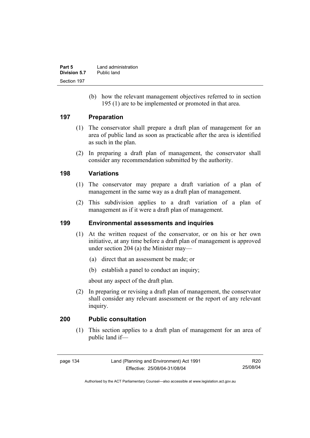| Part 5       | Land administration |
|--------------|---------------------|
| Division 5.7 | Public land         |
| Section 197  |                     |

 (b) how the relevant management objectives referred to in section 195 (1) are to be implemented or promoted in that area.

### **197 Preparation**

- (1) The conservator shall prepare a draft plan of management for an area of public land as soon as practicable after the area is identified as such in the plan.
- (2) In preparing a draft plan of management, the conservator shall consider any recommendation submitted by the authority.

### **198 Variations**

- (1) The conservator may prepare a draft variation of a plan of management in the same way as a draft plan of management.
- (2) This subdivision applies to a draft variation of a plan of management as if it were a draft plan of management.

### **199 Environmental assessments and inquiries**

- (1) At the written request of the conservator, or on his or her own initiative, at any time before a draft plan of management is approved under section 204 (a) the Minister may—
	- (a) direct that an assessment be made; or
	- (b) establish a panel to conduct an inquiry;

about any aspect of the draft plan.

 (2) In preparing or revising a draft plan of management, the conservator shall consider any relevant assessment or the report of any relevant inquiry.

### **200 Public consultation**

 (1) This section applies to a draft plan of management for an area of public land if—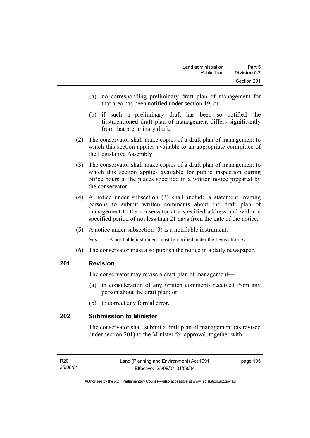- (a) no corresponding preliminary draft plan of management for that area has been notified under section 19; or
- (b) if such a preliminary draft has been so notified—the firstmentioned draft plan of management differs significantly from that preliminary draft.
- (2) The conservator shall make copies of a draft plan of management to which this section applies available to an appropriate committee of the Legislative Assembly.
- (3) The conservator shall make copies of a draft plan of management to which this section applies available for public inspection during office hours at the places specified in a written notice prepared by the conservator.
- (4) A notice under subsection (3) shall include a statement inviting persons to submit written comments about the draft plan of management to the conservator at a specified address and within a specified period of not less than 21 days from the date of the notice.
- (5) A notice under subsection (3) is a notifiable instrument.

*Note* A notifiable instrument must be notified under the Legislation Act.

(6) The conservator must also publish the notice in a daily newspaper.

### **201 Revision**

The conservator may revise a draft plan of management—

- (a) in consideration of any written comments received from any person about the draft plan; or
- (b) to correct any formal error.

### **202 Submission to Minister**

The conservator shall submit a draft plan of management (as revised under section 201) to the Minister for approval, together with—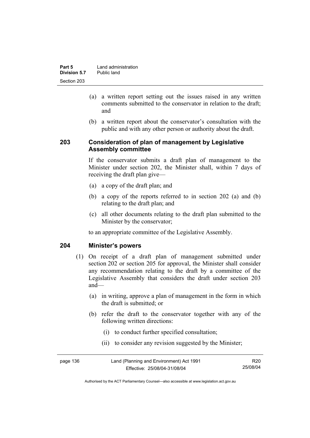| Part 5       | Land administration |
|--------------|---------------------|
| Division 5.7 | Public land         |
| Section 203  |                     |

- (a) a written report setting out the issues raised in any written comments submitted to the conservator in relation to the draft; and
- (b) a written report about the conservator's consultation with the public and with any other person or authority about the draft.

### **203 Consideration of plan of management by Legislative Assembly committee**

If the conservator submits a draft plan of management to the Minister under section 202, the Minister shall, within 7 days of receiving the draft plan give—

- (a) a copy of the draft plan; and
- (b) a copy of the reports referred to in section 202 (a) and (b) relating to the draft plan; and
- (c) all other documents relating to the draft plan submitted to the Minister by the conservator;

to an appropriate committee of the Legislative Assembly.

### **204 Minister's powers**

- (1) On receipt of a draft plan of management submitted under section 202 or section 205 for approval, the Minister shall consider any recommendation relating to the draft by a committee of the Legislative Assembly that considers the draft under section 203 and—
	- (a) in writing, approve a plan of management in the form in which the draft is submitted; or
	- (b) refer the draft to the conservator together with any of the following written directions:
		- (i) to conduct further specified consultation;
		- (ii) to consider any revision suggested by the Minister;

| page 136 | Land (Planning and Environment) Act 1991 | R <sub>20</sub> |
|----------|------------------------------------------|-----------------|
|          | Effective: 25/08/04-31/08/04             | 25/08/04        |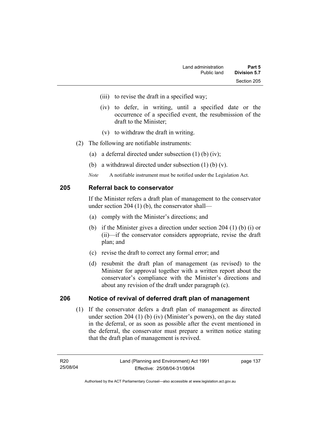- (iii) to revise the draft in a specified way;
- (iv) to defer, in writing, until a specified date or the occurrence of a specified event, the resubmission of the draft to the Minister;
- (v) to withdraw the draft in writing.
- (2) The following are notifiable instruments:
	- (a) a deferral directed under subsection (1) (b) (iv);
	- (b) a withdrawal directed under subsection (1) (b) (v).
	- *Note* A notifiable instrument must be notified under the Legislation Act.

### **205 Referral back to conservator**

If the Minister refers a draft plan of management to the conservator under section 204 (1) (b), the conservator shall—

- (a) comply with the Minister's directions; and
- (b) if the Minister gives a direction under section 204 (1) (b) (i) or (ii)—if the conservator considers appropriate, revise the draft plan; and
- (c) revise the draft to correct any formal error; and
- (d) resubmit the draft plan of management (as revised) to the Minister for approval together with a written report about the conservator's compliance with the Minister's directions and about any revision of the draft under paragraph (c).

### **206 Notice of revival of deferred draft plan of management**

(1) If the conservator defers a draft plan of management as directed under section 204 (1) (b) (iv) (Minister's powers), on the day stated in the deferral, or as soon as possible after the event mentioned in the deferral, the conservator must prepare a written notice stating that the draft plan of management is revived.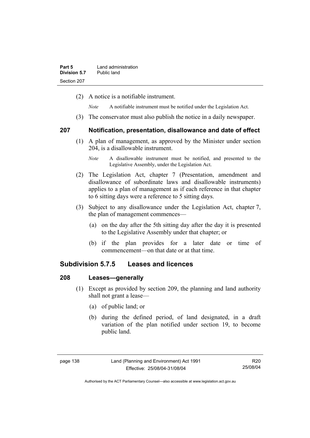(2) A notice is a notifiable instrument.

*Note* A notifiable instrument must be notified under the Legislation Act.

(3) The conservator must also publish the notice in a daily newspaper.

### **207 Notification, presentation, disallowance and date of effect**

- (1) A plan of management, as approved by the Minister under section 204, is a disallowable instrument.
	- *Note* A disallowable instrument must be notified, and presented to the Legislative Assembly, under the Legislation Act.
- (2) The Legislation Act, chapter 7 (Presentation, amendment and disallowance of subordinate laws and disallowable instruments) applies to a plan of management as if each reference in that chapter to 6 sitting days were a reference to 5 sitting days.
- (3) Subject to any disallowance under the Legislation Act, chapter 7, the plan of management commences—
	- (a) on the day after the 5th sitting day after the day it is presented to the Legislative Assembly under that chapter; or
	- (b) if the plan provides for a later date or time of commencement—on that date or at that time.

### **Subdivision 5.7.5 Leases and licences**

### **208 Leases—generally**

- (1) Except as provided by section 209, the planning and land authority shall not grant a lease—
	- (a) of public land; or
	- (b) during the defined period, of land designated, in a draft variation of the plan notified under section 19, to become public land.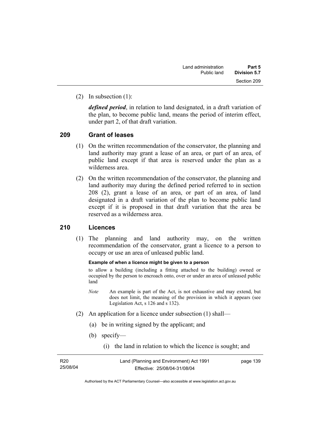(2) In subsection (1):

*defined period*, in relation to land designated, in a draft variation of the plan, to become public land, means the period of interim effect, under part 2, of that draft variation.

### **209 Grant of leases**

- (1) On the written recommendation of the conservator, the planning and land authority may grant a lease of an area, or part of an area, of public land except if that area is reserved under the plan as a wilderness area.
- (2) On the written recommendation of the conservator, the planning and land authority may during the defined period referred to in section 208 (2), grant a lease of an area, or part of an area, of land designated in a draft variation of the plan to become public land except if it is proposed in that draft variation that the area be reserved as a wilderness area.

### **210 Licences**

 (1) The planning and land authority may, on the written recommendation of the conservator, grant a licence to a person to occupy or use an area of unleased public land.

#### **Example of when a licence might be given to a person**

to allow a building (including a fitting attached to the building) owned or occupied by the person to encroach onto, over or under an area of unleased public land

- *Note* An example is part of the Act, is not exhaustive and may extend, but does not limit, the meaning of the provision in which it appears (see Legislation Act, s 126 and s 132).
- (2) An application for a licence under subsection (1) shall—
	- (a) be in writing signed by the applicant; and
	- (b) specify—
		- (i) the land in relation to which the licence is sought; and

| R20      |  |
|----------|--|
| 25/08/04 |  |

page 139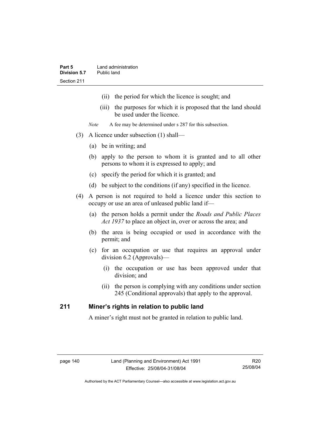- (ii) the period for which the licence is sought; and
- (iii) the purposes for which it is proposed that the land should be used under the licence.
- *Note* A fee may be determined under s 287 for this subsection.
- (3) A licence under subsection (1) shall—
	- (a) be in writing; and
	- (b) apply to the person to whom it is granted and to all other persons to whom it is expressed to apply; and
	- (c) specify the period for which it is granted; and
	- (d) be subject to the conditions (if any) specified in the licence.
- (4) A person is not required to hold a licence under this section to occupy or use an area of unleased public land if—
	- (a) the person holds a permit under the *Roads and Public Places Act 1937* to place an object in, over or across the area; and
	- (b) the area is being occupied or used in accordance with the permit; and
	- (c) for an occupation or use that requires an approval under division 6.2 (Approvals)—
		- (i) the occupation or use has been approved under that division; and
		- (ii) the person is complying with any conditions under section 245 (Conditional approvals) that apply to the approval.

### **211 Miner's rights in relation to public land**

A miner's right must not be granted in relation to public land.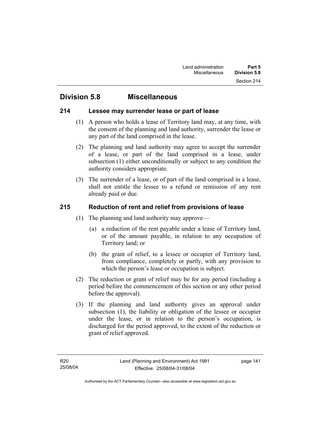# **Division 5.8 Miscellaneous**

### **214 Lessee may surrender lease or part of lease**

- (1) A person who holds a lease of Territory land may, at any time, with the consent of the planning and land authority, surrender the lease or any part of the land comprised in the lease.
- (2) The planning and land authority may agree to accept the surrender of a lease, or part of the land comprised in a lease, under subsection (1) either unconditionally or subject to any condition the authority considers appropriate.
- (3) The surrender of a lease, or of part of the land comprised in a lease, shall not entitle the lessee to a refund or remission of any rent already paid or due.

### **215 Reduction of rent and relief from provisions of lease**

- (1) The planning and land authority may approve—
	- (a) a reduction of the rent payable under a lease of Territory land, or of the amount payable, in relation to any occupation of Territory land; or
	- (b) the grant of relief, to a lessee or occupier of Territory land, from compliance, completely or partly, with any provision to which the person's lease or occupation is subject.
- (2) The reduction or grant of relief may be for any period (including a period before the commencement of this section or any other period before the approval).
- (3) If the planning and land authority gives an approval under subsection (1), the liability or obligation of the lessee or occupier under the lease, or in relation to the person's occupation, is discharged for the period approved, to the extent of the reduction or grant of relief approved.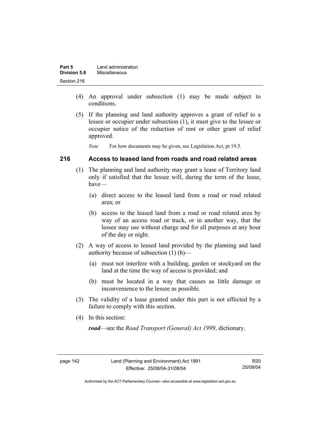| Part 5       | Land administration |
|--------------|---------------------|
| Division 5.8 | Miscellaneous       |
| Section 216  |                     |

- (4) An approval under subsection (1) may be made subject to conditions.
- (5) If the planning and land authority approves a grant of relief to a lessee or occupier under subsection (1), it must give to the lessee or occupier notice of the reduction of rent or other grant of relief approved.

*Note* For how documents may be given, see Legislation Act, pt 19.5.

### **216 Access to leased land from roads and road related areas**

- (1) The planning and land authority may grant a lease of Territory land only if satisfied that the lessee will, during the term of the lease, have—
	- (a) direct access to the leased land from a road or road related area; or
	- (b) access to the leased land from a road or road related area by way of an access road or track, or in another way, that the lessee may use without charge and for all purposes at any hour of the day or night.
- (2) A way of access to leased land provided by the planning and land authority because of subsection (1) (b)—
	- (a) must not interfere with a building, garden or stockyard on the land at the time the way of access is provided; and
	- (b) must be located in a way that causes as little damage or inconvenience to the lessee as possible.
- (3) The validity of a lease granted under this part is not affected by a failure to comply with this section.
- (4) In this section:

*road*—see the *Road Transport (General) Act 1999*, dictionary.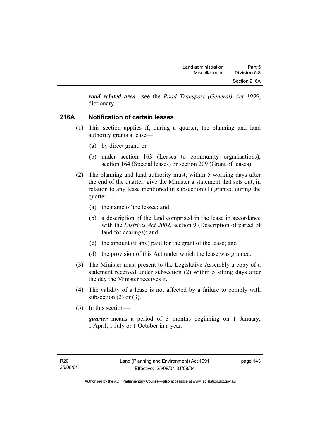*road related area*—see the *Road Transport (General) Act 1999*, dictionary.

### **216A Notification of certain leases**

- (1) This section applies if, during a quarter, the planning and land authority grants a lease—
	- (a) by direct grant; or
	- (b) under section 163 (Leases to community organisations), section 164 (Special leases) or section 209 (Grant of leases).
- (2) The planning and land authority must, within 5 working days after the end of the quarter, give the Minister a statement that sets out, in relation to any lease mentioned in subsection (1) granted during the quarter—
	- (a) the name of the lessee; and
	- (b) a description of the land comprised in the lease in accordance with the *Districts Act 2002*, section 9 (Description of parcel of land for dealings); and
	- (c) the amount (if any) paid for the grant of the lease; and
	- (d) the provision of this Act under which the lease was granted.
- (3) The Minister must present to the Legislative Assembly a copy of a statement received under subsection (2) within 5 sitting days after the day the Minister receives it.
- (4) The validity of a lease is not affected by a failure to comply with subsection  $(2)$  or  $(3)$ .
- (5) In this section—

*quarter* means a period of 3 months beginning on 1 January, 1 April, 1 July or 1 October in a year.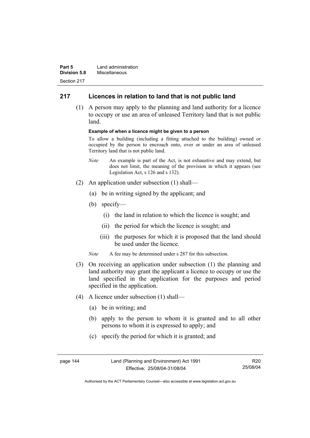| Part 5              | Land administration |
|---------------------|---------------------|
| <b>Division 5.8</b> | Miscellaneous       |
| Section 217         |                     |

### **217 Licences in relation to land that is not public land**

 (1) A person may apply to the planning and land authority for a licence to occupy or use an area of unleased Territory land that is not public land.

#### **Example of when a licence might be given to a person**

To allow a building (including a fitting attached to the building) owned or occupied by the person to encroach onto, over or under an area of unleased Territory land that is not public land.

- *Note* An example is part of the Act, is not exhaustive and may extend, but does not limit, the meaning of the provision in which it appears (see Legislation Act, s 126 and s 132).
- (2) An application under subsection (1) shall—
	- (a) be in writing signed by the applicant; and
	- (b) specify—
		- (i) the land in relation to which the licence is sought; and
		- (ii) the period for which the licence is sought; and
		- (iii) the purposes for which it is proposed that the land should be used under the licence.
	- *Note* A fee may be determined under s 287 for this subsection.
- (3) On receiving an application under subsection (1) the planning and land authority may grant the applicant a licence to occupy or use the land specified in the application for the purposes and period specified in the application.
- (4) A licence under subsection (1) shall—
	- (a) be in writing; and
	- (b) apply to the person to whom it is granted and to all other persons to whom it is expressed to apply; and
	- (c) specify the period for which it is granted; and

| page 144 | Land (Planning and Environment) Act 1991 | R20      |
|----------|------------------------------------------|----------|
|          | Effective: 25/08/04-31/08/04             | 25/08/04 |

Authorised by the ACT Parliamentary Counsel—also accessible at www.legislation.act.gov.au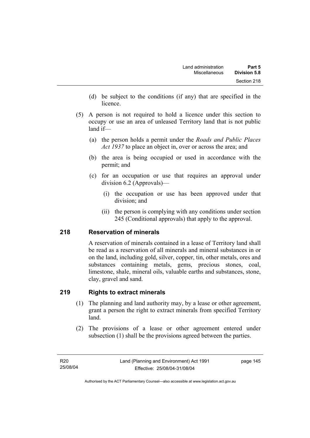- (d) be subject to the conditions (if any) that are specified in the licence.
- (5) A person is not required to hold a licence under this section to occupy or use an area of unleased Territory land that is not public land if—
	- (a) the person holds a permit under the *Roads and Public Places Act 1937* to place an object in, over or across the area; and
	- (b) the area is being occupied or used in accordance with the permit; and
	- (c) for an occupation or use that requires an approval under division 6.2 (Approvals)—
		- (i) the occupation or use has been approved under that division; and
		- (ii) the person is complying with any conditions under section 245 (Conditional approvals) that apply to the approval.

### **218 Reservation of minerals**

A reservation of minerals contained in a lease of Territory land shall be read as a reservation of all minerals and mineral substances in or on the land, including gold, silver, copper, tin, other metals, ores and substances containing metals, gems, precious stones, coal, limestone, shale, mineral oils, valuable earths and substances, stone, clay, gravel and sand.

### **219 Rights to extract minerals**

- (1) The planning and land authority may, by a lease or other agreement, grant a person the right to extract minerals from specified Territory land.
- (2) The provisions of a lease or other agreement entered under subsection (1) shall be the provisions agreed between the parties.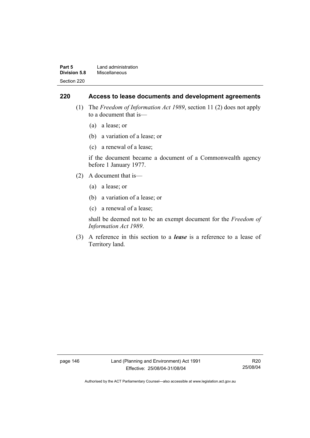| Part 5              | Land administration |
|---------------------|---------------------|
| <b>Division 5.8</b> | Miscellaneous       |
| Section 220         |                     |

### **220 Access to lease documents and development agreements**

- (1) The *Freedom of Information Act 1989*, section 11 (2) does not apply to a document that is—
	- (a) a lease; or
	- (b) a variation of a lease; or
	- (c) a renewal of a lease;

if the document became a document of a Commonwealth agency before 1 January 1977.

- (2) A document that is—
	- (a) a lease; or
	- (b) a variation of a lease; or
	- (c) a renewal of a lease;

shall be deemed not to be an exempt document for the *Freedom of Information Act 1989*.

 (3) A reference in this section to a *lease* is a reference to a lease of Territory land.

page 146 Land (Planning and Environment) Act 1991 Effective: 25/08/04-31/08/04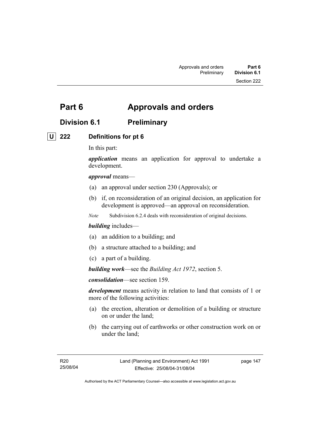# **Part 6 Approvals and orders**

# **Division 6.1 Preliminary**

## **U 222 Definitions for pt 6**

In this part:

*application* means an application for approval to undertake a development.

*approval* means—

- (a) an approval under section 230 (Approvals); or
- (b) if, on reconsideration of an original decision, an application for development is approved—an approval on reconsideration.
- *Note* Subdivision 6.2.4 deals with reconsideration of original decisions.

### *building* includes—

- (a) an addition to a building; and
- (b) a structure attached to a building; and
- (c) a part of a building.

*building work*—see the *Building Act 1972*, section 5.

*consolidation*—see section 159.

*development* means activity in relation to land that consists of 1 or more of the following activities:

- (a) the erection, alteration or demolition of a building or structure on or under the land;
- (b) the carrying out of earthworks or other construction work on or under the land;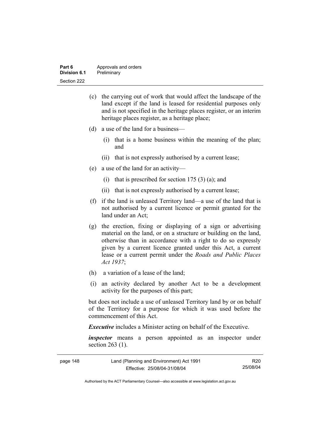| Part 6       | Approvals and orders |
|--------------|----------------------|
| Division 6.1 | Preliminary          |
| Section 222  |                      |

- (c) the carrying out of work that would affect the landscape of the land except if the land is leased for residential purposes only and is not specified in the heritage places register, or an interim heritage places register, as a heritage place;
- (d) a use of the land for a business—
	- (i) that is a home business within the meaning of the plan; and
	- (ii) that is not expressly authorised by a current lease;
- (e) a use of the land for an activity—
	- (i) that is prescribed for section  $175(3)(a)$ ; and
	- (ii) that is not expressly authorised by a current lease;
- (f) if the land is unleased Territory land—a use of the land that is not authorised by a current licence or permit granted for the land under an Act;
- (g) the erection, fixing or displaying of a sign or advertising material on the land, or on a structure or building on the land, otherwise than in accordance with a right to do so expressly given by a current licence granted under this Act, a current lease or a current permit under the *Roads and Public Places Act 1937*;
- (h) a variation of a lease of the land;
- (i) an activity declared by another Act to be a development activity for the purposes of this part;

but does not include a use of unleased Territory land by or on behalf of the Territory for a purpose for which it was used before the commencement of this Act.

*Executive* includes a Minister acting on behalf of the Executive.

*inspector* means a person appointed as an inspector under section 263 (1).

| page 148 | Land (Planning and Environment) Act 1991 | R20      |
|----------|------------------------------------------|----------|
|          | Effective: 25/08/04-31/08/04             | 25/08/04 |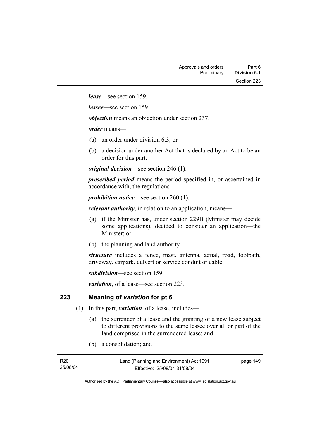*lease*—see section 159.

*lessee*—see section 159.

*objection* means an objection under section 237.

*order* means—

- (a) an order under division 6.3; or
- (b) a decision under another Act that is declared by an Act to be an order for this part.

*original decision*—see section 246 (1).

*prescribed period* means the period specified in, or ascertained in accordance with, the regulations.

*prohibition notice*—see section 260 (1).

*relevant authority*, in relation to an application, means—

- (a) if the Minister has, under section 229B (Minister may decide some applications), decided to consider an application—the Minister; or
- (b) the planning and land authority.

*structure* includes a fence, mast, antenna, aerial, road, footpath, driveway, carpark, culvert or service conduit or cable.

*subdivision—*see section 159.

*variation*, of a lease—see section 223.

### **223 Meaning of** *variation* **for pt 6**

- (1) In this part, *variation*, of a lease, includes—
	- (a) the surrender of a lease and the granting of a new lease subject to different provisions to the same lessee over all or part of the land comprised in the surrendered lease; and
	- (b) a consolidation; and

| R20      |  |
|----------|--|
| 25/08/04 |  |

page 149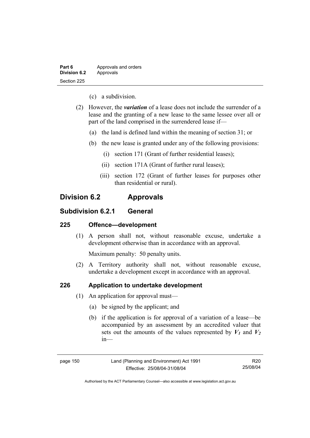| Part 6              | Approvals and orders |
|---------------------|----------------------|
| <b>Division 6.2</b> | Approvals            |
| Section 225         |                      |

- (c) a subdivision.
- (2) However, the *variation* of a lease does not include the surrender of a lease and the granting of a new lease to the same lessee over all or part of the land comprised in the surrendered lease if—
	- (a) the land is defined land within the meaning of section 31; or
	- (b) the new lease is granted under any of the following provisions:
		- (i) section 171 (Grant of further residential leases);
		- (ii) section 171A (Grant of further rural leases);
		- (iii) section 172 (Grant of further leases for purposes other than residential or rural).

# **Division 6.2 Approvals**

### **Subdivision 6.2.1 General**

### **225 Offence—development**

 (1) A person shall not, without reasonable excuse, undertake a development otherwise than in accordance with an approval.

Maximum penalty: 50 penalty units.

 (2) A Territory authority shall not, without reasonable excuse, undertake a development except in accordance with an approval.

### **226 Application to undertake development**

- (1) An application for approval must—
	- (a) be signed by the applicant; and
	- (b) if the application is for approval of a variation of a lease—be accompanied by an assessment by an accredited valuer that sets out the amounts of the values represented by  $V_1$  and  $V_2$ in—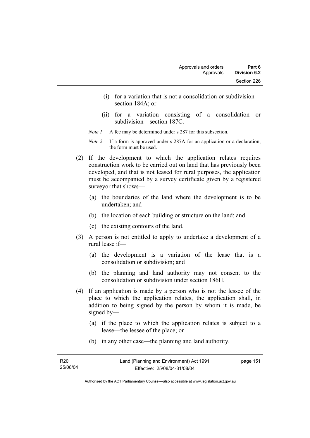- (i) for a variation that is not a consolidation or subdivision section 184A; or
- (ii) for a variation consisting of a consolidation or subdivision—section 187C.
- *Note 1* A fee may be determined under s 287 for this subsection.
- *Note 2* If a form is approved under s 287A for an application or a declaration, the form must be used.
- (2) If the development to which the application relates requires construction work to be carried out on land that has previously been developed, and that is not leased for rural purposes, the application must be accompanied by a survey certificate given by a registered surveyor that shows—
	- (a) the boundaries of the land where the development is to be undertaken; and
	- (b) the location of each building or structure on the land; and
	- (c) the existing contours of the land.
- (3) A person is not entitled to apply to undertake a development of a rural lease if—
	- (a) the development is a variation of the lease that is a consolidation or subdivision; and
	- (b) the planning and land authority may not consent to the consolidation or subdivision under section 186H.
- (4) If an application is made by a person who is not the lessee of the place to which the application relates, the application shall, in addition to being signed by the person by whom it is made, be signed by—
	- (a) if the place to which the application relates is subject to a lease—the lessee of the place; or
	- (b) in any other case—the planning and land authority.

| R20      | Land (Planning and Environment) Act 1991 | page 151 |
|----------|------------------------------------------|----------|
| 25/08/04 | Effective: 25/08/04-31/08/04             |          |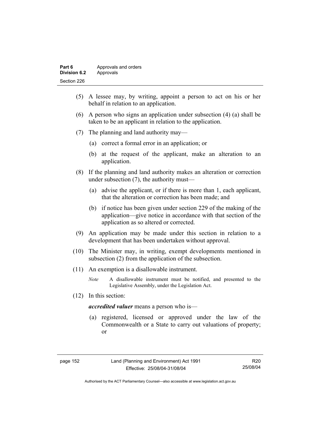| Part 6       | Approvals and orders |
|--------------|----------------------|
| Division 6.2 | Approvals            |
| Section 226  |                      |

- (5) A lessee may, by writing, appoint a person to act on his or her behalf in relation to an application.
- (6) A person who signs an application under subsection (4) (a) shall be taken to be an applicant in relation to the application.
- (7) The planning and land authority may—
	- (a) correct a formal error in an application; or
	- (b) at the request of the applicant, make an alteration to an application.
- (8) If the planning and land authority makes an alteration or correction under subsection (7), the authority must—
	- (a) advise the applicant, or if there is more than 1, each applicant, that the alteration or correction has been made; and
	- (b) if notice has been given under section 229 of the making of the application—give notice in accordance with that section of the application as so altered or corrected.
- (9) An application may be made under this section in relation to a development that has been undertaken without approval.
- (10) The Minister may, in writing, exempt developments mentioned in subsection (2) from the application of the subsection.
- (11) An exemption is a disallowable instrument.
	- *Note* A disallowable instrument must be notified, and presented to the Legislative Assembly, under the Legislation Act.
- (12) In this section:

*accredited valuer* means a person who is—

 (a) registered, licensed or approved under the law of the Commonwealth or a State to carry out valuations of property; or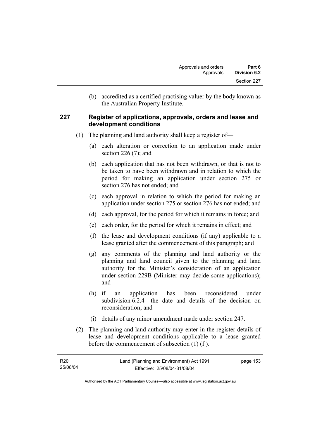(b) accredited as a certified practising valuer by the body known as the Australian Property Institute.

### **227 Register of applications, approvals, orders and lease and development conditions**

- (1) The planning and land authority shall keep a register of—
	- (a) each alteration or correction to an application made under section 226 (7); and
	- (b) each application that has not been withdrawn, or that is not to be taken to have been withdrawn and in relation to which the period for making an application under section 275 or section 276 has not ended; and
	- (c) each approval in relation to which the period for making an application under section 275 or section 276 has not ended; and
	- (d) each approval, for the period for which it remains in force; and
	- (e) each order, for the period for which it remains in effect; and
	- (f) the lease and development conditions (if any) applicable to a lease granted after the commencement of this paragraph; and
	- (g) any comments of the planning and land authority or the planning and land council given to the planning and land authority for the Minister's consideration of an application under section 229B (Minister may decide some applications); and
	- (h) if an application has been reconsidered under subdivision 6.2.4—the date and details of the decision on reconsideration; and
	- (i) details of any minor amendment made under section 247.
- (2) The planning and land authority may enter in the register details of lease and development conditions applicable to a lease granted before the commencement of subsection (1) (f ).

| R20      | Land (Planning and Environment) Act 1991 | page 153 |
|----------|------------------------------------------|----------|
| 25/08/04 | Effective: 25/08/04-31/08/04             |          |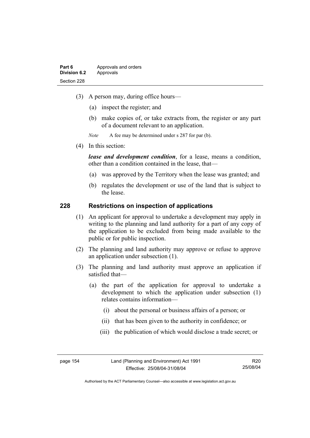- (3) A person may, during office hours—
	- (a) inspect the register; and
	- (b) make copies of, or take extracts from, the register or any part of a document relevant to an application.
	- *Note* A fee may be determined under s 287 for par (b).
- (4) In this section:

*lease and development condition*, for a lease, means a condition, other than a condition contained in the lease, that—

- (a) was approved by the Territory when the lease was granted; and
- (b) regulates the development or use of the land that is subject to the lease.

### **228 Restrictions on inspection of applications**

- (1) An applicant for approval to undertake a development may apply in writing to the planning and land authority for a part of any copy of the application to be excluded from being made available to the public or for public inspection.
- (2) The planning and land authority may approve or refuse to approve an application under subsection (1).
- (3) The planning and land authority must approve an application if satisfied that—
	- (a) the part of the application for approval to undertake a development to which the application under subsection (1) relates contains information—
		- (i) about the personal or business affairs of a person; or
		- (ii) that has been given to the authority in confidence; or
		- (iii) the publication of which would disclose a trade secret; or

Authorised by the ACT Parliamentary Counsel—also accessible at www.legislation.act.gov.au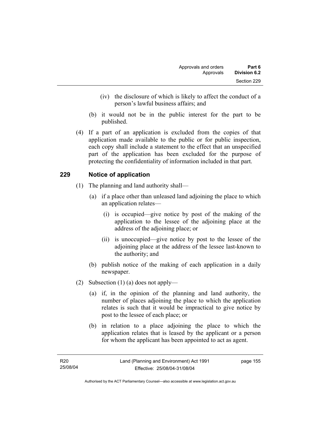- (iv) the disclosure of which is likely to affect the conduct of a person's lawful business affairs; and
- (b) it would not be in the public interest for the part to be published.
- (4) If a part of an application is excluded from the copies of that application made available to the public or for public inspection, each copy shall include a statement to the effect that an unspecified part of the application has been excluded for the purpose of protecting the confidentiality of information included in that part.

### **229 Notice of application**

- (1) The planning and land authority shall—
	- (a) if a place other than unleased land adjoining the place to which an application relates—
		- (i) is occupied—give notice by post of the making of the application to the lessee of the adjoining place at the address of the adjoining place; or
		- (ii) is unoccupied—give notice by post to the lessee of the adjoining place at the address of the lessee last-known to the authority; and
	- (b) publish notice of the making of each application in a daily newspaper.
- (2) Subsection (1) (a) does not apply—
	- (a) if, in the opinion of the planning and land authority, the number of places adjoining the place to which the application relates is such that it would be impractical to give notice by post to the lessee of each place; or
	- (b) in relation to a place adjoining the place to which the application relates that is leased by the applicant or a person for whom the applicant has been appointed to act as agent.

page 155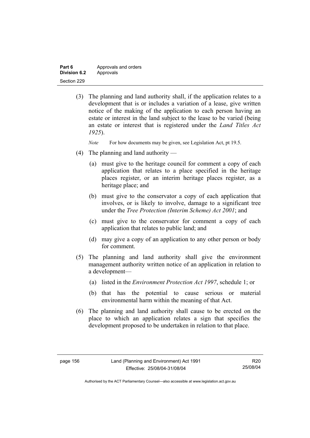| Part 6       | Approvals and orders |
|--------------|----------------------|
| Division 6.2 | Approvals            |
| Section 229  |                      |

 (3) The planning and land authority shall, if the application relates to a development that is or includes a variation of a lease, give written notice of the making of the application to each person having an estate or interest in the land subject to the lease to be varied (being an estate or interest that is registered under the *Land Titles Act 1925*).

*Note* For how documents may be given, see Legislation Act, pt 19.5.

- (4) The planning and land authority
	- (a) must give to the heritage council for comment a copy of each application that relates to a place specified in the heritage places register, or an interim heritage places register, as a heritage place; and
	- (b) must give to the conservator a copy of each application that involves, or is likely to involve, damage to a significant tree under the *Tree Protection (Interim Scheme) Act 2001*; and
	- (c) must give to the conservator for comment a copy of each application that relates to public land; and
	- (d) may give a copy of an application to any other person or body for comment.
- (5) The planning and land authority shall give the environment management authority written notice of an application in relation to a development—
	- (a) listed in the *Environment Protection Act 1997*, schedule 1; or
	- (b) that has the potential to cause serious or material environmental harm within the meaning of that Act.
- (6) The planning and land authority shall cause to be erected on the place to which an application relates a sign that specifies the development proposed to be undertaken in relation to that place.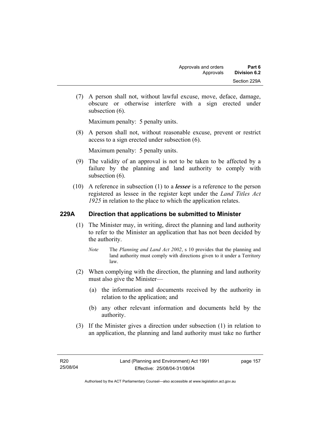(7) A person shall not, without lawful excuse, move, deface, damage, obscure or otherwise interfere with a sign erected under subsection  $(6)$ .

Maximum penalty: 5 penalty units.

 (8) A person shall not, without reasonable excuse, prevent or restrict access to a sign erected under subsection (6).

Maximum penalty: 5 penalty units.

- (9) The validity of an approval is not to be taken to be affected by a failure by the planning and land authority to comply with subsection  $(6)$ .
- (10) A reference in subsection (1) to a *lessee* is a reference to the person registered as lessee in the register kept under the *Land Titles Act 1925* in relation to the place to which the application relates.

### **229A Direction that applications be submitted to Minister**

- (1) The Minister may, in writing, direct the planning and land authority to refer to the Minister an application that has not been decided by the authority.
	- *Note* The *Planning and Land Act 2002*, s 10 provides that the planning and land authority must comply with directions given to it under a Territory law.
- (2) When complying with the direction, the planning and land authority must also give the Minister—
	- (a) the information and documents received by the authority in relation to the application; and
	- (b) any other relevant information and documents held by the authority.
- (3) If the Minister gives a direction under subsection (1) in relation to an application, the planning and land authority must take no further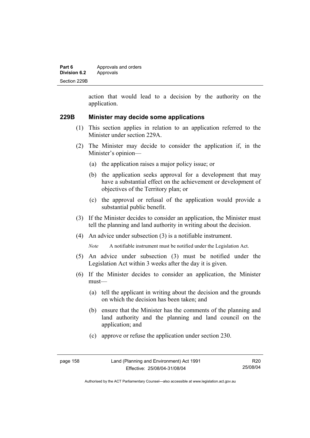| Part 6              | Approvals and orders |
|---------------------|----------------------|
| <b>Division 6.2</b> | Approvals            |
| Section 229B        |                      |

action that would lead to a decision by the authority on the application.

### **229B Minister may decide some applications**

- (1) This section applies in relation to an application referred to the Minister under section 229A.
- (2) The Minister may decide to consider the application if, in the Minister's opinion—
	- (a) the application raises a major policy issue; or
	- (b) the application seeks approval for a development that may have a substantial effect on the achievement or development of objectives of the Territory plan; or
	- (c) the approval or refusal of the application would provide a substantial public benefit.
- (3) If the Minister decides to consider an application, the Minister must tell the planning and land authority in writing about the decision.
- (4) An advice under subsection (3) is a notifiable instrument.

*Note* A notifiable instrument must be notified under the Legislation Act.

- (5) An advice under subsection (3) must be notified under the Legislation Act within 3 weeks after the day it is given.
- (6) If the Minister decides to consider an application, the Minister must—
	- (a) tell the applicant in writing about the decision and the grounds on which the decision has been taken; and
	- (b) ensure that the Minister has the comments of the planning and land authority and the planning and land council on the application; and
	- (c) approve or refuse the application under section 230.

| page 158 | Land (Planning and Environment) Act 1991 | R20      |
|----------|------------------------------------------|----------|
|          | Effective: 25/08/04-31/08/04             | 25/08/04 |

Authorised by the ACT Parliamentary Counsel—also accessible at www.legislation.act.gov.au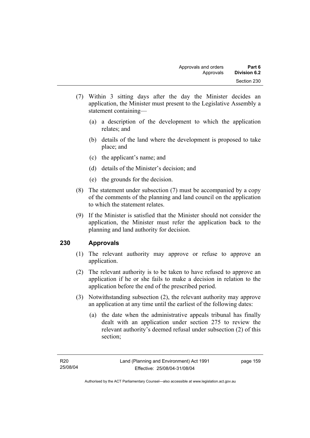- (7) Within 3 sitting days after the day the Minister decides an application, the Minister must present to the Legislative Assembly a statement containing—
	- (a) a description of the development to which the application relates; and
	- (b) details of the land where the development is proposed to take place; and
	- (c) the applicant's name; and
	- (d) details of the Minister's decision; and
	- (e) the grounds for the decision.
- (8) The statement under subsection (7) must be accompanied by a copy of the comments of the planning and land council on the application to which the statement relates.
- (9) If the Minister is satisfied that the Minister should not consider the application, the Minister must refer the application back to the planning and land authority for decision.

### **230 Approvals**

- (1) The relevant authority may approve or refuse to approve an application.
- (2) The relevant authority is to be taken to have refused to approve an application if he or she fails to make a decision in relation to the application before the end of the prescribed period.
- (3) Notwithstanding subsection (2), the relevant authority may approve an application at any time until the earliest of the following dates:
	- (a) the date when the administrative appeals tribunal has finally dealt with an application under section 275 to review the relevant authority's deemed refusal under subsection (2) of this section;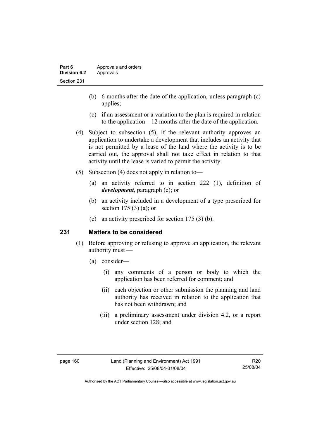- (b) 6 months after the date of the application, unless paragraph (c) applies;
- (c) if an assessment or a variation to the plan is required in relation to the application—12 months after the date of the application.
- (4) Subject to subsection (5), if the relevant authority approves an application to undertake a development that includes an activity that is not permitted by a lease of the land where the activity is to be carried out, the approval shall not take effect in relation to that activity until the lease is varied to permit the activity.
- (5) Subsection (4) does not apply in relation to—
	- (a) an activity referred to in section 222 (1), definition of *development*, paragraph (c); or
	- (b) an activity included in a development of a type prescribed for section 175 (3) (a); or
	- (c) an activity prescribed for section 175 (3) (b).

### **231 Matters to be considered**

- (1) Before approving or refusing to approve an application, the relevant authority must —
	- (a) consider—
		- (i) any comments of a person or body to which the application has been referred for comment; and
		- (ii) each objection or other submission the planning and land authority has received in relation to the application that has not been withdrawn; and
		- (iii) a preliminary assessment under division 4.2, or a report under section 128; and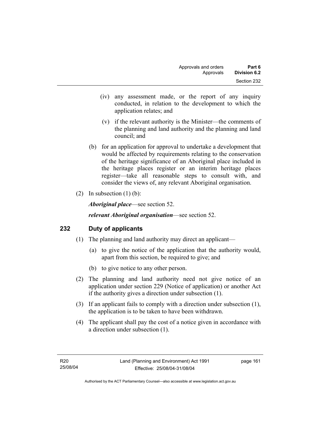- (iv) any assessment made, or the report of any inquiry conducted, in relation to the development to which the application relates; and
- (v) if the relevant authority is the Minister—the comments of the planning and land authority and the planning and land council; and
- (b) for an application for approval to undertake a development that would be affected by requirements relating to the conservation of the heritage significance of an Aboriginal place included in the heritage places register or an interim heritage places register—take all reasonable steps to consult with, and consider the views of, any relevant Aboriginal organisation.
- (2) In subsection  $(1)$  (b):

*Aboriginal place*—see section 52.

*relevant Aboriginal organisation*—see section 52.

### **232 Duty of applicants**

- (1) The planning and land authority may direct an applicant—
	- (a) to give the notice of the application that the authority would, apart from this section, be required to give; and
	- (b) to give notice to any other person.
- (2) The planning and land authority need not give notice of an application under section 229 (Notice of application) or another Act if the authority gives a direction under subsection (1).
- (3) If an applicant fails to comply with a direction under subsection (1), the application is to be taken to have been withdrawn.
- (4) The applicant shall pay the cost of a notice given in accordance with a direction under subsection (1).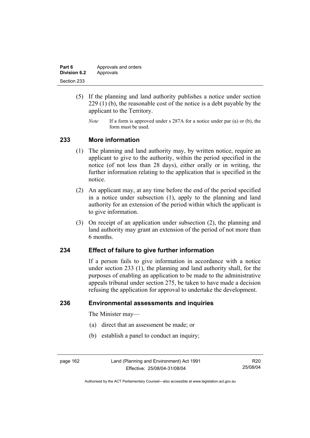| Part 6       | Approvals and orders |
|--------------|----------------------|
| Division 6.2 | Approvals            |
| Section 233  |                      |

- (5) If the planning and land authority publishes a notice under section 229 (1) (b), the reasonable cost of the notice is a debt payable by the applicant to the Territory.
	- *Note* If a form is approved under s 287A for a notice under par (a) or (b), the form must be used.

### **233 More information**

- (1) The planning and land authority may, by written notice, require an applicant to give to the authority, within the period specified in the notice (of not less than 28 days), either orally or in writing, the further information relating to the application that is specified in the notice.
- (2) An applicant may, at any time before the end of the period specified in a notice under subsection (1), apply to the planning and land authority for an extension of the period within which the applicant is to give information.
- (3) On receipt of an application under subsection (2), the planning and land authority may grant an extension of the period of not more than 6 months.

### **234 Effect of failure to give further information**

If a person fails to give information in accordance with a notice under section 233 (1), the planning and land authority shall, for the purposes of enabling an application to be made to the administrative appeals tribunal under section 275, be taken to have made a decision refusing the application for approval to undertake the development.

### **236 Environmental assessments and inquiries**

The Minister may—

- (a) direct that an assessment be made; or
- (b) establish a panel to conduct an inquiry;

page 162 Land (Planning and Environment) Act 1991 Effective: 25/08/04-31/08/04

R20 25/08/04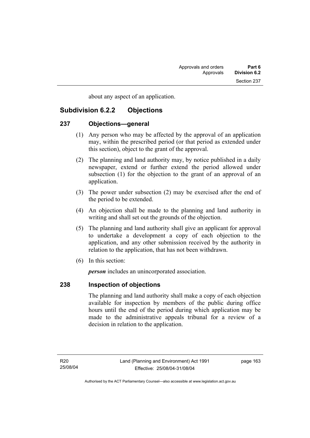about any aspect of an application.

# **Subdivision 6.2.2 Objections**

### **237 Objections—general**

- (1) Any person who may be affected by the approval of an application may, within the prescribed period (or that period as extended under this section), object to the grant of the approval.
- (2) The planning and land authority may, by notice published in a daily newspaper, extend or further extend the period allowed under subsection (1) for the objection to the grant of an approval of an application.
- (3) The power under subsection (2) may be exercised after the end of the period to be extended.
- (4) An objection shall be made to the planning and land authority in writing and shall set out the grounds of the objection.
- (5) The planning and land authority shall give an applicant for approval to undertake a development a copy of each objection to the application, and any other submission received by the authority in relation to the application, that has not been withdrawn.
- (6) In this section:

*person* includes an unincorporated association.

### **238 Inspection of objections**

The planning and land authority shall make a copy of each objection available for inspection by members of the public during office hours until the end of the period during which application may be made to the administrative appeals tribunal for a review of a decision in relation to the application.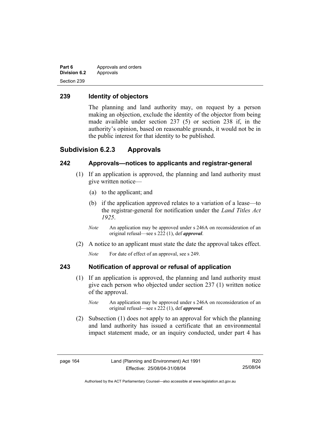| Part 6              | Approvals and orders |
|---------------------|----------------------|
| <b>Division 6.2</b> | Approvals            |
| Section 239         |                      |

### **239 Identity of objectors**

The planning and land authority may, on request by a person making an objection, exclude the identity of the objector from being made available under section 237 (5) or section 238 if, in the authority's opinion, based on reasonable grounds, it would not be in the public interest for that identity to be published.

### **Subdivision 6.2.3 Approvals**

### **242 Approvals—notices to applicants and registrar-general**

- (1) If an application is approved, the planning and land authority must give written notice—
	- (a) to the applicant; and
	- (b) if the application approved relates to a variation of a lease—to the registrar-general for notification under the *Land Titles Act 1925*.
	- *Note* An application may be approved under s 246A on reconsideration of an original refusal—see s 222 (1), def *approval*.
- (2) A notice to an applicant must state the date the approval takes effect.

*Note* For date of effect of an approval, see s 249.

### **243 Notification of approval or refusal of application**

- (1) If an application is approved, the planning and land authority must give each person who objected under section 237 (1) written notice of the approval.
	- *Note* An application may be approved under s 246A on reconsideration of an original refusal—see s 222 (1), def *approval*.
- (2) Subsection (1) does not apply to an approval for which the planning and land authority has issued a certificate that an environmental impact statement made, or an inquiry conducted, under part 4 has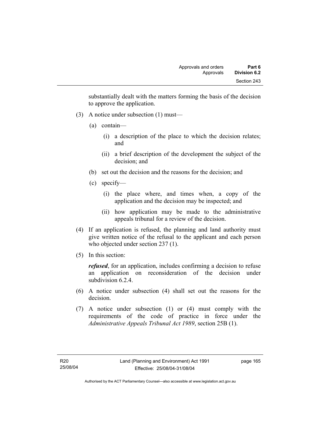substantially dealt with the matters forming the basis of the decision to approve the application.

- (3) A notice under subsection (1) must—
	- (a) contain—
		- (i) a description of the place to which the decision relates; and
		- (ii) a brief description of the development the subject of the decision; and
	- (b) set out the decision and the reasons for the decision; and
	- (c) specify—
		- (i) the place where, and times when, a copy of the application and the decision may be inspected; and
		- (ii) how application may be made to the administrative appeals tribunal for a review of the decision.
- (4) If an application is refused, the planning and land authority must give written notice of the refusal to the applicant and each person who objected under section 237 (1).
- (5) In this section:

*refused*, for an application, includes confirming a decision to refuse an application on reconsideration of the decision under subdivision 6.2.4

- (6) A notice under subsection (4) shall set out the reasons for the decision.
- (7) A notice under subsection (1) or (4) must comply with the requirements of the code of practice in force under the *Administrative Appeals Tribunal Act 1989*, section 25B (1).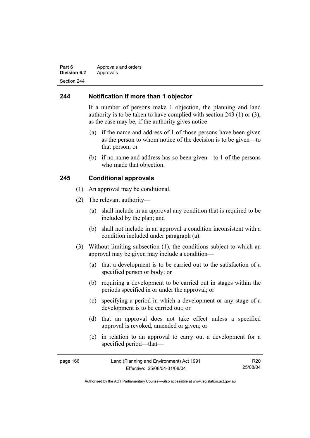#### **Part 6 Approvals and orders Division 6.2** Approvals Section 244

### **244 Notification if more than 1 objector**

If a number of persons make 1 objection, the planning and land authority is to be taken to have complied with section 243 (1) or (3), as the case may be, if the authority gives notice—

- (a) if the name and address of 1 of those persons have been given as the person to whom notice of the decision is to be given—to that person; or
- (b) if no name and address has so been given—to 1 of the persons who made that objection.

#### **245 Conditional approvals**

- (1) An approval may be conditional.
- (2) The relevant authority—
	- (a) shall include in an approval any condition that is required to be included by the plan; and
	- (b) shall not include in an approval a condition inconsistent with a condition included under paragraph (a).
- (3) Without limiting subsection (1), the conditions subject to which an approval may be given may include a condition—
	- (a) that a development is to be carried out to the satisfaction of a specified person or body; or
	- (b) requiring a development to be carried out in stages within the periods specified in or under the approval; or
	- (c) specifying a period in which a development or any stage of a development is to be carried out; or
	- (d) that an approval does not take effect unless a specified approval is revoked, amended or given; or
	- (e) in relation to an approval to carry out a development for a specified period—that—

| page 166 | Land (Planning and Environment) Act 1991 | R20      |
|----------|------------------------------------------|----------|
|          | Effective: 25/08/04-31/08/04             | 25/08/04 |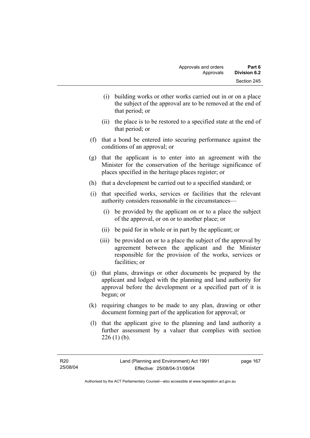- (i) building works or other works carried out in or on a place the subject of the approval are to be removed at the end of that period; or
- (ii) the place is to be restored to a specified state at the end of that period; or
- (f) that a bond be entered into securing performance against the conditions of an approval; or
- (g) that the applicant is to enter into an agreement with the Minister for the conservation of the heritage significance of places specified in the heritage places register; or
- (h) that a development be carried out to a specified standard; or
- (i) that specified works, services or facilities that the relevant authority considers reasonable in the circumstances—
	- (i) be provided by the applicant on or to a place the subject of the approval, or on or to another place; or
	- (ii) be paid for in whole or in part by the applicant; or
	- (iii) be provided on or to a place the subject of the approval by agreement between the applicant and the Minister responsible for the provision of the works, services or facilities; or
- (j) that plans, drawings or other documents be prepared by the applicant and lodged with the planning and land authority for approval before the development or a specified part of it is begun; or
- (k) requiring changes to be made to any plan, drawing or other document forming part of the application for approval; or
- (l) that the applicant give to the planning and land authority a further assessment by a valuer that complies with section  $226$  (1) (b).

page 167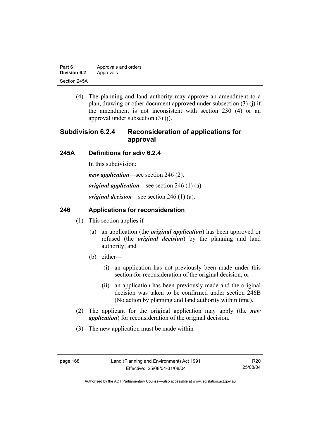| Part 6       | Approvals and orders |  |
|--------------|----------------------|--|
| Division 6.2 | Approvals            |  |
| Section 245A |                      |  |

 (4) The planning and land authority may approve an amendment to a plan, drawing or other document approved under subsection (3) (j) if the amendment is not inconsistent with section 230 (4) or an approval under subsection (3) (j).

# **Subdivision 6.2.4 Reconsideration of applications for approval**

#### **245A Definitions for sdiv 6.2.4**

In this subdivision:

*new application*—see section 246 (2).

*original application*—see section 246 (1) (a).

*original decision*—see section 246 (1) (a).

### **246 Applications for reconsideration**

- (1) This section applies if—
	- (a) an application (the *original application*) has been approved or refused (the *original decision*) by the planning and land authority; and
	- (b) either—
		- (i) an application has not previously been made under this section for reconsideration of the original decision; or
		- (ii) an application has been previously made and the original decision was taken to be confirmed under section 246B (No action by planning and land authority within time).
- (2) The applicant for the original application may apply (the *new application*) for reconsideration of the original decision.
- (3) The new application must be made within—

R20 25/08/04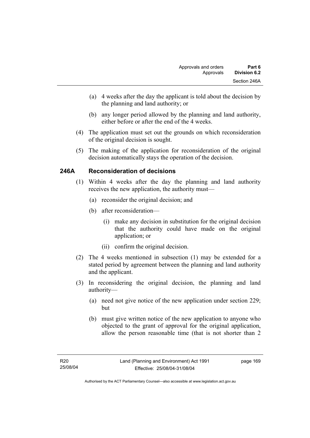- (a) 4 weeks after the day the applicant is told about the decision by the planning and land authority; or
- (b) any longer period allowed by the planning and land authority, either before or after the end of the 4 weeks.
- (4) The application must set out the grounds on which reconsideration of the original decision is sought.
- (5) The making of the application for reconsideration of the original decision automatically stays the operation of the decision.

## **246A Reconsideration of decisions**

- (1) Within 4 weeks after the day the planning and land authority receives the new application, the authority must—
	- (a) reconsider the original decision; and
	- (b) after reconsideration—
		- (i) make any decision in substitution for the original decision that the authority could have made on the original application; or
		- (ii) confirm the original decision.
- (2) The 4 weeks mentioned in subsection (1) may be extended for a stated period by agreement between the planning and land authority and the applicant.
- (3) In reconsidering the original decision, the planning and land authority—
	- (a) need not give notice of the new application under section 229; but
	- (b) must give written notice of the new application to anyone who objected to the grant of approval for the original application, allow the person reasonable time (that is not shorter than 2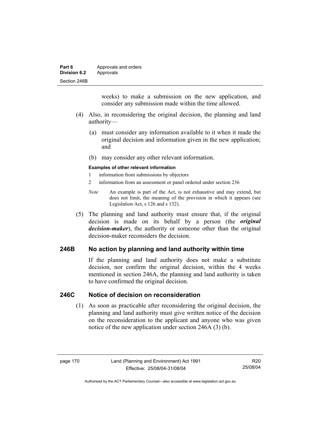| Part 6              | Approvals and orders |  |
|---------------------|----------------------|--|
| <b>Division 6.2</b> | Approvals            |  |
| Section 246B        |                      |  |

weeks) to make a submission on the new application, and consider any submission made within the time allowed.

- (4) Also, in reconsidering the original decision, the planning and land authority—
	- (a) must consider any information available to it when it made the original decision and information given in the new application; and
	- (b) may consider any other relevant information.

#### **Examples of other relevant information**

- 1 information from submissions by objectors
- 2 information from an assessment or panel ordered under section 236
- *Note* An example is part of the Act, is not exhaustive and may extend, but does not limit, the meaning of the provision in which it appears (see Legislation Act, s 126 and s 132).
- (5) The planning and land authority must ensure that, if the original decision is made on its behalf by a person (the *original decision-maker*), the authority or someone other than the original decision-maker reconsiders the decision.

### **246B No action by planning and land authority within time**

If the planning and land authority does not make a substitute decision, nor confirm the original decision, within the 4 weeks mentioned in section 246A, the planning and land authority is taken to have confirmed the original decision.

#### **246C Notice of decision on reconsideration**

 (1) As soon as practicable after reconsidering the original decision, the planning and land authority must give written notice of the decision on the reconsideration to the applicant and anyone who was given notice of the new application under section 246A (3) (b).

R20 25/08/04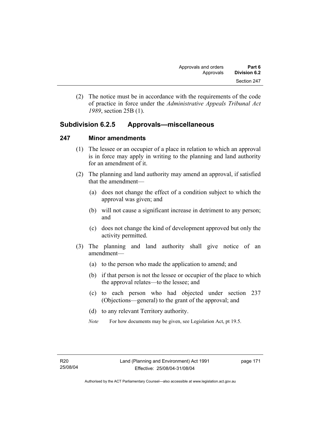(2) The notice must be in accordance with the requirements of the code of practice in force under the *Administrative Appeals Tribunal Act 1989*, section 25B (1).

# **Subdivision 6.2.5 Approvals—miscellaneous**

#### **247 Minor amendments**

- (1) The lessee or an occupier of a place in relation to which an approval is in force may apply in writing to the planning and land authority for an amendment of it.
- (2) The planning and land authority may amend an approval, if satisfied that the amendment—
	- (a) does not change the effect of a condition subject to which the approval was given; and
	- (b) will not cause a significant increase in detriment to any person; and
	- (c) does not change the kind of development approved but only the activity permitted.
- (3) The planning and land authority shall give notice of an amendment—
	- (a) to the person who made the application to amend; and
	- (b) if that person is not the lessee or occupier of the place to which the approval relates—to the lessee; and
	- (c) to each person who had objected under section 237 (Objections—general) to the grant of the approval; and
	- (d) to any relevant Territory authority.
	- *Note* For how documents may be given, see Legislation Act, pt 19.5.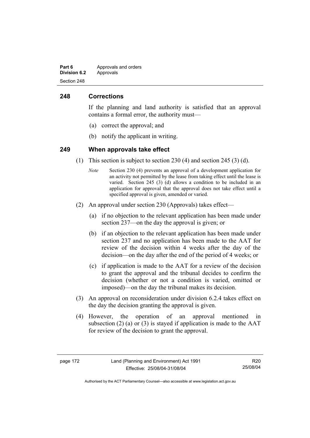| Part 6              | Approvals and orders |  |
|---------------------|----------------------|--|
| <b>Division 6.2</b> | Approvals            |  |
| Section 248         |                      |  |

### **248 Corrections**

If the planning and land authority is satisfied that an approval contains a formal error, the authority must—

- (a) correct the approval; and
- (b) notify the applicant in writing.

#### **249 When approvals take effect**

- (1) This section is subject to section 230 (4) and section 245 (3) (d).
	- *Note* Section 230 (4) prevents an approval of a development application for an activity not permitted by the lease from taking effect until the lease is varied. Section 245 (3) (d) allows a condition to be included in an application for approval that the approval does not take effect until a specified approval is given, amended or varied.
- (2) An approval under section 230 (Approvals) takes effect—
	- (a) if no objection to the relevant application has been made under section 237—on the day the approval is given; or
	- (b) if an objection to the relevant application has been made under section 237 and no application has been made to the AAT for review of the decision within 4 weeks after the day of the decision—on the day after the end of the period of 4 weeks; or
	- (c) if application is made to the AAT for a review of the decision to grant the approval and the tribunal decides to confirm the decision (whether or not a condition is varied, omitted or imposed)—on the day the tribunal makes its decision.
- (3) An approval on reconsideration under division 6.2.4 takes effect on the day the decision granting the approval is given.
- (4) However, the operation of an approval mentioned in subsection (2) (a) or (3) is stayed if application is made to the  $AAT$ for review of the decision to grant the approval.

R20 25/08/04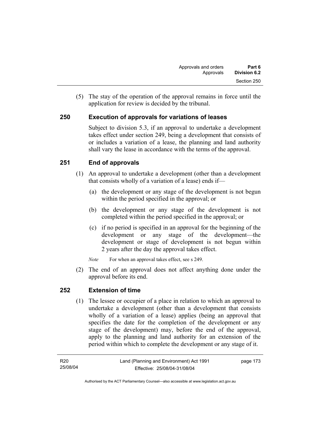(5) The stay of the operation of the approval remains in force until the application for review is decided by the tribunal.

# **250 Execution of approvals for variations of leases**

Subject to division 5.3, if an approval to undertake a development takes effect under section 249, being a development that consists of or includes a variation of a lease, the planning and land authority shall vary the lease in accordance with the terms of the approval.

# **251 End of approvals**

- (1) An approval to undertake a development (other than a development that consists wholly of a variation of a lease) ends if—
	- (a) the development or any stage of the development is not begun within the period specified in the approval; or
	- (b) the development or any stage of the development is not completed within the period specified in the approval; or
	- (c) if no period is specified in an approval for the beginning of the development or any stage of the development—the development or stage of development is not begun within 2 years after the day the approval takes effect.

*Note* For when an approval takes effect, see s 249.

 (2) The end of an approval does not affect anything done under the approval before its end.

## **252 Extension of time**

 (1) The lessee or occupier of a place in relation to which an approval to undertake a development (other than a development that consists wholly of a variation of a lease) applies (being an approval that specifies the date for the completion of the development or any stage of the development) may, before the end of the approval, apply to the planning and land authority for an extension of the period within which to complete the development or any stage of it.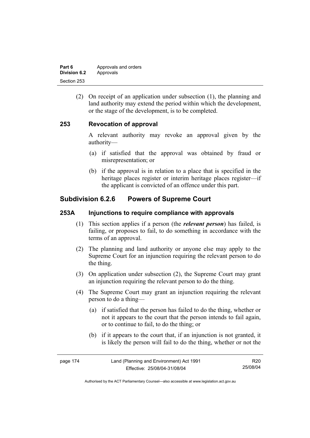| Part 6       | Approvals and orders |  |
|--------------|----------------------|--|
| Division 6.2 | Approvals            |  |
| Section 253  |                      |  |

 (2) On receipt of an application under subsection (1), the planning and land authority may extend the period within which the development, or the stage of the development, is to be completed.

#### **253 Revocation of approval**

A relevant authority may revoke an approval given by the authority—

- (a) if satisfied that the approval was obtained by fraud or misrepresentation; or
- (b) if the approval is in relation to a place that is specified in the heritage places register or interim heritage places register—if the applicant is convicted of an offence under this part.

# **Subdivision 6.2.6 Powers of Supreme Court**

#### **253A Injunctions to require compliance with approvals**

- (1) This section applies if a person (the *relevant person*) has failed, is failing, or proposes to fail, to do something in accordance with the terms of an approval.
- (2) The planning and land authority or anyone else may apply to the Supreme Court for an injunction requiring the relevant person to do the thing.
- (3) On application under subsection (2), the Supreme Court may grant an injunction requiring the relevant person to do the thing.
- (4) The Supreme Court may grant an injunction requiring the relevant person to do a thing—
	- (a) if satisfied that the person has failed to do the thing, whether or not it appears to the court that the person intends to fail again, or to continue to fail, to do the thing; or
	- (b) if it appears to the court that, if an injunction is not granted, it is likely the person will fail to do the thing, whether or not the

| page 174 | Land (Planning and Environment) Act 1991 | R20      |
|----------|------------------------------------------|----------|
|          | Effective: 25/08/04-31/08/04             | 25/08/04 |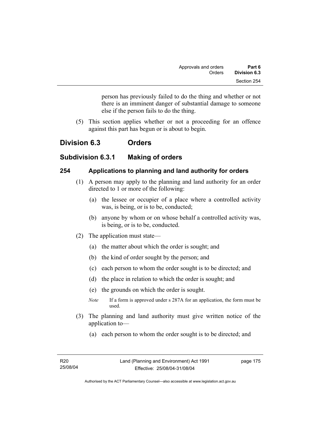person has previously failed to do the thing and whether or not there is an imminent danger of substantial damage to someone else if the person fails to do the thing.

 (5) This section applies whether or not a proceeding for an offence against this part has begun or is about to begin.

# **Division 6.3 Orders**

## **Subdivision 6.3.1 Making of orders**

#### **254 Applications to planning and land authority for orders**

- (1) A person may apply to the planning and land authority for an order directed to 1 or more of the following:
	- (a) the lessee or occupier of a place where a controlled activity was, is being, or is to be, conducted;
	- (b) anyone by whom or on whose behalf a controlled activity was, is being, or is to be, conducted.
- (2) The application must state—
	- (a) the matter about which the order is sought; and
	- (b) the kind of order sought by the person; and
	- (c) each person to whom the order sought is to be directed; and
	- (d) the place in relation to which the order is sought; and
	- (e) the grounds on which the order is sought.
	- *Note* If a form is approved under s 287A for an application, the form must be used.
- (3) The planning and land authority must give written notice of the application to—
	- (a) each person to whom the order sought is to be directed; and

page 175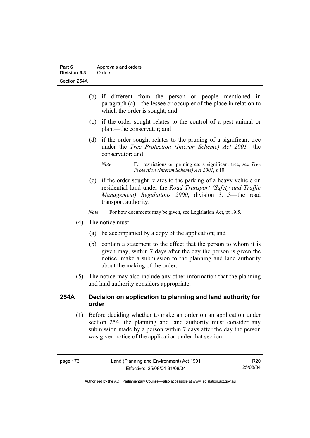| Part 6       | Approvals and orders |  |
|--------------|----------------------|--|
| Division 6.3 | Orders               |  |
| Section 254A |                      |  |

- (b) if different from the person or people mentioned in paragraph (a)—the lessee or occupier of the place in relation to which the order is sought; and
- (c) if the order sought relates to the control of a pest animal or plant—the conservator; and
- (d) if the order sought relates to the pruning of a significant tree under the *Tree Protection (Interim Scheme) Act 2001*—the conservator; and

 (e) if the order sought relates to the parking of a heavy vehicle on residential land under the *Road Transport (Safety and Traffic Management) Regulations 2000*, division 3.1.3—the road transport authority.

*Note* For how documents may be given, see Legislation Act, pt 19.5.

- (4) The notice must—
	- (a) be accompanied by a copy of the application; and
	- (b) contain a statement to the effect that the person to whom it is given may, within 7 days after the day the person is given the notice, make a submission to the planning and land authority about the making of the order.
- (5) The notice may also include any other information that the planning and land authority considers appropriate.

#### **254A Decision on application to planning and land authority for order**

 (1) Before deciding whether to make an order on an application under section 254, the planning and land authority must consider any submission made by a person within 7 days after the day the person was given notice of the application under that section.

R20 25/08/04

*Note* For restrictions on pruning etc a significant tree, see *Tree Protection (Interim Scheme) Act 2001*, s 10.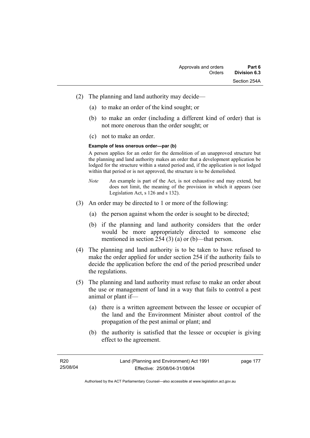- (2) The planning and land authority may decide—
	- (a) to make an order of the kind sought; or
	- (b) to make an order (including a different kind of order) that is not more onerous than the order sought; or
	- (c) not to make an order.

#### **Example of less onerous order—par (b)**

A person applies for an order for the demolition of an unapproved structure but the planning and land authority makes an order that a development application be lodged for the structure within a stated period and, if the application is not lodged within that period or is not approved, the structure is to be demolished.

- *Note* An example is part of the Act, is not exhaustive and may extend, but does not limit, the meaning of the provision in which it appears (see Legislation Act, s 126 and s 132).
- (3) An order may be directed to 1 or more of the following:
	- (a) the person against whom the order is sought to be directed;
	- (b) if the planning and land authority considers that the order would be more appropriately directed to someone else mentioned in section 254 (3) (a) or (b)—that person.
- (4) The planning and land authority is to be taken to have refused to make the order applied for under section 254 if the authority fails to decide the application before the end of the period prescribed under the regulations.
- (5) The planning and land authority must refuse to make an order about the use or management of land in a way that fails to control a pest animal or plant if—
	- (a) there is a written agreement between the lessee or occupier of the land and the Environment Minister about control of the propagation of the pest animal or plant; and
	- (b) the authority is satisfied that the lessee or occupier is giving effect to the agreement.

page 177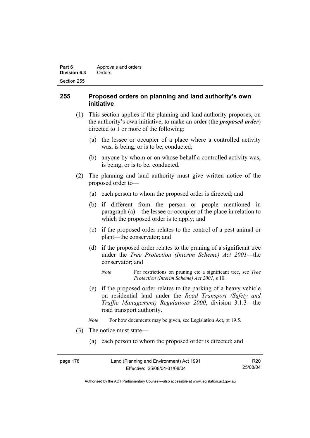| Part 6       | Approvals and orders |
|--------------|----------------------|
| Division 6.3 | Orders               |
| Section 255  |                      |

### **255 Proposed orders on planning and land authority's own initiative**

- (1) This section applies if the planning and land authority proposes, on the authority's own initiative, to make an order (the *proposed order*) directed to 1 or more of the following:
	- (a) the lessee or occupier of a place where a controlled activity was, is being, or is to be, conducted;
	- (b) anyone by whom or on whose behalf a controlled activity was, is being, or is to be, conducted.
- (2) The planning and land authority must give written notice of the proposed order to—
	- (a) each person to whom the proposed order is directed; and
	- (b) if different from the person or people mentioned in paragraph (a)—the lessee or occupier of the place in relation to which the proposed order is to apply; and
	- (c) if the proposed order relates to the control of a pest animal or plant—the conservator; and
	- (d) if the proposed order relates to the pruning of a significant tree under the *Tree Protection (Interim Scheme) Act 2001*—the conservator; and
		- *Note* For restrictions on pruning etc a significant tree, see *Tree Protection (Interim Scheme) Act 2001*, s 10.
	- (e) if the proposed order relates to the parking of a heavy vehicle on residential land under the *Road Transport (Safety and Traffic Management) Regulations 2000*, division 3.1.3—the road transport authority.
	- *Note* For how documents may be given, see Legislation Act, pt 19.5.
- (3) The notice must state—
	- (a) each person to whom the proposed order is directed; and

| page 178 | Land (Planning and Environment) Act 1991 | R20      |
|----------|------------------------------------------|----------|
|          | Effective: 25/08/04-31/08/04             | 25/08/04 |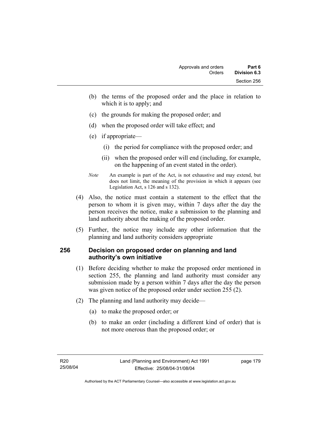- (b) the terms of the proposed order and the place in relation to which it is to apply; and
- (c) the grounds for making the proposed order; and
- (d) when the proposed order will take effect; and
- (e) if appropriate—
	- (i) the period for compliance with the proposed order; and
	- (ii) when the proposed order will end (including, for example, on the happening of an event stated in the order).
- *Note* An example is part of the Act, is not exhaustive and may extend, but does not limit, the meaning of the provision in which it appears (see Legislation Act, s 126 and s 132).
- (4) Also, the notice must contain a statement to the effect that the person to whom it is given may, within 7 days after the day the person receives the notice, make a submission to the planning and land authority about the making of the proposed order.
- (5) Further, the notice may include any other information that the planning and land authority considers appropriate

## **256 Decision on proposed order on planning and land authority's own initiative**

- (1) Before deciding whether to make the proposed order mentioned in section 255, the planning and land authority must consider any submission made by a person within 7 days after the day the person was given notice of the proposed order under section 255 (2).
- (2) The planning and land authority may decide—
	- (a) to make the proposed order; or
	- (b) to make an order (including a different kind of order) that is not more onerous than the proposed order; or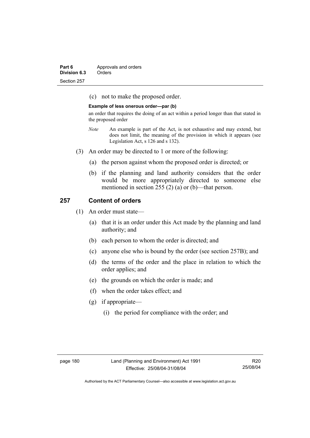| Part 6       | Approvals and orders |
|--------------|----------------------|
| Division 6.3 | Orders               |
| Section 257  |                      |

(c) not to make the proposed order.

#### **Example of less onerous order—par (b)**

an order that requires the doing of an act within a period longer than that stated in the proposed order

- *Note* An example is part of the Act, is not exhaustive and may extend, but does not limit, the meaning of the provision in which it appears (see Legislation Act, s 126 and s 132).
- (3) An order may be directed to 1 or more of the following:
	- (a) the person against whom the proposed order is directed; or
	- (b) if the planning and land authority considers that the order would be more appropriately directed to someone else mentioned in section 255 (2) (a) or (b)—that person.

#### **257 Content of orders**

- (1) An order must state—
	- (a) that it is an order under this Act made by the planning and land authority; and
	- (b) each person to whom the order is directed; and
	- (c) anyone else who is bound by the order (see section 257B); and
	- (d) the terms of the order and the place in relation to which the order applies; and
	- (e) the grounds on which the order is made; and
	- (f) when the order takes effect; and
	- (g) if appropriate—
		- (i) the period for compliance with the order; and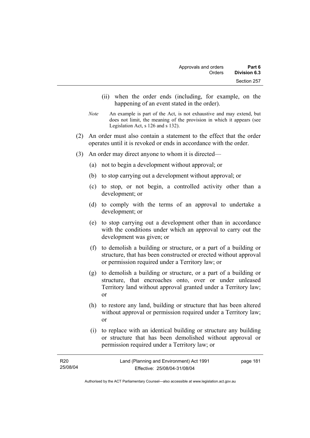- (ii) when the order ends (including, for example, on the happening of an event stated in the order).
- *Note* An example is part of the Act, is not exhaustive and may extend, but does not limit, the meaning of the provision in which it appears (see Legislation Act, s 126 and s 132).
- (2) An order must also contain a statement to the effect that the order operates until it is revoked or ends in accordance with the order.
- (3) An order may direct anyone to whom it is directed—
	- (a) not to begin a development without approval; or
	- (b) to stop carrying out a development without approval; or
	- (c) to stop, or not begin, a controlled activity other than a development; or
	- (d) to comply with the terms of an approval to undertake a development; or
	- (e) to stop carrying out a development other than in accordance with the conditions under which an approval to carry out the development was given; or
	- (f) to demolish a building or structure, or a part of a building or structure, that has been constructed or erected without approval or permission required under a Territory law; or
	- (g) to demolish a building or structure, or a part of a building or structure, that encroaches onto, over or under unleased Territory land without approval granted under a Territory law; or
	- (h) to restore any land, building or structure that has been altered without approval or permission required under a Territory law; or
	- (i) to replace with an identical building or structure any building or structure that has been demolished without approval or permission required under a Territory law; or

| R20      | Land (Planning and Environment) Act 1991 | page 181 |
|----------|------------------------------------------|----------|
| 25/08/04 | Effective: 25/08/04-31/08/04             |          |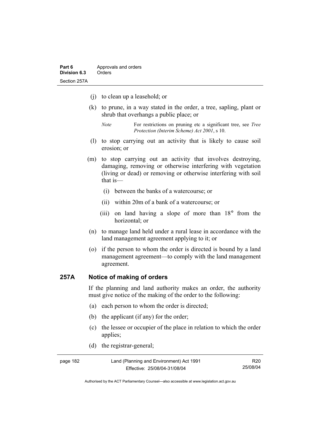- (j) to clean up a leasehold; or
- (k) to prune, in a way stated in the order, a tree, sapling, plant or shrub that overhangs a public place; or
	- *Note* For restrictions on pruning etc a significant tree, see *Tree Protection (Interim Scheme) Act 2001*, s 10.
- (l) to stop carrying out an activity that is likely to cause soil erosion; or
- (m) to stop carrying out an activity that involves destroying, damaging, removing or otherwise interfering with vegetation (living or dead) or removing or otherwise interfering with soil that is—
	- (i) between the banks of a watercourse; or
	- (ii) within 20m of a bank of a watercourse; or
	- (iii) on land having a slope of more than 18° from the horizontal; or
- (n) to manage land held under a rural lease in accordance with the land management agreement applying to it; or
- (o) if the person to whom the order is directed is bound by a land management agreement—to comply with the land management agreement.

### **257A Notice of making of orders**

If the planning and land authority makes an order, the authority must give notice of the making of the order to the following:

- (a) each person to whom the order is directed;
- (b) the applicant (if any) for the order;
- (c) the lessee or occupier of the place in relation to which the order applies;
- (d) the registrar-general;

| page 182 | Land (Planning and Environment) Act 1991 | R20      |
|----------|------------------------------------------|----------|
|          | Effective: 25/08/04-31/08/04             | 25/08/04 |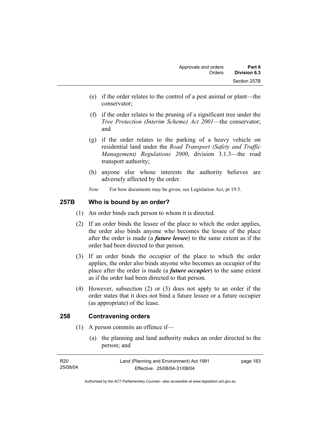- (e) if the order relates to the control of a pest animal or plant—the conservator;
- (f) if the order relates to the pruning of a significant tree under the *Tree Protection (Interim Scheme) Act 2001*—the conservator; and
- (g) if the order relates to the parking of a heavy vehicle on residential land under the *Road Transport (Safety and Traffic Management) Regulations 2000*, division 3.1.3—the road transport authority;
- (h) anyone else whose interests the authority believes are adversely affected by the order.
- *Note* For how documents may be given, see Legislation Act, pt 19.5.

## **257B Who is bound by an order?**

- (1) An order binds each person to whom it is directed.
- (2) If an order binds the lessee of the place to which the order applies, the order also binds anyone who becomes the lessee of the place after the order is made (a *future lessee*) to the same extent as if the order had been directed to that person.
- (3) If an order binds the occupier of the place to which the order applies, the order also binds anyone who becomes an occupier of the place after the order is made (a *future occupier*) to the same extent as if the order had been directed to that person.
- (4) However, subsection (2) or (3) does not apply to an order if the order states that it does not bind a future lessee or a future occupier (as appropriate) of the lease.

## **258 Contravening orders**

- (1) A person commits an offence if—
	- (a) the planning and land authority makes an order directed to the person; and

| R20      | Land (Planning and Environment) Act 1991 | page 183 |
|----------|------------------------------------------|----------|
| 25/08/04 | Effective: 25/08/04-31/08/04             |          |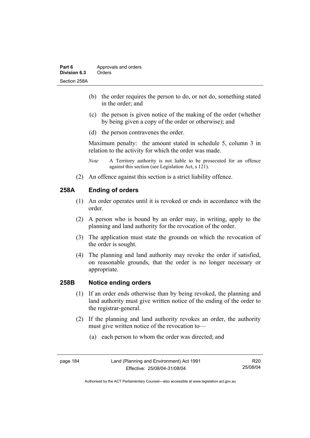- (b) the order requires the person to do, or not do, something stated in the order; and
- (c) the person is given notice of the making of the order (whether by being given a copy of the order or otherwise); and
- (d) the person contravenes the order.

Maximum penalty: the amount stated in schedule 5, column 3 in relation to the activity for which the order was made.

- *Note* A Territory authority is not liable to be prosecuted for an offence against this section (see Legislation Act, s 121).
- (2) An offence against this section is a strict liability offence.

## **258A Ending of orders**

- (1) An order operates until it is revoked or ends in accordance with the order.
- (2) A person who is bound by an order may, in writing, apply to the planning and land authority for the revocation of the order.
- (3) The application must state the grounds on which the revocation of the order is sought.
- (4) The planning and land authority may revoke the order if satisfied, on reasonable grounds, that the order is no longer necessary or appropriate.

#### **258B Notice ending orders**

- (1) If an order ends otherwise than by being revoked, the planning and land authority must give written notice of the ending of the order to the registrar-general.
- (2) If the planning and land authority revokes an order, the authority must give written notice of the revocation to—
	- (a) each person to whom the order was directed; and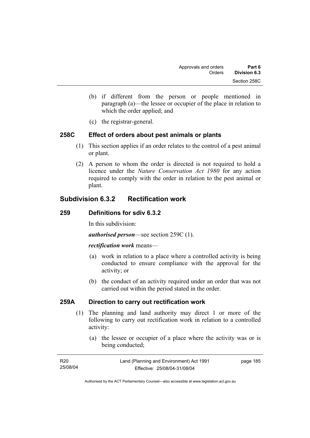- (b) if different from the person or people mentioned in paragraph (a)—the lessee or occupier of the place in relation to which the order applied; and
- (c) the registrar-general.

### **258C Effect of orders about pest animals or plants**

- (1) This section applies if an order relates to the control of a pest animal or plant.
- (2) A person to whom the order is directed is not required to hold a licence under the *Nature Conservation Act 1980* for any action required to comply with the order in relation to the pest animal or plant.

# **Subdivision 6.3.2 Rectification work**

#### **259 Definitions for sdiv 6.3.2**

In this subdivision:

*authorised person*—see section 259C (1).

#### *rectification work* means—

- (a) work in relation to a place where a controlled activity is being conducted to ensure compliance with the approval for the activity; or
- (b) the conduct of an activity required under an order that was not carried out within the period stated in the order.

## **259A Direction to carry out rectification work**

- (1) The planning and land authority may direct 1 or more of the following to carry out rectification work in relation to a controlled activity:
	- (a) the lessee or occupier of a place where the activity was or is being conducted;

| R20      | Land (Planning and Environment) Act 1991 | page 185 |
|----------|------------------------------------------|----------|
| 25/08/04 | Effective: 25/08/04-31/08/04             |          |
|          |                                          |          |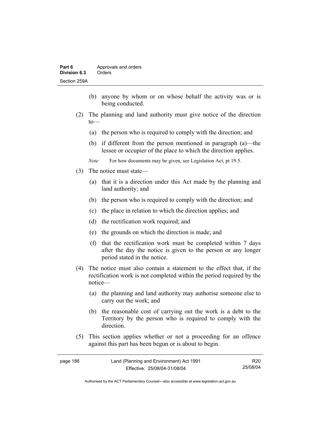- (b) anyone by whom or on whose behalf the activity was or is being conducted.
- (2) The planning and land authority must give notice of the direction to—
	- (a) the person who is required to comply with the direction; and
	- (b) if different from the person mentioned in paragraph (a)—the lessee or occupier of the place to which the direction applies.
	- *Note* For how documents may be given, see Legislation Act, pt 19.5.
- (3) The notice must state—
	- (a) that it is a direction under this Act made by the planning and land authority; and
	- (b) the person who is required to comply with the direction; and
	- (c) the place in relation to which the direction applies; and
	- (d) the rectification work required; and
	- (e) the grounds on which the direction is made; and
	- (f) that the rectification work must be completed within 7 days after the day the notice is given to the person or any longer period stated in the notice.
- (4) The notice must also contain a statement to the effect that, if the rectification work is not completed within the period required by the notice—
	- (a) the planning and land authority may authorise someone else to carry out the work; and
	- (b) the reasonable cost of carrying out the work is a debt to the Territory by the person who is required to comply with the direction.
- (5) This section applies whether or not a proceeding for an offence against this part has been begun or is about to begin.

| page 186 | Land (Planning and Environment) Act 1991 | R <sub>20</sub> |
|----------|------------------------------------------|-----------------|
|          | Effective: 25/08/04-31/08/04             | 25/08/04        |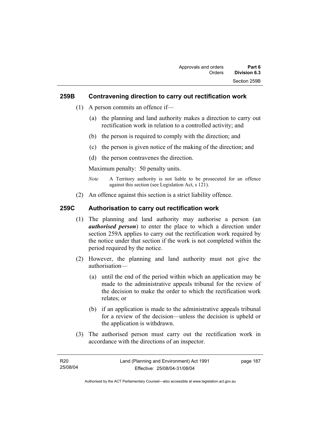### **259B Contravening direction to carry out rectification work**

- (1) A person commits an offence if—
	- (a) the planning and land authority makes a direction to carry out rectification work in relation to a controlled activity; and
	- (b) the person is required to comply with the direction; and
	- (c) the person is given notice of the making of the direction; and
	- (d) the person contravenes the direction.

Maximum penalty: 50 penalty units.

- *Note* A Territory authority is not liable to be prosecuted for an offence against this section (see Legislation Act, s 121).
- (2) An offence against this section is a strict liability offence.

### **259C Authorisation to carry out rectification work**

- (1) The planning and land authority may authorise a person (an *authorised person*) to enter the place to which a direction under section 259A applies to carry out the rectification work required by the notice under that section if the work is not completed within the period required by the notice.
- (2) However, the planning and land authority must not give the authorisation—
	- (a) until the end of the period within which an application may be made to the administrative appeals tribunal for the review of the decision to make the order to which the rectification work relates; or
	- (b) if an application is made to the administrative appeals tribunal for a review of the decision—unless the decision is upheld or the application is withdrawn.
- (3) The authorised person must carry out the rectification work in accordance with the directions of an inspector.

| R20      | Land (Planning and Environment) Act 1991 | page 187 |
|----------|------------------------------------------|----------|
| 25/08/04 | Effective: 25/08/04-31/08/04             |          |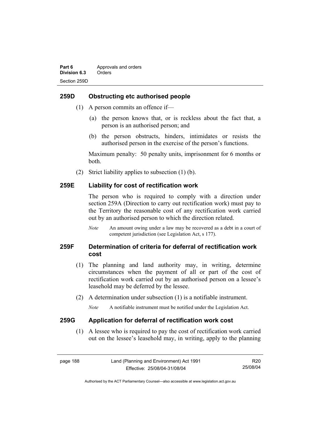### **259D Obstructing etc authorised people**

- (1) A person commits an offence if—
	- (a) the person knows that, or is reckless about the fact that, a person is an authorised person; and
	- (b) the person obstructs, hinders, intimidates or resists the authorised person in the exercise of the person's functions.

Maximum penalty: 50 penalty units, imprisonment for 6 months or both.

(2) Strict liability applies to subsection (1) (b).

#### **259E Liability for cost of rectification work**

The person who is required to comply with a direction under section 259A (Direction to carry out rectification work) must pay to the Territory the reasonable cost of any rectification work carried out by an authorised person to which the direction related.

*Note* An amount owing under a law may be recovered as a debt in a court of competent jurisdiction (see Legislation Act, s 177).

## **259F Determination of criteria for deferral of rectification work cost**

- (1) The planning and land authority may, in writing, determine circumstances when the payment of all or part of the cost of rectification work carried out by an authorised person on a lessee's leasehold may be deferred by the lessee.
- (2) A determination under subsection (1) is a notifiable instrument.

*Note* A notifiable instrument must be notified under the Legislation Act.

#### **259G Application for deferral of rectification work cost**

 (1) A lessee who is required to pay the cost of rectification work carried out on the lessee's leasehold may, in writing, apply to the planning

page 188 Land (Planning and Environment) Act 1991 Effective: 25/08/04-31/08/04 R20 25/08/04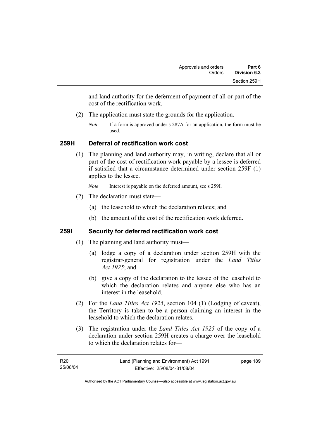and land authority for the deferment of payment of all or part of the cost of the rectification work.

- (2) The application must state the grounds for the application.
	- *Note* If a form is approved under s 287A for an application, the form must be used.

## **259H Deferral of rectification work cost**

 (1) The planning and land authority may, in writing, declare that all or part of the cost of rectification work payable by a lessee is deferred if satisfied that a circumstance determined under section 259F (1) applies to the lessee.

*Note* Interest is payable on the deferred amount, see s 259I.

- (2) The declaration must state—
	- (a) the leasehold to which the declaration relates; and
	- (b) the amount of the cost of the rectification work deferred.

## **259I Security for deferred rectification work cost**

- (1) The planning and land authority must—
	- (a) lodge a copy of a declaration under section 259H with the registrar-general for registration under the *Land Titles Act 1925*; and
	- (b) give a copy of the declaration to the lessee of the leasehold to which the declaration relates and anyone else who has an interest in the leasehold.
- (2) For the *Land Titles Act 1925*, section 104 (1) (Lodging of caveat), the Territory is taken to be a person claiming an interest in the leasehold to which the declaration relates.
- (3) The registration under the *Land Titles Act 1925* of the copy of a declaration under section 259H creates a charge over the leasehold to which the declaration relates for—

| R <sub>20</sub> | Land (Planning and Environment) Act 1991 | page 189 |
|-----------------|------------------------------------------|----------|
| 25/08/04        | Effective: 25/08/04-31/08/04             |          |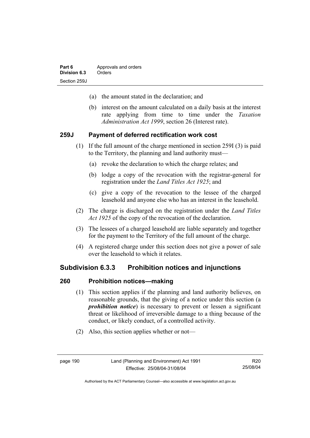- (a) the amount stated in the declaration; and
- (b) interest on the amount calculated on a daily basis at the interest rate applying from time to time under the *Taxation Administration Act 1999*, section 26 (Interest rate).

#### **259J Payment of deferred rectification work cost**

- (1) If the full amount of the charge mentioned in section 259I (3) is paid to the Territory, the planning and land authority must—
	- (a) revoke the declaration to which the charge relates; and
	- (b) lodge a copy of the revocation with the registrar-general for registration under the *Land Titles Act 1925*; and
	- (c) give a copy of the revocation to the lessee of the charged leasehold and anyone else who has an interest in the leasehold.
- (2) The charge is discharged on the registration under the *Land Titles Act 1925* of the copy of the revocation of the declaration.
- (3) The lessees of a charged leasehold are liable separately and together for the payment to the Territory of the full amount of the charge.
- (4) A registered charge under this section does not give a power of sale over the leasehold to which it relates.

### **Subdivision 6.3.3 Prohibition notices and injunctions**

#### **260 Prohibition notices—making**

- (1) This section applies if the planning and land authority believes, on reasonable grounds, that the giving of a notice under this section (a *prohibition notice*) is necessary to prevent or lessen a significant threat or likelihood of irreversible damage to a thing because of the conduct, or likely conduct, of a controlled activity.
- (2) Also, this section applies whether or not—

R20 25/08/04

Authorised by the ACT Parliamentary Counsel—also accessible at www.legislation.act.gov.au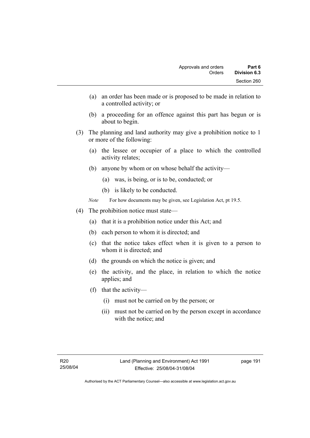- (a) an order has been made or is proposed to be made in relation to a controlled activity; or
- (b) a proceeding for an offence against this part has begun or is about to begin.
- (3) The planning and land authority may give a prohibition notice to 1 or more of the following:
	- (a) the lessee or occupier of a place to which the controlled activity relates;
	- (b) anyone by whom or on whose behalf the activity—
		- (a) was, is being, or is to be, conducted; or
		- (b) is likely to be conducted.
	- *Note* For how documents may be given, see Legislation Act, pt 19.5.
- (4) The prohibition notice must state—
	- (a) that it is a prohibition notice under this Act; and
	- (b) each person to whom it is directed; and
	- (c) that the notice takes effect when it is given to a person to whom it is directed; and
	- (d) the grounds on which the notice is given; and
	- (e) the activity, and the place, in relation to which the notice applies; and
	- (f) that the activity—
		- (i) must not be carried on by the person; or
		- (ii) must not be carried on by the person except in accordance with the notice; and

page 191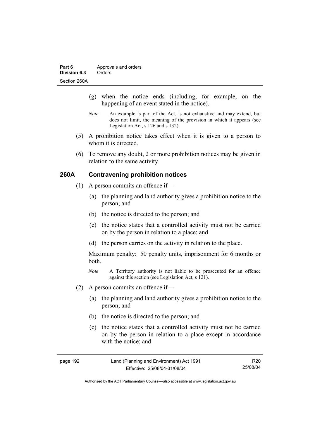- (g) when the notice ends (including, for example, on the happening of an event stated in the notice).
- *Note* An example is part of the Act, is not exhaustive and may extend, but does not limit, the meaning of the provision in which it appears (see Legislation Act, s 126 and s 132).
- (5) A prohibition notice takes effect when it is given to a person to whom it is directed.
- (6) To remove any doubt, 2 or more prohibition notices may be given in relation to the same activity.

## **260A Contravening prohibition notices**

- (1) A person commits an offence if—
	- (a) the planning and land authority gives a prohibition notice to the person; and
	- (b) the notice is directed to the person; and
	- (c) the notice states that a controlled activity must not be carried on by the person in relation to a place; and
	- (d) the person carries on the activity in relation to the place.

Maximum penalty: 50 penalty units, imprisonment for 6 months or both.

- *Note* A Territory authority is not liable to be prosecuted for an offence against this section (see Legislation Act, s 121).
- (2) A person commits an offence if—
	- (a) the planning and land authority gives a prohibition notice to the person; and
	- (b) the notice is directed to the person; and
	- (c) the notice states that a controlled activity must not be carried on by the person in relation to a place except in accordance with the notice; and

| page 192 | Land (Planning and Environment) Act 1991 | R20      |
|----------|------------------------------------------|----------|
|          | Effective: 25/08/04-31/08/04             | 25/08/04 |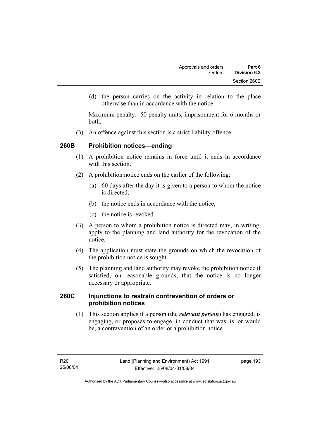(d) the person carries on the activity in relation to the place otherwise than in accordance with the notice.

Maximum penalty: 50 penalty units, imprisonment for 6 months or both.

(3) An offence against this section is a strict liability offence.

## **260B Prohibition notices—ending**

- (1) A prohibition notice remains in force until it ends in accordance with this section
- (2) A prohibition notice ends on the earlier of the following:
	- (a) 60 days after the day it is given to a person to whom the notice is directed:
	- (b) the notice ends in accordance with the notice;
	- (c) the notice is revoked.
- (3) A person to whom a prohibition notice is directed may, in writing, apply to the planning and land authority for the revocation of the notice.
- (4) The application must state the grounds on which the revocation of the prohibition notice is sought.
- (5) The planning and land authority may revoke the prohibition notice if satisfied, on reasonable grounds, that the notice is no longer necessary or appropriate.

### **260C Injunctions to restrain contravention of orders or prohibition notices**

 (1) This section applies if a person (the *relevant person*) has engaged, is engaging, or proposes to engage, in conduct that was, is, or would be, a contravention of an order or a prohibition notice.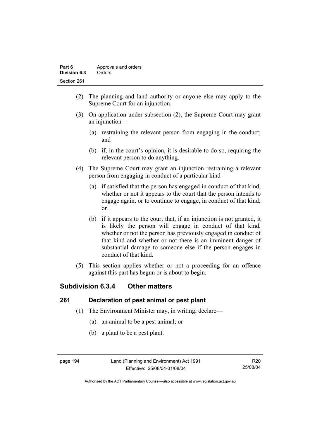| Part 6       | Approvals and orders |
|--------------|----------------------|
| Division 6.3 | Orders               |
| Section 261  |                      |

- (2) The planning and land authority or anyone else may apply to the Supreme Court for an injunction.
- (3) On application under subsection (2), the Supreme Court may grant an injunction—
	- (a) restraining the relevant person from engaging in the conduct; and
	- (b) if, in the court's opinion, it is desirable to do so, requiring the relevant person to do anything.
- (4) The Supreme Court may grant an injunction restraining a relevant person from engaging in conduct of a particular kind—
	- (a) if satisfied that the person has engaged in conduct of that kind, whether or not it appears to the court that the person intends to engage again, or to continue to engage, in conduct of that kind; or
	- (b) if it appears to the court that, if an injunction is not granted, it is likely the person will engage in conduct of that kind, whether or not the person has previously engaged in conduct of that kind and whether or not there is an imminent danger of substantial damage to someone else if the person engages in conduct of that kind.
- (5) This section applies whether or not a proceeding for an offence against this part has begun or is about to begin.

# **Subdivision 6.3.4 Other matters**

## **261 Declaration of pest animal or pest plant**

- (1) The Environment Minister may, in writing, declare—
	- (a) an animal to be a pest animal; or
	- (b) a plant to be a pest plant.

R20 25/08/04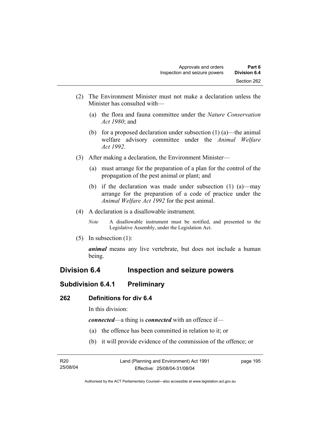- (2) The Environment Minister must not make a declaration unless the Minister has consulted with—
	- (a) the flora and fauna committee under the *Nature Conservation Act 1980*; and
	- (b) for a proposed declaration under subsection  $(1)$  (a)—the animal welfare advisory committee under the *Animal Welfare Act 1992*.
- (3) After making a declaration, the Environment Minister—
	- (a) must arrange for the preparation of a plan for the control of the propagation of the pest animal or plant; and
	- (b) if the declaration was made under subsection (1) (a)—may arrange for the preparation of a code of practice under the *Animal Welfare Act 1992* for the pest animal.
- (4) A declaration is a disallowable instrument.
	- *Note* A disallowable instrument must be notified, and presented to the Legislative Assembly, under the Legislation Act.
- (5) In subsection (1):

*animal* means any live vertebrate, but does not include a human being.

# **Division 6.4 Inspection and seizure powers**

## **Subdivision 6.4.1 Preliminary**

### **262 Definitions for div 6.4**

In this division:

*connected*—a thing is *connected* with an offence if—

- (a) the offence has been committed in relation to it; or
- (b) it will provide evidence of the commission of the offence; or

| R20      | Land (Planning and Environment) Act 1991 | page 195 |
|----------|------------------------------------------|----------|
| 25/08/04 | Effective: 25/08/04-31/08/04             |          |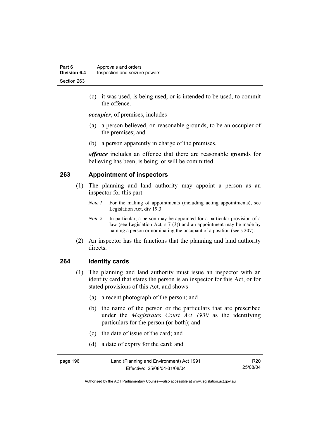(c) it was used, is being used, or is intended to be used, to commit the offence.

*occupier*, of premises, includes—

- (a) a person believed, on reasonable grounds, to be an occupier of the premises; and
- (b) a person apparently in charge of the premises.

*offence* includes an offence that there are reasonable grounds for believing has been, is being, or will be committed.

#### **263 Appointment of inspectors**

- (1) The planning and land authority may appoint a person as an inspector for this part.
	- *Note 1* For the making of appointments (including acting appointments), see Legislation Act, div 19.3.
	- *Note 2* In particular, a person may be appointed for a particular provision of a law (see Legislation Act, s 7 (3)) and an appointment may be made by naming a person or nominating the occupant of a position (see s 207).
- (2) An inspector has the functions that the planning and land authority directs.

#### **264 Identity cards**

- (1) The planning and land authority must issue an inspector with an identity card that states the person is an inspector for this Act, or for stated provisions of this Act, and shows—
	- (a) a recent photograph of the person; and
	- (b) the name of the person or the particulars that are prescribed under the *Magistrates Court Act 1930* as the identifying particulars for the person (or both); and
	- (c) the date of issue of the card; and
	- (d) a date of expiry for the card; and

| page 196 | Land (Planning and Environment) Act 1991 | R20      |
|----------|------------------------------------------|----------|
|          | Effective: 25/08/04-31/08/04             | 25/08/04 |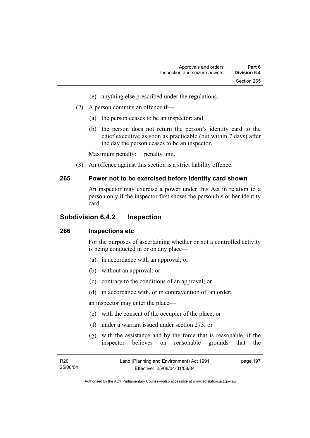- (e) anything else prescribed under the regulations.
- (2) A person commits an offence if—
	- (a) the person ceases to be an inspector; and
	- (b) the person does not return the person's identity card to the chief executive as soon as practicable (but within 7 days) after the day the person ceases to be an inspector.

Maximum penalty: 1 penalty unit.

(3) An offence against this section is a strict liability offence.

#### **265 Power not to be exercised before identity card shown**

An inspector may exercise a power under this Act in relation to a person only if the inspector first shows the person his or her identity card.

#### **Subdivision 6.4.2 Inspection**

#### **266 Inspections etc**

For the purposes of ascertaining whether or not a controlled activity is being conducted in or on any place—

- (a) in accordance with an approval; or
- (b) without an approval; or
- (c) contrary to the conditions of an approval; or
- (d) in accordance with, or in contravention of, an order;

an inspector may enter the place—

- (e) with the consent of the occupier of the place; or
- (f) under a warrant issued under section 273; or
- (g) with the assistance and by the force that is reasonable, if the inspector believes on reasonable grounds that the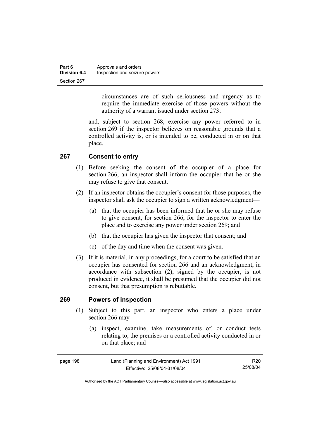| Part 6              | Approvals and orders          |
|---------------------|-------------------------------|
| <b>Division 6.4</b> | Inspection and seizure powers |
| Section 267         |                               |

circumstances are of such seriousness and urgency as to require the immediate exercise of those powers without the authority of a warrant issued under section 273;

and, subject to section 268, exercise any power referred to in section 269 if the inspector believes on reasonable grounds that a controlled activity is, or is intended to be, conducted in or on that place.

#### **267 Consent to entry**

- (1) Before seeking the consent of the occupier of a place for section 266, an inspector shall inform the occupier that he or she may refuse to give that consent.
- (2) If an inspector obtains the occupier's consent for those purposes, the inspector shall ask the occupier to sign a written acknowledgment—
	- (a) that the occupier has been informed that he or she may refuse to give consent, for section 266, for the inspector to enter the place and to exercise any power under section 269; and
	- (b) that the occupier has given the inspector that consent; and
	- (c) of the day and time when the consent was given.
- (3) If it is material, in any proceedings, for a court to be satisfied that an occupier has consented for section 266 and an acknowledgment, in accordance with subsection (2), signed by the occupier, is not produced in evidence, it shall be presumed that the occupier did not consent, but that presumption is rebuttable.

#### **269 Powers of inspection**

- (1) Subject to this part, an inspector who enters a place under section 266 may—
	- (a) inspect, examine, take measurements of, or conduct tests relating to, the premises or a controlled activity conducted in or on that place; and

| page 198 | Land (Planning and Environment) Act 1991 | R20      |
|----------|------------------------------------------|----------|
|          | Effective: 25/08/04-31/08/04             | 25/08/04 |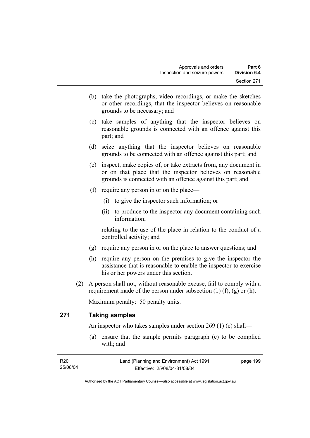- (b) take the photographs, video recordings, or make the sketches or other recordings, that the inspector believes on reasonable grounds to be necessary; and
- (c) take samples of anything that the inspector believes on reasonable grounds is connected with an offence against this part; and
- (d) seize anything that the inspector believes on reasonable grounds to be connected with an offence against this part; and
- (e) inspect, make copies of, or take extracts from, any document in or on that place that the inspector believes on reasonable grounds is connected with an offence against this part; and
- (f) require any person in or on the place—
	- (i) to give the inspector such information; or
	- (ii) to produce to the inspector any document containing such information;

relating to the use of the place in relation to the conduct of a controlled activity; and

- (g) require any person in or on the place to answer questions; and
- (h) require any person on the premises to give the inspector the assistance that is reasonable to enable the inspector to exercise his or her powers under this section.
- (2) A person shall not, without reasonable excuse, fail to comply with a requirement made of the person under subsection  $(1)$   $(f)$ ,  $(g)$  or  $(h)$ .

Maximum penalty: 50 penalty units.

## **271 Taking samples**

An inspector who takes samples under section 269 (1) (c) shall—

 (a) ensure that the sample permits paragraph (c) to be complied with; and

| R20      | Land (Planning and Environment) Act 1991 | page 199 |
|----------|------------------------------------------|----------|
| 25/08/04 | Effective: 25/08/04-31/08/04             |          |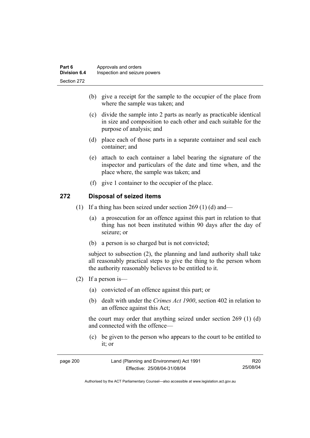- (b) give a receipt for the sample to the occupier of the place from where the sample was taken; and
- (c) divide the sample into 2 parts as nearly as practicable identical in size and composition to each other and each suitable for the purpose of analysis; and
- (d) place each of those parts in a separate container and seal each container; and
- (e) attach to each container a label bearing the signature of the inspector and particulars of the date and time when, and the place where, the sample was taken; and
- (f) give 1 container to the occupier of the place.

### **272 Disposal of seized items**

- (1) If a thing has been seized under section 269 (1) (d) and—
	- (a) a prosecution for an offence against this part in relation to that thing has not been instituted within 90 days after the day of seizure; or
	- (b) a person is so charged but is not convicted;

subject to subsection (2), the planning and land authority shall take all reasonably practical steps to give the thing to the person whom the authority reasonably believes to be entitled to it.

- (2) If a person is—
	- (a) convicted of an offence against this part; or
	- (b) dealt with under the *Crimes Act 1900*, section 402 in relation to an offence against this Act;

the court may order that anything seized under section 269 (1) (d) and connected with the offence—

 (c) be given to the person who appears to the court to be entitled to it; or

| page 200 | Land (Planning and Environment) Act 1991 | R20      |
|----------|------------------------------------------|----------|
|          | Effective: 25/08/04-31/08/04             | 25/08/04 |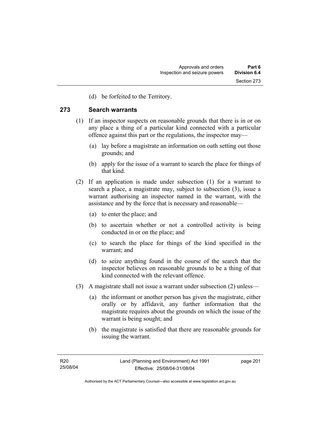(d) be forfeited to the Territory.

#### **273 Search warrants**

- (1) If an inspector suspects on reasonable grounds that there is in or on any place a thing of a particular kind connected with a particular offence against this part or the regulations, the inspector may—
	- (a) lay before a magistrate an information on oath setting out those grounds; and
	- (b) apply for the issue of a warrant to search the place for things of that kind.
- (2) If an application is made under subsection (1) for a warrant to search a place, a magistrate may, subject to subsection (3), issue a warrant authorising an inspector named in the warrant, with the assistance and by the force that is necessary and reasonable—
	- (a) to enter the place; and
	- (b) to ascertain whether or not a controlled activity is being conducted in or on the place; and
	- (c) to search the place for things of the kind specified in the warrant; and
	- (d) to seize anything found in the course of the search that the inspector believes on reasonable grounds to be a thing of that kind connected with the relevant offence.
- (3) A magistrate shall not issue a warrant under subsection (2) unless—
	- (a) the informant or another person has given the magistrate, either orally or by affidavit, any further information that the magistrate requires about the grounds on which the issue of the warrant is being sought; and
	- (b) the magistrate is satisfied that there are reasonable grounds for issuing the warrant.

page 201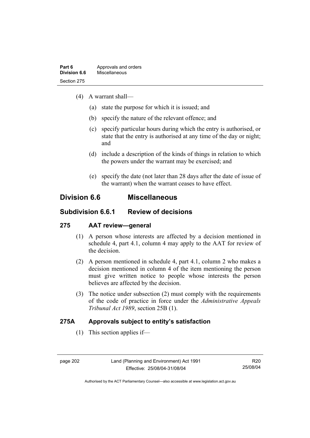- (4) A warrant shall—
	- (a) state the purpose for which it is issued; and
	- (b) specify the nature of the relevant offence; and
	- (c) specify particular hours during which the entry is authorised, or state that the entry is authorised at any time of the day or night; and
	- (d) include a description of the kinds of things in relation to which the powers under the warrant may be exercised; and
	- (e) specify the date (not later than 28 days after the date of issue of the warrant) when the warrant ceases to have effect.

## **Division 6.6 Miscellaneous**

## **Subdivision 6.6.1 Review of decisions**

## **275 AAT review—general**

- (1) A person whose interests are affected by a decision mentioned in schedule 4, part 4.1, column 4 may apply to the AAT for review of the decision.
- (2) A person mentioned in schedule 4, part 4.1, column 2 who makes a decision mentioned in column 4 of the item mentioning the person must give written notice to people whose interests the person believes are affected by the decision.
- (3) The notice under subsection (2) must comply with the requirements of the code of practice in force under the *Administrative Appeals Tribunal Act 1989*, section 25B (1).

## **275A Approvals subject to entity's satisfaction**

(1) This section applies if—

R20 25/08/04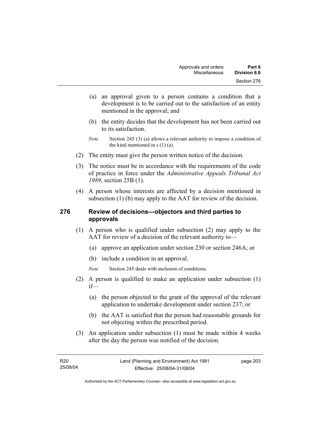- (a) an approval given to a person contains a condition that a development is to be carried out to the satisfaction of an entity mentioned in the approval; and
- (b) the entity decides that the development has not been carried out to its satisfaction.
- *Note* Section 245 (3) (a) allows a relevant authority to impose a condition of the kind mentioned in s (1) (a).
- (2) The entity must give the person written notice of the decision.
- (3) The notice must be in accordance with the requirements of the code of practice in force under the *Administrative Appeals Tribunal Act 1989*, section 25B (1).
- (4) A person whose interests are affected by a decision mentioned in subsection (1) (b) may apply to the AAT for review of the decision.

### **276 Review of decisions—objectors and third parties to approvals**

- (1) A person who is qualified under subsection (2) may apply to the AAT for review of a decision of the relevant authority to—
	- (a) approve an application under section 230 or section 246A; or
	- (b) include a condition in an approval.
	- *Note* Section 245 deals with inclusion of conditions.
- (2) A person is qualified to make an application under subsection (1) if—
	- (a) the person objected to the grant of the approval of the relevant application to undertake development under section 237; or
	- (b) the AAT is satisfied that the person had reasonable grounds for not objecting within the prescribed period.
- (3) An application under subsection (1) must be made within 4 weeks after the day the person was notified of the decision.

page 203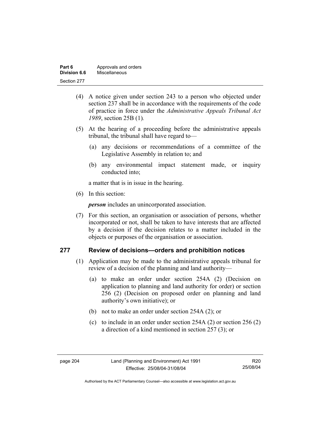| Part 6       | Approvals and orders |
|--------------|----------------------|
| Division 6.6 | Miscellaneous        |
| Section 277  |                      |

- (4) A notice given under section 243 to a person who objected under section 237 shall be in accordance with the requirements of the code of practice in force under the *Administrative Appeals Tribunal Act 1989*, section 25B (1)*.*
- (5) At the hearing of a proceeding before the administrative appeals tribunal, the tribunal shall have regard to—
	- (a) any decisions or recommendations of a committee of the Legislative Assembly in relation to; and
	- (b) any environmental impact statement made, or inquiry conducted into;

a matter that is in issue in the hearing.

(6) In this section:

*person* includes an unincorporated association.

 (7) For this section, an organisation or association of persons, whether incorporated or not, shall be taken to have interests that are affected by a decision if the decision relates to a matter included in the objects or purposes of the organisation or association.

### **277 Review of decisions—orders and prohibition notices**

- (1) Application may be made to the administrative appeals tribunal for review of a decision of the planning and land authority—
	- (a) to make an order under section 254A (2) (Decision on application to planning and land authority for order) or section 256 (2) (Decision on proposed order on planning and land authority's own initiative); or
	- (b) not to make an order under section 254A (2); or
	- (c) to include in an order under section 254A (2) or section 256 (2) a direction of a kind mentioned in section 257 (3); or

R20 25/08/04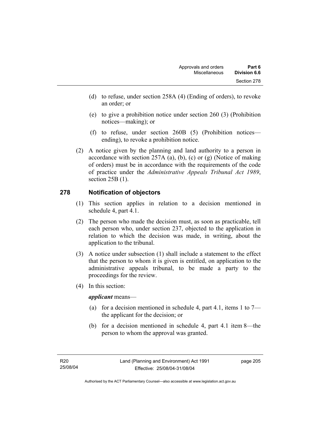- (d) to refuse, under section 258A (4) (Ending of orders), to revoke an order; or
- (e) to give a prohibition notice under section 260 (3) (Prohibition notices—making); or
- (f) to refuse, under section 260B (5) (Prohibition notices ending), to revoke a prohibition notice.
- (2) A notice given by the planning and land authority to a person in accordance with section 257A (a), (b), (c) or (g) (Notice of making of orders) must be in accordance with the requirements of the code of practice under the *Administrative Appeals Tribunal Act 1989*, section 25B (1).

## **278 Notification of objectors**

- (1) This section applies in relation to a decision mentioned in schedule 4, part 4.1.
- (2) The person who made the decision must, as soon as practicable, tell each person who, under section 237, objected to the application in relation to which the decision was made, in writing, about the application to the tribunal.
- (3) A notice under subsection (1) shall include a statement to the effect that the person to whom it is given is entitled, on application to the administrative appeals tribunal, to be made a party to the proceedings for the review.
- (4) In this section:

*applicant* means—

- (a) for a decision mentioned in schedule 4, part 4.1, items 1 to  $7$ the applicant for the decision; or
- (b) for a decision mentioned in schedule 4, part 4.1 item 8—the person to whom the approval was granted.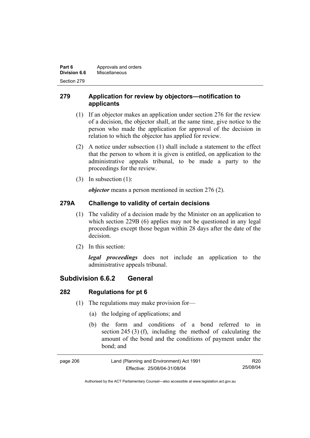| Part 6       | Approvals and orders |
|--------------|----------------------|
| Division 6.6 | Miscellaneous        |
| Section 279  |                      |

## **279 Application for review by objectors—notification to applicants**

- (1) If an objector makes an application under section 276 for the review of a decision, the objector shall, at the same time, give notice to the person who made the application for approval of the decision in relation to which the objector has applied for review.
- (2) A notice under subsection (1) shall include a statement to the effect that the person to whom it is given is entitled, on application to the administrative appeals tribunal, to be made a party to the proceedings for the review.
- (3) In subsection (1):

*objector* means a person mentioned in section 276 (2).

## **279A Challenge to validity of certain decisions**

- (1) The validity of a decision made by the Minister on an application to which section 229B (6) applies may not be questioned in any legal proceedings except those begun within 28 days after the date of the decision.
- (2) In this section:

*legal proceedings* does not include an application to the administrative appeals tribunal.

## **Subdivision 6.6.2 General**

## **282 Regulations for pt 6**

- (1) The regulations may make provision for—
	- (a) the lodging of applications; and
	- (b) the form and conditions of a bond referred to in section 245 (3) (f), including the method of calculating the amount of the bond and the conditions of payment under the bond; and

| page 206 | Land (Planning and Environment) Act 1991 | R20      |
|----------|------------------------------------------|----------|
|          | Effective: 25/08/04-31/08/04             | 25/08/04 |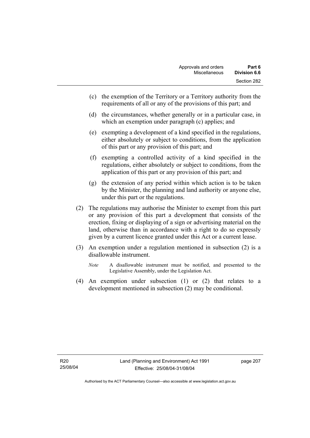- (c) the exemption of the Territory or a Territory authority from the requirements of all or any of the provisions of this part; and
- (d) the circumstances, whether generally or in a particular case, in which an exemption under paragraph (c) applies; and
- (e) exempting a development of a kind specified in the regulations, either absolutely or subject to conditions, from the application of this part or any provision of this part; and
- (f) exempting a controlled activity of a kind specified in the regulations, either absolutely or subject to conditions, from the application of this part or any provision of this part; and
- (g) the extension of any period within which action is to be taken by the Minister, the planning and land authority or anyone else, under this part or the regulations.
- (2) The regulations may authorise the Minister to exempt from this part or any provision of this part a development that consists of the erection, fixing or displaying of a sign or advertising material on the land, otherwise than in accordance with a right to do so expressly given by a current licence granted under this Act or a current lease.
- (3) An exemption under a regulation mentioned in subsection (2) is a disallowable instrument.
	- *Note* A disallowable instrument must be notified, and presented to the Legislative Assembly, under the Legislation Act.
- (4) An exemption under subsection (1) or (2) that relates to a development mentioned in subsection (2) may be conditional.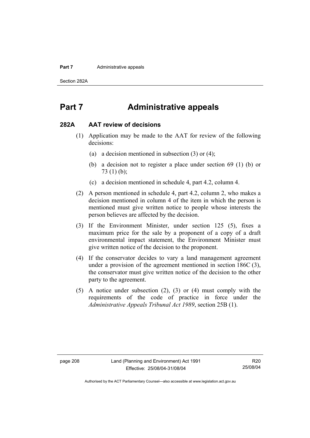#### **Part 7 Administrative appeals**

Section 282A

## **Part 7 Administrative appeals**

#### **282A AAT review of decisions**

- (1) Application may be made to the AAT for review of the following decisions:
	- (a) a decision mentioned in subsection (3) or (4);
	- (b) a decision not to register a place under section 69 (1) (b) or 73 (1) (b);
	- (c) a decision mentioned in schedule 4, part 4.2, column 4.
- (2) A person mentioned in schedule 4, part 4.2, column 2, who makes a decision mentioned in column 4 of the item in which the person is mentioned must give written notice to people whose interests the person believes are affected by the decision.
- (3) If the Environment Minister, under section 125 (5), fixes a maximum price for the sale by a proponent of a copy of a draft environmental impact statement, the Environment Minister must give written notice of the decision to the proponent.
- (4) If the conservator decides to vary a land management agreement under a provision of the agreement mentioned in section 186C (3), the conservator must give written notice of the decision to the other party to the agreement.
- (5) A notice under subsection (2), (3) or (4) must comply with the requirements of the code of practice in force under the *Administrative Appeals Tribunal Act 1989*, section 25B (1).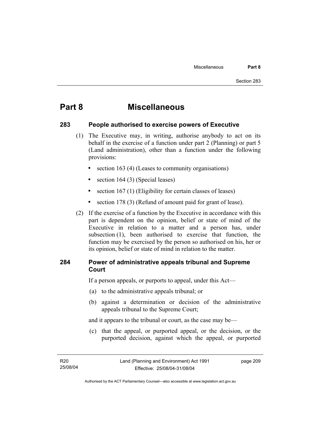## **Part 8 Miscellaneous**

#### **283 People authorised to exercise powers of Executive**

- (1) The Executive may, in writing, authorise anybody to act on its behalf in the exercise of a function under part 2 (Planning) or part 5 (Land administration), other than a function under the following provisions:
	- section 163 (4) (Leases to community organisations)
	- section 164 (3) (Special leases)
	- section 167 (1) (Eligibility for certain classes of leases)
	- section 178 (3) (Refund of amount paid for grant of lease).
- (2) If the exercise of a function by the Executive in accordance with this part is dependent on the opinion, belief or state of mind of the Executive in relation to a matter and a person has, under subsection (1), been authorised to exercise that function, the function may be exercised by the person so authorised on his, her or its opinion, belief or state of mind in relation to the matter.

### **284 Power of administrative appeals tribunal and Supreme Court**

If a person appeals, or purports to appeal, under this Act—

- (a) to the administrative appeals tribunal; or
- (b) against a determination or decision of the administrative appeals tribunal to the Supreme Court;

and it appears to the tribunal or court, as the case may be—

 (c) that the appeal, or purported appeal, or the decision, or the purported decision, against which the appeal, or purported

page 209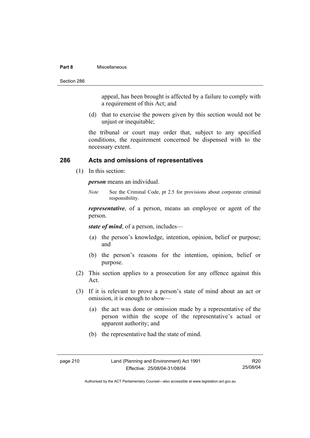#### **Part 8** Miscellaneous

Section 286

appeal, has been brought is affected by a failure to comply with a requirement of this Act; and

 (d) that to exercise the powers given by this section would not be unjust or inequitable;

the tribunal or court may order that, subject to any specified conditions, the requirement concerned be dispensed with to the necessary extent.

#### **286 Acts and omissions of representatives**

(1) In this section:

*person* means an individual.

*Note* See the Criminal Code, pt 2.5 for provisions about corporate criminal responsibility.

*representative*, of a person, means an employee or agent of the person.

*state of mind*, of a person, includes—

- (a) the person's knowledge, intention, opinion, belief or purpose; and
- (b) the person's reasons for the intention, opinion, belief or purpose.
- (2) This section applies to a prosecution for any offence against this Act.
- (3) If it is relevant to prove a person's state of mind about an act or omission, it is enough to show—
	- (a) the act was done or omission made by a representative of the person within the scope of the representative's actual or apparent authority; and
	- (b) the representative had the state of mind.

R20 25/08/04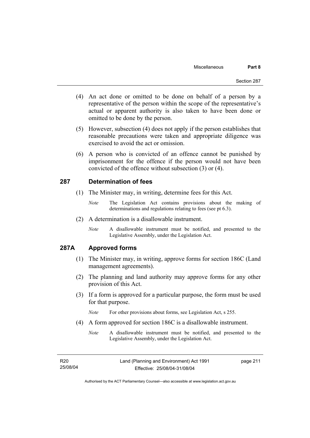- (4) An act done or omitted to be done on behalf of a person by a representative of the person within the scope of the representative's actual or apparent authority is also taken to have been done or omitted to be done by the person.
- (5) However, subsection (4) does not apply if the person establishes that reasonable precautions were taken and appropriate diligence was exercised to avoid the act or omission.
- (6) A person who is convicted of an offence cannot be punished by imprisonment for the offence if the person would not have been convicted of the offence without subsection (3) or (4).

#### **287 Determination of fees**

- (1) The Minister may, in writing, determine fees for this Act.
	- *Note* The Legislation Act contains provisions about the making of determinations and regulations relating to fees (see pt 6.3).
- (2) A determination is a disallowable instrument.
	- *Note* A disallowable instrument must be notified, and presented to the Legislative Assembly, under the Legislation Act.

## **287A Approved forms**

- (1) The Minister may, in writing, approve forms for section 186C (Land management agreements).
- (2) The planning and land authority may approve forms for any other provision of this Act.
- (3) If a form is approved for a particular purpose, the form must be used for that purpose.

*Note* For other provisions about forms, see Legislation Act, s 255.

- (4) A form approved for section 186C is a disallowable instrument.
	- *Note* A disallowable instrument must be notified, and presented to the Legislative Assembly, under the Legislation Act.

| R20      |  |
|----------|--|
| 25/08/04 |  |

page 211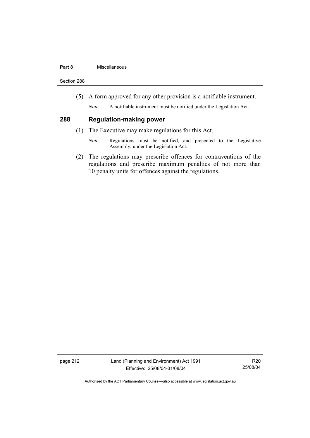#### **Part 8** Miscellaneous

Section 288

(5) A form approved for any other provision is a notifiable instrument.

*Note* A notifiable instrument must be notified under the Legislation Act.

### **288 Regulation-making power**

- (1) The Executive may make regulations for this Act.
	- *Note* Regulations must be notified, and presented to the Legislative Assembly, under the Legislation Act.
- (2) The regulations may prescribe offences for contraventions of the regulations and prescribe maximum penalties of not more than 10 penalty units for offences against the regulations.

page 212 Land (Planning and Environment) Act 1991 Effective: 25/08/04-31/08/04

R20 25/08/04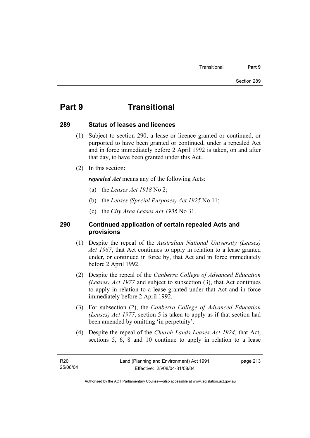## **Part 9 Transitional**

#### **289 Status of leases and licences**

- (1) Subject to section 290, a lease or licence granted or continued, or purported to have been granted or continued, under a repealed Act and in force immediately before 2 April 1992 is taken, on and after that day, to have been granted under this Act.
- (2) In this section:

*repealed Act* means any of the following Acts:

- (a) the *Leases Act 1918* No 2;
- (b) the *Leases (Special Purposes) Act 1925* No 11;
- (c) the *City Area Leases Act 1936* No 31.

### **290 Continued application of certain repealed Acts and provisions**

- (1) Despite the repeal of the *Australian National University (Leases) Act 1967*, that Act continues to apply in relation to a lease granted under, or continued in force by, that Act and in force immediately before 2 April 1992.
- (2) Despite the repeal of the *Canberra College of Advanced Education (Leases) Act 1977* and subject to subsection (3), that Act continues to apply in relation to a lease granted under that Act and in force immediately before 2 April 1992.
- (3) For subsection (2), the *Canberra College of Advanced Education (Leases) Act 1977*, section 5 is taken to apply as if that section had been amended by omitting 'in perpetuity'.
- (4) Despite the repeal of the *Church Lands Leases Act 1924*, that Act, sections 5, 6, 8 and 10 continue to apply in relation to a lease

page 213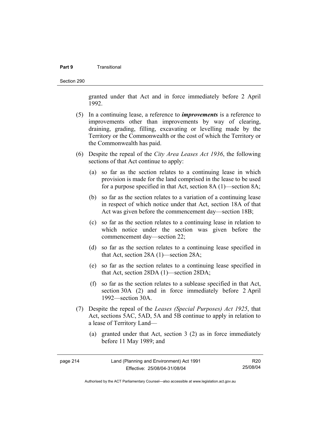#### **Part 9** Transitional

Section 290

granted under that Act and in force immediately before 2 April 1992.

- (5) In a continuing lease, a reference to *improvements* is a reference to improvements other than improvements by way of clearing, draining, grading, filling, excavating or levelling made by the Territory or the Commonwealth or the cost of which the Territory or the Commonwealth has paid.
- (6) Despite the repeal of the *City Area Leases Act 1936*, the following sections of that Act continue to apply:
	- (a) so far as the section relates to a continuing lease in which provision is made for the land comprised in the lease to be used for a purpose specified in that Act, section 8A (1)—section 8A;
	- (b) so far as the section relates to a variation of a continuing lease in respect of which notice under that Act, section 18A of that Act was given before the commencement day—section 18B;
	- (c) so far as the section relates to a continuing lease in relation to which notice under the section was given before the commencement day—section 22;
	- (d) so far as the section relates to a continuing lease specified in that Act, section 28A (1)—section 28A;
	- (e) so far as the section relates to a continuing lease specified in that Act, section 28DA (1)—section 28DA;
	- (f) so far as the section relates to a sublease specified in that Act, section 30A (2) and in force immediately before 2 April 1992—section 30A.
- (7) Despite the repeal of the *Leases (Special Purposes) Act 1925*, that Act, sections 5AC, 5AD, 5A and 5B continue to apply in relation to a lease of Territory Land—
	- (a) granted under that Act, section 3 (2) as in force immediately before 11 May 1989; and

| page 214 | Land (Planning and Environment) Act 1991 | R20      |
|----------|------------------------------------------|----------|
|          | Effective: 25/08/04-31/08/04             | 25/08/04 |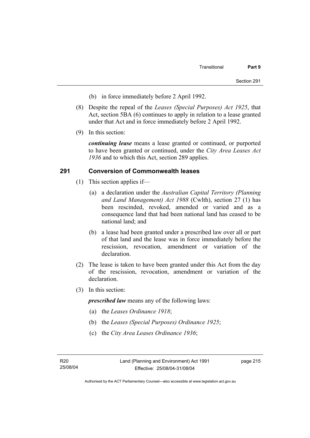- (b) in force immediately before 2 April 1992.
- (8) Despite the repeal of the *Leases (Special Purposes) Act 1925*, that Act, section 5BA (6) continues to apply in relation to a lease granted under that Act and in force immediately before 2 April 1992.
- (9) In this section:

*continuing lease* means a lease granted or continued, or purported to have been granted or continued, under the *City Area Leases Act 1936* and to which this Act, section 289 applies.

#### **291 Conversion of Commonwealth leases**

- (1) This section applies if—
	- (a) a declaration under the *Australian Capital Territory (Planning and Land Management) Act 1988* (Cwlth), section 27 (1) has been rescinded, revoked, amended or varied and as a consequence land that had been national land has ceased to be national land; and
	- (b) a lease had been granted under a prescribed law over all or part of that land and the lease was in force immediately before the rescission, revocation, amendment or variation of the declaration.
- (2) The lease is taken to have been granted under this Act from the day of the rescission, revocation, amendment or variation of the declaration.
- (3) In this section:

*prescribed law* means any of the following laws:

- (a) the *Leases Ordinance 1918*;
- (b) the *Leases (Special Purposes) Ordinance 1925*;
- (c) the *City Area Leases Ordinance 1936*;

page 215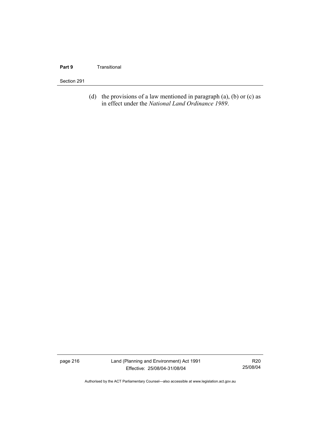#### **Part 9 Transitional**

#### Section 291

(d) the provisions of a law mentioned in paragraph  $(a)$ ,  $(b)$  or  $(c)$  as in effect under the *National Land Ordinance 1989*.

page 216 Land (Planning and Environment) Act 1991 Effective: 25/08/04-31/08/04

R20 25/08/04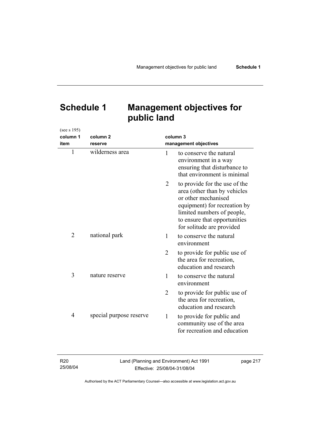# **Schedule 1 Management objectives for public land**

| (see s 195)    |                         |                |                                                                                                                                                                                                                 |
|----------------|-------------------------|----------------|-----------------------------------------------------------------------------------------------------------------------------------------------------------------------------------------------------------------|
| column 1       | column <sub>2</sub>     |                | column 3                                                                                                                                                                                                        |
| item           | reserve                 |                | management objectives                                                                                                                                                                                           |
| $\mathbf{1}$   | wilderness area         | 1              | to conserve the natural<br>environment in a way<br>ensuring that disturbance to<br>that environment is minimal                                                                                                  |
|                |                         | 2              | to provide for the use of the<br>area (other than by vehicles<br>or other mechanised<br>equipment) for recreation by<br>limited numbers of people,<br>to ensure that opportunities<br>for solitude are provided |
| $\overline{2}$ | national park           | 1              | to conserve the natural<br>environment                                                                                                                                                                          |
|                |                         | $\overline{2}$ | to provide for public use of<br>the area for recreation,<br>education and research                                                                                                                              |
| 3              | nature reserve          | 1              | to conserve the natural<br>environment                                                                                                                                                                          |
|                |                         | $\overline{2}$ | to provide for public use of<br>the area for recreation,<br>education and research                                                                                                                              |
| 4              | special purpose reserve | $\mathbf{1}$   | to provide for public and<br>community use of the area<br>for recreation and education                                                                                                                          |

| R20      | Land (Planning and Environment) Act 1991 | page 217 |
|----------|------------------------------------------|----------|
| 25/08/04 | Effective: 25/08/04-31/08/04             |          |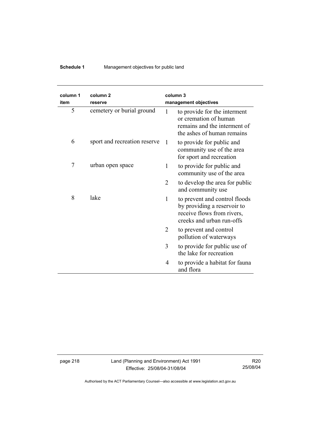## **Schedule 1** Management objectives for public land

| column 1<br>item | column 2<br>reserve          |                | column 3<br>management objectives                                                                                       |
|------------------|------------------------------|----------------|-------------------------------------------------------------------------------------------------------------------------|
| 5                | cemetery or burial ground    | 1              | to provide for the interment<br>or cremation of human<br>remains and the interment of<br>the ashes of human remains     |
| 6                | sport and recreation reserve | -1             | to provide for public and<br>community use of the area<br>for sport and recreation                                      |
| 7                | urban open space             | 1              | to provide for public and<br>community use of the area                                                                  |
|                  |                              | 2              | to develop the area for public<br>and community use                                                                     |
| 8                | lake                         | 1              | to prevent and control floods<br>by providing a reservoir to<br>receive flows from rivers,<br>creeks and urban run-offs |
|                  |                              | $\overline{2}$ | to prevent and control<br>pollution of waterways                                                                        |
|                  |                              | 3              | to provide for public use of<br>the lake for recreation                                                                 |
|                  |                              | 4              | to provide a habitat for fauna<br>and flora                                                                             |

page 218 Land (Planning and Environment) Act 1991 Effective: 25/08/04-31/08/04

R20 25/08/04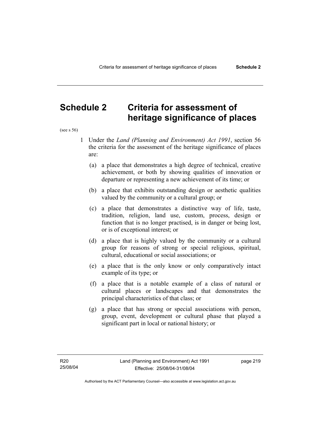## **Schedule 2 Criteria for assessment of heritage significance of places**

(see s 56)

- 1 Under the *Land (Planning and Environment) Act 1991*, section 56 the criteria for the assessment of the heritage significance of places are:
	- (a) a place that demonstrates a high degree of technical, creative achievement, or both by showing qualities of innovation or departure or representing a new achievement of its time; or
	- (b) a place that exhibits outstanding design or aesthetic qualities valued by the community or a cultural group; or
	- (c) a place that demonstrates a distinctive way of life, taste, tradition, religion, land use, custom, process, design or function that is no longer practised, is in danger or being lost, or is of exceptional interest; or
	- (d) a place that is highly valued by the community or a cultural group for reasons of strong or special religious, spiritual, cultural, educational or social associations; or
	- (e) a place that is the only know or only comparatively intact example of its type; or
	- (f) a place that is a notable example of a class of natural or cultural places or landscapes and that demonstrates the principal characteristics of that class; or
	- (g) a place that has strong or special associations with person, group, event, development or cultural phase that played a significant part in local or national history; or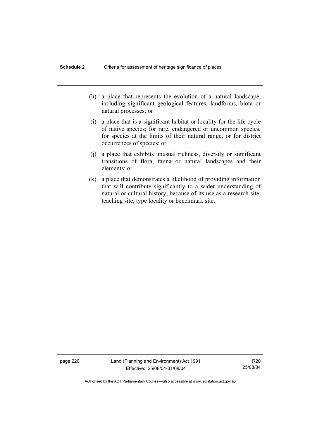- (h) a place that represents the evolution of a natural landscape, including significant geological features, landforms, biota or natural processes; or
- (i) a place that is a significant habitat or locality for the life cycle of native species; for rare, endangered or uncommon species, for species at the limits of their natural range, or for district occurrences of species; or
- (j) a place that exhibits unusual richness, diversity or significant transitions of flora, fauna or natural landscapes and their elements; or
- (k) a place that demonstrates a likelihood of providing information that will contribute significantly to a wider understanding of natural or cultural history, because of its use as a research site, teaching site, type locality or benchmark site.

page 220 Land (Planning and Environment) Act 1991 Effective: 25/08/04-31/08/04

R20 25/08/04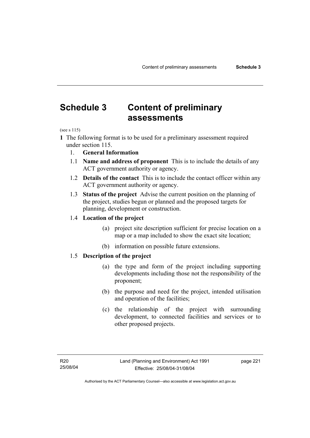# **Schedule 3 Content of preliminary assessments**

(see s 115)

**1** The following format is to be used for a preliminary assessment required under section 115.

- 1. **General Information**
- 1.1 **Name and address of proponent** This is to include the details of any ACT government authority or agency.
- 1.2 **Details of the contact** This is to include the contact officer within any ACT government authority or agency.
- 1.3 **Status of the project** Advise the current position on the planning of the project, studies begun or planned and the proposed targets for planning, development or construction.

#### 1.4 **Location of the project**

- (a) project site description sufficient for precise location on a map or a map included to show the exact site location;
- (b) information on possible future extensions.

### 1.5 **Description of the project**

- (a) the type and form of the project including supporting developments including those not the responsibility of the proponent;
- (b) the purpose and need for the project, intended utilisation and operation of the facilities;
- (c) the relationship of the project with surrounding development, to connected facilities and services or to other proposed projects.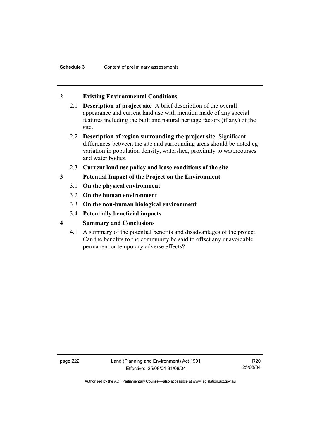## **2 Existing Environmental Conditions**

- 2.1 **Description of project site** A brief description of the overall appearance and current land use with mention made of any special features including the built and natural heritage factors (if any) of the site.
- 2.2 **Description of region surrounding the project site** Significant differences between the site and surrounding areas should be noted eg variation in population density, watershed, proximity to watercourses and water bodies.
- 2.3 **Current land use policy and lease conditions of the site**
- **3 Potential Impact of the Project on the Environment** 
	- 3.1 **On the physical environment**
	- 3.2 **On the human environment**
	- 3.3 **On the non-human biological environment**
	- 3.4 **Potentially beneficial impacts**
- **4 Summary and Conclusions** 
	- 4.1 A summary of the potential benefits and disadvantages of the project. Can the benefits to the community be said to offset any unavoidable permanent or temporary adverse effects?

page 222 Land (Planning and Environment) Act 1991 Effective: 25/08/04-31/08/04

R20 25/08/04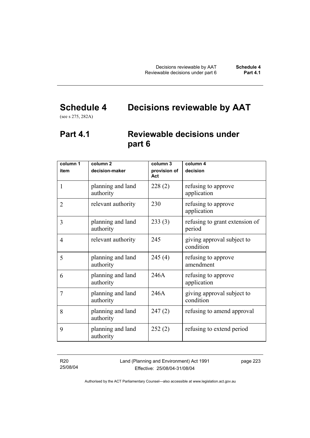# **Schedule 4 Decisions reviewable by AAT**

(see s 275, 282A)

# **Part 4.1 Reviewable decisions under part 6**

| column 1<br>item | column <sub>2</sub><br>decision-maker | column 3<br>provision of | column 4<br>decision                     |
|------------------|---------------------------------------|--------------------------|------------------------------------------|
|                  |                                       | Act                      |                                          |
| 1                | planning and land<br>authority        | 228(2)                   | refusing to approve<br>application       |
| $\overline{2}$   | relevant authority                    | 230                      | refusing to approve<br>application       |
| 3                | planning and land<br>authority        | 233(3)                   | refusing to grant extension of<br>period |
| $\overline{4}$   | relevant authority                    | 245                      | giving approval subject to<br>condition  |
| 5                | planning and land<br>authority        | 245(4)                   | refusing to approve<br>amendment         |
| 6                | planning and land<br>authority        | 246A                     | refusing to approve<br>application       |
| 7                | planning and land<br>authority        | 246A                     | giving approval subject to<br>condition  |
| 8                | planning and land<br>authority        | 247(2)                   | refusing to amend approval               |
| 9                | planning and land<br>authority        | 252(2)                   | refusing to extend period                |

R20 25/08/04 Land (Planning and Environment) Act 1991 Effective: 25/08/04-31/08/04

page 223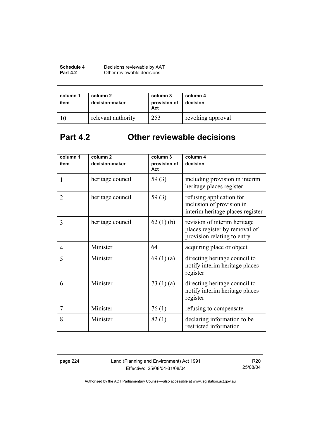| Schedule 4      | Decisions reviewable by AAT |
|-----------------|-----------------------------|
| <b>Part 4.2</b> | Other reviewable decisions  |

| column 1<br>item | column 2<br>decision-maker | column 3<br>provision of<br>Act | column 4<br>decision |
|------------------|----------------------------|---------------------------------|----------------------|
|                  | relevant authority         | 253                             | revoking approval    |

# **Part 4.2 Other reviewable decisions**

| column 1<br>item | column <sub>2</sub><br>decision-maker | column 3<br>provision of | column 4<br>decision                                                                         |
|------------------|---------------------------------------|--------------------------|----------------------------------------------------------------------------------------------|
|                  |                                       | Act                      |                                                                                              |
| 1                | heritage council                      | 59 $(3)$                 | including provision in interim<br>heritage places register                                   |
| $\overline{2}$   | heritage council                      | 59 $(3)$                 | refusing application for<br>inclusion of provision in<br>interim heritage places register    |
| 3                | heritage council                      | 62(1)(b)                 | revision of interim heritage<br>places register by removal of<br>provision relating to entry |
| $\overline{4}$   | Minister                              | 64                       | acquiring place or object                                                                    |
| 5                | Minister                              | 69(1)(a)                 | directing heritage council to<br>notify interim heritage places<br>register                  |
| 6                | Minister                              | 73 $(1)(a)$              | directing heritage council to<br>notify interim heritage places<br>register                  |
| $\overline{7}$   | Minister                              | 76(1)                    | refusing to compensate                                                                       |
| 8                | Minister                              | 82(1)                    | declaring information to be<br>restricted information                                        |

page 224 Land (Planning and Environment) Act 1991 Effective: 25/08/04-31/08/04

R20 25/08/04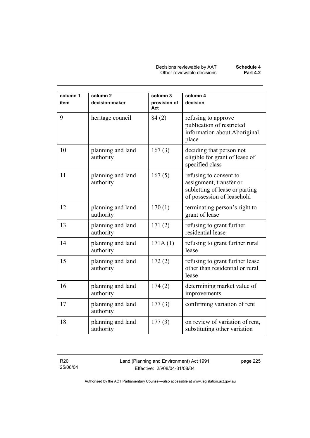Decisions reviewable by AAT **Schedule 4** Other reviewable decisions **Part 4.2** 

| column 1<br>item | column <sub>2</sub><br>decision-maker | column 3<br>provision of | column 4<br>decision                                                                                              |
|------------------|---------------------------------------|--------------------------|-------------------------------------------------------------------------------------------------------------------|
|                  |                                       | Act                      |                                                                                                                   |
| 9                | heritage council                      | 84(2)                    | refusing to approve<br>publication of restricted<br>information about Aboriginal<br>place                         |
| 10               | planning and land<br>authority        | 167(3)                   | deciding that person not<br>eligible for grant of lease of<br>specified class                                     |
| 11               | planning and land<br>authority        | 167(5)                   | refusing to consent to<br>assignment, transfer or<br>subletting of lease or parting<br>of possession of leasehold |
| 12               | planning and land<br>authority        | 170(1)                   | terminating person's right to<br>grant of lease                                                                   |
| 13               | planning and land<br>authority        | 171(2)                   | refusing to grant further<br>residential lease                                                                    |
| 14               | planning and land<br>authority        | 171A(1)                  | refusing to grant further rural<br>lease                                                                          |
| 15               | planning and land<br>authority        | 172(2)                   | refusing to grant further lease<br>other than residential or rural<br>lease                                       |
| 16               | planning and land<br>authority        | 174(2)                   | determining market value of<br>improvements                                                                       |
| 17               | planning and land<br>authority        | 177(3)                   | confirming variation of rent                                                                                      |
| 18               | planning and land<br>authority        | 177(3)                   | on review of variation of rent,<br>substituting other variation                                                   |

R20 25/08/04 Land (Planning and Environment) Act 1991 Effective: 25/08/04-31/08/04

page 225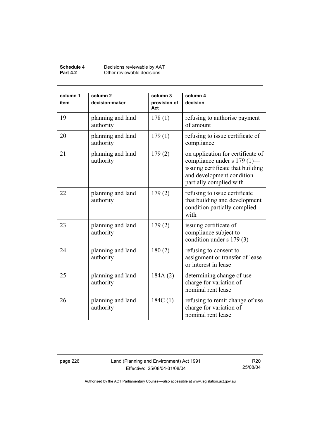#### **Schedule 4** Decisions reviewable by AAT **Part 4.2 Other reviewable decisions**

| column 1<br>item | column <sub>2</sub><br>decision-maker | column 3<br>provision of<br>Act | column 4<br>decision                                                                                                                                          |
|------------------|---------------------------------------|---------------------------------|---------------------------------------------------------------------------------------------------------------------------------------------------------------|
| 19               | planning and land<br>authority        | 178(1)                          | refusing to authorise payment<br>of amount                                                                                                                    |
| 20               | planning and land<br>authority        | 179(1)                          | refusing to issue certificate of<br>compliance                                                                                                                |
| 21               | planning and land<br>authority        | 179(2)                          | on application for certificate of<br>compliance under s 179 (1)—<br>issuing certificate that building<br>and development condition<br>partially complied with |
| 22               | planning and land<br>authority        | 179(2)                          | refusing to issue certificate<br>that building and development<br>condition partially complied<br>with                                                        |
| 23               | planning and land<br>authority        | 179(2)                          | issuing certificate of<br>compliance subject to<br>condition under s 179 (3)                                                                                  |
| 24               | planning and land<br>authority        | 180(2)                          | refusing to consent to<br>assignment or transfer of lease<br>or interest in lease                                                                             |
| 25               | planning and land<br>authority        | 184A(2)                         | determining change of use<br>charge for variation of<br>nominal rent lease                                                                                    |
| 26               | planning and land<br>authority        | 184C(1)                         | refusing to remit change of use<br>charge for variation of<br>nominal rent lease                                                                              |

page 226 Land (Planning and Environment) Act 1991 Effective: 25/08/04-31/08/04

R20 25/08/04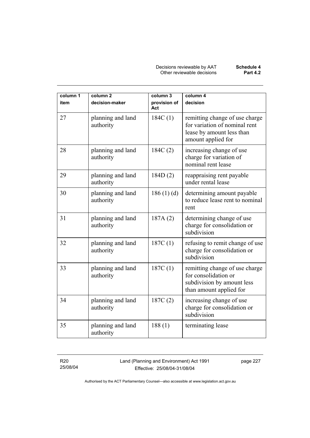Decisions reviewable by AAT **Schedule 4** Other reviewable decisions **Part 4.2** 

| column 1<br>item | column <sub>2</sub><br>decision-maker | column 3<br>provision of<br>Act | column 4<br>decision                                                                                               |
|------------------|---------------------------------------|---------------------------------|--------------------------------------------------------------------------------------------------------------------|
| 27               | planning and land<br>authority        | 184C(1)                         | remitting change of use charge<br>for variation of nominal rent<br>lease by amount less than<br>amount applied for |
| 28               | planning and land<br>authority        | 184C(2)                         | increasing change of use<br>charge for variation of<br>nominal rent lease                                          |
| 29               | planning and land<br>authority        | 184D(2)                         | reappraising rent payable<br>under rental lease                                                                    |
| 30               | planning and land<br>authority        | 186(1)(d)                       | determining amount payable<br>to reduce lease rent to nominal<br>rent                                              |
| 31               | planning and land<br>authority        | 187A(2)                         | determining change of use<br>charge for consolidation or<br>subdivision                                            |
| 32               | planning and land<br>authority        | 187C(1)                         | refusing to remit change of use<br>charge for consolidation or<br>subdivision                                      |
| 33               | planning and land<br>authority        | 187C(1)                         | remitting change of use charge<br>for consolidation or<br>subdivision by amount less<br>than amount applied for    |
| 34               | planning and land<br>authority        | 187C(2)                         | increasing change of use<br>charge for consolidation or<br>subdivision                                             |
| 35               | planning and land<br>authority        | 188(1)                          | terminating lease                                                                                                  |

R20 25/08/04 Land (Planning and Environment) Act 1991 Effective: 25/08/04-31/08/04

page 227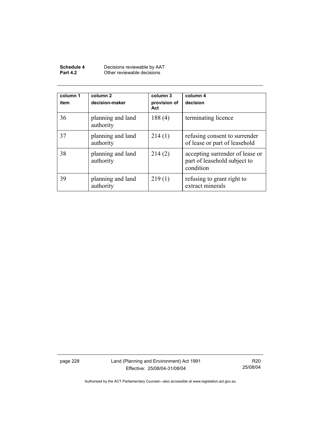| Schedule 4      | Decisions reviewable by AAT |
|-----------------|-----------------------------|
| <b>Part 4.2</b> | Other reviewable decisions  |

| column 1<br>item | column 2<br>decision-maker     | column 3<br>provision of<br>Act | column 4<br>decision                                                         |
|------------------|--------------------------------|---------------------------------|------------------------------------------------------------------------------|
| 36               | planning and land<br>authority | 188(4)                          | terminating licence                                                          |
| 37               | planning and land<br>authority | 214(1)                          | refusing consent to surrender<br>of lease or part of leasehold               |
| 38               | planning and land<br>authority | 214(2)                          | accepting surrender of lease or<br>part of leasehold subject to<br>condition |
| 39               | planning and land<br>authority | 219(1)                          | refusing to grant right to<br>extract minerals                               |

page 228 Land (Planning and Environment) Act 1991 Effective: 25/08/04-31/08/04

R20 25/08/04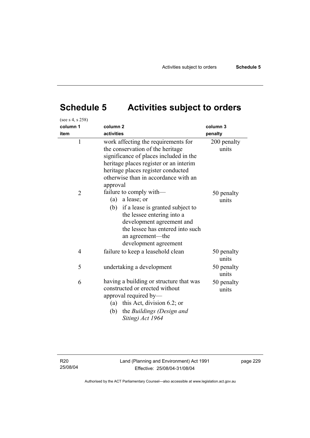# **Schedule 5 Activities subject to orders**

| (see s 4, s 258)<br>column 1<br>item | column <sub>2</sub><br>activities                                                                                                                                                                                                                     | column 3<br>penalty  |
|--------------------------------------|-------------------------------------------------------------------------------------------------------------------------------------------------------------------------------------------------------------------------------------------------------|----------------------|
| $\mathbf{1}$                         | work affecting the requirements for<br>the conservation of the heritage<br>significance of places included in the<br>heritage places register or an interim<br>heritage places register conducted<br>otherwise than in accordance with an<br>approval | 200 penalty<br>units |
| $\overline{2}$                       | failure to comply with-<br>$(a)$ a lease; or<br>(b)<br>if a lease is granted subject to<br>the lessee entering into a<br>development agreement and<br>the lessee has entered into such<br>an agreement—the<br>development agreement                   | 50 penalty<br>units  |
| $\overline{4}$                       | failure to keep a leasehold clean                                                                                                                                                                                                                     | 50 penalty<br>units  |
| 5                                    | undertaking a development                                                                                                                                                                                                                             | 50 penalty<br>units  |
| 6                                    | having a building or structure that was<br>constructed or erected without<br>approval required by-<br>(a) this Act, division 6.2; or<br>the Buildings (Design and<br>(b)<br>Siting) Act 1964                                                          | 50 penalty<br>units  |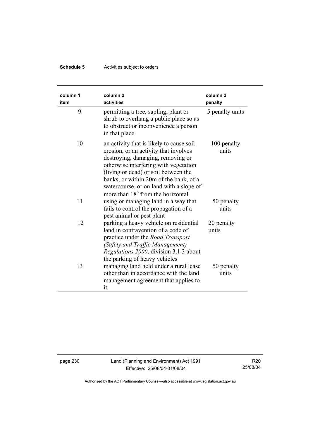## **Schedule 5** Activities subject to orders

| column 1<br>item | column <sub>2</sub><br>activities                                                                                                                                                                                                                                                                                                             | column 3<br>penalty  |
|------------------|-----------------------------------------------------------------------------------------------------------------------------------------------------------------------------------------------------------------------------------------------------------------------------------------------------------------------------------------------|----------------------|
| 9                | permitting a tree, sapling, plant or<br>shrub to overhang a public place so as<br>to obstruct or inconvenience a person<br>in that place                                                                                                                                                                                                      | 5 penalty units      |
| 10               | an activity that is likely to cause soil<br>erosion, or an activity that involves<br>destroying, damaging, removing or<br>otherwise interfering with vegetation<br>(living or dead) or soil between the<br>banks, or within 20m of the bank, of a<br>watercourse, or on land with a slope of<br>more than 18 <sup>°</sup> from the horizontal | 100 penalty<br>units |
| 11               | using or managing land in a way that<br>fails to control the propagation of a<br>pest animal or pest plant                                                                                                                                                                                                                                    | 50 penalty<br>units  |
| 12               | parking a heavy vehicle on residential<br>land in contravention of a code of<br>practice under the <i>Road Transport</i><br>(Safety and Traffic Management)<br>Regulations 2000, division 3.1.3 about<br>the parking of heavy vehicles                                                                                                        | 20 penalty<br>units  |
| 13               | managing land held under a rural lease<br>other than in accordance with the land<br>management agreement that applies to<br>it                                                                                                                                                                                                                | 50 penalty<br>units  |

page 230 Land (Planning and Environment) Act 1991 Effective: 25/08/04-31/08/04

R20 25/08/04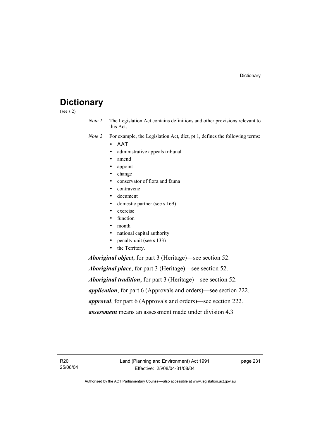# **Dictionary**

(see s 2)

*Note 1* The Legislation Act contains definitions and other provisions relevant to this Act.

*Note 2* For example, the Legislation Act, dict, pt 1, defines the following terms:

- ΑΑΤ
	- administrative appeals tribunal
	- amend
	- appoint
	- change
	- conservator of flora and fauna
	- contravene
	- document
	- domestic partner (see s 169)
	- exercise
	- function
	- month
	- national capital authority
	- penalty unit (see s 133)
	- the Territory.

*Aboriginal object*, for part 3 (Heritage)—see section 52.

*Aboriginal place*, for part 3 (Heritage)—see section 52. *Aboriginal tradition*, for part 3 (Heritage)—see section 52. *application*, for part 6 (Approvals and orders)—see section 222. *approval*, for part 6 (Approvals and orders)—see section 222. *assessment* means an assessment made under division 4.3

R20 25/08/04 page 231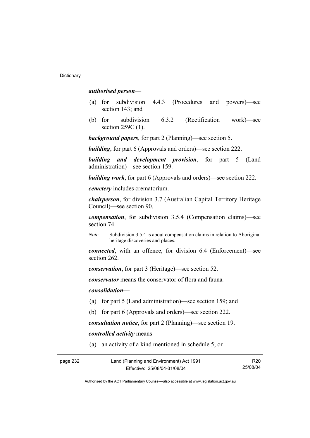#### *authorised person*—

- (a) for subdivision 4.4.3 (Procedures and powers)—see section 143; and
- (b) for subdivision 6.3.2 (Rectification work)—see section 259C (1).

*background papers*, for part 2 (Planning)—see section 5.

*building*, for part 6 (Approvals and orders)—see section 222.

*building and development provision*, for part 5 (Land administration)—see section 159.

*building work*, for part 6 (Approvals and orders)—see section 222.

*cemetery* includes crematorium.

*chairperson*, for division 3.7 (Australian Capital Territory Heritage Council)—see section 90.

*compensation*, for subdivision 3.5.4 (Compensation claims)—see section 74.

*Note* Subdivision 3.5.4 is about compensation claims in relation to Aboriginal heritage discoveries and places.

*connected*, with an offence, for division 6.4 (Enforcement)—see section 262.

*conservation*, for part 3 (Heritage)—see section 52.

*conservator* means the conservator of flora and fauna*.*

*consolidation—*

- (a) for part 5 (Land administration)—see section 159; and
- (b) for part 6 (Approvals and orders)—see section 222.

*consultation notice*, for part 2 (Planning)—see section 19.

*controlled activity* means—

(a) an activity of a kind mentioned in schedule 5; or

| page 232 | Land (Planning and Environment) Act 1991 | R <sub>20</sub> |
|----------|------------------------------------------|-----------------|
|          | Effective: 25/08/04-31/08/04             | 25/08/04        |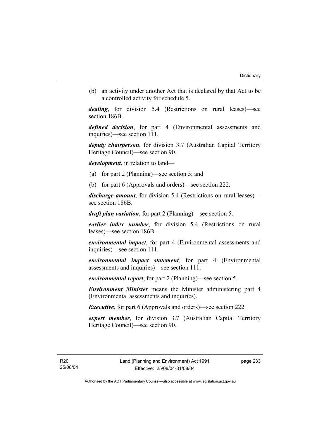(b) an activity under another Act that is declared by that Act to be a controlled activity for schedule 5.

*dealing*, for division 5.4 (Restrictions on rural leases)—see section 186B.

*defined decision*, for part 4 (Environmental assessments and inquiries)—see section 111.

*deputy chairperson*, for division 3.7 (Australian Capital Territory Heritage Council)—see section 90.

*development*, in relation to land—

- (a) for part 2 (Planning)—see section 5; and
- (b) for part 6 (Approvals and orders)—see section 222.

*discharge amount*, for division 5.4 (Restrictions on rural leases) see section 186B.

*draft plan variation*, for part 2 (Planning)—see section 5.

*earlier index number*, for division 5.4 (Restrictions on rural leases)—see section 186B.

*environmental impact*, for part 4 (Environmental assessments and inquiries)—see section 111.

*environmental impact statement*, for part 4 (Environmental assessments and inquiries)—see section 111.

*environmental report*, for part 2 (Planning)—see section 5.

*Environment Minister* means the Minister administering part 4 (Environmental assessments and inquiries).

*Executive*, for part 6 (Approvals and orders)—see section 222.

*expert member*, for division 3.7 (Australian Capital Territory Heritage Council)—see section 90.

page 233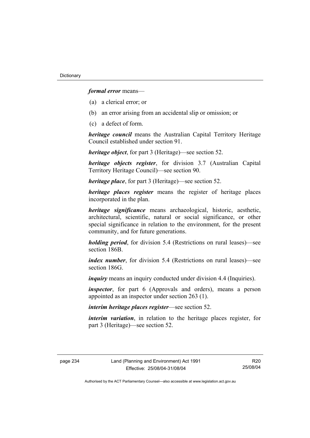*formal error* means—

- (a) a clerical error; or
- (b) an error arising from an accidental slip or omission; or
- (c) a defect of form.

*heritage council* means the Australian Capital Territory Heritage Council established under section 91.

*heritage object*, for part 3 (Heritage)—see section 52.

*heritage objects register*, for division 3.7 (Australian Capital Territory Heritage Council)—see section 90.

*heritage place*, for part 3 (Heritage)—see section 52.

*heritage places register* means the register of heritage places incorporated in the plan.

*heritage significance* means archaeological, historic, aesthetic, architectural, scientific, natural or social significance, or other special significance in relation to the environment, for the present community, and for future generations.

*holding period*, for division 5.4 (Restrictions on rural leases)—see section 186B.

*index number*, for division 5.4 (Restrictions on rural leases)—see section 186G

*inquiry* means an inquiry conducted under division 4.4 (Inquiries).

*inspector*, for part 6 (Approvals and orders), means a person appointed as an inspector under section 263 (1).

*interim heritage places register*—see section 52.

*interim variation*, in relation to the heritage places register, for part 3 (Heritage)—see section 52.

R20 25/08/04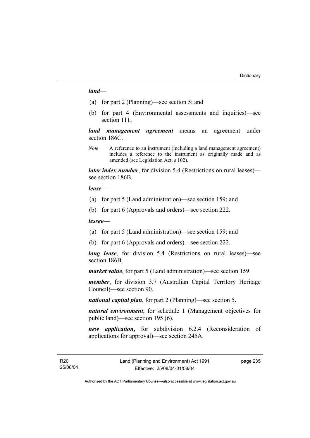#### *land*—

- (a) for part 2 (Planning)—see section 5; and
- (b) for part 4 (Environmental assessments and inquiries)—see section 111.

*land management agreement* means an agreement under section 186C.

*Note* A reference to an instrument (including a land management agreement) includes a reference to the instrument as originally made and as amended (see Legislation Act, s 102).

*later index number*, for division 5.4 (Restrictions on rural leases) see section 186B.

#### *lease—*

- (a) for part 5 (Land administration)—see section 159; and
- (b) for part 6 (Approvals and orders)—see section 222.

#### *lessee—*

- (a) for part 5 (Land administration)—see section 159; and
- (b) for part 6 (Approvals and orders)—see section 222.

*long lease*, for division 5.4 (Restrictions on rural leases)—see section 186B.

*market value*, for part 5 (Land administration)—see section 159.

*member*, for division 3.7 (Australian Capital Territory Heritage Council)—see section 90.

*national capital plan*, for part 2 (Planning)—see section 5.

*natural environment*, for schedule 1 (Management objectives for public land)—see section 195 (6).

*new application*, for subdivision 6.2.4 (Reconsideration of applications for approval)—see section 245A.

page 235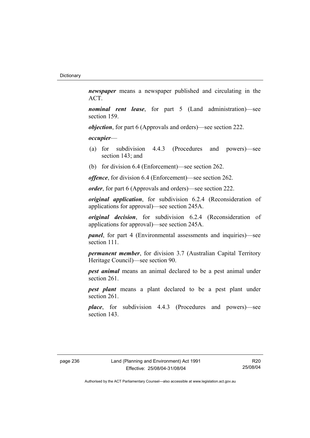*newspaper* means a newspaper published and circulating in the ACT.

*nominal rent lease*, for part 5 (Land administration)—see section 159.

*objection*, for part 6 (Approvals and orders)—see section 222.

*occupier*—

- (a) for subdivision 4.4.3 (Procedures and powers)—see section 143; and
- (b) for division 6.4 (Enforcement)—see section 262.

*offence*, for division 6.4 (Enforcement)—see section 262.

*order*, for part 6 (Approvals and orders)—see section 222.

*original application*, for subdivision 6.2.4 (Reconsideration of applications for approval)—see section 245A.

*original decision*, for subdivision 6.2.4 (Reconsideration of applications for approval)—see section 245A.

*panel*, for part 4 (Environmental assessments and inquiries)—see section 111.

*permanent member*, for division 3.7 (Australian Capital Territory Heritage Council)—see section 90.

*pest animal* means an animal declared to be a pest animal under section 261.

*pest plant* means a plant declared to be a pest plant under section 261.

*place*, for subdivision 4.4.3 (Procedures and powers)—see section 143.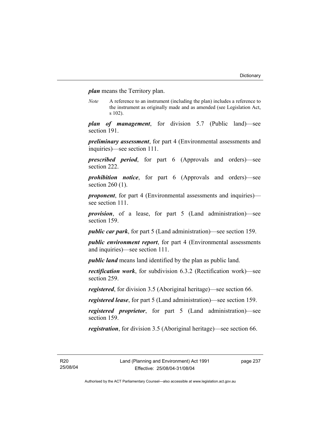*plan* means the Territory plan.

*Note* A reference to an instrument (including the plan) includes a reference to the instrument as originally made and as amended (see Legislation Act, s 102).

*plan of management*, for division 5.7 (Public land)—see section 191.

*preliminary assessment*, for part 4 (Environmental assessments and inquiries)—see section 111.

*prescribed period*, for part 6 (Approvals and orders)—see section 222.

*prohibition notice*, for part 6 (Approvals and orders)—see section 260 (1).

*proponent*, for part 4 (Environmental assessments and inquiries) see section 111.

*provision*, of a lease, for part 5 (Land administration)—see section 159.

*public car park*, for part 5 (Land administration)—see section 159.

*public environment report*, for part 4 (Environmental assessments and inquiries)—see section 111.

*public land* means land identified by the plan as public land.

*rectification work*, for subdivision 6.3.2 (Rectification work)—see section 259.

*registered*, for division 3.5 (Aboriginal heritage)—see section 66.

*registered lease*, for part 5 (Land administration)—see section 159.

*registered proprietor*, for part 5 (Land administration)—see section 159.

*registration*, for division 3.5 (Aboriginal heritage)—see section 66.

R20 25/08/04 page 237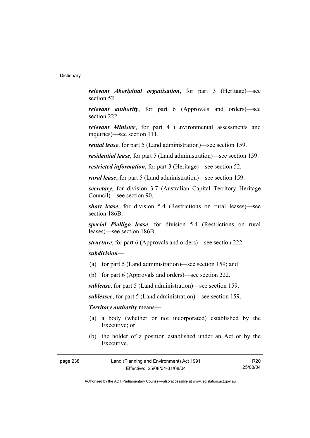*relevant Aboriginal organisation*, for part 3 (Heritage)—see section 52.

*relevant authority*, for part 6 (Approvals and orders)—see section 222.

*relevant Minister*, for part 4 (Environmental assessments and inquiries)—see section 111.

*rental lease*, for part 5 (Land administration)—see section 159.

*residential lease*, for part 5 (Land administration)—see section 159.

*restricted information*, for part 3 (Heritage)—see section 52.

*rural lease*, for part 5 (Land administration)—see section 159.

*secretary*, for division 3.7 (Australian Capital Territory Heritage Council)—see section 90.

*short lease*, for division 5.4 (Restrictions on rural leases)—see section 186B.

*special Pialligo lease*, for division 5.4 (Restrictions on rural leases)—see section 186B.

*structure*, for part 6 (Approvals and orders)—see section 222.

## *subdivision—*

- (a) for part 5 (Land administration)—see section 159; and
- (b) for part 6 (Approvals and orders)—see section 222.

*sublease*, for part 5 (Land administration)—see section 159.

*sublessee*, for part 5 (Land administration)—see section 159.

## *Territory authority* means—

- (a) a body (whether or not incorporated) established by the Executive; or
- (b) the holder of a position established under an Act or by the Executive.

| page 238 | Land (Planning and Environment) Act 1991 | R20      |
|----------|------------------------------------------|----------|
|          | Effective: 25/08/04-31/08/04             | 25/08/04 |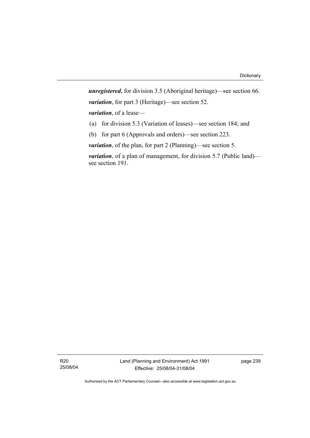*unregistered*, for division 3.5 (Aboriginal heritage)—see section 66. *variation*, for part 3 (Heritage)—see section 52. *variation*, of a lease— (a) for division 5.3 (Variation of leases)—see section 184; and

(b) for part 6 (Approvals and orders)—see section 223.

*variation*, of the plan, for part 2 (Planning)—see section 5.

*variation*, of a plan of management, for division 5.7 (Public land) see section 191.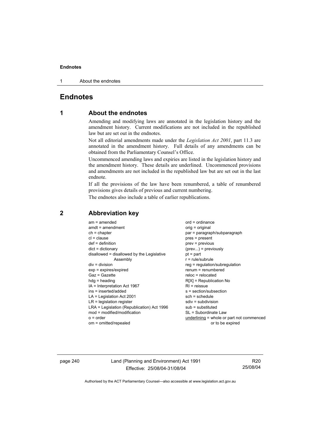1 About the endnotes

## **Endnotes**

## **1 About the endnotes**

Amending and modifying laws are annotated in the legislation history and the amendment history. Current modifications are not included in the republished law but are set out in the endnotes.

Not all editorial amendments made under the *Legislation Act 2001*, part 11.3 are annotated in the amendment history. Full details of any amendments can be obtained from the Parliamentary Counsel's Office.

Uncommenced amending laws and expiries are listed in the legislation history and the amendment history. These details are underlined. Uncommenced provisions and amendments are not included in the republished law but are set out in the last endnote.

If all the provisions of the law have been renumbered, a table of renumbered provisions gives details of previous and current numbering.

The endnotes also include a table of earlier republications.

| $am = amended$<br>$amdt = amendment$<br>$ch = chapter$<br>$cl = clause$<br>$def = definition$<br>$dict = dictionary$<br>disallowed = disallowed by the Legislative<br>Assembly<br>$div = division$<br>$exp = expires/expired$<br>$Gaz = Gazette$<br>$hda =$ heading<br>IA = Interpretation Act 1967<br>ins = inserted/added<br>$LA =$ Legislation Act 2001<br>$LR =$ legislation register<br>LRA = Legislation (Republication) Act 1996<br>mod = modified/modification<br>$o = order$ | $ord = ordinance$<br>orig = original<br>par = paragraph/subparagraph<br>$pres = present$<br>prev = previous<br>$(\text{prev})$ = previously<br>$pt = part$<br>$r = rule/subrule$<br>reg = regulation/subregulation<br>$renum = renumbered$<br>$reloc = relocated$<br>$R[X]$ = Republication No<br>$R1$ = reissue<br>$s = section/subsection$<br>$sch = schedule$<br>$sdiv = subdivision$<br>$sub =$ substituted<br>SL = Subordinate Law<br>underlining = whole or part not commenced |
|---------------------------------------------------------------------------------------------------------------------------------------------------------------------------------------------------------------------------------------------------------------------------------------------------------------------------------------------------------------------------------------------------------------------------------------------------------------------------------------|--------------------------------------------------------------------------------------------------------------------------------------------------------------------------------------------------------------------------------------------------------------------------------------------------------------------------------------------------------------------------------------------------------------------------------------------------------------------------------------|
| om = omitted/repealed                                                                                                                                                                                                                                                                                                                                                                                                                                                                 | or to be expired                                                                                                                                                                                                                                                                                                                                                                                                                                                                     |
|                                                                                                                                                                                                                                                                                                                                                                                                                                                                                       |                                                                                                                                                                                                                                                                                                                                                                                                                                                                                      |

## **2 Abbreviation key**

page 240 Land (Planning and Environment) Act 1991 Effective: 25/08/04-31/08/04

R20 25/08/04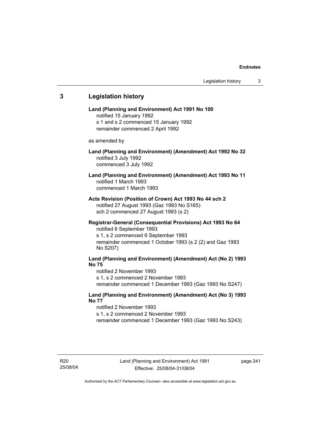# **3 Legislation history Land (Planning and Environment) Act 1991 No 100**  notified 15 January 1992 s 1 and s 2 commenced 15 January 1992 remainder commenced 2 April 1992 as amended by **Land (Planning and Environment) (Amendment) Act 1992 No 32**  notified 3 July 1992 commenced 3 July 1992 **Land (Planning and Environment) (Amendment) Act 1993 No 11**  notified 1 March 1993 commenced 1 March 1993 **Acts Revision (Position of Crown) Act 1993 No 44 sch 2**  notified 27 August 1993 (Gaz 1993 No S165) sch 2 commenced 27 August 1993 (s 2) **Registrar-General (Consequential Provisions) Act 1993 No 64**  notified 6 September 1993 s 1, s 2 commenced 6 September 1993 remainder commenced 1 October 1993 (s 2 (2) and Gaz 1993 No S207) **Land (Planning and Environment) (Amendment) Act (No 2) 1993 No 75**  notified 2 November 1993 s 1, s 2 commenced 2 November 1993 remainder commenced 1 December 1993 (Gaz 1993 No S247) **Land (Planning and Environment) (Amendment) Act (No 3) 1993 No 77**  notified 2 November 1993 s 1, s 2 commenced 2 November 1993 remainder commenced 1 December 1993 (Gaz 1993 No S243)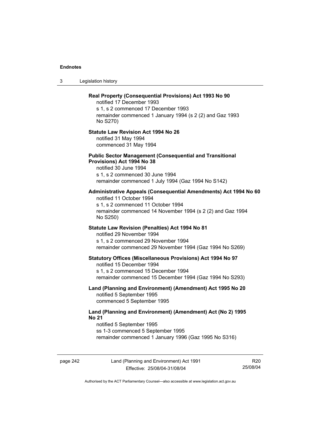3 Legislation history

# **Real Property (Consequential Provisions) Act 1993 No 90**  notified 17 December 1993 s 1, s 2 commenced 17 December 1993 remainder commenced 1 January 1994 (s 2 (2) and Gaz 1993 No S270) **Statute Law Revision Act 1994 No 26**  notified 31 May 1994 commenced 31 May 1994 **Public Sector Management (Consequential and Transitional Provisions) Act 1994 No 38**  notified 30 June 1994 s 1, s 2 commenced 30 June 1994 remainder commenced 1 July 1994 (Gaz 1994 No S142) **Administrative Appeals (Consequential Amendments) Act 1994 No 60**  notified 11 October 1994 s 1, s 2 commenced 11 October 1994 remainder commenced 14 November 1994 (s 2 (2) and Gaz 1994 No S250) **Statute Law Revision (Penalties) Act 1994 No 81**  notified 29 November 1994 s 1, s 2 commenced 29 November 1994 remainder commenced 29 November 1994 (Gaz 1994 No S269) **Statutory Offices (Miscellaneous Provisions) Act 1994 No 97**  notified 15 December 1994 s 1, s 2 commenced 15 December 1994 remainder commenced 15 December 1994 (Gaz 1994 No S293) **Land (Planning and Environment) (Amendment) Act 1995 No 20**  notified 5 September 1995 commenced 5 September 1995 **Land (Planning and Environment) (Amendment) Act (No 2) 1995 No 21**  notified 5 September 1995 ss 1-3 commenced 5 September 1995 remainder commenced 1 January 1996 (Gaz 1995 No S316)

page 242 Land (Planning and Environment) Act 1991 Effective: 25/08/04-31/08/04

R20 25/08/04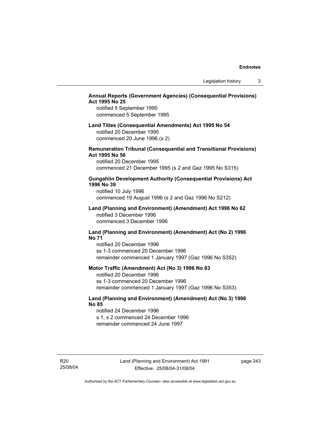## **Annual Reports (Government Agencies) (Consequential Provisions) Act 1995 No 25**

notified 5 September 1995 commenced 5 September 1995

## **Land Titles (Consequential Amendments) Act 1995 No 54**

notified 20 December 1995 commenced 20 June 1996 (s 2)

### **Remuneration Tribunal (Consequential and Transitional Provisions) Act 1995 No 56**

notified 20 December 1995 commenced 21 December 1995 (s 2 and Gaz 1995 No S315)

#### **Gungahlin Development Authority (Consequential Provisions) Act 1996 No 39**

notified 10 July 1996 commenced 19 August 1996 (s 2 and Gaz 1996 No S212)

#### **Land (Planning and Environment) (Amendment) Act 1996 No 62**  notified 3 December 1996 commenced 3 December 1996

#### **Land (Planning and Environment) (Amendment) Act (No 2) 1996 No 71**

notified 20 December 1996 ss 1-3 commenced 20 December 1996 remainder commenced 1 January 1997 (Gaz 1996 No S352)

#### **Motor Traffic (Amendment) Act (No 3) 1996 No 83**

notified 20 December 1996 ss 1-3 commenced 20 December 1996 remainder commenced 1 January 1997 (Gaz 1996 No S353)

## **Land (Planning and Environment) (Amendment) Act (No 3) 1996 No 85**

notified 24 December 1996 s 1, s 2 commenced 24 December 1996 remainder commenced 24 June 1997

R20 25/08/04 page 243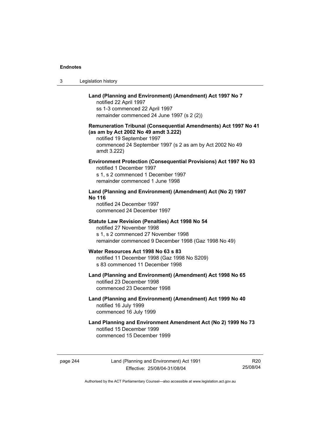| Legislation history<br>3 |  |
|--------------------------|--|
|--------------------------|--|

## **Land (Planning and Environment) (Amendment) Act 1997 No 7**

notified 22 April 1997 ss 1-3 commenced 22 April 1997 remainder commenced 24 June 1997 (s 2 (2))

### **Remuneration Tribunal (Consequential Amendments) Act 1997 No 41 (as am by Act 2002 No 49 amdt 3.222)**

notified 19 September 1997 commenced 24 September 1997 (s 2 as am by Act 2002 No 49 amdt 3.222)

## **Environment Protection (Consequential Provisions) Act 1997 No 93**

notified 1 December 1997 s 1, s 2 commenced 1 December 1997 remainder commenced 1 June 1998

## **Land (Planning and Environment) (Amendment) Act (No 2) 1997 No 116**

notified 24 December 1997 commenced 24 December 1997

#### **Statute Law Revision (Penalties) Act 1998 No 54**

notified 27 November 1998 s 1, s 2 commenced 27 November 1998 remainder commenced 9 December 1998 (Gaz 1998 No 49)

#### **Water Resources Act 1998 No 63 s 83**  notified 11 December 1998 (Gaz 1998 No S209)

s 83 commenced 11 December 1998

#### **Land (Planning and Environment) (Amendment) Act 1998 No 65**  notified 23 December 1998 commenced 23 December 1998

## **Land (Planning and Environment) (Amendment) Act 1999 No 40**  notified 16 July 1999 commenced 16 July 1999

## **Land Planning and Environment Amendment Act (No 2) 1999 No 73**  notified 15 December 1999 commenced 15 December 1999

page 244 Land (Planning and Environment) Act 1991 Effective: 25/08/04-31/08/04

R20 25/08/04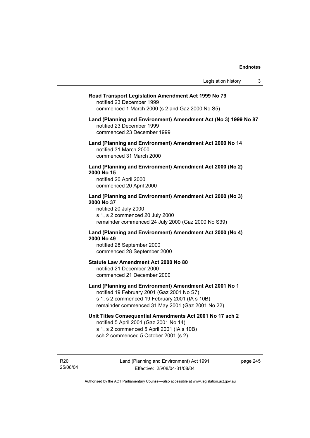#### **Road Transport Legislation Amendment Act 1999 No 79**

notified 23 December 1999 commenced 1 March 2000 (s 2 and Gaz 2000 No S5)

#### **Land (Planning and Environment) Amendment Act (No 3) 1999 No 87**  notified 23 December 1999 commenced 23 December 1999

**Land (Planning and Environment) Amendment Act 2000 No 14**  notified 31 March 2000 commenced 31 March 2000

#### **Land (Planning and Environment) Amendment Act 2000 (No 2) 2000 No 15**  notified 20 April 2000

commenced 20 April 2000

#### **Land (Planning and Environment) Amendment Act 2000 (No 3) 2000 No 37**  notified 20 July 2000

s 1, s 2 commenced 20 July 2000 remainder commenced 24 July 2000 (Gaz 2000 No S39)

## **Land (Planning and Environment) Amendment Act 2000 (No 4) 2000 No 49**

notified 28 September 2000 commenced 28 September 2000

### **Statute Law Amendment Act 2000 No 80**

notified 21 December 2000 commenced 21 December 2000

## **Land (Planning and Environment) Amendment Act 2001 No 1**

notified 19 February 2001 (Gaz 2001 No S7) s 1, s 2 commenced 19 February 2001 (IA s 10B) remainder commenced 31 May 2001 (Gaz 2001 No 22)

## **Unit Titles Consequential Amendments Act 2001 No 17 sch 2**

notified 5 April 2001 (Gaz 2001 No 14) s 1, s 2 commenced 5 April 2001 (IA s 10B) sch 2 commenced 5 October 2001 (s 2)

R20 25/08/04 page 245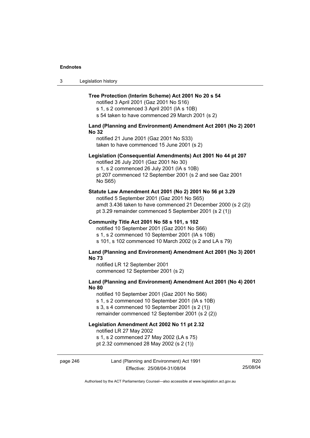| -3 | Legislation history |
|----|---------------------|
|----|---------------------|

#### **Tree Protection (Interim Scheme) Act 2001 No 20 s 54**

notified 3 April 2001 (Gaz 2001 No S16) s 1, s 2 commenced 3 April 2001 (IA s 10B)

s 54 taken to have commenced 29 March 2001 (s 2)

## **Land (Planning and Environment) Amendment Act 2001 (No 2) 2001 No 32**

notified 21 June 2001 (Gaz 2001 No S33) taken to have commenced 15 June 2001 (s 2)

#### **Legislation (Consequential Amendments) Act 2001 No 44 pt 207**

notified 26 July 2001 (Gaz 2001 No 30) s 1, s 2 commenced 26 July 2001 (IA s 10B) pt 207 commenced 12 September 2001 (s 2 and see Gaz 2001 No S65)

#### **Statute Law Amendment Act 2001 (No 2) 2001 No 56 pt 3.29**

notified 5 September 2001 (Gaz 2001 No S65) amdt 3.436 taken to have commenced 21 December 2000 (s 2 (2)) pt 3.29 remainder commenced 5 September 2001 (s 2 (1))

#### **Community Title Act 2001 No 58 s 101, s 102**

notified 10 September 2001 (Gaz 2001 No S66) s 1, s 2 commenced 10 September 2001 (IA s 10B) s 101, s 102 commenced 10 March 2002 (s 2 and LA s 79)

#### **Land (Planning and Environment) Amendment Act 2001 (No 3) 2001 No 73**

notified LR 12 September 2001 commenced 12 September 2001 (s 2)

## **Land (Planning and Environment) Amendment Act 2001 (No 4) 2001 No 80**

notified 10 September 2001 (Gaz 2001 No S66) s 1, s 2 commenced 10 September 2001 (IA s 10B) s 3, s 4 commenced 10 September 2001 (s 2 (1))

#### remainder commenced 12 September 2001 (s 2 (2))

## **Legislation Amendment Act 2002 No 11 pt 2.32**

notified LR 27 May 2002

s 1, s 2 commenced 27 May 2002 (LA s 75)

pt 2.32 commenced 28 May 2002 (s 2 (1))

### page 246 Land (Planning and Environment) Act 1991 Effective: 25/08/04-31/08/04

R20 25/08/04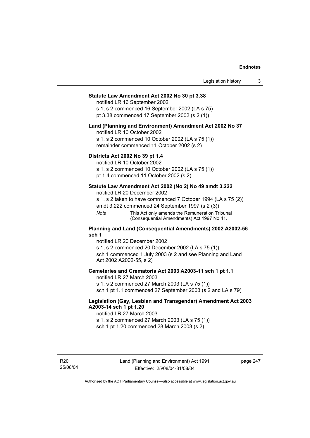## **Statute Law Amendment Act 2002 No 30 pt 3.38**

notified LR 16 September 2002

s 1, s 2 commenced 16 September 2002 (LA s 75) pt 3.38 commenced 17 September 2002 (s 2 (1))

#### **Land (Planning and Environment) Amendment Act 2002 No 37**

notified LR 10 October 2002

s 1, s 2 commenced 10 October 2002 (LA s 75 (1)) remainder commenced 11 October 2002 (s 2)

### **Districts Act 2002 No 39 pt 1.4**

notified LR 10 October 2002

s 1, s 2 commenced 10 October 2002 (LA s 75 (1))

pt 1.4 commenced 11 October 2002 (s 2)

### **Statute Law Amendment Act 2002 (No 2) No 49 amdt 3.222**

notified LR 20 December 2002

s 1, s 2 taken to have commenced 7 October 1994 (LA s 75 (2))

amdt 3.222 commenced 24 September 1997 (s 2 (3))

*Note* This Act only amends the Remuneration Tribunal (Consequential Amendments) Act 1997 No 41.

#### **Planning and Land (Consequential Amendments) 2002 A2002-56 sch 1**

notified LR 20 December 2002 s 1, s 2 commenced 20 December 2002 (LA s 75 (1)) sch 1 commenced 1 July 2003 (s 2 and see Planning and Land Act 2002 A2002-55, s 2)

#### **Cemeteries and Crematoria Act 2003 A2003-11 sch 1 pt 1.1**

notified LR 27 March 2003 s 1, s 2 commenced 27 March 2003 (LA s 75 (1)) sch 1 pt 1.1 commenced 27 September 2003 (s 2 and LA s 79)

## **Legislation (Gay, Lesbian and Transgender) Amendment Act 2003 A2003-14 sch 1 pt 1.20**

notified LR 27 March 2003 s 1, s 2 commenced 27 March 2003 (LA s 75 (1)) sch 1 pt 1.20 commenced 28 March 2003 (s 2)

R20 25/08/04 page 247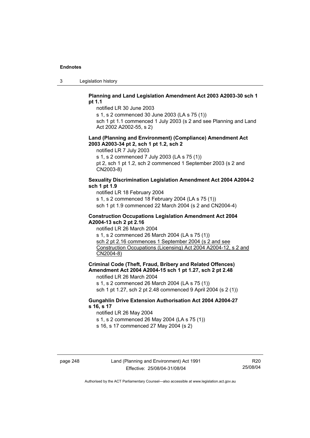3 Legislation history

#### **Planning and Land Legislation Amendment Act 2003 A2003-30 sch 1 pt 1.1**

notified LR 30 June 2003

s 1, s 2 commenced 30 June 2003 (LA s 75 (1))

sch 1 pt 1.1 commenced 1 July 2003 (s 2 and see Planning and Land Act 2002 A2002-55, s 2)

#### **Land (Planning and Environment) (Compliance) Amendment Act 2003 A2003-34 pt 2, sch 1 pt 1.2, sch 2**

notified LR 7 July 2003

s 1, s 2 commenced 7 July 2003 (LA s 75 (1))

pt 2, sch 1 pt 1.2, sch 2 commenced 1 September 2003 (s 2 and CN2003-8)

## **Sexuality Discrimination Legislation Amendment Act 2004 A2004-2 sch 1 pt 1.9**

notified LR 18 February 2004

s 1, s 2 commenced 18 February 2004 (LA s 75 (1))

sch 1 pt 1.9 commenced 22 March 2004 (s 2 and CN2004-4)

#### **Construction Occupations Legislation Amendment Act 2004 A2004-13 sch 2 pt 2.16**

notified LR 26 March 2004

s 1, s 2 commenced 26 March 2004 (LA s 75 (1)) sch 2 pt 2.16 commences 1 September 2004 (s 2 and see Construction Occupations (Licensing) Act 2004 A2004-12, s 2 and CN2004-8)

**Criminal Code (Theft, Fraud, Bribery and Related Offences) Amendment Act 2004 A2004-15 sch 1 pt 1.27, sch 2 pt 2.48** 

notified LR 26 March 2004

s 1, s 2 commenced 26 March 2004 (LA s 75 (1))

sch 1 pt 1.27, sch 2 pt 2.48 commenced 9 April 2004 (s 2 (1))

## **Gungahlin Drive Extension Authorisation Act 2004 A2004-27 s 16, s 17**

notified LR 26 May 2004

s 1, s 2 commenced 26 May 2004 (LA s 75 (1))

s 16, s 17 commenced 27 May 2004 (s 2)

R20 25/08/04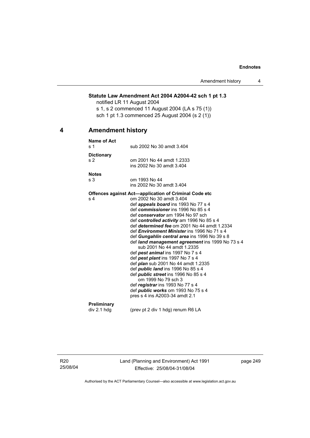## **Statute Law Amendment Act 2004 A2004-42 sch 1 pt 1.3**

notified LR 11 August 2004 s 1, s 2 commenced 11 August 2004 (LA s 75 (1)) sch 1 pt 1.3 commenced 25 August 2004 (s 2 (1))

## **4 Amendment history**

| Name of Act       |                                                                    |
|-------------------|--------------------------------------------------------------------|
| s <sub>1</sub>    | sub 2002 No 30 amdt 3.404                                          |
| <b>Dictionary</b> |                                                                    |
| s <sub>2</sub>    | om 2001 No 44 amdt 1.2333                                          |
|                   | ins 2002 No 30 amdt 3.404                                          |
| <b>Notes</b>      |                                                                    |
| s 3               | om 1993 No 44                                                      |
|                   | ins 2002 No 30 amdt 3.404                                          |
|                   | <b>Offences against Act—application of Criminal Code etc</b>       |
| s 4               | om 2002 No 30 amdt 3.404                                           |
|                   | def <i>appeals board</i> ins 1993 No 77 s 4                        |
|                   | def commissioner ins 1996 No 85 s 4                                |
|                   | def conservator am 1994 No 97 sch                                  |
|                   | def controlled activity am 1996 No 85 s 4                          |
|                   | def determined fee om 2001 No 44 amdt 1.2334                       |
|                   | def <i>Environment Minister</i> ins 1996 No 71 s 4                 |
|                   | def Gungahlin central area ins 1996 No 39 s 8                      |
|                   | def land management agreement ins 1999 No 73 s 4                   |
|                   | sub 2001 No 44 amdt 1.2335                                         |
|                   | def pest animal ins 1997 No 7 s 4                                  |
|                   | def pest plant ins 1997 No 7 s 4                                   |
|                   | def <i>plan</i> sub 2001 No 44 amdt 1.2335                         |
|                   | def <i>public land</i> ins 1996 No 85 s 4                          |
|                   | def <i>public</i> street ins 1996 No 85 s 4<br>om 1999 No 79 sch 3 |
|                   | def registrar ins 1993 No 77 s 4                                   |
|                   | def <i>public</i> works om 1993 No 75 s 4                          |
|                   | pres s 4 ins A2003-34 amdt 2.1                                     |
|                   |                                                                    |
| Preliminary       |                                                                    |
| div 2.1 hdg       | (prev pt 2 div 1 hdg) renum R6 LA                                  |

R20 25/08/04 Land (Planning and Environment) Act 1991 Effective: 25/08/04-31/08/04

page 249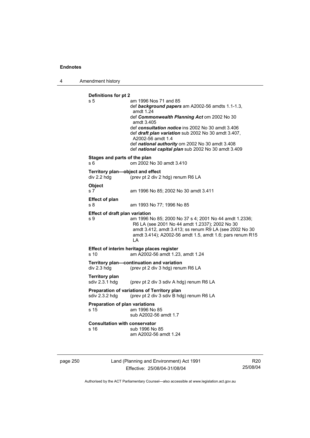4 Amendment history

```
Definitions for pt 2 
s 5 am 1996 Nos 71 and 85 
                  def background papers am A2002-56 amdts 1.1-1.3, 
                  amdt 1.24 
                  def Commonwealth Planning Act om 2002 No 30 
                  amdt 3.405 
                  def consultation notice ins 2002 No 30 amdt 3.406 
                  def draft plan variation sub 2002 No 30 amdt 3.407, 
                  A2002-56 amdt 1.4 
                  def national authority om 2002 No 30 amdt 3.408 
                  def national capital plan sub 2002 No 30 amdt 3.409 
Stages and parts of the plan 
s 6 om 2002 No 30 amdt 3.410 
Territory plan—object and effect 
div 2.2 hdg (prev pt 2 div 2 hdg) renum R6 LA 
Object 
s 7 am 1996 No 85; 2002 No 30 amdt 3.411 
Effect of plan 
s 8 am 1993 No 77; 1996 No 85 
Effect of draft plan variation 
s 9 am 1996 No 85; 2000 No 37 s 4; 2001 No 44 amdt 1.2336; 
                  R6 LA (see 2001 No 44 amdt 1.2337); 2002 No 30 
                  amdt 3.412, amdt 3.413; ss renum R9 LA (see 2002 No 30 
                  amdt 3.414); A2002-56 amdt 1.5, amdt 1.6; pars renum R15 
                  LA 
Effect of interim heritage places register 
s 10 am A2002-56 amdt 1.23, amdt 1.24 
Territory plan—continuation and variation 
div 2.3 hdg (prev pt 2 div 3 hdg) renum R6 LA 
Territory plan 
                 (prev pt 2 div 3 sdiv A hdg) renum R6 LA
Preparation of variations of Territory plan 
sdiv 2.3.2 hdg (prev pt 2 div 3 sdiv B hdg) renum R6 LA 
Preparation of plan variations 
s 15 am 1996 No 85 
                  sub A2002-56 amdt 1.7 
Consultation with conservator 
s 16 sub 1996 No 85
                  am A2002-56 amdt 1.24
```
page 250 Land (Planning and Environment) Act 1991 Effective: 25/08/04-31/08/04

R20 25/08/04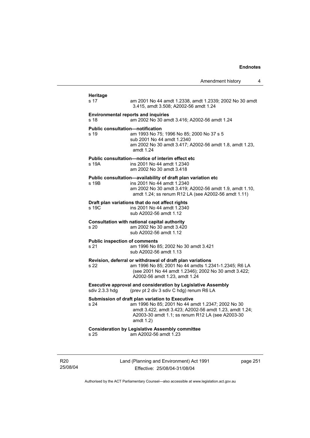|                                              | Amendment history                                                                                                                                                                                                                  | 4        |
|----------------------------------------------|------------------------------------------------------------------------------------------------------------------------------------------------------------------------------------------------------------------------------------|----------|
| <b>Heritage</b><br>s 17                      | am 2001 No 44 amdt 1.2338, amdt 1.2339; 2002 No 30 amdt                                                                                                                                                                            |          |
|                                              | 3.415, amdt 3.508; A2002-56 amdt 1.24                                                                                                                                                                                              |          |
| s 18                                         | <b>Environmental reports and inquiries</b><br>am 2002 No 30 amdt 3.416; A2002-56 amdt 1.24                                                                                                                                         |          |
| s 19                                         | <b>Public consultation-notification</b><br>am 1993 No 75; 1996 No 85; 2000 No 37 s 5<br>sub 2001 No 44 amdt 1.2340<br>am 2002 No 30 amdt 3.417; A2002-56 amdt 1.8, amdt 1.23,<br>amdt $1.24$                                       |          |
| s 19A                                        | Public consultation-notice of interim effect etc<br>ins 2001 No 44 amdt 1.2340<br>am 2002 No 30 amdt 3.418                                                                                                                         |          |
| s 19B                                        | Public consultation-availability of draft plan variation etc<br>ins 2001 No 44 amdt 1.2340<br>am 2002 No 30 amdt 3.419; A2002-56 amdt 1.9, amdt 1.10,<br>amdt 1.24; ss renum R12 LA (see A2002-56 amdt 1.11)                       |          |
| s 19C                                        | Draft plan variations that do not affect rights<br>ins 2001 No 44 amdt 1.2340<br>sub A2002-56 amdt 1.12                                                                                                                            |          |
| s 20                                         | Consultation with national capital authority<br>am 2002 No 30 amdt 3.420<br>sub A2002-56 amdt 1.12                                                                                                                                 |          |
| <b>Public inspection of comments</b><br>s 21 | am 1996 No 85; 2002 No 30 amdt 3.421<br>sub A2002-56 amdt 1.13                                                                                                                                                                     |          |
| s 22                                         | Revision, deferral or withdrawal of draft plan variations<br>am 1996 No 85; 2001 No 44 amdts 1.2341-1.2345; R6 LA<br>(see 2001 No 44 amdt 1.2346); 2002 No 30 amdt 3.422;<br>A2002-56 amdt 1.23, amdt 1.24                         |          |
| sdiv 2.3.3 hdg                               | <b>Executive approval and consideration by Legislative Assembly</b><br>(prev pt 2 div 3 sdiv C hdg) renum R6 LA                                                                                                                    |          |
| s 24                                         | Submission of draft plan variation to Executive<br>am 1996 No 85; 2001 No 44 amdt 1.2347; 2002 No 30<br>amdt 3.422, amdt 3.423; A2002-56 amdt 1.23, amdt 1.24;<br>A2003-30 amdt 1.1; ss renum R12 LA (see A2003-30<br>amdt $1.2$ ) |          |
| s 25                                         | <b>Consideration by Legislative Assembly committee</b><br>am A2002-56 amdt 1.23                                                                                                                                                    |          |
|                                              |                                                                                                                                                                                                                                    |          |
|                                              | Land (Planning and Environment) Act 1991                                                                                                                                                                                           | page 251 |

R20 25/08/04

Land (Planning and Environment) Act 1991 Effective: 25/08/04-31/08/04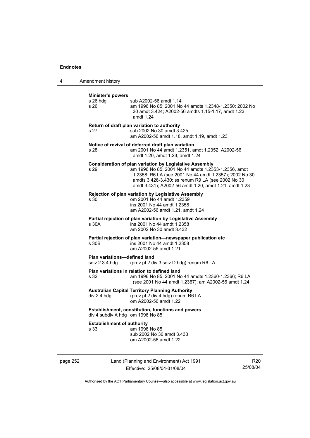4 Amendment history

| <b>Minister's powers</b>                       |                                                                                                                                                                                                                                                                                        |
|------------------------------------------------|----------------------------------------------------------------------------------------------------------------------------------------------------------------------------------------------------------------------------------------------------------------------------------------|
| s 26 hdg<br>s 26                               | sub A2002-56 amdt 1.14<br>am 1996 No 85; 2001 No 44 amdts 1.2348-1.2350; 2002 No<br>30 amdt 3.424; A2002-56 amdts 1.15-1.17, amdt 1.23,<br>amdt 1.24                                                                                                                                   |
| s 27                                           | Return of draft plan variation to authority<br>sub 2002 No 30 amdt 3.425<br>am A2002-56 amdt 1.18, amdt 1.19, amdt 1.23                                                                                                                                                                |
| s 28                                           | Notice of revival of deferred draft plan variation<br>am 2001 No 44 amdt 1.2351, amdt 1.2352; A2002-56<br>amdt 1.20, amdt 1.23, amdt 1.24                                                                                                                                              |
| s 29                                           | Consideration of plan variation by Legislative Assembly<br>am 1996 No 85; 2001 No 44 amdts 1.2353-1.2356, amdt<br>1.2358; R6 LA (see 2001 No 44 amdt 1.2357); 2002 No 30<br>amdts 3.426-3.430; ss renum R9 LA (see 2002 No 30<br>amdt 3.431); A2002-56 amdt 1.20, amdt 1.21, amdt 1.23 |
| s 30                                           | Rejection of plan variation by Legislative Assembly<br>om 2001 No 44 amdt 1.2359<br>ins 2001 No 44 amdt 1.2358<br>am A2002-56 amdt 1.21, amdt 1.24                                                                                                                                     |
| s 30A                                          | Partial rejection of plan variation by Legislative Assembly<br>ins 2001 No 44 amdt 1.2358<br>am 2002 No 30 amdt 3.432                                                                                                                                                                  |
| s 30 <sub>B</sub>                              | Partial rejection of plan variation-newspaper publication etc<br>ins 2001 No 44 amdt 1.2358<br>am A2002-56 amdt 1.21                                                                                                                                                                   |
| Plan variations-defined land<br>sdiv 2.3.4 hdg | (prev pt 2 div 3 sdiv D hdg) renum R6 LA                                                                                                                                                                                                                                               |
| s 32                                           | Plan variations in relation to defined land<br>am 1996 No 85; 2001 No 44 amdts 1.2360-1.2366; R6 LA<br>(see 2001 No 44 amdt 1.2367); am A2002-56 amdt 1.24                                                                                                                             |
| div 2.4 hdg                                    | <b>Australian Capital Territory Planning Authority</b><br>(prev pt 2 div 4 hdg) renum R6 LA<br>om A2002-56 amdt 1.22                                                                                                                                                                   |
| div 4 subdiv A hdg om 1996 No 85               | Establishment, constitution, functions and powers                                                                                                                                                                                                                                      |
| <b>Establishment of authority</b><br>s 33      | am 1996 No 85<br>sub 2002 No 30 amdt 3.433<br>om A2002-56 amdt 1.22                                                                                                                                                                                                                    |

page 252 Land (Planning and Environment) Act 1991 Effective: 25/08/04-31/08/04

R20 25/08/04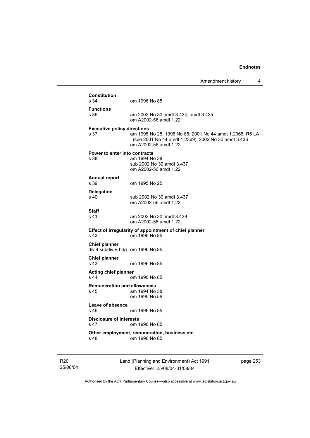|                                                          |                                                                                                                                          | Amendment history<br>4 |
|----------------------------------------------------------|------------------------------------------------------------------------------------------------------------------------------------------|------------------------|
| <b>Constitution</b>                                      |                                                                                                                                          |                        |
| s 34                                                     | om 1996 No 85                                                                                                                            |                        |
| <b>Functions</b><br>s 36                                 | am 2002 No 30 amdt 3.434, amdt 3.435<br>om A2002-56 amdt 1.22                                                                            |                        |
| <b>Executive policy directions</b><br>s 37               | am 1995 No 25; 1996 No 85; 2001 No 44 amdt 1.2368; R6 LA<br>(see 2001 No 44 amdt 1.2369); 2002 No 30 amdt 3.436<br>om A2002-56 amdt 1.22 |                        |
| Power to enter into contracts<br>s 38                    | am 1994 No 38<br>sub 2002 No 30 amdt 3.437<br>om A2002-56 amdt 1.22                                                                      |                        |
| <b>Annual report</b><br>s 39                             | om 1995 No 25                                                                                                                            |                        |
| <b>Delegation</b><br>s <sub>40</sub>                     | sub 2002 No 30 amdt 3.437<br>om A2002-56 amdt 1.22                                                                                       |                        |
| <b>Staff</b><br>s 41                                     | am 2002 No 30 amdt 3.438<br>om A2002-56 amdt 1.22                                                                                        |                        |
| s 42                                                     | Effect of irregularity of appointment of chief planner<br>om 1996 No 85                                                                  |                        |
| <b>Chief planner</b><br>div 4 subdiv B hdg om 1996 No 85 |                                                                                                                                          |                        |
| <b>Chief planner</b><br>s 43                             | om 1996 No 85                                                                                                                            |                        |
| <b>Acting chief planner</b><br>s 44                      | om 1996 No 85                                                                                                                            |                        |
| <b>Remuneration and allowances</b><br>s 45               | am 1994 No 38                                                                                                                            |                        |
|                                                          | om 1995 No 56                                                                                                                            |                        |
| Leave of absence<br>s 46.                                | om 1996 No 85                                                                                                                            |                        |
| <b>Disclosure of interests</b><br>s 47                   | om 1996 No 85                                                                                                                            |                        |
| s 48                                                     | Other employment, remuneration, business etc<br>om 1996 No 85                                                                            |                        |

R20 25/08/04 Land (Planning and Environment) Act 1991 Effective: 25/08/04-31/08/04

page 253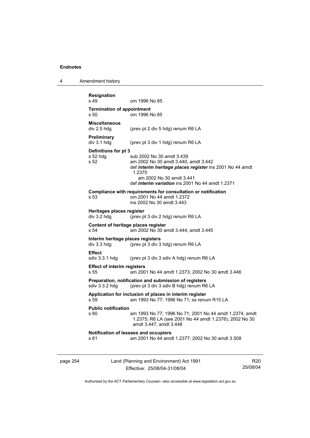4 Amendment history

| <b>Resignation</b><br>s 49                       | om 1996 No 85                                                                                                                                                                                                                  |
|--------------------------------------------------|--------------------------------------------------------------------------------------------------------------------------------------------------------------------------------------------------------------------------------|
| <b>Termination of appointment</b><br>s, 50       | om 1996 No 85                                                                                                                                                                                                                  |
| <b>Miscellaneous</b><br>div 2.5 hdg              | (prev pt 2 div 5 hdg) renum R6 LA                                                                                                                                                                                              |
| <b>Preliminary</b><br>div 3.1 hdg                | (prev pt 3 div 1 hdg) renum R6 LA                                                                                                                                                                                              |
| Definitions for pt 3<br>s 52 hdg<br>s 52         | sub 2002 No 30 amdt 3.439<br>am 2002 No 30 amdt 3.440, amdt 3.442<br>def interim heritage places register ins 2001 No 44 amdt<br>1.2370<br>am 2002 No 30 amdt 3.441<br>def <i>interim variation</i> ins 2001 No 44 amdt 1.2371 |
| s 53                                             | Compliance with requirements for consultation or notification<br>om 2001 No 44 amdt 1.2372<br>ins 2002 No 30 amdt 3.443                                                                                                        |
| Heritages places register<br>div 3.2 hdg         | (prev pt 3 div 2 hdg) renum R6 LA                                                                                                                                                                                              |
| s 54                                             | Content of heritage places register<br>am 2002 No 30 amdt 3.444, amdt 3.445                                                                                                                                                    |
| Interim heritage places registers<br>div 3.3 hdg | (prev pt 3 div 3 hdg) renum R6 LA                                                                                                                                                                                              |
| <b>Effect</b><br>sdiv 3.3.1 hdg                  | (prev pt 3 div 3 sdiv A hdg) renum R6 LA                                                                                                                                                                                       |
| <b>Effect of interim registers</b><br>s 55       | am 2001 No 44 amdt 1.2373; 2002 No 30 amdt 3.446                                                                                                                                                                               |
| sdiv 3.3.2 hdg                                   | Preparation, notification and submission of registers<br>(prev pt 3 div 3 sdiv B hdg) renum R6 LA                                                                                                                              |
| s 59                                             | Application for inclusion of places in interim register<br>am 1993 No 77; 1996 No 71; ss renum R15 LA                                                                                                                          |
| <b>Public notification</b><br>s 60               | am 1993 No 77; 1996 No 71; 2001 No 44 amdt 1.2374, amdt<br>1.2375; R6 LA (see 2001 No 44 amdt 1.2376); 2002 No 30<br>amdt 3.447, amdt 3.448                                                                                    |
| s 61                                             | Notification of lessees and occupiers<br>am 2001 No 44 amdt 1.2377; 2002 No 30 amdt 3.508                                                                                                                                      |
|                                                  |                                                                                                                                                                                                                                |

page 254 Land (Planning and Environment) Act 1991 Effective: 25/08/04-31/08/04

R20 25/08/04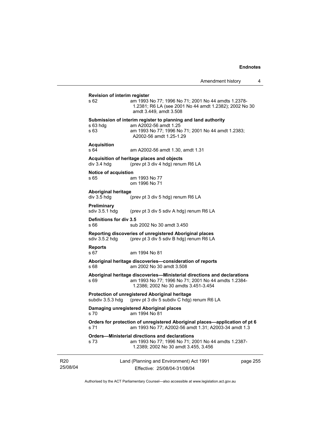| <b>Revision of interim register</b>                                                                                                                                            |                                                                                                                                         |  |  |  |
|--------------------------------------------------------------------------------------------------------------------------------------------------------------------------------|-----------------------------------------------------------------------------------------------------------------------------------------|--|--|--|
| s 62                                                                                                                                                                           | am 1993 No 77; 1996 No 71; 2001 No 44 amdts 1.2378-<br>1.2381; R6 LA (see 2001 No 44 amdt 1.2382); 2002 No 30<br>amdt 3.449, amdt 3.508 |  |  |  |
|                                                                                                                                                                                | Submission of interim register to planning and land authority                                                                           |  |  |  |
| s 63 hdg<br>s 63                                                                                                                                                               | am A2002-56 amdt 1.25<br>am 1993 No 77; 1996 No 71; 2001 No 44 amdt 1.2383;<br>A2002-56 amdt 1.25-1.29                                  |  |  |  |
| <b>Acquisition</b>                                                                                                                                                             |                                                                                                                                         |  |  |  |
| s 64                                                                                                                                                                           | am A2002-56 amdt 1.30, amdt 1.31                                                                                                        |  |  |  |
| div 3.4 hdg                                                                                                                                                                    | Acquisition of heritage places and objects<br>(prev pt 3 div 4 hdg) renum R6 LA                                                         |  |  |  |
| <b>Notice of acquistion</b>                                                                                                                                                    |                                                                                                                                         |  |  |  |
| s 65                                                                                                                                                                           | am 1993 No 77<br>om 1996 No 71                                                                                                          |  |  |  |
| <b>Aboriginal heritage</b>                                                                                                                                                     |                                                                                                                                         |  |  |  |
| div 3.5 hdg                                                                                                                                                                    | (prev pt 3 div 5 hdg) renum R6 LA                                                                                                       |  |  |  |
| <b>Preliminary</b><br>sdiv 3.5.1 hdg                                                                                                                                           | (prev pt 3 div 5 sdiv A hdg) renum R6 LA                                                                                                |  |  |  |
| Definitions for div 3.5<br>s 66                                                                                                                                                | sub 2002 No 30 amdt 3.450                                                                                                               |  |  |  |
| sdiv $3.5.2$ hdg                                                                                                                                                               | Reporting discoveries of unregistered Aboriginal places<br>(prev pt 3 div 5 sdiv B hdg) renum R6 LA                                     |  |  |  |
| <b>Reports</b><br>s 67                                                                                                                                                         | am 1994 No 81                                                                                                                           |  |  |  |
| s 68                                                                                                                                                                           | Aboriginal heritage discoveries—consideration of reports<br>am 2002 No 30 amdt 3.508                                                    |  |  |  |
| Aboriginal heritage discoveries—Ministerial directions and declarations<br>am 1993 No 77; 1996 No 71; 2001 No 44 amdts 1.2384-<br>s 69<br>1.2386; 2002 No 30 amdts 3.451-3.454 |                                                                                                                                         |  |  |  |
| Protection of unregistered Aboriginal heritage<br>(prev pt 3 div 5 subdiv C hdg) renum R6 LA<br>subdiv 3.5.3 hdg                                                               |                                                                                                                                         |  |  |  |
| s 70                                                                                                                                                                           | Damaging unregistered Aboriginal places<br>am 1994 No 81                                                                                |  |  |  |
| Orders for protection of unregistered Aboriginal places-application of pt 6<br>am 1993 No 77; A2002-56 amdt 1.31; A2003-34 amdt 1.3<br>s 71                                    |                                                                                                                                         |  |  |  |
| <b>Orders-Ministerial directions and declarations</b><br>am 1993 No 77; 1996 No 71; 2001 No 44 amdts 1.2387-<br>s 73<br>1.2389; 2002 No 30 amdt 3.455, 3.456                   |                                                                                                                                         |  |  |  |
| Land (Planning and Environment) Act 1991<br>page 255<br>Effective: 25/08/04-31/08/04                                                                                           |                                                                                                                                         |  |  |  |

Authorised by the ACT Parliamentary Counsel—also accessible at www.legislation.act.gov.au

R20 25/08/04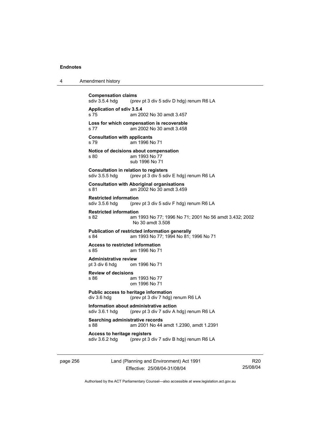| 4 | Amendment history |
|---|-------------------|
|---|-------------------|

**Compensation claims**<br>sdiv 3.5.4 hdg (pre (prev pt 3 div 5 sdiv D hdg) renum R6 LA **Application of sdiv 3.5.4**  s 75 am 2002 No 30 amdt 3.457 **Loss for which compensation is recoverable**  s 77 am 2002 No 30 amdt 3.458 **Consultation with applicants**  s 79 am 1996 No 71 **Notice of decisions about compensation**  s 80 am 1993 No 77 sub 1996 No 71 **Consultation in relation to registers**  sdiv 3.5.5 hdg (prev pt 3 div 5 sdiv E hdg) renum R6 LA **Consultation with Aboriginal organisations**  s 81 am 2002 No 30 amdt 3.459 **Restricted information**<br>sdiv 3.5.6 hdg (pre (prev pt 3 div 5 sdiv F hdg) renum R6 LA **Restricted information**  s 82 am 1993 No 77; 1996 No 71; 2001 No 56 amdt 3.432; 2002 No 30 amdt 3.508 **Publication of restricted information generally**  s 84 am 1993 No 77; 1994 No 81; 1996 No 71 **Access to restricted information**  s 85 am 1996 No 71 **Administrative review** pt 3 div 6 hdg om om 1996 No 71 **Review of decisions**  s 86 am 1993 No 77 om 1996 No 71 **Public access to heritage information**  div 3.6 hdg (prev pt 3 div 7 hdg) renum R6 LA **Information about administrative action**<br>sdiv 3.6.1 hdg (prev pt 3 div 7 sdiv A l (prev pt 3 div 7 sdiv A hdg) renum R6 LA **Searching administrative records**  s 88 am 2001 No 44 amdt 1.2390, amdt 1.2391 **Access to heritage registers**<br>sdiv 3.6.2 hdg (prev pt 3 dots) (prev pt 3 div 7 sdiv B hdg) renum R6 LA

page 256 Land (Planning and Environment) Act 1991 Effective: 25/08/04-31/08/04

R20 25/08/04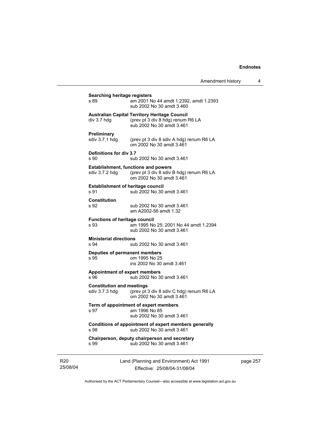| Amendment history |  |
|-------------------|--|
|-------------------|--|

| s 89                                               | am 2001 No 44 amdt 1.2392, amdt 1.2393<br>sub 2002 No 30 amdt 3.460                                                    |
|----------------------------------------------------|------------------------------------------------------------------------------------------------------------------------|
| div 3.7 hdg                                        | <b>Australian Capital Territory Heritage Council</b><br>(prev pt 3 div 8 hdg) renum R6 LA<br>sub 2002 No 30 amdt 3.461 |
| <b>Preliminary</b><br>sdiv 3.7.1 hdg               | (prev pt 3 div 8 sdiv A hdg) renum R6 LA<br>om 2002 No 30 amdt 3.461                                                   |
| Definitions for div 3.7<br>s 90                    | sub 2002 No 30 amdt 3.461                                                                                              |
| sdiv 3.7.2 hdq                                     | <b>Establishment, functions and powers</b><br>(prev pt 3 div 8 sdiv B hdg) renum R6 LA<br>om 2002 No 30 amdt 3.461     |
| <b>Establishment of heritage council</b><br>s 91   | sub 2002 No 30 amdt 3.461                                                                                              |
| <b>Constitution</b><br>s 92                        | sub 2002 No 30 amdt 3.461<br>am A2002-56 amdt 1.32                                                                     |
| <b>Functions of heritage council</b><br>s 93       | am 1995 No 25; 2001 No 44 amdt 1.2394<br>sub 2002 No 30 amdt 3.461                                                     |
| <b>Ministerial directions</b><br>s 94              | sub 2002 No 30 amdt 3.461                                                                                              |
| Deputies of permanent members<br>s 95              | om 1995 No 25<br>ins 2002 No 30 amdt 3.461                                                                             |
| <b>Appointment of expert members</b><br>s.96       | sub 2002 No 30 amdt 3.461                                                                                              |
| <b>Constitution and meetings</b><br>sdiv 3.7.3 hdg | (prev pt 3 div 8 sdiv C hdg) renum R6 LA<br>om 2002 No 30 amdt 3.461                                                   |
| s 97                                               | Term of appointment of expert members<br>am 1996 No 85<br>sub 2002 No 30 amdt 3.461                                    |
| s 98                                               | Conditions of appointment of expert members generally<br>sub 2002 No 30 amdt 3.461                                     |
| s 99                                               | Chairperson, deputy chairperson and secretary<br>sub 2002 No 30 amdt 3.461                                             |

R20 25/08/04 Land (Planning and Environment) Act 1991 Effective: 25/08/04-31/08/04

page 257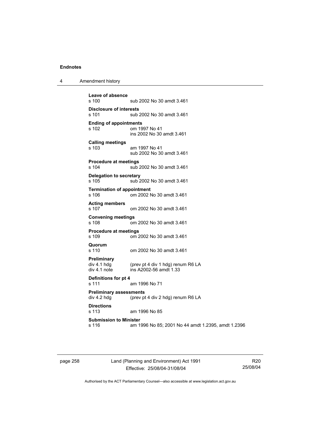| Amendment history<br>л |  |
|------------------------|--|
|------------------------|--|

```
Leave of absence 
                sub 2002 No 30 amdt 3.461
Disclosure of interests 
                sub 2002 No 30 amdt 3.461
Ending of appointments 
                om 1997 No 41
                 ins 2002 No 30 amdt 3.461 
Calling meetings 
s 103 am 1997 No 41 
                 sub 2002 No 30 amdt 3.461 
Procedure at meetings 
                sub 2002 No 30 amdt 3.461
Delegation to secretary 
s 105 sub 2002 No 30 amdt 3.461 
Termination of appointment 
s 106 om 2002 No 30 amdt 3.461 
Acting members 
s 107 om 2002 No 30 amdt 3.461 
Convening meetings 
s 108 om 2002 No 30 amdt 3.461 
Procedure at meetings 
                om 2002 No 30 amdt 3.461
Quorum 
s 110 om 2002 No 30 amdt 3.461 
Preliminary 
                (prev pt 4 div 1 hdg) renum R6 LA
div 4.1 note ins A2002-56 amdt 1.33 
Definitions for pt 4 
s 111 am 1996 No 71 
Preliminary assessments 
div 4.2 hdg (prev pt 4 div 2 hdg) renum R6 LA
Directions 
                am 1996 No 85
Submission to Minister 
s 116 am 1996 No 85; 2001 No 44 amdt 1.2395, amdt 1.2396
```
page 258 Land (Planning and Environment) Act 1991 Effective: 25/08/04-31/08/04

R20 25/08/04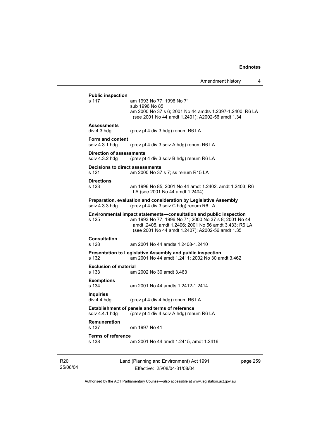Amendment history 4 s 117 am 1993 No 77; 1996 No 71

 sub 1996 No 85 am 2000 No 37 s 6; 2001 No 44 amdts 1.2397-1.2400; R6 LA (see 2001 No 44 amdt 1.2401); A2002-56 amdt 1.34 **Assessments**  div 4.3 hdg (prev pt 4 div 3 hdg) renum R6 LA **Form and content**  (prev pt 4 div 3 sdiv A hdg) renum R6 LA **Direction of assessments**  sdiv 4.3.2 hdg (prev pt 4 div 3 sdiv B hdg) renum R6 LA **Decisions to direct assessments**  s 121 am 2000 No 37 s 7; ss renum R15 LA **Directions**  s 123 am 1996 No 85; 2001 No 44 amdt 1.2402, amdt 1.2403; R6 LA (see 2001 No 44 amdt 1.2404) **Preparation, evaluation and consideration by Legislative Assembly**  sdiv 4.3.3 hdg (prev pt 4 div 3 sdiv C hdg) renum R6 LA **Environmental impact statements—consultation and public inspection s 125 am 1993 No 77: 1996 No 71: 2000 No 37 s 8: 2001 No 4** am 1993 No 77; 1996 No 71; 2000 No 37 s 8; 2001 No 44 amdt .2405, amdt 1.2406; 2001 No 56 amdt 3.433; R6 LA (see 2001 No 44 amdt 1.2407); A2002-56 amdt 1.35 **Consultation**  s 128 am 2001 No 44 amdts 1.2408-1.2410 **Presentation to Legislative Assembly and public inspection**  s 132 am 2001 No 44 amdt 1.2411; 2002 No 30 amdt 3.462 **Exclusion of material**  s 133 am 2002 No 30 amdt 3.463 **Exemptions**  s 134 am 2001 No 44 amdts 1.2412-1.2414 **Inquiries**  (prev pt 4 div 4 hdg) renum R6 LA **Establishment of panels and terms of reference**  sdiv 4.4.1 hdg (prev pt 4 div 4 sdiv A hdg) renum R6 LA **Remuneration**  om 1997 No 41 **Terms of reference**  s 138 am 2001 No 44 amdt 1.2415, amdt 1.2416

**Public inspection** 

R20 25/08/04 Land (Planning and Environment) Act 1991 Effective: 25/08/04-31/08/04

page 259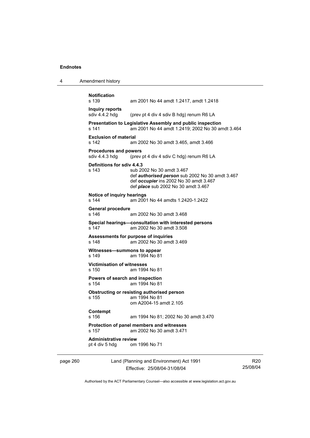| Amendment history<br>4 |  |
|------------------------|--|
|------------------------|--|

```
Notification 
                 am 2001 No 44 amdt 1.2417, amdt 1.2418
Inquiry reports 
sdiv 4.4.2 hdg (prev pt 4 div 4 sdiv B hdg) renum R6 LA
Presentation to Legislative Assembly and public inspection 
s 141 am 2001 No 44 amdt 1.2419; 2002 No 30 amdt 3.464 
Exclusion of material 
s 142 am 2002 No 30 amdt 3.465, amdt 3.466 
Procedures and powers<br>sdiv 4.4.3 hdg (prev
                 (prev pt 4 div 4 sdiv C hdg) renum R6 LA
Definitions for sdiv 4.4.3 
s 143 sub 2002 No 30 amdt 3.467 
                  def authorised person sub 2002 No 30 amdt 3.467 
                  def occupier ins 2002 No 30 amdt 3.467 
                  def place sub 2002 No 30 amdt 3.467 
Notice of inquiry hearings 
s 144 am 2001 No 44 amdts 1.2420-1.2422 
General procedure 
s 146 am 2002 No 30 amdt 3.468 
Special hearings—consultation with interested persons 
s 147 am 2002 No 30 amdt 3.508 
Assessments for purpose of inquiries 
s 148 am 2002 No 30 amdt 3.469 
Witnesses—summons to appear 
s 149 am 1994 No 81 
Victimisation of witnesses 
s 150 am 1994 No 81 
Powers of search and inspection 
s 154 am 1994 No 81 
Obstructing or resisting authorised person 
s 155 am 1994 No 81 
                  om A2004-15 amdt 2.105 
Contempt 
s 156 am 1994 No 81; 2002 No 30 amdt 3.470 
Protection of panel members and witnesses 
s 157 am 2002 No 30 amdt 3.471 
Administrative review pt 4 div 5 hdg om
                om 1996 No 71
```
page 260 Land (Planning and Environment) Act 1991 Effective: 25/08/04-31/08/04

R20 25/08/04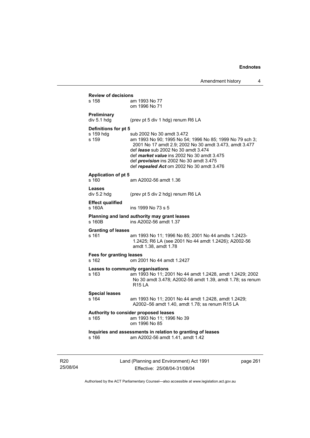| s 158                               | am 1993 No 77<br>om 1996 No 71                                                                                                                                                                                                                                                                                                                    |
|-------------------------------------|---------------------------------------------------------------------------------------------------------------------------------------------------------------------------------------------------------------------------------------------------------------------------------------------------------------------------------------------------|
| Preliminary<br>div 5.1 hdg          | (prev pt 5 div 1 hdg) renum R6 LA                                                                                                                                                                                                                                                                                                                 |
| Definitions for pt 5                |                                                                                                                                                                                                                                                                                                                                                   |
| s 159 hdg<br>s 159                  | sub 2002 No 30 amdt 3.472<br>am 1993 No 90; 1995 No 54; 1996 No 85; 1999 No 79 sch 3;<br>2001 No 17 amdt 2.9; 2002 No 30 amdt 3.473, amdt 3.477<br>def <i>lease</i> sub 2002 No 30 amdt 3.474<br>def <i>market value</i> ins 2002 No 30 amdt 3.475<br>def <i>provision</i> ins 2002 No 30 amdt 3.475<br>def repealed Act om 2002 No 30 amdt 3.476 |
| <b>Application of pt 5</b><br>s 160 | am A2002-56 amdt 1.36                                                                                                                                                                                                                                                                                                                             |
| Leases<br>div 5.2 hdg               | (prev pt 5 div 2 hdg) renum R6 LA                                                                                                                                                                                                                                                                                                                 |
| <b>Effect qualified</b><br>s 160A   | ins 1999 No 73 s 5                                                                                                                                                                                                                                                                                                                                |
| s 160B                              | Planning and land authority may grant leases<br>ins A2002-56 amdt 1.37                                                                                                                                                                                                                                                                            |
| <b>Granting of leases</b><br>s 161  | am 1993 No 11; 1996 No 85; 2001 No 44 amdts 1.2423-<br>1.2425; R6 LA (see 2001 No 44 amdt 1.2426); A2002-56<br>amdt 1.38, amdt 1.78                                                                                                                                                                                                               |
| Fees for granting leases<br>s 162   | om 2001 No 44 amdt 1.2427                                                                                                                                                                                                                                                                                                                         |
| s 163                               | Leases to community organisations<br>am 1993 No 11; 2001 No 44 amdt 1.2428, amdt 1.2429; 2002<br>No 30 amdt 3.478; A2002-56 amdt 1.39, amdt 1.78; ss renum<br><b>R15 LA</b>                                                                                                                                                                       |
| <b>Special leases</b>               |                                                                                                                                                                                                                                                                                                                                                   |
| s 164                               | am 1993 No 11; 2001 No 44 amdt 1.2428, amdt 1.2429;<br>A2002-56 amdt 1.40, amdt 1.78; ss renum R15 LA                                                                                                                                                                                                                                             |
| s 165                               | Authority to consider proposed leases<br>am 1993 No 11; 1996 No 39<br>om 1996 No 85                                                                                                                                                                                                                                                               |
| s 166                               | Inquiries and assessments in relation to granting of leases<br>am A2002-56 amdt 1.41, amdt 1.42                                                                                                                                                                                                                                                   |

R20 25/08/04 Land (Planning and Environment) Act 1991 Effective: 25/08/04-31/08/04

page 261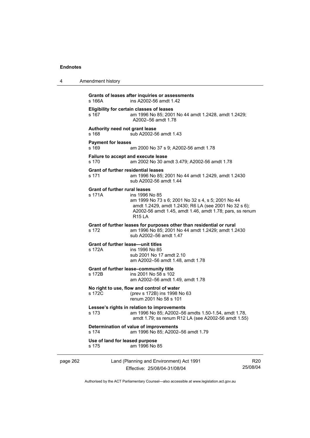| 4        | Amendment history                              |                                                                                                                                                                                                    |                 |
|----------|------------------------------------------------|----------------------------------------------------------------------------------------------------------------------------------------------------------------------------------------------------|-----------------|
|          | s 166A                                         | Grants of leases after inquiries or assessments<br>ins A2002-56 amdt 1.42                                                                                                                          |                 |
|          | s 167                                          | Eligibility for certain classes of leases<br>am 1996 No 85; 2001 No 44 amdt 1.2428, amdt 1.2429;<br>A2002-56 amdt 1.78                                                                             |                 |
|          | Authority need not grant lease<br>s 168        | sub A2002-56 amdt 1.43                                                                                                                                                                             |                 |
|          | <b>Payment for leases</b><br>s 169             | am 2000 No 37 s 9; A2002-56 amdt 1.78                                                                                                                                                              |                 |
|          | s 170                                          | Failure to accept and execute lease<br>am 2002 No 30 amdt 3.479; A2002-56 amdt 1.78                                                                                                                |                 |
|          | s 171                                          | <b>Grant of further residential leases</b><br>am 1996 No 85; 2001 No 44 amdt 1.2429, amdt 1.2430<br>sub A2002-56 amdt 1.44                                                                         |                 |
|          | <b>Grant of further rural leases</b><br>s 171A | ins 1996 No 85<br>am 1999 No 73 s 6; 2001 No 32 s 4, s 5; 2001 No 44<br>amdt 1.2429, amdt 1.2430; R6 LA (see 2001 No 32 s 6);<br>A2002-56 amdt 1.45, amdt 1.46, amdt 1.78; pars, ss renum<br>R15IA |                 |
|          | s 172                                          | Grant of further leases for purposes other than residential or rural<br>am 1996 No 85; 2001 No 44 amdt 1.2429; amdt 1.2430<br>sub A2002-56 amdt 1.47                                               |                 |
|          | s 172A                                         | <b>Grant of further lease—unit titles</b><br>ins 1996 No 85<br>sub 2001 No 17 amdt 2.10<br>am A2002-56 amdt 1.48, amdt 1.78                                                                        |                 |
|          | s 172B                                         | Grant of further lease-community title<br>ins 2001 No 58 s 102<br>am A2002-56 amdt 1.49, amdt 1.78                                                                                                 |                 |
|          | s 172C                                         | No right to use, flow and control of water<br>(prev s 172B) ins 1998 No 63<br>renum 2001 No 58 s 101                                                                                               |                 |
|          | s 173                                          | Lessee's rights in relation to improvements<br>am 1996 No 85; A2002-56 amdts 1.50-1.54, amdt 1.78,<br>amdt 1.79; ss renum R12 LA (see A2002-56 amdt 1.55)                                          |                 |
|          | s 174                                          | Determination of value of improvements<br>am 1996 No 85; A2002-56 amdt 1.79                                                                                                                        |                 |
|          | Use of land for leased purpose<br>s 175        | am 1996 No 85                                                                                                                                                                                      |                 |
| page 262 |                                                | Land (Planning and Environment) Act 1991                                                                                                                                                           | R <sub>20</sub> |

Authorised by the ACT Parliamentary Counsel—also accessible at www.legislation.act.gov.au

25/08/04

Effective: 25/08/04-31/08/04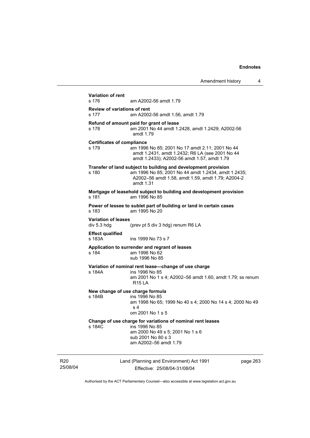| <b>Variation of rent</b><br>s 176         | am A2002-56 amdt 1.79                                                                                                                                                                   |  |
|-------------------------------------------|-----------------------------------------------------------------------------------------------------------------------------------------------------------------------------------------|--|
| s 177                                     | <b>Review of variations of rent</b><br>am A2002-56 amdt 1.56, amdt 1.79                                                                                                                 |  |
| s 178                                     | Refund of amount paid for grant of lease<br>am 2001 No 44 amdt 1.2428, amdt 1.2429; A2002-56<br>amdt 1.79                                                                               |  |
| s 179                                     | <b>Certificates of compliance</b><br>am 1996 No 85; 2001 No 17 amdt 2.11; 2001 No 44<br>amdt 1.2431, amdt 1.2432; R6 LA (see 2001 No 44<br>amdt 1.2433); A2002-56 amdt 1.57, amdt 1.79  |  |
| s 180                                     | Transfer of land subject to building and development provision<br>am 1996 No 85; 2001 No 44 amdt 1.2434, amdt 1.2435;<br>A2002-56 amdt 1.58, amdt 1.59, amdt 1.79; A2004-2<br>amdt 1.31 |  |
| s 181                                     | Mortgage of leasehold subject to building and development provision<br>am 1996 No 85                                                                                                    |  |
| s 183                                     | Power of lessee to sublet part of building or land in certain cases<br>am 1995 No 20                                                                                                    |  |
| <b>Variation of leases</b><br>div 5.3 hdg | (prev pt 5 div 3 hdg) renum R6 LA                                                                                                                                                       |  |
| <b>Effect qualified</b><br>s 183A         | ins 1999 No 73 s 7                                                                                                                                                                      |  |
| s 184                                     | Application to surrender and regrant of leases<br>am 1996 No 62<br>sub 1996 No 85                                                                                                       |  |
| s 184A                                    | Variation of nominal rent lease-change of use charge<br>ins 1996 No 85<br>am 2001 No 1 s 4; A2002-56 amdt 1.60, amdt 1.79; ss renum<br><b>R15 LA</b>                                    |  |
| s 184B                                    | New change of use charge formula<br>ins 1996 No 85<br>am 1998 No 65; 1999 No 40 s 4; 2000 No 14 s 4; 2000 No 49<br>s <sub>4</sub><br>om 2001 No 1 s 5                                   |  |
| s 184C                                    | Change of use charge for variations of nominal rent leases<br>ins 1996 No 85<br>am 2000 No 49 s 5; 2001 No 1 s 6<br>sub 2001 No 80 s 3<br>am A2002-56 amdt 1.79                         |  |
|                                           |                                                                                                                                                                                         |  |

R20 25/08/04

Effective: 25/08/04-31/08/04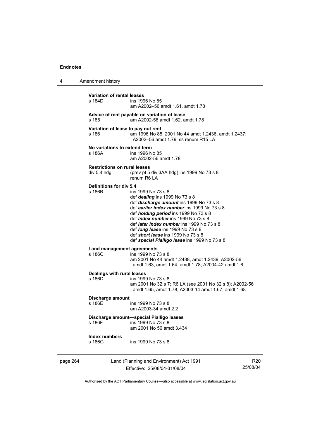| 4        | Amendment history                                  |                                                                                                                                                                                                                                                                                                                                                                                                                                            |                             |
|----------|----------------------------------------------------|--------------------------------------------------------------------------------------------------------------------------------------------------------------------------------------------------------------------------------------------------------------------------------------------------------------------------------------------------------------------------------------------------------------------------------------------|-----------------------------|
|          | <b>Variation of rental leases</b><br>s 184D        | ins 1996 No 85<br>am A2002-56 amdt 1.61, amdt 1.78                                                                                                                                                                                                                                                                                                                                                                                         |                             |
|          | s 185                                              | Advice of rent payable on variation of lease<br>am A2002-56 amdt 1.62, amdt 1.78                                                                                                                                                                                                                                                                                                                                                           |                             |
|          | Variation of lease to pay out rent<br>s 186        | am 1996 No 85; 2001 No 44 amdt 1.2436, amdt 1.2437;<br>A2002-56 amdt 1.79; ss renum R15 LA                                                                                                                                                                                                                                                                                                                                                 |                             |
|          | No variations to extend term<br>s 186A             | ins 1996 No 85<br>am A2002-56 amdt 1.78                                                                                                                                                                                                                                                                                                                                                                                                    |                             |
|          | <b>Restrictions on rural leases</b><br>div 5.4 hdg | (prev pt 5 div 3AA hdg) ins 1999 No 73 s 8<br>renum R6   A                                                                                                                                                                                                                                                                                                                                                                                 |                             |
|          | Definitions for div 5.4<br>s 186B                  | ins 1999 No 73 s 8<br>def <i>dealing</i> ins 1999 No 73 s 8<br>def discharge amount ins 1999 No 73 s 8<br>def earlier index number ins 1999 No 73 s 8<br>def <i>holding period</i> ins 1999 No 73 s 8<br>def <i>index number</i> ins 1999 No 73 s 8<br>def <i>later index number</i> ins 1999 No 73 s 8<br>def <i>long lease</i> ins 1999 No 73 s 8<br>def short lease ins 1999 No 73 s 8<br>def special Pialligo lease ins 1999 No 73 s 8 |                             |
|          | Land management agreements<br>s 186C               | ins 1999 No 73 s 8<br>am 2001 No 44 amdt 1.2438, amdt 1.2439; A2002-56<br>amdt 1.63, amdt 1.64, amdt 1.78; A2004-42 amdt 1.6                                                                                                                                                                                                                                                                                                               |                             |
|          | <b>Dealings with rural leases</b><br>s 186D        | ins 1999 No 73 s 8<br>am 2001 No 32 s 7; R6 LA (see 2001 No 32 s 8); A2002-56<br>amdt 1.65, amdt 1.78; A2003-14 amdt 1.67, amdt 1.68                                                                                                                                                                                                                                                                                                       |                             |
|          | Discharge amount<br>s 186E                         | ins 1999 No 73 s 8<br>am A2003-34 amdt 2.2                                                                                                                                                                                                                                                                                                                                                                                                 |                             |
|          | s 186F                                             | Discharge amount-special Pialligo leases<br>ins 1999 No 73 s 8<br>am 2001 No 56 amdt 3.434                                                                                                                                                                                                                                                                                                                                                 |                             |
|          | <b>Index numbers</b><br>s 186G                     | ins 1999 No 73 s 8                                                                                                                                                                                                                                                                                                                                                                                                                         |                             |
| page 264 |                                                    | Land (Planning and Environment) Act 1991<br>Effective: 25/08/04-31/08/04                                                                                                                                                                                                                                                                                                                                                                   | R <sub>20</sub><br>25/08/04 |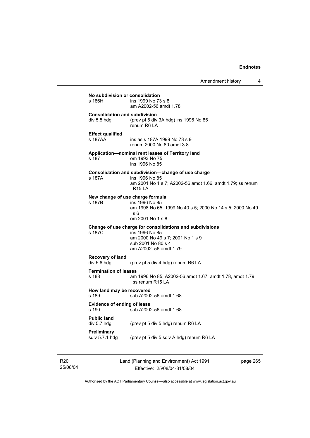Amendment history 4

**No subdivision or consolidation**  ins 1999 No 73 s 8 am A2002-56 amdt 1.78 **Consolidation and subdivision**  div 5.5 hdg (prev pt 5 div 3A hdg) ins 1996 No 85 renum R6 LA **Effect qualified**  s 187AA ins as s 187A 1999 No 73 s 9 renum 2000 No 80 amdt 3.8 **Application—nominal rent leases of Territory land**  s 187 om 1993 No 75 ins 1996 No 85 **Consolidation and subdivision—change of use charge**  s 187A ins 1996 No 85 am 2001 No 1 s 7; A2002-56 amdt 1.66, amdt 1.79; ss renum R15 LA **New change of use charge formula**  s 187B ins 1996 No 85 am 1998 No 65; 1999 No 40 s 5; 2000 No 14 s 5; 2000 No 49 s 6 om 2001 No 1 s 8 **Change of use charge for consolidations and subdivisions**  ins 1996 No 85 am 2000 No 49 s 7; 2001 No 1 s 9 sub 2001 No 80 s 4 am A2002–56 amdt 1.79 **Recovery of land**  div 5.6 hdg (prev pt 5 div 4 hdg) renum R6 LA **Termination of leases**<br>s 188 am s 188 am 1996 No 85; A2002-56 amdt 1.67, amdt 1.78, amdt 1.79; ss renum R15 LA **How land may be recovered**  s 189 sub A2002-56 amdt 1.68 **Evidence of ending of lease**  sub A2002-56 amdt 1.68 **Public land**  div 5.7 hdg (prev pt 5 div 5 hdg) renum R6 LA **Preliminary**  sdiv 5.7.1 hdg (prev pt 5 div 5 sdiv A hdg) renum R6 LA

R20 25/08/04 Land (Planning and Environment) Act 1991 Effective: 25/08/04-31/08/04

page 265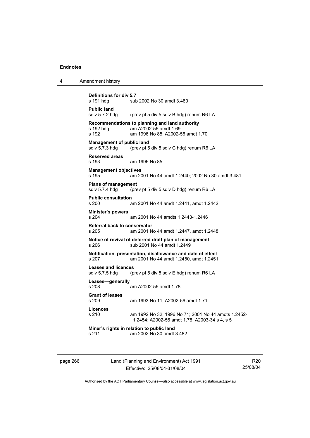| 4 | Amendment history                                                                                                                  |
|---|------------------------------------------------------------------------------------------------------------------------------------|
|   | <b>Definitions for div 5.7</b><br>s 191 hdg<br>sub 2002 No 30 amdt 3.480                                                           |
|   | <b>Public land</b><br>sdiv $5.7.2$ hdg<br>(prev pt 5 div 5 sdiv B hdg) renum R6 LA                                                 |
|   | Recommendations to planning and land authority<br>s 192 hdg<br>am A2002-56 amdt 1.69<br>s 192<br>am 1996 No 85; A2002-56 amdt 1.70 |
|   | <b>Management of public land</b><br>sdiv 5.7.3 hdg<br>(prev pt 5 div 5 sdiv C hdg) renum R6 LA                                     |
|   | <b>Reserved areas</b><br>s 193<br>am 1996 No 85                                                                                    |
|   | <b>Management objectives</b><br>s 195<br>am 2001 No 44 amdt 1.2440; 2002 No 30 amdt 3.481                                          |
|   | <b>Plans of management</b><br>sdiv 5.7.4 hdg<br>(prev pt 5 div 5 sdiv D hdg) renum R6 LA                                           |
|   | <b>Public consultation</b><br>s 200<br>am 2001 No 44 amdt 1.2441, amdt 1.2442                                                      |
|   | <b>Minister's powers</b><br>am 2001 No 44 amdts 1.2443-1.2446<br>s 204                                                             |
|   | <b>Referral back to conservator</b><br>s 205<br>am 2001 No 44 amdt 1.2447, amdt 1.2448                                             |
|   | Notice of revival of deferred draft plan of management<br>sub 2001 No 44 amdt 1.2449<br>s 206                                      |
|   | Notification, presentation, disallowance and date of effect<br>s 207<br>am 2001 No 44 amdt 1.2450, amdt 1.2451                     |
|   | <b>Leases and licences</b><br>sdiv 5.7.5 hdg<br>(prev pt 5 div 5 sdiv E hdg) renum R6 LA                                           |
|   | Leases—generally<br>s 208<br>am A2002-56 amdt 1.78                                                                                 |
|   | <b>Grant of leases</b><br>s 209<br>am 1993 No 11, A2002-56 amdt 1.71                                                               |
|   | <b>Licences</b><br>s 210<br>am 1992 No 32; 1996 No 71; 2001 No 44 amdts 1.2452-<br>1.2454; A2002-56 amdt 1.78; A2003-34 s 4, s 5   |
|   | Miner's rights in relation to public land<br>am 2002 No 30 amdt 3.482<br>s 211                                                     |
|   |                                                                                                                                    |

page 266 Land (Planning and Environment) Act 1991 Effective: 25/08/04-31/08/04

R20 25/08/04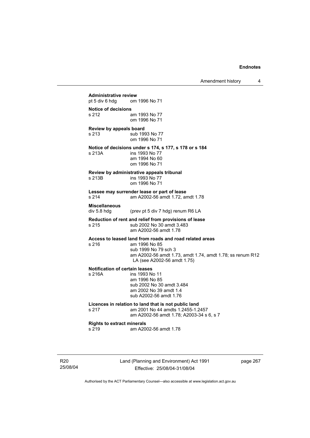**Administrative review** pt 5 div 6 hdg om om 1996 No 71 **Notice of decisions**  s 212 am 1993 No 77 om 1996 No 71 **Review by appeals board**  s 213 sub 1993 No 77 om 1996 No 71 **Notice of decisions under s 174, s 177, s 178 or s 184**  s 213A ins 1993 No 77 am 1994 No 60 om 1996 No 71 **Review by administrative appeals tribunal**  s 213B ins 1993 No 77 om 1996 No 71 **Lessee may surrender lease or part of lease**  s 214 am A2002-56 amdt 1.72, amdt 1.78 **Miscellaneous**  div 5.8 hdg (prev pt 5 div 7 hdg) renum R6 LA **Reduction of rent and relief from provisions of lease**  sub 2002 No 30 amdt 3.483 am A2002-56 amdt 1.78 **Access to leased land from roads and road related areas**  s 216 am 1996 No 85 sub 1999 No 79 sch 3 am A2002-56 amdt 1.73, amdt 1.74, amdt 1.78; ss renum R12 LA (see A2002-56 amdt 1.75) **Notification of certain leases**  s 216A ins 1993 No 11 am 1996 No 85 sub 2002 No 30 amdt 3.484 am 2002 No 39 amdt 1.4 sub A2002-56 amdt 1.76 **Licences in relation to land that is not public land**  s 217 am 2001 No 44amdts 1.2455-1.2457 am A2002-56 amdt 1.78; A2003-34 s 6, s 7 **Rights to extract minerals**  am A2002-56 amdt 1.78

R20 25/08/04 Land (Planning and Environment) Act 1991 Effective: 25/08/04-31/08/04

page 267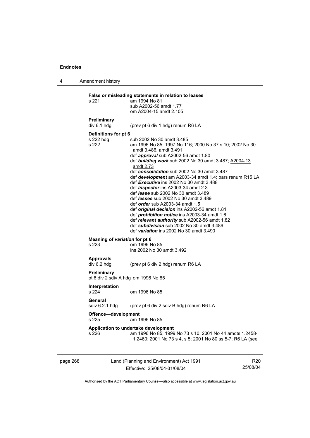4 Amendment history

page 268 Land (Planning and Environment) Act 1991 R20 **False or misleading statements in relation to leases**  s 221 am 1994 No 81 sub A2002-56 amdt 1.77 om A2004-15 amdt 2.105 **Preliminary**  div 6.1 hdg (prev pt 6 div 1 hdg) renum R6 LA **Definitions for pt 6**  s 222 hdg sub 2002 No 30 amdt 3.485<br>s 222 sm 1996 No 85: 1997 No 11 am 1996 No 85; 1997 No 116; 2000 No 37 s 10; 2002 No 30 amdt 3.486, amdt 3.491 def *approval* sub A2002-56 amdt 1.80 def *building work* sub 2002 No 30 amdt 3.487; A2004-13 amdt 2.73 def *consolidation* sub 2002 No 30 amdt 3.487 def *development* am A2003-34 amdt 1.4; pars renum R15 LA def *Executive* ins 2002 No 30 amdt 3.488 def *inspector* ins A2003-34 amdt 2.3 def *lease* sub 2002 No 30 amdt 3.489 def *lessee* sub 2002 No 30 amdt 3.489 def *order* sub A2003-34 amdt 1.5 def *original decision* ins A2002-56 amdt 1.81 def *prohibition notice* ins A2003-34 amdt 1.6 def *relevant authority* sub A2002-56 amdt 1.82 def *subdivision* sub 2002 No 30 amdt 3.489 def *variation* ins 2002 No 30 amdt 3.490 **Meaning of** *variation* **for pt 6**  s 223 om 1996 No 85 ins 2002 No 30 amdt 3.492 **Approvals**  div 6.2 hdg (prev pt 6 div 2 hdg) renum R6 LA **Preliminary**  pt 6 div 2 sdiv A hdg om 1996 No 85 **Interpretation**  s 224 om 1996 No 85 **General**  sdiv 6.2.1 hdg (prev pt 6 div 2 sdiv B hdg) renum R6 LA **Offence—development**  s 225 am 1996 No 85 **Application to undertake development**  s 226 am 1996 No 85; 1999 No 73 s 10; 2001 No 44 amdts 1.2458- 1.2460; 2001 No 73 s 4, s 5; 2001 No 80 ss 5-7; R6 LA (see

Authorised by the ACT Parliamentary Counsel—also accessible at www.legislation.act.gov.au

25/08/04

Effective: 25/08/04-31/08/04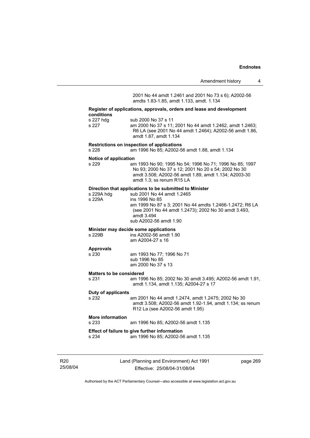| Amendment history            |  |
|------------------------------|--|
|                              |  |
| nd 2001 No 73 s 6); A2002-56 |  |

2001 No 44 amdt 1.2461 and amdts 1.83-1.85, amdt 1.133, amdt. 1.134

#### **Register of applications, approvals, orders and lease and development conditions**

s 227 am 2000 No 37 s 11; 2001 No 44 amdt 1.2462, amdt 1.2463; R6 LA (see 2001 No 44 amdt 1.2464); A2002-56 amdt 1.86, amdt 1.87, amdt 1.134

#### **Restrictions on inspection of applications**

s 228 am 1996 No 85; A2002-56 amdt 1.88, amdt 1.134

#### **Notice of application**

s 229 am 1993 No 90; 1995 No 54; 1996 No 71; 1996 No 85; 1997 No 93; 2000 No 37 s 12; 2001 No 20 s 54; 2002 No 30 amdt 3.508; A2002-56 amdt 1.89, amdt 1.134; A2003-30 amdt 1.3; ss renum R15 LA

#### **Direction that applications to be submitted to Minister**

| s 229A hdg | sub 2001 No 44 amdt 1.2465                               |
|------------|----------------------------------------------------------|
| s 229A     | ins 1996 No 85                                           |
|            | am 1999 No 87 s 3; 2001 No 44 amdts 1.2466-1.2472; R6 LA |
|            | (see 2001 No 44 amdt 1.2473); 2002 No 30 amdt 3.493,     |
|            | amdt 3.494                                               |
|            | sub A2002-56 amdt 1.90                                   |
|            |                                                          |

#### **Minister may decide some applications**

| s 229B | ins A2002-56 amdt 1.90 |
|--------|------------------------|
|        | am A2004-27 s 16       |

# **Approvals**

am 1993 No 77; 1996 No 71 sub 1996 No 85 am 2000 No 37 s 13

#### **Matters to be considered**

s 231 am 1996 No 85; 2002 No 30 amdt 3.495; A2002-56 amdt 1.91, amdt 1.134, amdt 1.135; A2004-27 s 17

#### **Duty of applicants**

s 232 am 2001 No 44 amdt 1.2474, amdt 1.2475; 2002 No 30 amdt 3.508; A2002-56 amdt 1.92-1.94, amdt 1.134; ss renum R12 La (see A2002-56 amdt 1.95)

# **More information**

am 1996 No 85; A2002-56 amdt 1.135

# **Effect of failure to give further information**<br>s 234 am 1996 No 85: A2002-5

am 1996 No 85; A2002-56 amdt 1.135

R20 25/08/04 Land (Planning and Environment) Act 1991 Effective: 25/08/04-31/08/04

page 269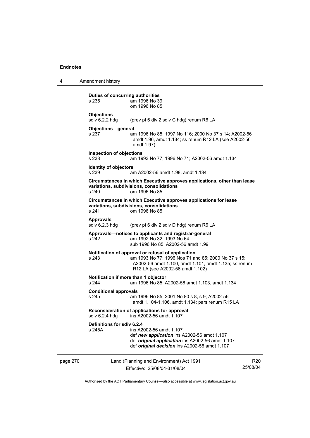4 Amendment history **Duties of concurring authorities**<br>s 235 am 1996 No 39 am 1996 No 39

 om 1996 No 85 **Objections**<br>sdiv 6.2.2 hdg (prev pt 6 div 2 sdiv C hdg) renum R6 LA **Objections—general**  s 237 am 1996 No 85; 1997 No 116; 2000 No 37 s 14; A2002-56 amdt 1.96, amdt 1.134; ss renum R12 LA (see A2002-56 amdt 1.97) **Inspection of objections**  s 238 am 1993 No 77; 1996 No 71; A2002-56 amdt 1.134 **Identity of objectors**  s 239 am A2002-56 amdt 1.98, amdt 1.134 **Circumstances in which Executive approves applications, other than lease variations, subdivisions, consolidations**  om 1996 No 85 **Circumstances in which Executive approves applications for lease variations, subdivisions, consolidations**  s 241 om 1996 No 85 Approvals<br>sdiv 6.2.3 hdg (prev pt 6 div 2 sdiv D hdg) renum R6 LA **Approvals—notices to applicants and registrar-general**  s 242 am 1992 No 32; 1993 No 64 sub 1996 No 85; A2002-56 amdt 1.99 **Notification of approval or refusal of application**  s 243 am 1993 No 77; 1996 Nos 71 and 85; 2000 No 37 s 15; A2002-56 amdt 1.100, amdt 1.101, amdt 1.135; ss renum R12 LA (see A2002-56 amdt 1.102) **Notification if more than 1 objector** 

s 244 am 1996 No 85; A2002-56 amdt 1.103, amdt 1.134

#### **Conditional approvals**

s 245 am 1996 No 85; 2001 No 80 s 8, s 9; A2002-56 amdt 1.104-1.106, amdt 1.134; pars renum R15 LA

#### **Reconsideration of applications for approval**   $ins$   $A2002-56$  amdt 1.107

**Definitions for sdiv 6.2.4** 

| s 245A | ins A2002-56 amdt 1.107                              |  |
|--------|------------------------------------------------------|--|
|        | def new application ins A2002-56 amdt 1.107          |  |
|        | def original application ins A2002-56 amdt 1.107     |  |
|        | def <i>original decision</i> ins A2002-56 amdt 1.107 |  |
|        |                                                      |  |

| page 270 | Land (Planning and Environment) Act 1991 | R20      |
|----------|------------------------------------------|----------|
|          | Effective: 25/08/04-31/08/04             | 25/08/04 |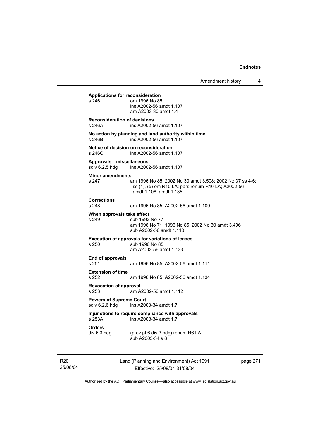**Applications for reconsideration**  om 1996 No 85 ins A2002-56 amdt 1.107 am A2003-30 amdt 1.4 **Reconsideration of decisions**  s 246A ins A2002-56 amdt 1.107 **No action by planning and land authority within time**  s 246B ins A2002-56 amdt 1.107 **Notice of decision on reconsideration**  s 246C ins A2002-56 amdt 1.107 **Approvals—miscellaneous**  ins A2002-56 amdt 1.107 **Minor amendments**  s 247 am 1996 No 85; 2002 No 30 amdt 3.508; 2002 No 37 ss 4-6; ss (4), (5) om R10 LA; pars renum R10 LA; A2002-56 amdt 1.108, amdt 1.135 **Corrections**  s 248 am 1996 No 85; A2002-56 amdt 1.109 **When approvals take effect**  sub 1993 No 77 am 1996 No 71; 1996 No 85; 2002 No 30 amdt 3.496 sub A2002-56 amdt 1.110 **Execution of approvals for variations of leases**  s 250 sub 1996 No 85 am A2002-56 amdt 1.133 **End of approvals**  s 251 am 1996 No 85; A2002-56 amdt 1.111 **Extension of time**  s 252 am 1996 No 85; A2002-56 amdt 1.134 **Revocation of approval**  s 253 am A2002-56 amdt 1.112 **Powers of Supreme Court**<br>sdiv 6.2.6 hdg ins A200 ins A2003-34 amdt 1.7 **Injunctions to require compliance with approvals**  ins A2003-34 amdt 1.7 **Orders**  (prev pt 6 div 3 hdg) renum R6 LA sub A2003-34 s 8

R20 25/08/04 Land (Planning and Environment) Act 1991 Effective: 25/08/04-31/08/04

page 271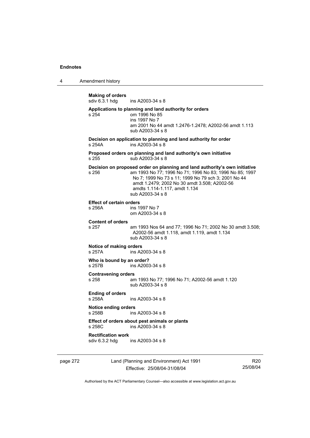4 Amendment history

**Making of orders**  ins A2003-34 s 8 **Applications to planning and land authority for orders**  s 254 om 1996 No 85 ins 1997 No 7 am 2001 No 44 amdt 1.2476-1.2478; A2002-56 amdt 1.113 sub A2003-34 s 8 **Decision on application to planning and land authority for order**  s 254A ins A2003-34 s 8 **Proposed orders on planning and land authority's own initiative**  s 255 sub A2003-34 s 8 **Decision on proposed order on planning and land authority's own initiative**  s 256 am 1993 No 77; 1996 No 71; 1996 No 83; 1996 No 85; 1997 No 7; 1999 No 73 s 11; 1999 No 79 sch 3; 2001 No 44 amdt 1.2479; 2002 No 30 amdt 3.508; A2002-56 amdts 1.114-1.117, amdt 1.134 sub A2003-34 s 8 **Effect of certain orders**  ins 1997 No 7 om A2003-34 s 8 **Content of orders**  s 257 am 1993 Nos 64 and 77; 1996 No 71; 2002 No 30 amdt 3.508; A2002-56 amdt 1.118, amdt 1.119, amdt 1.134 sub A2003-34 s 8 **Notice of making orders**  s 257A ins A2003-34 s 8 **Who is bound by an order?**<br>s 257B **ins A2003** ins A2003-34 s 8 **Contravening orders**  s 258 am 1993 No 77; 1996 No 71; A2002-56 amdt 1.120 sub A2003-34 s 8 **Ending of orders**  s 258A ins A2003-34 s 8 **Notice ending orders**  s 258B ins A2003-34 s 8 **Effect of orders about pest animals or plants**  s 258C ins A2003-34 s 8 **Rectification work**  ins A2003-34 s 8

page 272 Land (Planning and Environment) Act 1991 Effective: 25/08/04-31/08/04

R20 25/08/04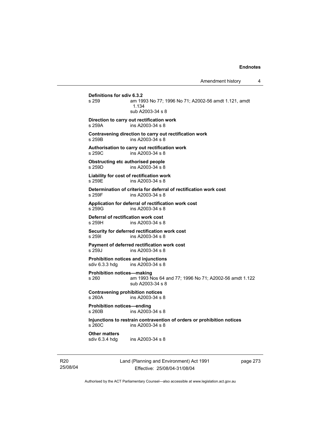# **Definitions for sdiv 6.3.2**  am 1993 No 77; 1996 No 71; A2002-56 amdt 1.121, amdt 1.134 sub A2003-34 s 8 **Direction to carry out rectification work**  s 259A ins A2003-34 s 8 **Contravening direction to carry out rectification work**  s 259B ins A2003-34 s 8 **Authorisation to carry out rectification work**  s 259C ins A2003-34 s 8 **Obstructing etc authorised people**  s 259D ins A2003-34 s 8 **Liability for cost of rectification work**  s 259E **ins A2003-34 s 8 Determination of criteria for deferral of rectification work cost**  s 259F ins A2003-34 s 8 **Application for deferral of rectification work cost**  ins A2003-34 s 8 **Deferral of rectification work cost**  s 259H ins A2003-34 s 8 **Security for deferred rectification work cost**  s 259I ins A2003-34 s 8 **Payment of deferred rectification work cost**  s 259J ins A2003-34 s 8 **Prohibition notices and injunctions**<br>sdiv 6.3.3 hdg ins A2003-34 s 8  $ins A2003-34 s 8$ **Prohibition notices—making**  s 260 am 1993 Nos 64 and 77; 1996 No 71; A2002-56 amdt 1.122 sub A2003-34 s 8 **Contravening prohibition notices**  s 260A ins A2003-34 s 8 **Prohibition notices—ending**   $ins A2003 - 34 s 8$ **Injunctions to restrain contravention of orders or prohibition notices**  s 260C ins A2003-34 s 8 **Other matters**<br>sdiv 6.3.4 hdg ins A2003-34 s 8

R20 25/08/04 Land (Planning and Environment) Act 1991 Effective: 25/08/04-31/08/04

page 273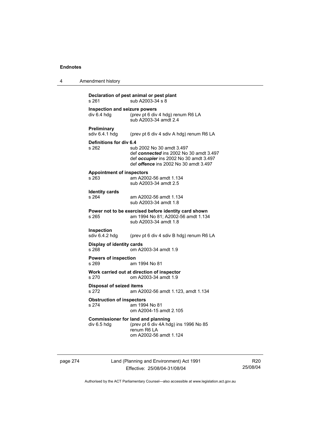| 4 | Amendment history                                                                                                                                                                                  |  |  |
|---|----------------------------------------------------------------------------------------------------------------------------------------------------------------------------------------------------|--|--|
|   | Declaration of pest animal or pest plant<br>sub A2003-34 s 8<br>s 261                                                                                                                              |  |  |
|   | Inspection and seizure powers<br>div 6.4 hdg<br>(prev pt 6 div 4 hdg) renum R6 LA<br>sub A2003-34 amdt 2.4                                                                                         |  |  |
|   | Preliminary<br>sdiv 6.4.1 hdg<br>(prev pt 6 div 4 sdiv A hdg) renum R6 LA                                                                                                                          |  |  |
|   | Definitions for div 6.4<br>sub 2002 No 30 amdt 3.497<br>s 262<br>def connected ins 2002 No 30 amdt 3.497<br>def occupier ins 2002 No 30 amdt 3.497<br>def <i>offence</i> ins 2002 No 30 amdt 3.497 |  |  |
|   | <b>Appointment of inspectors</b><br>am A2002-56 amdt 1.134<br>s 263<br>sub A2003-34 amdt 2.5                                                                                                       |  |  |
|   | <b>Identity cards</b><br>s 264<br>am A2002-56 amdt 1.134<br>sub A2003-34 amdt 1.8                                                                                                                  |  |  |
|   | Power not to be exercised before identity card shown<br>s 265<br>am 1994 No 81; A2002-56 amdt 1.134<br>sub A2003-34 amdt 1.8                                                                       |  |  |
|   | <b>Inspection</b><br>sdiv 6.4.2 hdg<br>(prev pt 6 div 4 sdiv B hdg) renum R6 LA                                                                                                                    |  |  |
|   | <b>Display of identity cards</b><br>s 268<br>om A2003-34 amdt 1.9                                                                                                                                  |  |  |
|   | <b>Powers of inspection</b><br>s 269<br>am 1994 No 81                                                                                                                                              |  |  |
|   | Work carried out at direction of inspector<br>om A2003-34 amdt 1.9<br>s 270                                                                                                                        |  |  |
|   | <b>Disposal of seized items</b><br>s 272<br>am A2002-56 amdt 1.123, amdt 1.134                                                                                                                     |  |  |
|   | <b>Obstruction of inspectors</b><br>s 274<br>am 1994 No 81<br>om A2004-15 amdt 2.105                                                                                                               |  |  |
|   | <b>Commissioner for land and planning</b><br>(prev pt 6 div 4A hdg) ins 1996 No 85<br>div 6.5 hdg<br>renum R6 LA<br>om A2002-56 amdt 1.124                                                         |  |  |

page 274 Land (Planning and Environment) Act 1991 Effective: 25/08/04-31/08/04

R20 25/08/04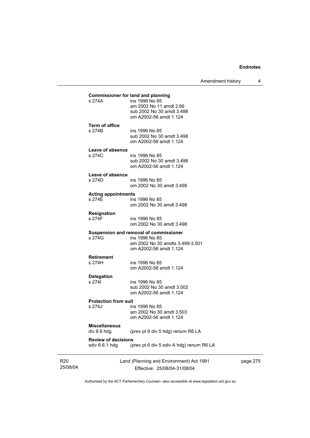Amendment history 4

| <b>Review of decisions</b><br>sdiv 6.6.1 hdg | (prev pt 6 div 5 sdiv A hdg) renum R6 LA                                                                                                      |  |
|----------------------------------------------|-----------------------------------------------------------------------------------------------------------------------------------------------|--|
| <b>Miscellaneous</b><br>div 6.6 hdg          | (prev pt 6 div 5 hdg) renum R6 LA                                                                                                             |  |
| <b>Protection from suit</b><br>s 274J        | ins 1996 No 85<br>am 2002 No 30 amdt 3.503<br>om A2002-56 amdt 1.124                                                                          |  |
| <b>Delegation</b><br>s 2741                  | ins 1996 No 85<br>sub 2002 No 30 amdt 3.502<br>om A2002-56 amdt 1.124                                                                         |  |
| <b>Retirement</b><br>s 274H                  | ins 1996 No 85<br>om A2002-56 amdt 1.124                                                                                                      |  |
| s 274G                                       | Suspension and removal of commissioner<br>ins 1996 No 85<br>am 2002 No 30 amdts 3.499-3.501<br>om A2002-56 amdt 1.124                         |  |
| <b>Resignation</b><br>s 274F                 | ins 1996 No 85<br>om 2002 No 30 amdt 3.498                                                                                                    |  |
| <b>Acting appointments</b><br>s 274E         | ins 1996 No 85<br>om 2002 No 30 amdt 3.498                                                                                                    |  |
| Leave of absence<br>s 274D                   | ins 1996 No 85<br>om 2002 No 30 amdt 3.498                                                                                                    |  |
| Leave of absence<br>s 274C                   | ins 1996 No 85<br>sub 2002 No 30 amdt 3.498<br>om A2002-56 amdt 1.124                                                                         |  |
| <b>Term of office</b><br>s 274B              | ins 1996 No 85<br>sub 2002 No 30 amdt 3.498<br>om A2002-56 amdt 1.124                                                                         |  |
| s 274A                                       | <b>Commissioner for land and planning</b><br>ins 1996 No 85<br>am 2002 No 11 amdt 2.66<br>sub 2002 No 30 amdt 3.498<br>om A2002-56 amdt 1.124 |  |

R20 25/08/04

Effective: 25/08/04-31/08/04

page 275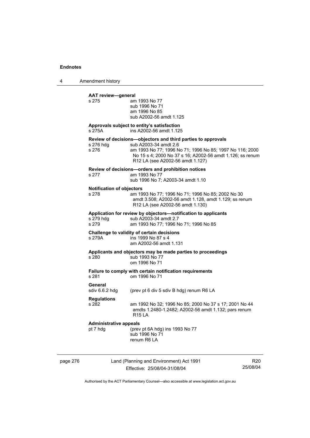4 Amendment history

|          | <b>AAT review-general</b><br>s 275                                              | am 1993 No 77<br>sub 1996 No 71<br>am 1996 No 85<br>sub A2002-56 amdt 1.125                                                                                                                                                                        |  |  |  |
|----------|---------------------------------------------------------------------------------|----------------------------------------------------------------------------------------------------------------------------------------------------------------------------------------------------------------------------------------------------|--|--|--|
|          | Approvals subject to entity's satisfaction<br>s 275A<br>ins A2002-56 amdt 1.125 |                                                                                                                                                                                                                                                    |  |  |  |
|          | s 276 hdg<br>s 276                                                              | Review of decisions-objectors and third parties to approvals<br>sub A2003-34 amdt 2.6<br>am 1993 No 77; 1996 No 71; 1996 No 85; 1997 No 116; 2000<br>No 15 s 4; 2000 No 37 s 16; A2002-56 amdt 1.126; ss renum<br>R12 LA (see A2002-56 amdt 1.127) |  |  |  |
|          | s 277                                                                           | Review of decisions-orders and prohibition notices<br>am 1993 No 77<br>sub 1996 No 7; A2003-34 amdt 1.10                                                                                                                                           |  |  |  |
|          | <b>Notification of objectors</b><br>s 278                                       | am 1993 No 77; 1996 No 71; 1996 No 85; 2002 No 30<br>amdt 3.508; A2002-56 amdt 1.128, amdt 1.129; ss renum<br>R12 LA (see A2002-56 amdt 1.130)                                                                                                     |  |  |  |
|          | s 279 hdg<br>s 279                                                              | Application for review by objectors-notification to applicants<br>sub A2003-34 amdt 2.7<br>am 1993 No 77; 1996 No 71; 1996 No 85                                                                                                                   |  |  |  |
|          | s 279A                                                                          | Challenge to validity of certain decisions<br>ins 1999 No 87 s 4<br>am A2002-56 amdt 1.131                                                                                                                                                         |  |  |  |
|          | s 280                                                                           | Applicants and objectors may be made parties to proceedings<br>sub 1993 No 77<br>om 1996 No 71                                                                                                                                                     |  |  |  |
|          | s 281                                                                           | Failure to comply with certain notification requirements<br>om 1996 No 71                                                                                                                                                                          |  |  |  |
|          | General<br>sdiv 6.6.2 hdg                                                       | (prev pt 6 div 5 sdiv B hdg) renum R6 LA                                                                                                                                                                                                           |  |  |  |
|          | <b>Regulations</b><br>s 282                                                     | am 1992 No 32; 1996 No 85; 2000 No 37 s 17; 2001 No 44<br>amdts 1.2480-1.2482; A2002-56 amdt 1.132; pars renum<br>R15 LA                                                                                                                           |  |  |  |
|          | <b>Administrative appeals</b><br>pt 7 hdg                                       | (prev pt 6A hdg) ins 1993 No 77<br>sub 1996 No 71<br>renum R6 LA                                                                                                                                                                                   |  |  |  |
| page 276 |                                                                                 | Land (Planning and Environment) Act 1991<br>R <sub>20</sub>                                                                                                                                                                                        |  |  |  |

Effective: 25/08/04-31/08/04

25/08/04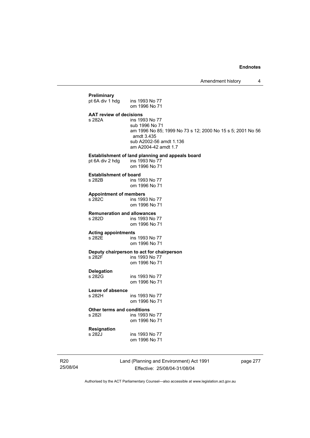# **Preliminary**  pt 6A div 1 hdg ins 1993 No 77 om 1996 No 71 **AAT review of decisions**  ins 1993 No 77 sub 1996 No 71 am 1996 No 85; 1999 No 73 s 12; 2000 No 15 s 5; 2001 No 56 amdt 3.435 sub A2002-56 amdt 1.136 am A2004-42 amdt 1.7 **Establishment of land planning and appeals board** pt 6A div 2 hdg ins 1993 No 77 pt 6A div 2 hdg om 1996 No 71 **Establishment of board**<br>**s** 282B **ins** 19 ins 1993 No 77 om 1996 No 71 **Appointment of members**  ins 1993 No 77 om 1996 No 71 **Remuneration and allowances**  ins 1993 No 77 om 1996 No 71 **Acting appointments**  s 282E ins 1993 No 77 om 1996 No 71 **Deputy chairperson to act for chairperson**  ins 1993 No 77 om 1996 No 71 **Delegation**  ins 1993 No 77 om 1996 No 71 **Leave of absence**  s 282H ins 1993 No 77 om 1996 No 71 **Other terms and conditions**  s 282I ins 1993 No 77 om 1996 No 71 **Resignation**  s 282J ins 1993 No 77 om 1996 No 71

R20 25/08/04 Land (Planning and Environment) Act 1991 Effective: 25/08/04-31/08/04

page 277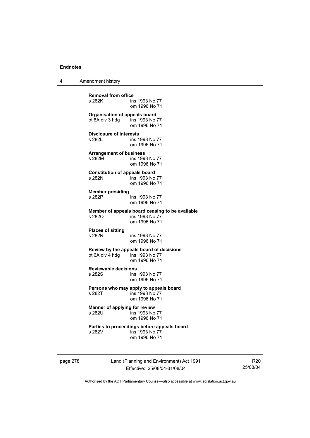4 Amendment history

**Removal from office**  ins 1993 No 77 om 1996 No 71 **Organisation of appeals board**<br>pt 6A div 3 hdg ins 1993 No 77 pt  $6A$  div 3 hdg om 1996 No 71 **Disclosure of interests**  s 282L ins 1993 No 77 om 1996 No 71 **Arrangement of business**  s 282M ins 1993 No 77 om 1996 No 71 **Constitution of appeals board**  s 282N ins 1993 No 77 om 1996 No 71 **Member presiding**  ins 1993 No 77 om 1996 No 71 **Member of appeals board ceasing to be available**  s 282Q ins 1993 No 77 om 1996 No 71 **Places of sitting**  ins 1993 No 77 om 1996 No 71 **Review by the appeals board of decisions**  pt 6A div 4 hdg om 1996 No 71 **Reviewable decisions**  s 282S ins 1993 No 77 om 1996 No 71 **Persons who may apply to appeals board**<br>s 282T ins 1993 No 77 ins 1993 No 77 om 1996 No 71 **Manner of applying for review**<br>s 282U<br>ins 1993 No  $\overline{5}$  ins 1993 No 77 om 1996 No 71 **Parties to proceedings before appeals board**  s 282V ins 1993 No 77 om 1996 No 71

page 278 Land (Planning and Environment) Act 1991 Effective: 25/08/04-31/08/04

R20 25/08/04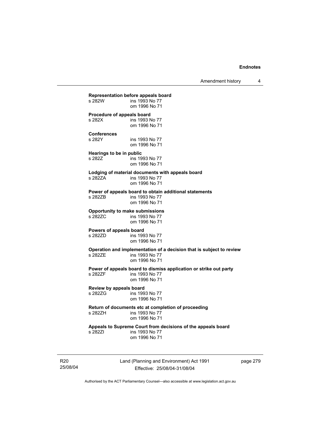Amendment history 4

**Representation before appeals board**  ins 1993 No 77 om 1996 No 71 **Procedure of appeals board**<br>s 282X **ins 1993** ins 1993 No 77 om 1996 No 71 **Conferences**  s 282Y ins 1993 No 77 om 1996 No 71 **Hearings to be in public s 282Z** ins 19 ins 1993 No 77 om 1996 No 71 **Lodging of material documents with appeals board**  s 282ZA ins 1993 No 77 om 1996 No 71 **Power of appeals board to obtain additional statements**  ins 1993 No 77 om 1996 No 71 **Opportunity to make submissions**  ins 1993 No 77 om 1996 No 71 **Powers of appeals board**  ins 1993 No 77 om 1996 No 71 **Operation and implementation of a decision that is subject to review**  ins 1993 No 77 om 1996 No 71 **Power of appeals board to dismiss application or strike out party**  s 282ZF ins 1993 No 77 om 1996 No 71 **Review by appeals board**  ins 1993 No 77 om 1996 No 71 **Return of documents etc at completion of proceeding**   $ins$  1993 No 77 om 1996 No 71 **Appeals to Supreme Court from decisions of the appeals board**  s 282ZI ins 1993 No 77 om 1996 No 71

R20 25/08/04 Land (Planning and Environment) Act 1991 Effective: 25/08/04-31/08/04

page 279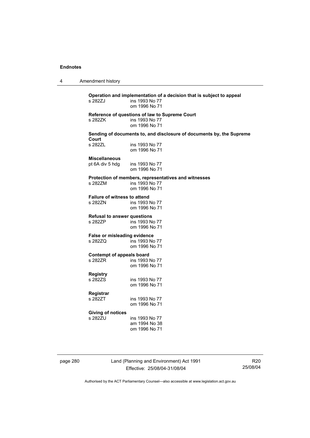4 Amendment history

**Operation and implementation of a decision that is subject to appeal**  ins 1993 No 77 om 1996 No 71 **Reference of questions of law to Supreme Court**  s 282ZK ins 1993 No 77 om 1996 No 71 **Sending of documents to, and disclosure of documents by, the Supreme Court**  ins 1993 No 77 om 1996 No 71 **Miscellaneous**  pt 6A div 5 hdg ins 1993 No 77 om 1996 No 71 **Protection of members, representatives and witnesses**  ins 1993 No 77 om 1996 No 71 **Failure of witness to attend**  s 282ZN ins 1993 No 77 om 1996 No 71 **Refusal to answer questions**  s 282ZP ins 1993 No 77 om 1996 No 71 **False or misleading evidence**  s 282ZQ ins 1993 No 77 om 1996 No 71 **Contempt of appeals board**  ins 1993 No 77 om 1996 No 71 **Registry**  ins 1993 No 77 om 1996 No 71 **Registrar**  ins 1993 No 77 om 1996 No 71 **Giving of notices**  ins 1993 No 77 am 1994 No 38 om 1996 No 71

page 280 Land (Planning and Environment) Act 1991 Effective: 25/08/04-31/08/04

R20 25/08/04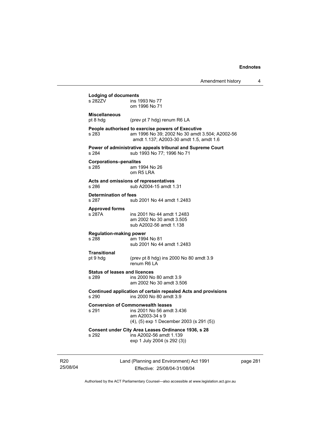| <b>Lodging of documents</b>             |                                                                                           |  |  |
|-----------------------------------------|-------------------------------------------------------------------------------------------|--|--|
| s 2827V                                 | ins 1993 No 77                                                                            |  |  |
|                                         | om 1996 No 71                                                                             |  |  |
| <b>Miscellaneous</b>                    |                                                                                           |  |  |
| pt 8 hdg                                | (prev pt 7 hdg) renum R6 LA                                                               |  |  |
|                                         | People authorised to exercise powers of Executive                                         |  |  |
| s 283                                   | am 1996 No 39; 2002 No 30 amdt 3.504; A2002-56<br>amdt 1.137; A2003-30 amdt 1.5, amdt 1.6 |  |  |
|                                         | Power of administrative appeals tribunal and Supreme Court                                |  |  |
| s 284                                   | sub 1993 No 77; 1996 No 71                                                                |  |  |
|                                         | <b>Corporations-penalites</b>                                                             |  |  |
| s 285                                   | am 1994 No 26                                                                             |  |  |
|                                         | om R5 LRA                                                                                 |  |  |
|                                         | Acts and omissions of representatives                                                     |  |  |
| s 286                                   | sub A2004-15 amdt 1.31                                                                    |  |  |
| <b>Determination of fees</b>            |                                                                                           |  |  |
| s 287                                   | sub 2001 No 44 amdt 1.2483                                                                |  |  |
| <b>Approved forms</b>                   |                                                                                           |  |  |
| s 287A                                  | ins 2001 No 44 amdt 1.2483                                                                |  |  |
|                                         | am 2002 No 30 amdt 3.505<br>sub A2002-56 amdt 1.138                                       |  |  |
|                                         |                                                                                           |  |  |
| <b>Regulation-making power</b><br>s 288 | am 1994 No 81                                                                             |  |  |
|                                         | sub 2001 No 44 amdt 1.2483                                                                |  |  |
| Transitional                            |                                                                                           |  |  |
| pt 9 hdg                                | (prev pt 8 hdg) ins 2000 No 80 amdt 3.9                                                   |  |  |
|                                         | renum R6 LA                                                                               |  |  |
| <b>Status of leases and licences</b>    |                                                                                           |  |  |
| s 289                                   | ins 2000 No 80 amdt 3.9                                                                   |  |  |
|                                         | am 2002 No 30 amdt 3.506                                                                  |  |  |
|                                         | Continued application of certain repealed Acts and provisions                             |  |  |
| s 290                                   | ins 2000 No 80 amdt 3.9                                                                   |  |  |
|                                         | <b>Conversion of Commonwealth leases</b>                                                  |  |  |
| s 291                                   | ins 2001 No 56 amdt 3.436                                                                 |  |  |
|                                         | am A2003-34 s 9                                                                           |  |  |
|                                         | (4), (5) exp 1 December 2003 (s 291 (5))                                                  |  |  |
|                                         | Consent under City Area Leases Ordinance 1936, s 28                                       |  |  |
| s 292                                   | ins A2002-56 amdt 1.139<br>exp 1 July 2004 (s 292 (3))                                    |  |  |
|                                         |                                                                                           |  |  |
|                                         |                                                                                           |  |  |
|                                         |                                                                                           |  |  |

R20 25/08/04

Effective: 25/08/04-31/08/04

page 281

 $\overline{\phantom{a}}$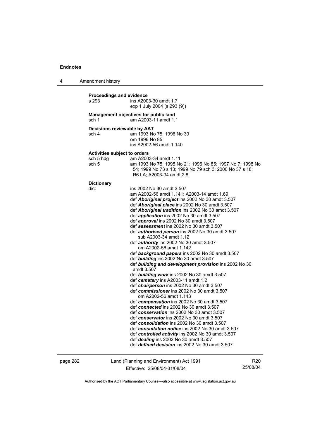4 Amendment history

| s 293                        | <b>Proceedings and evidence</b><br>ins A2003-30 amdt 1.7<br>exp 1 July 2004 (s 293 (9))  |
|------------------------------|------------------------------------------------------------------------------------------|
| sch 1                        | Management objectives for public land<br>am A2003-11 amdt 1.1                            |
| Decisions reviewable by AAT  |                                                                                          |
| sch 4                        | am 1993 No 75; 1996 No 39                                                                |
|                              | om 1996 No 85                                                                            |
|                              | ins A2002-56 amdt 1.140                                                                  |
| Activities subject to orders |                                                                                          |
| sch 5 hdg                    | am A2003-34 amdt 1.11                                                                    |
| sch 5                        | am 1993 No 75; 1995 No 21; 1996 No 85; 1997 No 7; 1998 No                                |
|                              | 54; 1999 No 73 s 13; 1999 No 79 sch 3; 2000 No 37 s 18;                                  |
|                              | R6 LA; A2003-34 amdt 2.8                                                                 |
| <b>Dictionary</b>            |                                                                                          |
| dict                         | ins 2002 No 30 amdt 3.507                                                                |
|                              | am A2002-56 amdt 1.141; A2003-14 amdt 1.69                                               |
|                              | def Aboriginal project ins 2002 No 30 amdt 3.507                                         |
|                              | def Aboriginal place ins 2002 No 30 amdt 3.507                                           |
|                              | def Aboriginal tradition ins 2002 No 30 amdt 3.507                                       |
|                              | def application ins 2002 No 30 amdt 3.507                                                |
|                              | def approval ins 2002 No 30 amdt 3.507                                                   |
|                              | def assessment ins 2002 No 30 amdt 3.507                                                 |
|                              | def <i>authorised person</i> ins 2002 No 30 amdt 3.507                                   |
|                              | sub A2003-34 amdt 1.12<br>def authority ins 2002 No 30 amdt 3.507                        |
|                              | om A2002-56 amdt 1.142                                                                   |
|                              | def background papers ins 2002 No 30 amdt 3.507                                          |
|                              | def building ins 2002 No 30 amdt 3.507                                                   |
|                              | def building and development provision ins 2002 No 30                                    |
|                              | amdt 3.507                                                                               |
|                              | def building work ins 2002 No 30 amdt 3.507                                              |
|                              | def cemetery ins A2003-11 amdt 1.2                                                       |
|                              | def <i>chairperson</i> ins 2002 No 30 amdt 3.507                                         |
|                              | def commissioner ins 2002 No 30 amdt 3.507                                               |
|                              | om A2002-56 amdt 1.143                                                                   |
|                              | def compensation ins 2002 No 30 amdt 3.507                                               |
|                              | def connected ins 2002 No 30 amdt 3.507                                                  |
|                              | def conservation ins 2002 No 30 amdt 3.507                                               |
|                              | def conservator ins 2002 No 30 amdt 3.507<br>def consolidation ins 2002 No 30 amdt 3.507 |
|                              | def consultation notice ins 2002 No 30 amdt 3.507                                        |
|                              | def controlled activity ins 2002 No 30 amdt 3.507                                        |
|                              |                                                                                          |
|                              | def <i>dealing</i> ins 2002 No 30 amdt 3.507                                             |

page 282 Land (Planning and Environment) Act 1991 Effective: 25/08/04-31/08/04

R20 25/08/04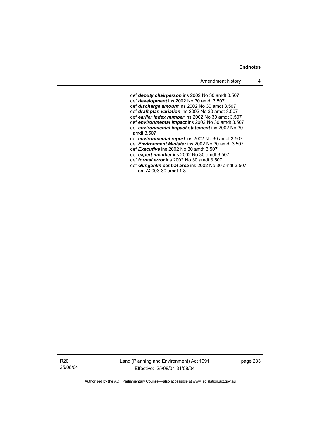def *deputy chairperson* ins 2002 No 30 amdt 3.507 def *development* ins 2002 No 30 amdt 3.507 def *discharge amount* ins 2002 No 30 amdt 3.507 def *draft plan variation* ins 2002 No 30 amdt 3.507 def *earlier index number* ins 2002 No 30 amdt 3.507 def *environmental impact* ins 2002 No 30 amdt 3.507 def *environmental impact statement* ins 2002 No 30 amdt 3.507 def *environmental report* ins 2002 No 30 amdt 3.507 def *Environment Minister* ins 2002 No 30 amdt 3.507 def *Executive* ins 2002 No 30 amdt 3.507 def *expert member* ins 2002 No 30 amdt 3.507 def *formal error* ins 2002 No 30 amdt 3.507 def *Gungahlin central area* ins 2002 No 30 amdt 3.507

om A2003-30 amdt 1.8

R20 25/08/04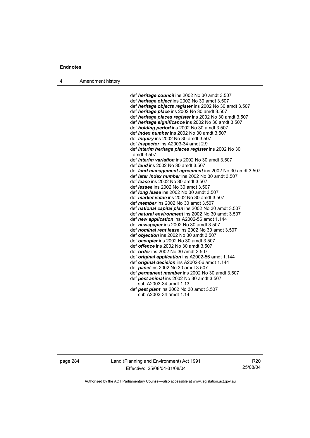4 Amendment history

 def *heritage council* ins 2002 No 30 amdt 3.507 def *heritage object* ins 2002 No 30 amdt 3.507 def *heritage objects register* ins 2002 No 30 amdt 3.507 def *heritage place* ins 2002 No 30 amdt 3.507 def *heritage places register* ins 2002 No 30 amdt 3.507 def *heritage significance* ins 2002 No 30 amdt 3.507 def *holding period* ins 2002 No 30 amdt 3.507 def *index number* ins 2002 No 30 amdt 3.507 def *inquiry* ins 2002 No 30 amdt 3.507 def *inspector* ins A2003-34 amdt 2.9 def *interim heritage places register* ins 2002 No 30 amdt 3.507 def *interim variation* ins 2002 No 30 amdt 3.507 def *land* ins 2002 No 30 amdt 3.507 def *land management agreement* ins 2002 No 30 amdt 3.507 def *later index number* ins 2002 No 30 amdt 3.507 def *lease* ins 2002 No 30 amdt 3.507 def *lessee* ins 2002 No 30 amdt 3.507 def *long lease* ins 2002 No 30 amdt 3.507 def *market value* ins 2002 No 30 amdt 3.507 def *member* ins 2002 No 30 amdt 3.507 def *national capital plan* ins 2002 No 30 amdt 3.507 def *natural environment* ins 2002 No 30 amdt 3.507 def *new application* ins A2002-56 amdt 1.144 def *newspaper* ins 2002 No 30 amdt 3.507 def *nominal rent lease* ins 2002 No 30 amdt 3.507 def *objection* ins 2002 No 30 amdt 3.507 def *occupier* ins 2002 No 30 amdt 3.507 def *offence* ins 2002 No 30 amdt 3.507 def *order* ins 2002 No 30 amdt 3.507 def *original application* ins A2002-56 amdt 1.144 def *original decision* ins A2002-56 amdt 1.144 def *panel* ins 2002 No 30 amdt 3.507 def *permanent member* ins 2002 No 30 amdt 3.507 def *pest animal* ins 2002 No 30 amdt 3.507 sub A2003-34 amdt 1.13 def *pest plant* ins 2002 No 30 amdt 3.507 sub A2003-34 amdt 1.14

page 284 Land (Planning and Environment) Act 1991 Effective: 25/08/04-31/08/04

R20 25/08/04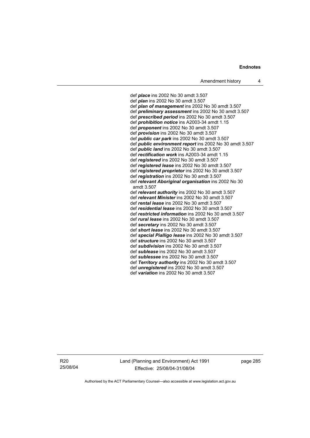def *place* ins 2002 No 30 amdt 3.507 def *plan* ins 2002 No 30 amdt 3.507 def *plan of management* ins 2002 No 30 amdt 3.507 def *preliminary assessment* ins 2002 No 30 amdt 3.507 def *prescribed period* ins 2002 No 30 amdt 3.507 def *prohibition notice* ins A2003-34 amdt 1.15 def *proponent* ins 2002 No 30 amdt 3.507 def *provision* ins 2002 No 30 amdt 3.507 def *public car park* ins 2002 No 30 amdt 3.507 def *public environment report* ins 2002 No 30 amdt 3.507 def *public land* ins 2002 No 30 amdt 3.507 def *rectification work* ins A2003-34 amdt 1.15 def *registered* ins 2002 No 30 amdt 3.507 def *registered lease* ins 2002 No 30 amdt 3.507 def *registered proprietor* ins 2002 No 30 amdt 3.507 def *registration* ins 2002 No 30 amdt 3.507 def *relevant Aboriginal organisation* ins 2002 No 30 amdt 3.507 def *relevant authority* ins 2002 No 30 amdt 3.507 def *relevant Minister* ins 2002 No 30 amdt 3.507 def *rental lease* ins 2002 No 30 amdt 3.507 def *residential lease* ins 2002 No 30 amdt 3.507 def *restricted information* ins 2002 No 30 amdt 3.507 def *rural lease* ins 2002 No 30 amdt 3.507 def *secretary* ins 2002 No 30 amdt 3.507 def *short lease* ins 2002 No 30 amdt 3.507 def *special Pialligo lease* ins 2002 No 30 amdt 3.507 def *structure* ins 2002 No 30 amdt 3.507 def *subdivision* ins 2002 No 30 amdt 3.507 def *sublease* ins 2002 No 30 amdt 3.507 def *sublessee* ins 2002 No 30 amdt 3.507 def *Territory authority* ins 2002 No 30 amdt 3.507 def *unregistered* ins 2002 No 30 amdt 3.507 def *variation* ins 2002 No 30 amdt 3.507

R20 25/08/04 Land (Planning and Environment) Act 1991 Effective: 25/08/04-31/08/04

page 285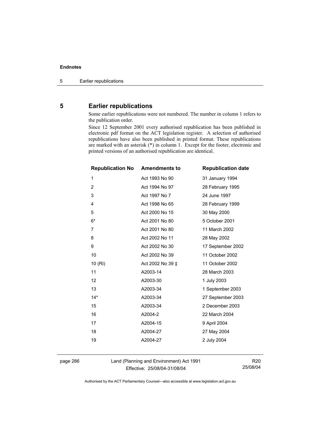# **5 Earlier republications**

Some earlier republications were not numbered. The number in column 1 refers to the publication order.

Since 12 September 2001 every authorised republication has been published in electronic pdf format on the ACT legislation register. A selection of authorised republications have also been published in printed format. These republications are marked with an asterisk (\*) in column 1. Except for the footer, electronic and printed versions of an authorised republication are identical.

| <b>Republication No</b> | <b>Amendments to</b> | <b>Republication date</b> |
|-------------------------|----------------------|---------------------------|
| 1                       | Act 1993 No 90       | 31 January 1994           |
| $\overline{2}$          | Act 1994 No 97       | 28 February 1995          |
| 3                       | Act 1997 No 7        | 24 June 1997              |
| 4                       | Act 1998 No 65       | 28 February 1999          |
| 5                       | Act 2000 No 15       | 30 May 2000               |
| $6*$                    | Act 2001 No 80       | 5 October 2001            |
| $\overline{7}$          | Act 2001 No 80       | 11 March 2002             |
| 8                       | Act 2002 No 11       | 28 May 2002               |
| 9                       | Act 2002 No 30       | 17 September 2002         |
| 10                      | Act 2002 No 39       | 11 October 2002           |
| 10(RI)                  | Act 2002 No 39 ‡     | 11 October 2002           |
| 11                      | A2003-14             | 28 March 2003             |
| 12                      | A2003-30             | 1 July 2003               |
| 13                      | A2003-34             | 1 September 2003          |
| $14*$                   | A2003-34             | 27 September 2003         |
| 15                      | A2003-34             | 2 December 2003           |
| 16                      | A2004-2              | 22 March 2004             |
| 17                      | A2004-15             | 9 April 2004              |
| 18                      | A2004-27             | 27 May 2004               |
| 19                      | A2004-27             | 2 July 2004               |
|                         |                      |                           |

page 286 Land (Planning and Environment) Act 1991 Effective: 25/08/04-31/08/04

R20 25/08/04